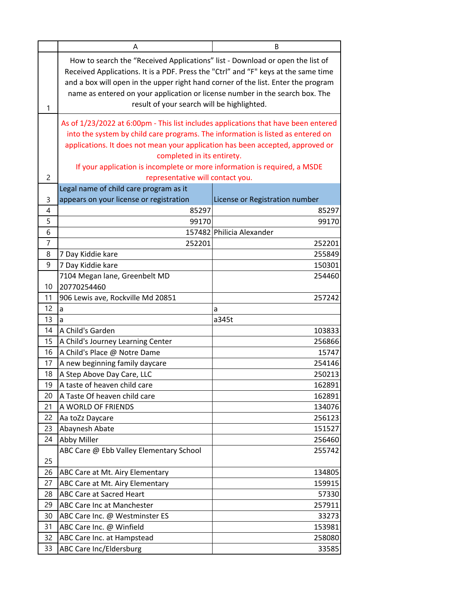|                | A                                                                                                                                                                                                                                                                                                                                                                                      | B                              |
|----------------|----------------------------------------------------------------------------------------------------------------------------------------------------------------------------------------------------------------------------------------------------------------------------------------------------------------------------------------------------------------------------------------|--------------------------------|
| 1              | How to search the "Received Applications" list - Download or open the list of<br>Received Applications. It is a PDF. Press the "Ctrl" and "F" keys at the same time<br>and a box will open in the upper right hand corner of the list. Enter the program<br>name as entered on your application or license number in the search box. The<br>result of your search will be highlighted. |                                |
|                | As of 1/23/2022 at 6:00pm - This list includes applications that have been entered<br>into the system by child care programs. The information is listed as entered on                                                                                                                                                                                                                  |                                |
|                | applications. It does not mean your application has been accepted, approved or<br>completed in its entirety.<br>If your application is incomplete or more information is required, a MSDE                                                                                                                                                                                              |                                |
| $\overline{c}$ | representative will contact you.                                                                                                                                                                                                                                                                                                                                                       |                                |
|                | Legal name of child care program as it                                                                                                                                                                                                                                                                                                                                                 |                                |
| 3              | appears on your license or registration                                                                                                                                                                                                                                                                                                                                                | License or Registration number |
| 4              | 85297                                                                                                                                                                                                                                                                                                                                                                                  | 85297                          |
| 5              | 99170                                                                                                                                                                                                                                                                                                                                                                                  | 99170                          |
| 6              |                                                                                                                                                                                                                                                                                                                                                                                        | 157482 Philicia Alexander      |
| $\overline{7}$ | 252201                                                                                                                                                                                                                                                                                                                                                                                 | 252201                         |
| 8              | 7 Day Kiddie kare                                                                                                                                                                                                                                                                                                                                                                      | 255849                         |
| 9              | 7 Day Kiddie kare                                                                                                                                                                                                                                                                                                                                                                      | 150301                         |
|                | 7104 Megan lane, Greenbelt MD                                                                                                                                                                                                                                                                                                                                                          | 254460                         |
| 10             | 20770254460                                                                                                                                                                                                                                                                                                                                                                            |                                |
| 11             | 906 Lewis ave, Rockville Md 20851                                                                                                                                                                                                                                                                                                                                                      | 257242                         |
| 12             | a                                                                                                                                                                                                                                                                                                                                                                                      | a                              |
| 13             | a                                                                                                                                                                                                                                                                                                                                                                                      | a345t                          |
| 14             | A Child's Garden                                                                                                                                                                                                                                                                                                                                                                       | 103833                         |
| 15             | A Child's Journey Learning Center                                                                                                                                                                                                                                                                                                                                                      | 256866                         |
| 16             | A Child's Place @ Notre Dame                                                                                                                                                                                                                                                                                                                                                           | 15747                          |
| 17             | A new beginning family daycare                                                                                                                                                                                                                                                                                                                                                         | 254146                         |
| 18             | A Step Above Day Care, LLC                                                                                                                                                                                                                                                                                                                                                             | 250213                         |
| 19             | A taste of heaven child care                                                                                                                                                                                                                                                                                                                                                           | 162891                         |
| 20             | A Taste Of heaven child care                                                                                                                                                                                                                                                                                                                                                           | 162891                         |
| 21             | A WORLD OF FRIENDS                                                                                                                                                                                                                                                                                                                                                                     | 134076                         |
| 22             | Aa toZz Daycare                                                                                                                                                                                                                                                                                                                                                                        | 256123                         |
| 23             | Abaynesh Abate                                                                                                                                                                                                                                                                                                                                                                         | 151527                         |
| 24             | Abby Miller                                                                                                                                                                                                                                                                                                                                                                            | 256460                         |
|                | ABC Care @ Ebb Valley Elementary School                                                                                                                                                                                                                                                                                                                                                | 255742                         |
| 25             |                                                                                                                                                                                                                                                                                                                                                                                        |                                |
| 26             | ABC Care at Mt. Airy Elementary                                                                                                                                                                                                                                                                                                                                                        | 134805                         |
| 27             | ABC Care at Mt. Airy Elementary                                                                                                                                                                                                                                                                                                                                                        | 159915                         |
| 28<br>29       | <b>ABC Care at Sacred Heart</b>                                                                                                                                                                                                                                                                                                                                                        | 57330                          |
| 30             | ABC Care Inc at Manchester                                                                                                                                                                                                                                                                                                                                                             | 257911                         |
| 31             | ABC Care Inc. @ Westminster ES<br>ABC Care Inc. @ Winfield                                                                                                                                                                                                                                                                                                                             | 33273<br>153981                |
| 32             | ABC Care Inc. at Hampstead                                                                                                                                                                                                                                                                                                                                                             | 258080                         |
| 33             | <b>ABC Care Inc/Eldersburg</b>                                                                                                                                                                                                                                                                                                                                                         | 33585                          |
|                |                                                                                                                                                                                                                                                                                                                                                                                        |                                |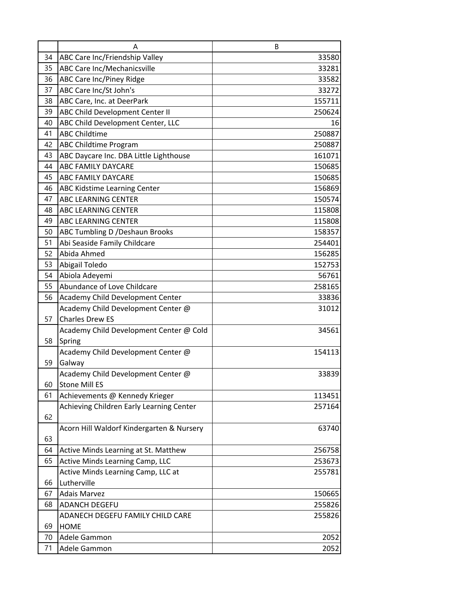|    | A                                         | B      |
|----|-------------------------------------------|--------|
| 34 | ABC Care Inc/Friendship Valley            | 33580  |
| 35 | <b>ABC Care Inc/Mechanicsville</b>        | 33281  |
| 36 | <b>ABC Care Inc/Piney Ridge</b>           | 33582  |
| 37 | ABC Care Inc/St John's                    | 33272  |
| 38 | ABC Care, Inc. at DeerPark                | 155711 |
| 39 | ABC Child Development Center II           | 250624 |
| 40 | ABC Child Development Center, LLC         | 16     |
| 41 | <b>ABC Childtime</b>                      | 250887 |
| 42 | <b>ABC Childtime Program</b>              | 250887 |
| 43 | ABC Daycare Inc. DBA Little Lighthouse    | 161071 |
| 44 | <b>ABC FAMILY DAYCARE</b>                 | 150685 |
| 45 | ABC FAMILY DAYCARE                        | 150685 |
| 46 | ABC Kidstime Learning Center              | 156869 |
| 47 | <b>ABC LEARNING CENTER</b>                | 150574 |
| 48 | <b>ABC LEARNING CENTER</b>                | 115808 |
| 49 | <b>ABC LEARNING CENTER</b>                | 115808 |
| 50 | <b>ABC Tumbling D / Deshaun Brooks</b>    | 158357 |
| 51 | Abi Seaside Family Childcare              | 254401 |
| 52 | Abida Ahmed                               | 156285 |
| 53 | Abigail Toledo                            | 152753 |
| 54 | Abiola Adeyemi                            | 56761  |
| 55 | Abundance of Love Childcare               | 258165 |
| 56 | Academy Child Development Center          | 33836  |
|    | Academy Child Development Center @        | 31012  |
| 57 | <b>Charles Drew ES</b>                    |        |
|    | Academy Child Development Center @ Cold   | 34561  |
| 58 | Spring                                    |        |
|    | Academy Child Development Center @        | 154113 |
| 59 | Galway                                    |        |
|    | Academy Child Development Center @        | 33839  |
| 60 | <b>Stone Mill ES</b>                      |        |
| 61 | Achievements @ Kennedy Krieger            | 113451 |
|    | Achieving Children Early Learning Center  | 257164 |
| 62 |                                           |        |
|    | Acorn Hill Waldorf Kindergarten & Nursery | 63740  |
| 63 |                                           |        |
| 64 | Active Minds Learning at St. Matthew      | 256758 |
| 65 | Active Minds Learning Camp, LLC           | 253673 |
|    | Active Minds Learning Camp, LLC at        | 255781 |
| 66 | Lutherville                               |        |
| 67 | <b>Adais Marvez</b>                       | 150665 |
| 68 | <b>ADANCH DEGEFU</b>                      | 255826 |
|    | ADANECH DEGEFU FAMILY CHILD CARE          | 255826 |
| 69 | <b>HOME</b>                               |        |
| 70 | Adele Gammon                              | 2052   |
| 71 | Adele Gammon                              | 2052   |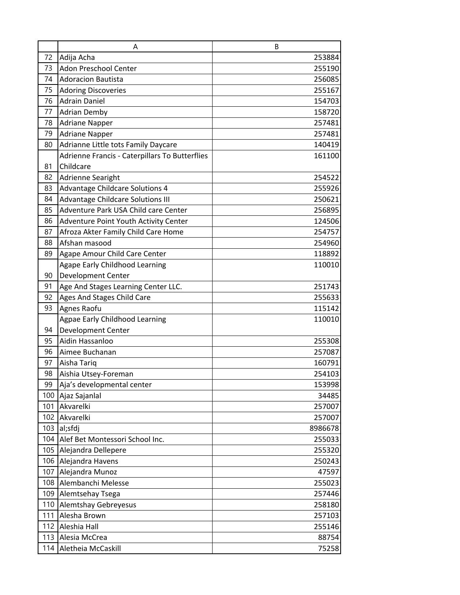|     | A                                              | B       |
|-----|------------------------------------------------|---------|
| 72  | Adija Acha                                     | 253884  |
| 73  | <b>Adon Preschool Center</b>                   | 255190  |
| 74  | <b>Adoracion Bautista</b>                      | 256085  |
| 75  | <b>Adoring Discoveries</b>                     | 255167  |
| 76  | <b>Adrain Daniel</b>                           | 154703  |
| 77  | <b>Adrian Demby</b>                            | 158720  |
| 78  | <b>Adriane Napper</b>                          | 257481  |
| 79  | <b>Adriane Napper</b>                          | 257481  |
| 80  | Adrianne Little tots Family Daycare            | 140419  |
|     | Adrienne Francis - Caterpillars To Butterflies | 161100  |
| 81  | Childcare                                      |         |
| 82  | Adrienne Searight                              | 254522  |
| 83  | <b>Advantage Childcare Solutions 4</b>         | 255926  |
| 84  | <b>Advantage Childcare Solutions III</b>       | 250621  |
| 85  | Adventure Park USA Child care Center           | 256895  |
| 86  | Adventure Point Youth Activity Center          | 124506  |
| 87  | Afroza Akter Family Child Care Home            | 254757  |
| 88  | Afshan masood                                  | 254960  |
| 89  | Agape Amour Child Care Center                  | 118892  |
|     | <b>Agape Early Childhood Learning</b>          | 110010  |
| 90  | <b>Development Center</b>                      |         |
| 91  | Age And Stages Learning Center LLC.            | 251743  |
| 92  | Ages And Stages Child Care                     | 255633  |
| 93  | Agnes Raofu                                    | 115142  |
|     | Agpae Early Childhood Learning                 | 110010  |
| 94  | <b>Development Center</b>                      |         |
| 95  | Aidin Hassanloo                                | 255308  |
| 96  | Aimee Buchanan                                 | 257087  |
| 97  | Aisha Tariq                                    | 160791  |
| 98  | Aishia Utsey-Foreman                           | 254103  |
| 99  | Aja's developmental center                     | 153998  |
| 100 | Ajaz Sajanlal                                  | 34485   |
| 101 | Akvarelki                                      | 257007  |
| 102 | Akvarelki                                      | 257007  |
| 103 | al;sfdj                                        | 8986678 |
|     | 104 Alef Bet Montessori School Inc.            | 255033  |
|     | 105 Alejandra Dellepere                        | 255320  |
|     | 106 Alejandra Havens                           | 250243  |
| 107 | Alejandra Munoz                                | 47597   |
| 108 | Alembanchi Melesse                             | 255023  |
|     | 109 Alemtsehay Tsega                           | 257446  |
| 110 | <b>Alemtshay Gebreyesus</b>                    | 258180  |
| 111 | Alesha Brown                                   | 257103  |
| 112 | Aleshia Hall                                   | 255146  |
| 113 | Alesia McCrea                                  | 88754   |
| 114 | Aletheia McCaskill                             | 75258   |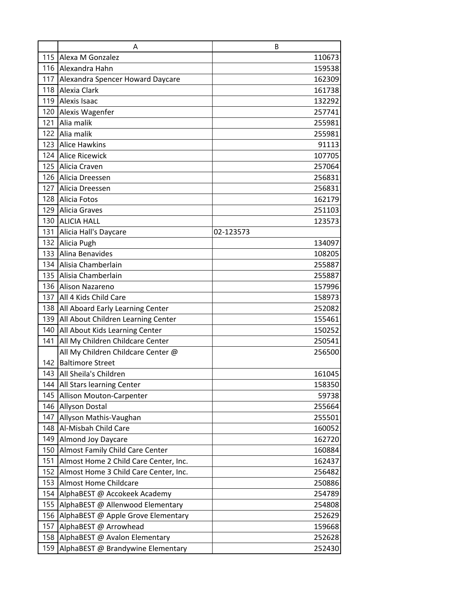|     | A                                         | B         |
|-----|-------------------------------------------|-----------|
|     | 115 Alexa M Gonzalez                      | 110673    |
|     | 116 Alexandra Hahn                        | 159538    |
|     | 117 Alexandra Spencer Howard Daycare      | 162309    |
|     | 118 Alexia Clark                          | 161738    |
|     | 119 Alexis Isaac                          | 132292    |
|     | 120 Alexis Wagenfer                       | 257741    |
| 121 | Alia malik                                | 255981    |
|     | 122 Alia malik                            | 255981    |
|     | 123 Alice Hawkins                         | 91113     |
|     | 124 Alice Ricewick                        | 107705    |
| 125 | Alicia Craven                             | 257064    |
|     | 126 Alicia Dreessen                       | 256831    |
|     | 127 Alicia Dreessen                       | 256831    |
|     | 128 Alicia Fotos                          | 162179    |
|     | 129 Alicia Graves                         | 251103    |
|     | 130 ALICIA HALL                           | 123573    |
|     | 131 Alicia Hall's Daycare                 | 02-123573 |
|     | 132 Alicia Pugh                           | 134097    |
|     | 133 Alina Benavides                       | 108205    |
|     | 134 Alisia Chamberlain                    | 255887    |
|     | 135 Alisia Chamberlain                    | 255887    |
|     | 136 Alison Nazareno                       | 157996    |
|     | 137 All 4 Kids Child Care                 | 158973    |
|     | 138   All Aboard Early Learning Center    | 252082    |
| 139 | All About Children Learning Center        | 155461    |
| 140 | All About Kids Learning Center            | 150252    |
| 141 | All My Children Childcare Center          | 250541    |
|     | All My Children Childcare Center @        | 256500    |
|     | 142 Baltimore Street                      |           |
|     | 143 All Sheila's Children                 | 161045    |
|     | 144   All Stars learning Center           | 158350    |
|     | 145 Allison Mouton-Carpenter              | 59738     |
|     | 146 Allyson Dostal                        | 255664    |
| 147 | Allyson Mathis-Vaughan                    | 255501    |
| 148 | Al-Misbah Child Care                      | 160052    |
| 149 | <b>Almond Joy Daycare</b>                 | 162720    |
|     | 150 Almost Family Child Care Center       | 160884    |
| 151 | Almost Home 2 Child Care Center, Inc.     | 162437    |
|     | 152 Almost Home 3 Child Care Center, Inc. | 256482    |
| 153 | <b>Almost Home Childcare</b>              | 250886    |
| 154 | AlphaBEST @ Accokeek Academy              | 254789    |
| 155 | AlphaBEST @ Allenwood Elementary          | 254808    |
| 156 | AlphaBEST @ Apple Grove Elementary        | 252629    |
| 157 | AlphaBEST @ Arrowhead                     | 159668    |
| 158 | AlphaBEST @ Avalon Elementary             | 252628    |
| 159 | AlphaBEST @ Brandywine Elementary         | 252430    |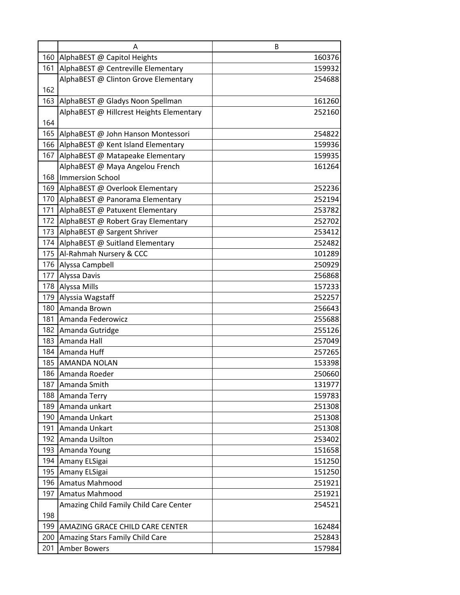|     | Α                                        | B                |
|-----|------------------------------------------|------------------|
|     | 160 AlphaBEST @ Capitol Heights          | 160376           |
| 161 | AlphaBEST @ Centreville Elementary       | 159932           |
|     | AlphaBEST @ Clinton Grove Elementary     | 254688           |
| 162 |                                          |                  |
| 163 | AlphaBEST @ Gladys Noon Spellman         | 161260           |
|     | AlphaBEST @ Hillcrest Heights Elementary | 252160           |
| 164 |                                          |                  |
| 165 | AlphaBEST @ John Hanson Montessori       | 254822           |
|     | 166 AlphaBEST @ Kent Island Elementary   | 159936           |
|     | 167 AlphaBEST @ Matapeake Elementary     | 159935           |
|     | AlphaBEST @ Maya Angelou French          | 161264           |
| 168 | Immersion School                         |                  |
| 169 | AlphaBEST @ Overlook Elementary          | 252236           |
|     | 170 AlphaBEST @ Panorama Elementary      | 252194           |
| 171 | AlphaBEST @ Patuxent Elementary          | 253782           |
| 172 | AlphaBEST @ Robert Gray Elementary       | 252702           |
|     | 173 AlphaBEST @ Sargent Shriver          | 253412           |
| 174 | AlphaBEST @ Suitland Elementary          | 252482           |
|     | 175   Al-Rahmah Nursery & CCC            | 101289           |
|     | 176 Alyssa Campbell                      | 250929           |
| 177 | Alyssa Davis                             | 256868           |
|     | 178 Alyssa Mills                         | 157233           |
| 179 | Alyssia Wagstaff                         | 252257           |
| 180 | Amanda Brown                             | 256643           |
| 181 | Amanda Federowicz                        | 255688           |
| 182 | Amanda Gutridge                          | 255126           |
| 183 | Amanda Hall                              | 257049           |
|     | 184 Amanda Huff<br>185 AMANDA NOLAN      | 257265           |
|     | 186 Amanda Roeder                        | 153398<br>250660 |
| 187 | Amanda Smith                             | 131977           |
| 188 | Amanda Terry                             | 159783           |
| 189 | Amanda unkart                            | 251308           |
|     | 190 Amanda Unkart                        | 251308           |
| 191 | Amanda Unkart                            | 251308           |
|     | 192 Amanda Usilton                       | 253402           |
| 193 | Amanda Young                             | 151658           |
| 194 | Amany ELSigai                            | 151250           |
| 195 | Amany ELSigai                            | 151250           |
| 196 | Amatus Mahmood                           | 251921           |
| 197 | Amatus Mahmood                           | 251921           |
|     | Amazing Child Family Child Care Center   | 254521           |
| 198 |                                          |                  |
| 199 | AMAZING GRACE CHILD CARE CENTER          | 162484           |
| 200 | Amazing Stars Family Child Care          | 252843           |
| 201 | <b>Amber Bowers</b>                      | 157984           |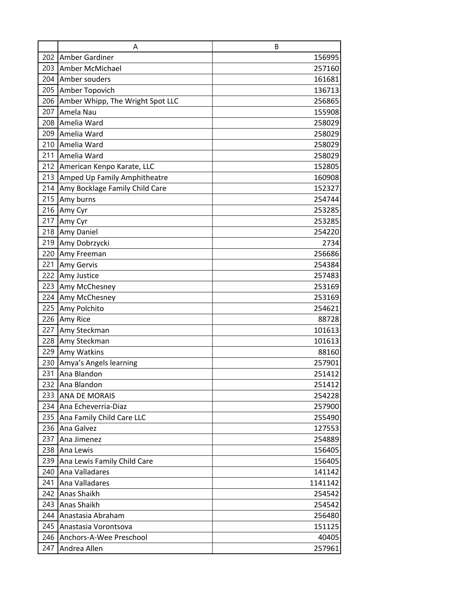|     | A                                | B       |
|-----|----------------------------------|---------|
|     | 202 Amber Gardiner               | 156995  |
| 203 | Amber McMichael                  | 257160  |
| 204 | Amber souders                    | 161681  |
| 205 | Amber Topovich                   | 136713  |
| 206 | Amber Whipp, The Wright Spot LLC | 256865  |
| 207 | Amela Nau                        | 155908  |
| 208 | Amelia Ward                      | 258029  |
| 209 | Amelia Ward                      | 258029  |
| 210 | Amelia Ward                      | 258029  |
| 211 | Amelia Ward                      | 258029  |
| 212 | American Kenpo Karate, LLC       | 152805  |
| 213 | Amped Up Family Amphitheatre     | 160908  |
| 214 | Amy Bocklage Family Child Care   | 152327  |
| 215 | Amy burns                        | 254744  |
| 216 | Amy Cyr                          | 253285  |
| 217 | Amy Cyr                          | 253285  |
| 218 | <b>Amy Daniel</b>                | 254220  |
| 219 | Amy Dobrzycki                    | 2734    |
| 220 | Amy Freeman                      | 256686  |
| 221 | <b>Amy Gervis</b>                | 254384  |
| 222 | Amy Justice                      | 257483  |
| 223 | Amy McChesney                    | 253169  |
| 224 | Amy McChesney                    | 253169  |
| 225 | Amy Polchito                     | 254621  |
|     | 226 Amy Rice                     | 88728   |
| 227 | Amy Steckman                     | 101613  |
| 228 | Amy Steckman                     | 101613  |
| 229 | Amy Watkins                      | 88160   |
| 230 | Amya's Angels learning           | 257901  |
| 231 | Ana Blandon                      | 251412  |
| 232 | Ana Blandon                      | 251412  |
| 233 | <b>ANA DE MORAIS</b>             | 254228  |
| 234 | Ana Echeverria-Diaz              | 257900  |
| 235 | Ana Family Child Care LLC        | 255490  |
| 236 | Ana Galvez                       | 127553  |
| 237 | Ana Jimenez                      | 254889  |
|     | 238 Ana Lewis                    | 156405  |
| 239 | Ana Lewis Family Child Care      | 156405  |
| 240 | Ana Valladares                   | 141142  |
| 241 | Ana Valladares                   | 1141142 |
| 242 | <b>Anas Shaikh</b>               | 254542  |
| 243 | <b>Anas Shaikh</b>               | 254542  |
| 244 | Anastasia Abraham                | 256480  |
| 245 | Anastasia Vorontsova             | 151125  |
| 246 | Anchors-A-Wee Preschool          | 40405   |
| 247 | Andrea Allen                     | 257961  |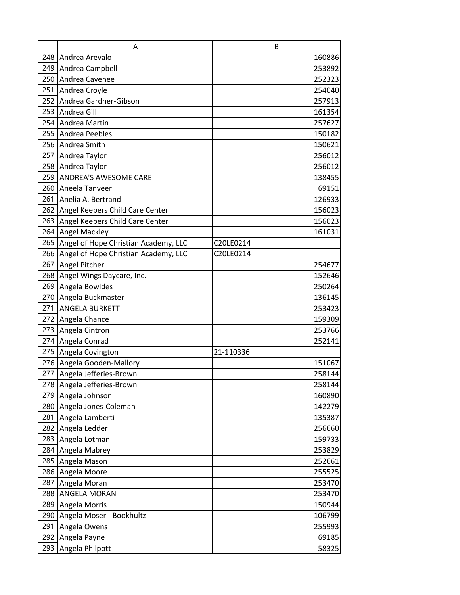|     | A                                    |           | B      |
|-----|--------------------------------------|-----------|--------|
|     | 248 Andrea Arevalo                   |           | 160886 |
|     | 249 Andrea Campbell                  |           | 253892 |
|     | 250 Andrea Cavenee                   |           | 252323 |
| 251 | Andrea Croyle                        |           | 254040 |
|     | 252 Andrea Gardner-Gibson            |           | 257913 |
| 253 | Andrea Gill                          |           | 161354 |
| 254 | Andrea Martin                        |           | 257627 |
|     | 255 Andrea Peebles                   |           | 150182 |
| 256 | Andrea Smith                         |           | 150621 |
|     | 257 Andrea Taylor                    |           | 256012 |
|     | 258 Andrea Taylor                    |           | 256012 |
| 259 | <b>ANDREA'S AWESOME CARE</b>         |           | 138455 |
|     | 260 Aneela Tanveer                   |           | 69151  |
| 261 | Anelia A. Bertrand                   |           | 126933 |
|     | 262 Angel Keepers Child Care Center  |           | 156023 |
| 263 | Angel Keepers Child Care Center      |           | 156023 |
| 264 | <b>Angel Mackley</b>                 |           | 161031 |
| 265 | Angel of Hope Christian Academy, LLC | C20LE0214 |        |
| 266 | Angel of Hope Christian Academy, LLC | C20LE0214 |        |
| 267 | Angel Pitcher                        |           | 254677 |
| 268 | Angel Wings Daycare, Inc.            |           | 152646 |
| 269 | Angela Bowldes                       |           | 250264 |
| 270 | Angela Buckmaster                    |           | 136145 |
|     | 271 ANGELA BURKETT                   |           | 253423 |
|     | 272 Angela Chance                    |           | 159309 |
| 273 | Angela Cintron                       |           | 253766 |
|     | 274 Angela Conrad                    |           | 252141 |
|     | 275 Angela Covington                 | 21-110336 |        |
|     | 276 Angela Gooden-Mallory            |           | 151067 |
|     | 277 Angela Jefferies-Brown           |           | 258144 |
| 278 | Angela Jefferies-Brown               |           | 258144 |
|     | 279 Angela Johnson                   |           | 160890 |
|     | 280 Angela Jones-Coleman             |           | 142279 |
| 281 | Angela Lamberti                      |           | 135387 |
| 282 | Angela Ledder                        |           | 256660 |
| 283 | Angela Lotman                        |           | 159733 |
| 284 | Angela Mabrey                        |           | 253829 |
| 285 | Angela Mason                         |           | 252661 |
| 286 | Angela Moore                         |           | 255525 |
| 287 | Angela Moran                         |           | 253470 |
| 288 | <b>ANGELA MORAN</b>                  |           | 253470 |
| 289 | Angela Morris                        |           | 150944 |
| 290 | Angela Moser - Bookhultz             |           | 106799 |
| 291 | Angela Owens                         |           | 255993 |
| 292 | Angela Payne                         |           | 69185  |
| 293 | Angela Philpott                      |           | 58325  |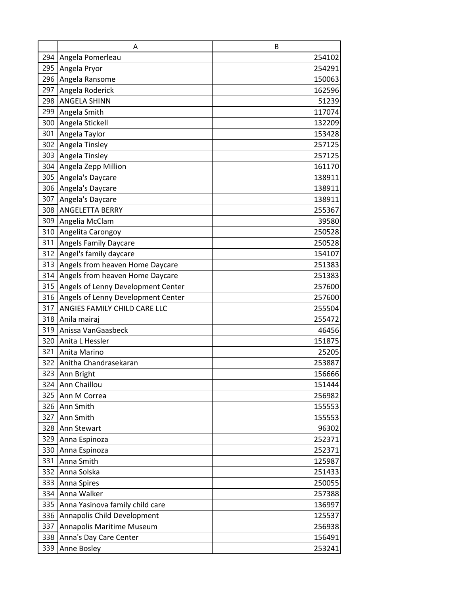|     | A                                  | B      |
|-----|------------------------------------|--------|
| 294 | Angela Pomerleau                   | 254102 |
| 295 | Angela Pryor                       | 254291 |
| 296 | Angela Ransome                     | 150063 |
| 297 | Angela Roderick                    | 162596 |
| 298 | <b>ANGELA SHINN</b>                | 51239  |
| 299 | Angela Smith                       | 117074 |
| 300 | Angela Stickell                    | 132209 |
| 301 | Angela Taylor                      | 153428 |
| 302 | Angela Tinsley                     | 257125 |
| 303 | Angela Tinsley                     | 257125 |
| 304 | Angela Zepp Million                | 161170 |
| 305 | Angela's Daycare                   | 138911 |
| 306 | Angela's Daycare                   | 138911 |
| 307 | Angela's Daycare                   | 138911 |
| 308 | <b>ANGELETTA BERRY</b>             | 255367 |
| 309 | Angelia McClam                     | 39580  |
| 310 | Angelita Carongoy                  | 250528 |
| 311 | <b>Angels Family Daycare</b>       | 250528 |
| 312 | Angel's family daycare             | 154107 |
| 313 | Angels from heaven Home Daycare    | 251383 |
| 314 | Angels from heaven Home Daycare    | 251383 |
| 315 | Angels of Lenny Development Center | 257600 |
| 316 | Angels of Lenny Development Center | 257600 |
| 317 | ANGIES FAMILY CHILD CARE LLC       | 255504 |
| 318 | Anila mairaj                       | 255472 |
| 319 | Anissa VanGaasbeck                 | 46456  |
| 320 | Anita L Hessler                    | 151875 |
| 321 | Anita Marino                       | 25205  |
|     | 322 Anitha Chandrasekaran          | 253887 |
|     | 323 Ann Bright                     | 156666 |
| 324 | Ann Chaillou                       | 151444 |
| 325 | Ann M Correa                       | 256982 |
| 326 | Ann Smith                          | 155553 |
| 327 | Ann Smith                          | 155553 |
| 328 | Ann Stewart                        | 96302  |
| 329 | Anna Espinoza                      | 252371 |
| 330 | Anna Espinoza                      | 252371 |
| 331 | Anna Smith                         | 125987 |
| 332 | Anna Solska                        | 251433 |
| 333 | Anna Spires                        | 250055 |
| 334 | Anna Walker                        | 257388 |
| 335 | Anna Yasinova family child care    | 136997 |
| 336 | Annapolis Child Development        | 125537 |
| 337 | Annapolis Maritime Museum          | 256938 |
| 338 | Anna's Day Care Center             | 156491 |
| 339 | Anne Bosley                        | 253241 |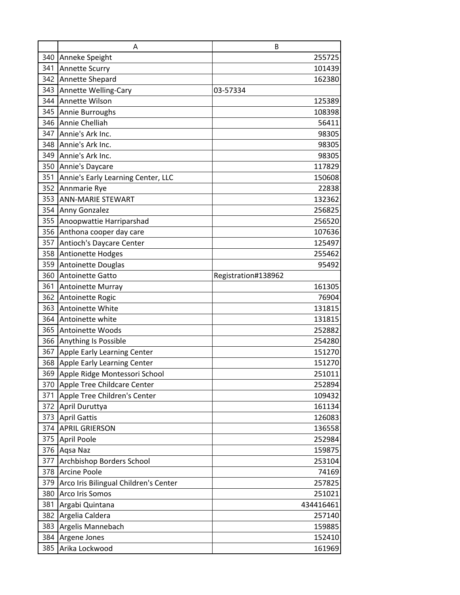|     | A                                     | B                   |
|-----|---------------------------------------|---------------------|
| 340 | Anneke Speight                        | 255725              |
| 341 | <b>Annette Scurry</b>                 | 101439              |
|     | 342 Annette Shepard                   | 162380              |
| 343 | <b>Annette Welling-Cary</b>           | 03-57334            |
|     | 344 Annette Wilson                    | 125389              |
| 345 | Annie Burroughs                       | 108398              |
| 346 | Annie Chelliah                        | 56411               |
| 347 | Annie's Ark Inc.                      | 98305               |
| 348 | Annie's Ark Inc.                      | 98305               |
|     | 349 Annie's Ark Inc.                  | 98305               |
| 350 | Annie's Daycare                       | 117829              |
| 351 | Annie's Early Learning Center, LLC    | 150608              |
|     | 352 Annmarie Rye                      | 22838               |
| 353 | <b>ANN-MARIE STEWART</b>              | 132362              |
|     | 354 Anny Gonzalez                     | 256825              |
| 355 | Anoopwattie Harriparshad              | 256520              |
|     | 356 Anthona cooper day care           | 107636              |
| 357 | Antioch's Daycare Center              | 125497              |
| 358 | <b>Antionette Hodges</b>              | 255462              |
| 359 | Antoinette Douglas                    | 95492               |
| 360 | Antoinette Gatto                      | Registration#138962 |
|     | 361 Antoinette Murray                 | 161305              |
| 362 | Antoinette Rogic                      | 76904               |
|     | 363 Antoinette White                  | 131815              |
| 364 | Antoinette white                      | 131815              |
| 365 | <b>Antoinette Woods</b>               | 252882              |
|     | 366 Anything Is Possible              | 254280              |
| 367 | Apple Early Learning Center           | 151270              |
|     | 368 Apple Early Learning Center       | 151270              |
|     | 369 Apple Ridge Montessori School     | 251011              |
| 370 | Apple Tree Childcare Center           | 252894              |
| 371 | Apple Tree Children's Center          | 109432              |
| 372 | April Duruttya                        | 161134              |
|     | 373 April Gattis                      | 126083              |
| 374 | <b>APRIL GRIERSON</b>                 | 136558              |
| 375 | <b>April Poole</b>                    | 252984              |
|     | 376 Aqsa Naz                          | 159875              |
| 377 | Archbishop Borders School             | 253104              |
|     | 378 Arcine Poole                      | 74169               |
| 379 | Arco Iris Bilingual Children's Center | 257825              |
| 380 | <b>Arco Iris Somos</b>                | 251021              |
| 381 | Argabi Quintana                       | 434416461           |
|     | 382 Argelia Caldera                   | 257140              |
| 383 | Argelis Mannebach                     | 159885              |
| 384 | Argene Jones                          | 152410              |
| 385 | Arika Lockwood                        | 161969              |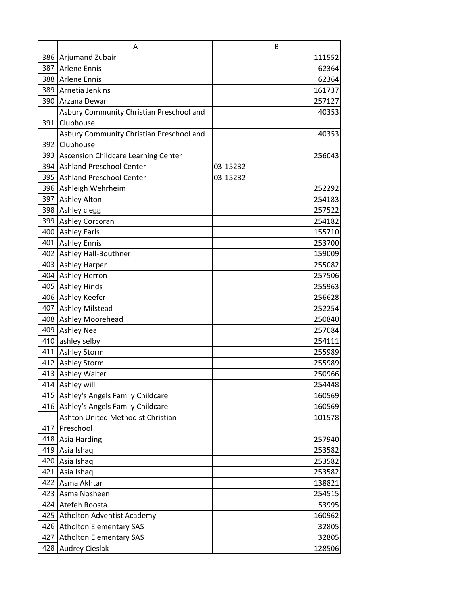|            | A                                                                    | B                |
|------------|----------------------------------------------------------------------|------------------|
|            | 386 Arjumand Zubairi                                                 | 111552           |
| 387        | Arlene Ennis                                                         | 62364            |
|            | 388 Arlene Ennis                                                     | 62364            |
| 389        | Arnetia Jenkins                                                      | 161737           |
|            | 390 Arzana Dewan                                                     | 257127           |
|            | Asbury Community Christian Preschool and                             | 40353            |
| 391        | Clubhouse                                                            |                  |
|            | Asbury Community Christian Preschool and                             | 40353            |
| 392        | Clubhouse                                                            |                  |
|            | 393 Ascension Childcare Learning Center                              | 256043           |
|            | 394 Ashland Preschool Center                                         | 03-15232         |
| 395        | <b>Ashland Preschool Center</b>                                      | 03-15232         |
|            | 396 Ashleigh Wehrheim                                                | 252292           |
|            | 397 Ashley Alton                                                     | 254183           |
|            | 398 Ashley clegg                                                     | 257522           |
| 399        | <b>Ashley Corcoran</b>                                               | 254182           |
|            | 400 Ashley Earls                                                     | 155710           |
| 401        | <b>Ashley Ennis</b>                                                  | 253700           |
|            | 402 Ashley Hall-Bouthner                                             | 159009           |
|            | 403 Ashley Harper                                                    | 255082           |
|            | 404 Ashley Herron                                                    | 257506           |
|            | 405 Ashley Hinds                                                     | 255963           |
|            | 406 Ashley Keefer                                                    | 256628           |
|            | 407 Ashley Milstead                                                  | 252254           |
|            | 408 Ashley Moorehead                                                 | 250840           |
| 409        | <b>Ashley Neal</b>                                                   | 257084           |
| 410        | ashley selby                                                         | 254111           |
| 411        | <b>Ashley Storm</b>                                                  | 255989           |
|            | 412 Ashley Storm<br>413 Ashley Walter                                | 255989<br>250966 |
|            |                                                                      |                  |
| 414<br>415 | Ashley will                                                          | 254448           |
| 416        | Ashley's Angels Family Childcare<br>Ashley's Angels Family Childcare | 160569<br>160569 |
|            | Ashton United Methodist Christian                                    | 101578           |
| 417        | Preschool                                                            |                  |
| 418        | Asia Harding                                                         | 257940           |
| 419        | Asia Ishaq                                                           | 253582           |
| 420        | Asia Ishaq                                                           | 253582           |
| 421        | Asia Ishaq                                                           | 253582           |
| 422        | Asma Akhtar                                                          | 138821           |
| 423        | Asma Nosheen                                                         | 254515           |
| 424        | Atefeh Roosta                                                        | 53995            |
| 425        | Atholton Adventist Academy                                           | 160962           |
| 426        | <b>Atholton Elementary SAS</b>                                       | 32805            |
| 427        | <b>Atholton Elementary SAS</b>                                       | 32805            |
| 428        | <b>Audrey Cieslak</b>                                                | 128506           |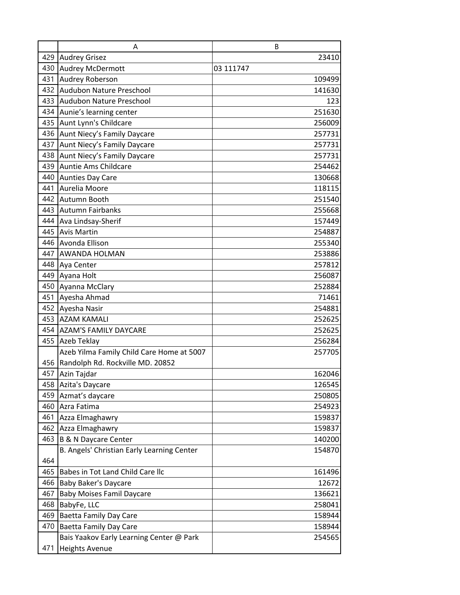|     | A                                          | B         |
|-----|--------------------------------------------|-----------|
|     | 429 Audrey Grisez                          | 23410     |
| 430 | <b>Audrey McDermott</b>                    | 03 111747 |
| 431 | <b>Audrey Roberson</b>                     | 109499    |
| 432 | Audubon Nature Preschool                   | 141630    |
| 433 | <b>Audubon Nature Preschool</b>            | 123       |
| 434 | Aunie's learning center                    | 251630    |
| 435 | Aunt Lynn's Childcare                      | 256009    |
| 436 | Aunt Niecy's Family Daycare                | 257731    |
| 437 | Aunt Niecy's Family Daycare                | 257731    |
|     | 438 Aunt Niecy's Family Daycare            | 257731    |
| 439 | Auntie Ams Childcare                       | 254462    |
| 440 | <b>Aunties Day Care</b>                    | 130668    |
| 441 | Aurelia Moore                              | 118115    |
| 442 | Autumn Booth                               | 251540    |
|     | 443 Autumn Fairbanks                       | 255668    |
| 444 | Ava Lindsay-Sherif                         | 157449    |
| 445 | <b>Avis Martin</b>                         | 254887    |
| 446 | Avonda Ellison                             | 255340    |
| 447 | <b>AWANDA HOLMAN</b>                       | 253886    |
|     | 448 Aya Center                             | 257812    |
|     | 449 Ayana Holt                             | 256087    |
| 450 | Ayanna McClary                             | 252884    |
| 451 | Ayesha Ahmad                               | 71461     |
|     | 452 Ayesha Nasir                           | 254881    |
| 453 | <b>AZAM KAMALI</b>                         | 252625    |
|     | 454 AZAM'S FAMILY DAYCARE                  | 252625    |
|     | 455 Azeb Teklay                            | 256284    |
|     | Azeb Yilma Family Child Care Home at 5007  | 257705    |
|     | 456 Randolph Rd. Rockville MD. 20852       |           |
|     | 457 Azin Tajdar                            | 162046    |
| 458 | Azita's Daycare                            | 126545    |
| 459 | Azmat's daycare                            | 250805    |
| 460 | Azra Fatima                                | 254923    |
| 461 | Azza Elmaghawry                            | 159837    |
| 462 | Azza Elmaghawry                            | 159837    |
| 463 | <b>B &amp; N Daycare Center</b>            | 140200    |
|     | B. Angels' Christian Early Learning Center | 154870    |
| 464 |                                            |           |
| 465 | Babes in Tot Land Child Care Ilc           | 161496    |
| 466 | <b>Baby Baker's Daycare</b>                | 12672     |
| 467 | <b>Baby Moises Famil Daycare</b>           | 136621    |
| 468 | BabyFe, LLC                                | 258041    |
| 469 | Baetta Family Day Care                     | 158944    |
| 470 | <b>Baetta Family Day Care</b>              | 158944    |
|     | Bais Yaakov Early Learning Center @ Park   | 254565    |
| 471 | <b>Heights Avenue</b>                      |           |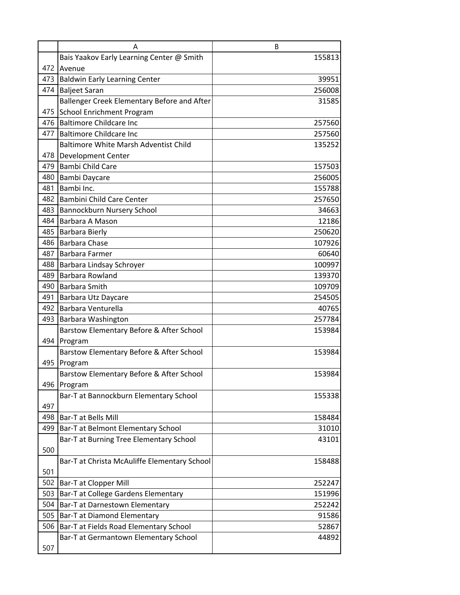|     | Α                                            | B      |
|-----|----------------------------------------------|--------|
|     | Bais Yaakov Early Learning Center @ Smith    | 155813 |
|     | 472 Avenue                                   |        |
|     | 473 Baldwin Early Learning Center            | 39951  |
|     | 474 Baljeet Saran                            | 256008 |
|     | Ballenger Creek Elementary Before and After  | 31585  |
| 475 | School Enrichment Program                    |        |
|     | 476 Baltimore Childcare Inc                  | 257560 |
|     | 477 Baltimore Childcare Inc                  | 257560 |
|     | <b>Baltimore White Marsh Adventist Child</b> | 135252 |
| 478 | Development Center                           |        |
| 479 | Bambi Child Care                             | 157503 |
| 480 | Bambi Daycare                                | 256005 |
| 481 | Bambi Inc.                                   | 155788 |
|     | 482 Bambini Child Care Center                | 257650 |
| 483 | Bannockburn Nursery School                   | 34663  |
|     | 484 Barbara A Mason                          | 12186  |
|     | 485 Barbara Bierly                           | 250620 |
|     | 486 Barbara Chase                            | 107926 |
| 487 | Barbara Farmer                               | 60640  |
| 488 | Barbara Lindsay Schroyer                     | 100997 |
| 489 | Barbara Rowland                              | 139370 |
|     | 490 Barbara Smith                            | 109709 |
|     | 491 Barbara Utz Daycare                      | 254505 |
|     | 492 Barbara Venturella                       | 40765  |
| 493 | Barbara Washington                           | 257784 |
|     | Barstow Elementary Before & After School     | 153984 |
| 494 | Program                                      |        |
|     | Barstow Elementary Before & After School     | 153984 |
| 495 | Program                                      |        |
|     | Barstow Elementary Before & After School     | 153984 |
| 496 | Program                                      |        |
|     | Bar-T at Bannockburn Elementary School       | 155338 |
| 497 |                                              |        |
|     | 498   Bar-T at Bells Mill                    | 158484 |
| 499 | Bar-T at Belmont Elementary School           | 31010  |
|     | Bar-T at Burning Tree Elementary School      | 43101  |
| 500 |                                              |        |
|     | Bar-T at Christa McAuliffe Elementary School | 158488 |
| 501 |                                              |        |
| 502 | Bar-T at Clopper Mill                        | 252247 |
| 503 | Bar-T at College Gardens Elementary          | 151996 |
|     | 504   Bar-T at Darnestown Elementary         | 252242 |
| 505 | Bar-T at Diamond Elementary                  | 91586  |
| 506 | Bar-T at Fields Road Elementary School       | 52867  |
|     | Bar-T at Germantown Elementary School        | 44892  |
| 507 |                                              |        |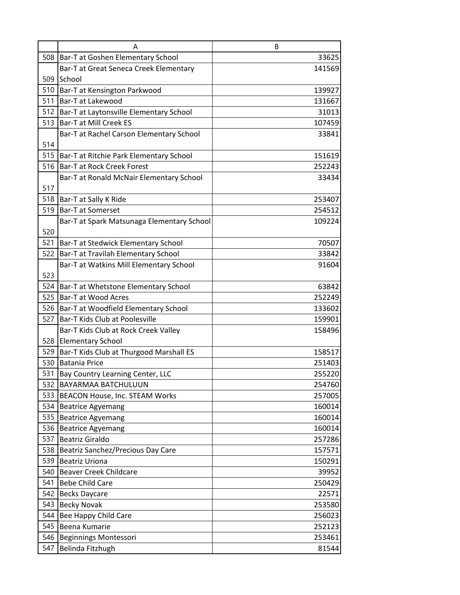|     | Α                                           | B      |
|-----|---------------------------------------------|--------|
| 508 | Bar-T at Goshen Elementary School           | 33625  |
|     | Bar-T at Great Seneca Creek Elementary      | 141569 |
|     | 509 School                                  |        |
|     | 510 Bar-T at Kensington Parkwood            | 139927 |
|     | 511 Bar-T at Lakewood                       | 131667 |
|     | 512 Bar-T at Laytonsville Elementary School | 31013  |
| 513 | Bar-T at Mill Creek ES                      | 107459 |
|     | Bar-T at Rachel Carson Elementary School    | 33841  |
| 514 |                                             |        |
|     | 515 Bar-T at Ritchie Park Elementary School | 151619 |
| 516 | <b>Bar-T at Rock Creek Forest</b>           | 252243 |
|     | Bar-T at Ronald McNair Elementary School    | 33434  |
| 517 |                                             |        |
| 518 | Bar-T at Sally K Ride                       | 253407 |
| 519 | <b>Bar-T at Somerset</b>                    | 254512 |
|     | Bar-T at Spark Matsunaga Elementary School  | 109224 |
| 520 |                                             |        |
| 521 | Bar-T at Stedwick Elementary School         | 70507  |
| 522 | Bar-T at Travilah Elementary School         | 33842  |
|     | Bar-T at Watkins Mill Elementary School     | 91604  |
| 523 |                                             |        |
|     | 524 Bar-T at Whetstone Elementary School    | 63842  |
| 525 | <b>Bar-T at Wood Acres</b>                  | 252249 |
|     | 526   Bar-T at Woodfield Elementary School  | 133602 |
| 527 | Bar-T Kids Club at Poolesville              | 159901 |
|     | Bar-T Kids Club at Rock Creek Valley        | 158496 |
|     | 528 Elementary School                       |        |
|     | 529 Bar-T Kids Club at Thurgood Marshall ES | 158517 |
|     | 530 Batania Price                           | 251403 |
|     | 531 Bay Country Learning Center, LLC        | 255220 |
| 532 | <b>BAYARMAA BATCHULUUN</b>                  | 254760 |
| 533 | BEACON House, Inc. STEAM Works              | 257005 |
| 534 | <b>Beatrice Agyemang</b>                    | 160014 |
| 535 | <b>Beatrice Agyemang</b>                    | 160014 |
| 536 | <b>Beatrice Agyemang</b>                    | 160014 |
| 537 | <b>Beatriz Giraldo</b>                      | 257286 |
| 538 | Beatriz Sanchez/Precious Day Care           | 157571 |
| 539 | <b>Beatriz Uriona</b>                       | 150291 |
| 540 | <b>Beaver Creek Childcare</b>               | 39952  |
| 541 | <b>Bebe Child Care</b>                      | 250429 |
| 542 | <b>Becks Daycare</b>                        | 22571  |
| 543 | <b>Becky Novak</b>                          | 253580 |
| 544 | Bee Happy Child Care                        | 256023 |
| 545 | Beena Kumarie                               | 252123 |
| 546 | <b>Beginnings Montessori</b>                | 253461 |
| 547 | Belinda Fitzhugh                            | 81544  |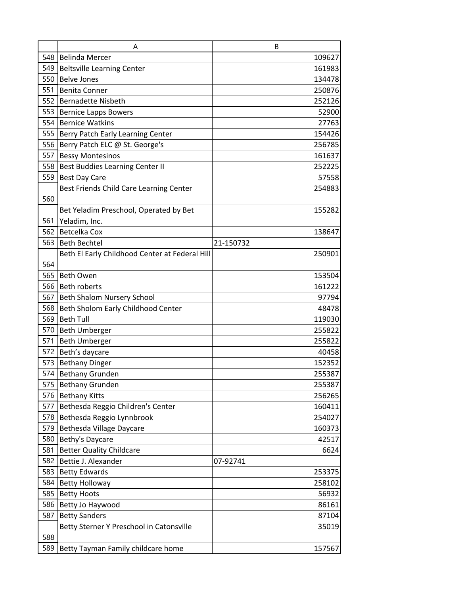|     | A                                              | B         |
|-----|------------------------------------------------|-----------|
|     | 548 Belinda Mercer                             | 109627    |
| 549 | <b>Beltsville Learning Center</b>              | 161983    |
| 550 | <b>Belve Jones</b>                             | 134478    |
| 551 | <b>Benita Conner</b>                           | 250876    |
|     | 552 Bernadette Nisbeth                         | 252126    |
| 553 | <b>Bernice Lapps Bowers</b>                    | 52900     |
| 554 | <b>Bernice Watkins</b>                         | 27763     |
|     | 555 Berry Patch Early Learning Center          | 154426    |
| 556 | Berry Patch ELC @ St. George's                 | 256785    |
| 557 | <b>Bessy Montesinos</b>                        | 161637    |
| 558 | <b>Best Buddies Learning Center II</b>         | 252225    |
| 559 | <b>Best Day Care</b>                           | 57558     |
|     | Best Friends Child Care Learning Center        | 254883    |
| 560 |                                                |           |
|     | Bet Yeladim Preschool, Operated by Bet         | 155282    |
| 561 | Yeladim, Inc.                                  |           |
|     | 562 Betcelka Cox                               | 138647    |
| 563 | <b>Beth Bechtel</b>                            | 21-150732 |
|     | Beth El Early Childhood Center at Federal Hill | 250901    |
| 564 |                                                |           |
| 565 | <b>Beth Owen</b>                               | 153504    |
|     | 566 Beth roberts                               | 161222    |
| 567 | <b>Beth Shalom Nursery School</b>              | 97794     |
| 568 | Beth Sholom Early Childhood Center             | 48478     |
| 569 | <b>Beth Tull</b>                               | 119030    |
| 570 | <b>Beth Umberger</b>                           | 255822    |
| 571 | <b>Beth Umberger</b>                           | 255822    |
|     | 572 Beth's daycare                             | 40458     |
|     | 573 Bethany Dinger                             | 152352    |
|     | 574 Bethany Grunden                            | 255387    |
| 575 | <b>Bethany Grunden</b>                         | 255387    |
| 576 | <b>Bethany Kitts</b>                           | 256265    |
| 577 | Bethesda Reggio Children's Center              | 160411    |
| 578 | Bethesda Reggio Lynnbrook                      | 254027    |
| 579 | Bethesda Village Daycare                       | 160373    |
| 580 | Bethy's Daycare                                | 42517     |
| 581 | <b>Better Quality Childcare</b>                | 6624      |
| 582 | Bettie J. Alexander                            | 07-92741  |
| 583 | <b>Betty Edwards</b>                           | 253375    |
| 584 | <b>Betty Holloway</b>                          | 258102    |
| 585 | <b>Betty Hoots</b>                             | 56932     |
| 586 | Betty Jo Haywood                               | 86161     |
| 587 | <b>Betty Sanders</b>                           | 87104     |
|     | Betty Sterner Y Preschool in Catonsville       | 35019     |
| 588 |                                                |           |
| 589 | Betty Tayman Family childcare home             | 157567    |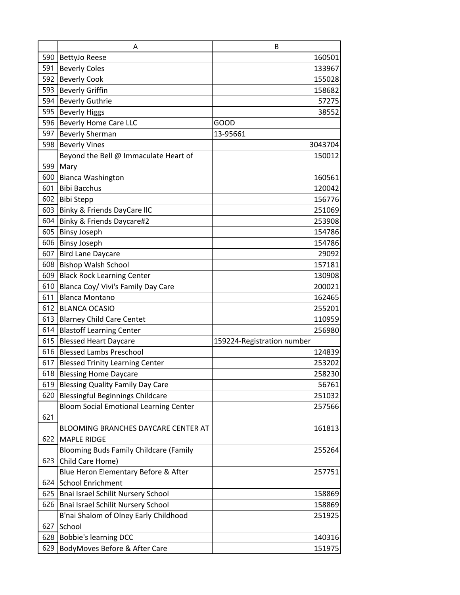|     | A                                             | B                          |
|-----|-----------------------------------------------|----------------------------|
|     | 590 BettyJo Reese                             | 160501                     |
| 591 | <b>Beverly Coles</b>                          | 133967                     |
| 592 | <b>Beverly Cook</b>                           | 155028                     |
| 593 | <b>Beverly Griffin</b>                        | 158682                     |
|     | 594 Beverly Guthrie                           | 57275                      |
| 595 | <b>Beverly Higgs</b>                          | 38552                      |
|     | 596 Beverly Home Care LLC                     | <b>GOOD</b>                |
| 597 | <b>Beverly Sherman</b>                        | 13-95661                   |
| 598 | <b>Beverly Vines</b>                          | 3043704                    |
|     | Beyond the Bell @ Immaculate Heart of         | 150012                     |
| 599 | Mary                                          |                            |
| 600 | <b>Bianca Washington</b>                      | 160561                     |
| 601 | <b>Bibi Bacchus</b>                           | 120042                     |
|     | 602 Bibi Stepp                                | 156776                     |
| 603 | Binky & Friends DayCare IIC                   | 251069                     |
| 604 | Binky & Friends Daycare#2                     | 253908                     |
| 605 | <b>Binsy Joseph</b>                           | 154786                     |
|     | 606 Binsy Joseph                              | 154786                     |
| 607 | <b>Bird Lane Daycare</b>                      | 29092                      |
|     | 608 Bishop Walsh School                       | 157181                     |
| 609 | <b>Black Rock Learning Center</b>             | 130908                     |
| 610 | Blanca Coy/ Vivi's Family Day Care            | 200021                     |
| 611 | <b>Blanca Montano</b>                         | 162465                     |
|     | 612 BLANCA OCASIO                             | 255201                     |
| 613 | <b>Blarney Child Care Centet</b>              | 110959                     |
| 614 | <b>Blastoff Learning Center</b>               | 256980                     |
| 615 | <b>Blessed Heart Daycare</b>                  | 159224-Registration number |
| 616 | <b>Blessed Lambs Preschool</b>                | 124839                     |
|     | 617 Blessed Trinity Learning Center           | 253202                     |
|     | 618 Blessing Home Daycare                     | 258230                     |
| 619 | <b>Blessing Quality Family Day Care</b>       | 56761                      |
| 620 | Blessingful Beginnings Childcare              | 251032                     |
|     | <b>Bloom Social Emotional Learning Center</b> | 257566                     |
| 621 |                                               |                            |
|     | BLOOMING BRANCHES DAYCARE CENTER AT           | 161813                     |
|     | 622 MAPLE RIDGE                               |                            |
|     | <b>Blooming Buds Family Childcare (Family</b> | 255264                     |
| 623 | Child Care Home)                              |                            |
|     | Blue Heron Elementary Before & After          | 257751                     |
| 624 | <b>School Enrichment</b>                      |                            |
| 625 | Bnai Israel Schilit Nursery School            | 158869                     |
| 626 | Bnai Israel Schilit Nursery School            | 158869                     |
|     | B'nai Shalom of Olney Early Childhood         | 251925                     |
| 627 | School                                        |                            |
| 628 | <b>Bobbie's learning DCC</b>                  | 140316                     |
| 629 | BodyMoves Before & After Care                 | 151975                     |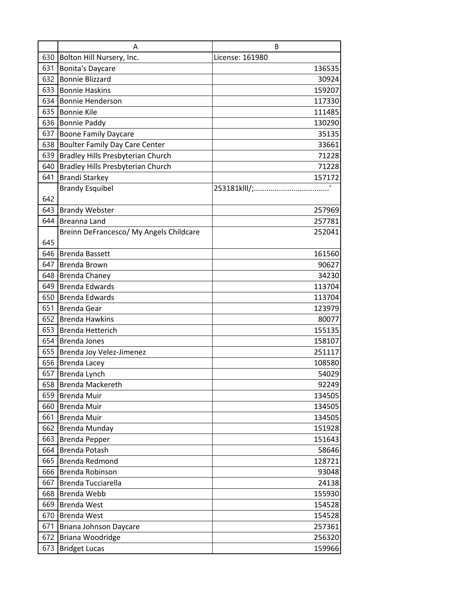|     | A                                        | B               |
|-----|------------------------------------------|-----------------|
| 630 | Bolton Hill Nursery, Inc.                | License: 161980 |
| 631 | <b>Bonita's Daycare</b>                  | 136535          |
| 632 | <b>Bonnie Blizzard</b>                   | 30924           |
| 633 | <b>Bonnie Haskins</b>                    | 159207          |
| 634 | <b>Bonnie Henderson</b>                  | 117330          |
| 635 | <b>Bonnie Kile</b>                       | 111485          |
| 636 | <b>Bonnie Paddy</b>                      | 130290          |
| 637 | <b>Boone Family Daycare</b>              | 35135           |
| 638 | <b>Boulter Family Day Care Center</b>    | 33661           |
| 639 | <b>Bradley Hills Presbyterian Church</b> | 71228           |
| 640 | <b>Bradley Hills Presbyterian Church</b> | 71228           |
| 641 | <b>Brandi Starkey</b>                    | 157172          |
|     | <b>Brandy Esquibel</b>                   |                 |
| 642 |                                          |                 |
| 643 | <b>Brandy Webster</b>                    | 257969          |
| 644 | Breanna Land                             | 257781          |
|     | Breinn DeFrancesco/ My Angels Childcare  | 252041          |
| 645 |                                          |                 |
| 646 | <b>Brenda Bassett</b>                    | 161560          |
| 647 | Brenda Brown                             | 90627           |
| 648 | <b>Brenda Chaney</b>                     | 34230           |
| 649 | <b>Brenda Edwards</b>                    | 113704          |
| 650 | <b>Brenda Edwards</b>                    | 113704          |
| 651 | <b>Brenda Gear</b>                       | 123979          |
| 652 | <b>Brenda Hawkins</b>                    | 80077           |
| 653 | <b>Brenda Hetterich</b>                  | 155135          |
|     | 654 Brenda Jones                         | 158107          |
| 655 | Brenda Joy Velez-Jimenez                 | 251117          |
|     | 656 Brenda Lacey                         | 108580          |
|     | 657 Brenda Lynch                         | 54029           |
| 658 | <b>Brenda Mackereth</b>                  | 92249           |
| 659 | <b>Brenda Muir</b>                       | 134505          |
| 660 | <b>Brenda Muir</b>                       | 134505          |
| 661 | <b>Brenda Muir</b>                       | 134505          |
| 662 | <b>Brenda Munday</b>                     | 151928          |
| 663 | <b>Brenda Pepper</b>                     | 151643          |
| 664 | <b>Brenda Potash</b>                     | 58646           |
| 665 | Brenda Redmond                           | 128721          |
| 666 | Brenda Robinson                          | 93048           |
| 667 | Brenda Tucciarella                       | 24138           |
| 668 | Brenda Webb                              | 155930          |
| 669 | <b>Brenda West</b>                       | 154528          |
| 670 | <b>Brenda West</b>                       | 154528          |
| 671 | Briana Johnson Daycare                   | 257361          |
| 672 | Briana Woodridge                         | 256320          |
| 673 | <b>Bridget Lucas</b>                     | 159966          |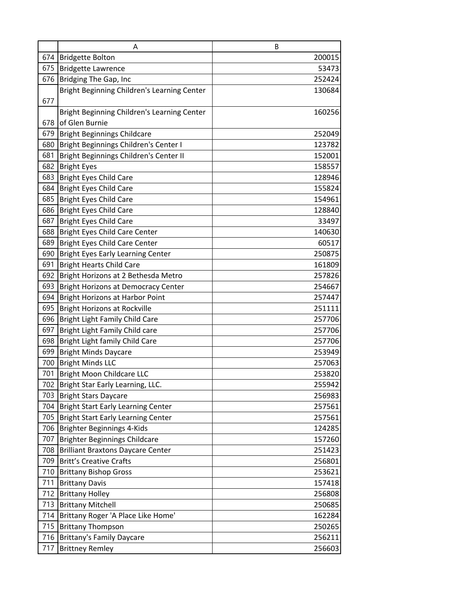|     | A                                                | В                |
|-----|--------------------------------------------------|------------------|
|     | 674 Bridgette Bolton                             | 200015           |
|     | 675 Bridgette Lawrence                           | 53473            |
|     | 676 Bridging The Gap, Inc                        | 252424           |
|     | Bright Beginning Children's Learning Center      | 130684           |
| 677 |                                                  |                  |
|     | Bright Beginning Children's Learning Center      | 160256           |
| 678 | of Glen Burnie                                   |                  |
|     | 679 Bright Beginnings Childcare                  | 252049           |
|     | 680 Bright Beginnings Children's Center I        | 123782           |
| 681 | Bright Beginnings Children's Center II           | 152001           |
|     | 682 Bright Eyes                                  | 158557           |
| 683 | <b>Bright Eyes Child Care</b>                    | 128946           |
|     | 684 Bright Eyes Child Care                       | 155824           |
|     | 685 Bright Eyes Child Care                       | 154961           |
|     | 686 Bright Eyes Child Care                       | 128840           |
|     | 687 Bright Eyes Child Care                       | 33497            |
|     | 688 Bright Eyes Child Care Center                | 140630           |
|     | 689 Bright Eyes Child Care Center                | 60517            |
|     | 690 Bright Eyes Early Learning Center            | 250875           |
|     | 691 Bright Hearts Child Care                     | 161809           |
|     | 692   Bright Horizons at 2 Bethesda Metro        | 257826           |
|     | 693 Bright Horizons at Democracy Center          | 254667           |
| 694 | Bright Horizons at Harbor Point                  | 257447           |
|     | 695 Bright Horizons at Rockville                 | 251111           |
|     | 696 Bright Light Family Child Care               | 257706           |
|     | 697 Bright Light Family Child care               | 257706           |
|     | 698 Bright Light family Child Care               | 257706<br>253949 |
|     | 699 Bright Minds Daycare<br>700 Bright Minds LLC | 257063           |
|     | 701 Bright Moon Childcare LLC                    | 253820           |
|     | 702 Bright Star Early Learning, LLC.             | 255942           |
|     | 703 Bright Stars Daycare                         | 256983           |
|     | 704 Bright Start Early Learning Center           | 257561           |
|     | 705 Bright Start Early Learning Center           | 257561           |
| 706 | Brighter Beginnings 4-Kids                       | 124285           |
| 707 | Brighter Beginnings Childcare                    | 157260           |
| 708 | <b>Brilliant Braxtons Daycare Center</b>         | 251423           |
| 709 | <b>Britt's Creative Crafts</b>                   | 256801           |
|     | 710 Brittany Bishop Gross                        | 253621           |
| 711 | <b>Brittany Davis</b>                            | 157418           |
|     | 712 Brittany Holley                              | 256808           |
| 713 | <b>Brittany Mitchell</b>                         | 250685           |
| 714 | Brittany Roger 'A Place Like Home'               | 162284           |
| 715 | <b>Brittany Thompson</b>                         | 250265           |
|     | 716 Brittany's Family Daycare                    | 256211           |
| 717 | <b>Brittney Remley</b>                           | 256603           |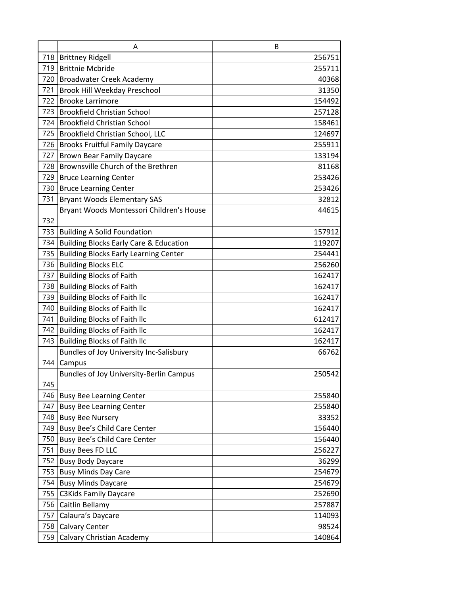|     | A                                                 | B      |
|-----|---------------------------------------------------|--------|
|     | 718 Brittney Ridgell                              | 256751 |
| 719 | <b>Brittnie Mcbride</b>                           | 255711 |
|     | 720 Broadwater Creek Academy                      | 40368  |
| 721 | Brook Hill Weekday Preschool                      | 31350  |
|     | 722 Brooke Larrimore                              | 154492 |
| 723 | <b>Brookfield Christian School</b>                | 257128 |
|     | 724 Brookfield Christian School                   | 158461 |
|     | 725 Brookfield Christian School, LLC              | 124697 |
| 726 | <b>Brooks Fruitful Family Daycare</b>             | 255911 |
| 727 | <b>Brown Bear Family Daycare</b>                  | 133194 |
| 728 | Brownsville Church of the Brethren                | 81168  |
| 729 | <b>Bruce Learning Center</b>                      | 253426 |
|     | 730 Bruce Learning Center                         | 253426 |
| 731 | <b>Bryant Woods Elementary SAS</b>                | 32812  |
|     | Bryant Woods Montessori Children's House          | 44615  |
| 732 |                                                   |        |
| 733 | <b>Building A Solid Foundation</b>                | 157912 |
| 734 | <b>Building Blocks Early Care &amp; Education</b> | 119207 |
| 735 | <b>Building Blocks Early Learning Center</b>      | 254441 |
|     | 736 Building Blocks ELC                           | 256260 |
| 737 | <b>Building Blocks of Faith</b>                   | 162417 |
| 738 | <b>Building Blocks of Faith</b>                   | 162417 |
| 739 | <b>Building Blocks of Faith Ilc</b>               | 162417 |
| 740 | <b>Building Blocks of Faith Ilc</b>               | 162417 |
| 741 | <b>Building Blocks of Faith Ilc</b>               | 612417 |
| 742 | <b>Building Blocks of Faith Ilc</b>               | 162417 |
| 743 | <b>Building Blocks of Faith Ilc</b>               | 162417 |
|     | Bundles of Joy University Inc-Salisbury           | 66762  |
| 744 | Campus                                            |        |
|     | <b>Bundles of Joy University-Berlin Campus</b>    | 250542 |
| 745 |                                                   |        |
| 746 | <b>Busy Bee Learning Center</b>                   | 255840 |
| 747 | <b>Busy Bee Learning Center</b>                   | 255840 |
| 748 | <b>Busy Bee Nursery</b>                           | 33352  |
| 749 | Busy Bee's Child Care Center                      | 156440 |
| 750 | Busy Bee's Child Care Center                      | 156440 |
|     | 751 Busy Bees FD LLC                              | 256227 |
| 752 | <b>Busy Body Daycare</b>                          | 36299  |
| 753 | <b>Busy Minds Day Care</b>                        | 254679 |
| 754 | <b>Busy Minds Daycare</b>                         | 254679 |
| 755 | <b>C3Kids Family Daycare</b>                      | 252690 |
| 756 | Caitlin Bellamy                                   | 257887 |
| 757 | Calaura's Daycare                                 | 114093 |
| 758 | <b>Calvary Center</b>                             | 98524  |
| 759 | Calvary Christian Academy                         | 140864 |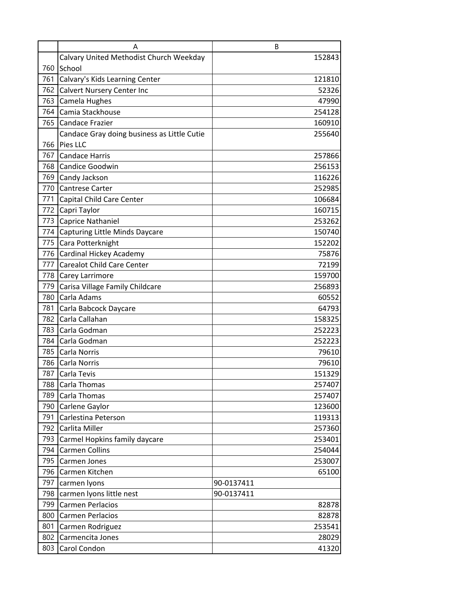|     | A                                           | B          |
|-----|---------------------------------------------|------------|
|     | Calvary United Methodist Church Weekday     | 152843     |
| 760 | School                                      |            |
| 761 | Calvary's Kids Learning Center              | 121810     |
| 762 | <b>Calvert Nursery Center Inc</b>           | 52326      |
| 763 | Camela Hughes                               | 47990      |
| 764 | Camia Stackhouse                            | 254128     |
|     | 765 Candace Frazier                         | 160910     |
|     | Candace Gray doing business as Little Cutie | 255640     |
|     | 766 Pies LLC                                |            |
| 767 | <b>Candace Harris</b>                       | 257866     |
| 768 | Candice Goodwin                             | 256153     |
| 769 | Candy Jackson                               | 116226     |
| 770 | <b>Cantrese Carter</b>                      | 252985     |
| 771 | Capital Child Care Center                   | 106684     |
|     | 772 Capri Taylor                            | 160715     |
| 773 | <b>Caprice Nathaniel</b>                    | 253262     |
| 774 | Capturing Little Minds Daycare              | 150740     |
| 775 | Cara Potterknight                           | 152202     |
| 776 | Cardinal Hickey Academy                     | 75876      |
| 777 | <b>Carealot Child Care Center</b>           | 72199      |
| 778 | <b>Carey Larrimore</b>                      | 159700     |
| 779 | Carisa Village Family Childcare             | 256893     |
| 780 | Carla Adams                                 | 60552      |
| 781 | Carla Babcock Daycare                       | 64793      |
| 782 | Carla Callahan                              | 158325     |
| 783 | Carla Godman                                | 252223     |
| 784 | Carla Godman                                | 252223     |
| 785 | Carla Norris                                | 79610      |
|     | 786 Carla Norris                            | 79610      |
|     | 787 Carla Tevis                             | 151329     |
| 788 | Carla Thomas                                | 257407     |
| 789 | Carla Thomas                                | 257407     |
| 790 | Carlene Gaylor                              | 123600     |
| 791 | Carlestina Peterson                         | 119313     |
| 792 | Carlita Miller                              | 257360     |
| 793 | Carmel Hopkins family daycare               | 253401     |
| 794 | Carmen Collins                              | 254044     |
| 795 | Carmen Jones                                | 253007     |
| 796 | Carmen Kitchen                              | 65100      |
| 797 | carmen lyons                                | 90-0137411 |
| 798 | carmen lyons little nest                    | 90-0137411 |
| 799 | <b>Carmen Perlacios</b>                     | 82878      |
| 800 | <b>Carmen Perlacios</b>                     | 82878      |
| 801 | Carmen Rodriguez                            | 253541     |
| 802 | Carmencita Jones                            | 28029      |
| 803 | Carol Condon                                | 41320      |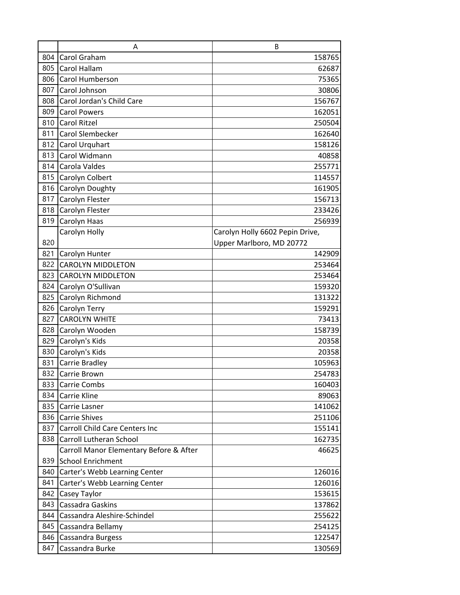|     | Α                                       | B                               |
|-----|-----------------------------------------|---------------------------------|
| 804 | Carol Graham                            | 158765                          |
| 805 | Carol Hallam                            | 62687                           |
| 806 | Carol Humberson                         | 75365                           |
| 807 | Carol Johnson                           | 30806                           |
| 808 | Carol Jordan's Child Care               | 156767                          |
| 809 | <b>Carol Powers</b>                     | 162051                          |
| 810 | <b>Carol Ritzel</b>                     | 250504                          |
| 811 | Carol Slembecker                        | 162640                          |
| 812 | Carol Urquhart                          | 158126                          |
| 813 | Carol Widmann                           | 40858                           |
| 814 | Carola Valdes                           | 255771                          |
| 815 | Carolyn Colbert                         | 114557                          |
| 816 | Carolyn Doughty                         | 161905                          |
| 817 | Carolyn Flester                         | 156713                          |
| 818 | Carolyn Flester                         | 233426                          |
| 819 | Carolyn Haas                            | 256939                          |
|     | Carolyn Holly                           | Carolyn Holly 6602 Pepin Drive, |
| 820 |                                         | Upper Marlboro, MD 20772        |
| 821 | Carolyn Hunter                          | 142909                          |
| 822 | <b>CAROLYN MIDDLETON</b>                | 253464                          |
| 823 | <b>CAROLYN MIDDLETON</b>                | 253464                          |
| 824 | Carolyn O'Sullivan                      | 159320                          |
| 825 | Carolyn Richmond                        | 131322                          |
| 826 | Carolyn Terry                           | 159291                          |
| 827 | <b>CAROLYN WHITE</b>                    | 73413                           |
| 828 | Carolyn Wooden                          | 158739                          |
| 829 | Carolyn's Kids                          | 20358                           |
| 830 | Carolyn's Kids                          | 20358                           |
| 831 | Carrie Bradley                          | 105963                          |
| 832 | Carrie Brown                            | 254783                          |
| 833 | Carrie Combs                            | 160403                          |
| 834 | Carrie Kline                            | 89063                           |
| 835 | Carrie Lasner                           | 141062                          |
| 836 | <b>Carrie Shives</b>                    | 251106                          |
| 837 | <b>Carroll Child Care Centers Inc</b>   | 155141                          |
| 838 | Carroll Lutheran School                 | 162735                          |
|     | Carroll Manor Elementary Before & After | 46625                           |
| 839 | <b>School Enrichment</b>                |                                 |
| 840 | Carter's Webb Learning Center           | 126016                          |
| 841 | Carter's Webb Learning Center           | 126016                          |
| 842 | Casey Taylor                            | 153615                          |
| 843 | Cassadra Gaskins                        | 137862                          |
| 844 | Cassandra Aleshire-Schindel             | 255622                          |
| 845 | Cassandra Bellamy                       | 254125                          |
| 846 | Cassandra Burgess                       | 122547                          |
| 847 | Cassandra Burke                         | 130569                          |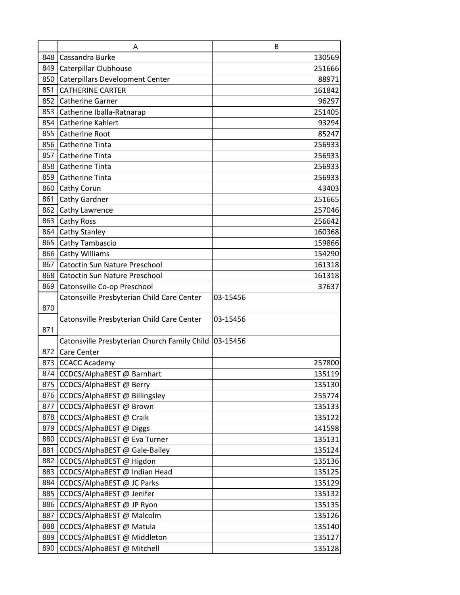|     | A                                                     | B        |
|-----|-------------------------------------------------------|----------|
| 848 | Cassandra Burke                                       | 130569   |
| 849 | Caterpillar Clubhouse                                 | 251666   |
| 850 | <b>Caterpillars Development Center</b>                | 88971    |
| 851 | <b>CATHERINE CARTER</b>                               | 161842   |
| 852 | <b>Catherine Garner</b>                               | 96297    |
| 853 | Catherine Iballa-Ratnarap                             | 251405   |
| 854 | <b>Catherine Kahlert</b>                              | 93294    |
| 855 | Catherine Root                                        | 85247    |
| 856 | <b>Catherine Tinta</b>                                | 256933   |
| 857 | <b>Catherine Tinta</b>                                | 256933   |
| 858 | Catherine Tinta                                       | 256933   |
| 859 | Catherine Tinta                                       | 256933   |
| 860 | Cathy Corun                                           | 43403    |
| 861 | Cathy Gardner                                         | 251665   |
| 862 | Cathy Lawrence                                        | 257046   |
| 863 | Cathy Ross                                            | 256642   |
| 864 | Cathy Stanley                                         | 160368   |
| 865 | Cathy Tambascio                                       | 159866   |
| 866 | Cathy Williams                                        | 154290   |
| 867 | Catoctin Sun Nature Preschool                         | 161318   |
| 868 | Catoctin Sun Nature Preschool                         | 161318   |
| 869 | Catonsville Co-op Preschool                           | 37637    |
|     | Catonsville Presbyterian Child Care Center            | 03-15456 |
| 870 |                                                       |          |
|     | Catonsville Presbyterian Child Care Center            | 03-15456 |
| 871 |                                                       |          |
|     | Catonsville Presbyterian Church Family Child 03-15456 |          |
| 872 | <b>Care Center</b>                                    |          |
| 873 | <b>CCACC Academy</b>                                  | 257800   |
| 874 | CCDCS/AlphaBEST @ Barnhart                            | 135119   |
| 875 | CCDCS/AlphaBEST @ Berry                               | 135130   |
| 876 | CCDCS/AlphaBEST @ Billingsley                         | 255774   |
| 877 | CCDCS/AlphaBEST @ Brown                               | 135133   |
| 878 | CCDCS/AlphaBEST @ Craik                               | 135122   |
| 879 | CCDCS/AlphaBEST @ Diggs                               | 141598   |
| 880 | CCDCS/AlphaBEST @ Eva Turner                          | 135131   |
| 881 | CCDCS/AlphaBEST @ Gale-Bailey                         | 135124   |
| 882 | CCDCS/AlphaBEST @ Higdon                              | 135136   |
| 883 | CCDCS/AlphaBEST @ Indian Head                         | 135125   |
| 884 | CCDCS/AlphaBEST @ JC Parks                            | 135129   |
| 885 | CCDCS/AlphaBEST @ Jenifer                             | 135132   |
| 886 | CCDCS/AlphaBEST @ JP Ryon                             | 135135   |
| 887 | CCDCS/AlphaBEST @ Malcolm                             | 135126   |
| 888 | CCDCS/AlphaBEST @ Matula                              | 135140   |
| 889 | CCDCS/AlphaBEST @ Middleton                           | 135127   |
| 890 | CCDCS/AlphaBEST @ Mitchell                            | 135128   |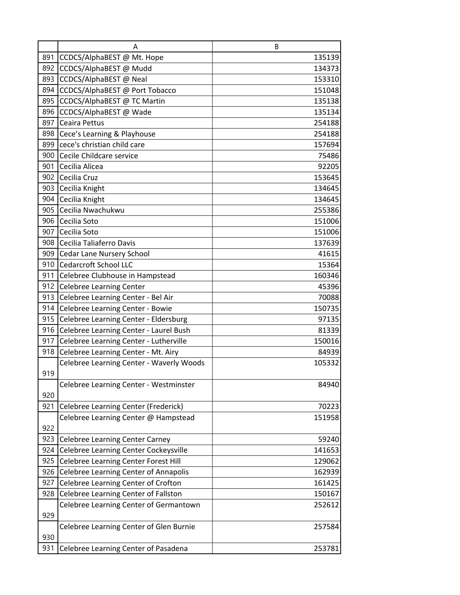|     | A                                        | B      |
|-----|------------------------------------------|--------|
| 891 | CCDCS/AlphaBEST @ Mt. Hope               | 135139 |
| 892 | CCDCS/AlphaBEST @ Mudd                   | 134373 |
| 893 | CCDCS/AlphaBEST @ Neal                   | 153310 |
| 894 | CCDCS/AlphaBEST @ Port Tobacco           | 151048 |
| 895 | CCDCS/AlphaBEST @ TC Martin              | 135138 |
| 896 | CCDCS/AlphaBEST @ Wade                   | 135134 |
| 897 | Ceaira Pettus                            | 254188 |
| 898 | Cece's Learning & Playhouse              | 254188 |
| 899 | cece's christian child care              | 157694 |
| 900 | Cecile Childcare service                 | 75486  |
| 901 | Cecilia Alicea                           | 92205  |
| 902 | Cecilia Cruz                             | 153645 |
| 903 | Cecilia Knight                           | 134645 |
| 904 | Cecilia Knight                           | 134645 |
| 905 | Cecilia Nwachukwu                        | 255386 |
| 906 | Cecilia Soto                             | 151006 |
| 907 | Cecilia Soto                             | 151006 |
| 908 | Cecilia Taliaferro Davis                 | 137639 |
|     | 909 Cedar Lane Nursery School            | 41615  |
| 910 | <b>Cedarcroft School LLC</b>             | 15364  |
| 911 | Celebree Clubhouse in Hampstead          | 160346 |
| 912 | <b>Celebree Learning Center</b>          | 45396  |
| 913 | Celebree Learning Center - Bel Air       | 70088  |
| 914 | Celebree Learning Center - Bowie         | 150735 |
| 915 | Celebree Learning Center - Eldersburg    | 97135  |
| 916 | Celebree Learning Center - Laurel Bush   | 81339  |
| 917 | Celebree Learning Center - Lutherville   | 150016 |
| 918 | Celebree Learning Center - Mt. Airy      | 84939  |
|     | Celebree Learning Center - Waverly Woods | 105332 |
| 919 |                                          |        |
|     | Celebree Learning Center - Westminster   | 84940  |
| 920 |                                          |        |
| 921 | Celebree Learning Center (Frederick)     | 70223  |
| 922 | Celebree Learning Center @ Hampstead     | 151958 |
| 923 | <b>Celebree Learning Center Carney</b>   | 59240  |
| 924 | Celebree Learning Center Cockeysville    | 141653 |
| 925 | Celebree Learning Center Forest Hill     | 129062 |
| 926 | Celebree Learning Center of Annapolis    | 162939 |
| 927 | Celebree Learning Center of Crofton      | 161425 |
| 928 | Celebree Learning Center of Fallston     | 150167 |
|     | Celebree Learning Center of Germantown   | 252612 |
| 929 |                                          |        |
|     | Celebree Learning Center of Glen Burnie  | 257584 |
| 930 |                                          |        |
| 931 | Celebree Learning Center of Pasadena     | 253781 |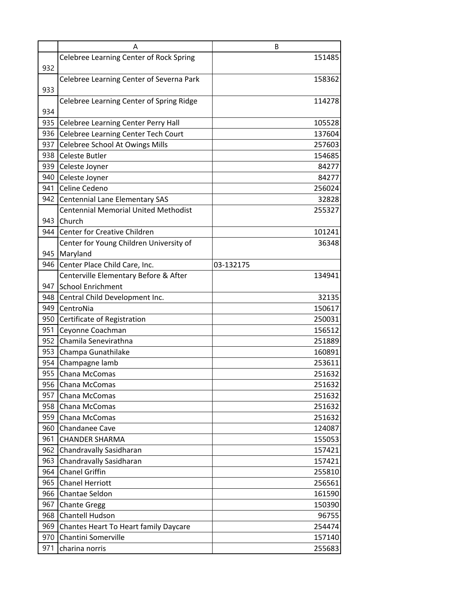|     | A                                           | B         |
|-----|---------------------------------------------|-----------|
|     | Celebree Learning Center of Rock Spring     | 151485    |
| 932 |                                             |           |
|     | Celebree Learning Center of Severna Park    | 158362    |
| 933 |                                             |           |
|     | Celebree Learning Center of Spring Ridge    | 114278    |
| 934 |                                             |           |
| 935 | Celebree Learning Center Perry Hall         | 105528    |
| 936 | Celebree Learning Center Tech Court         | 137604    |
| 937 | Celebree School At Owings Mills             | 257603    |
|     | 938 Celeste Butler                          | 154685    |
| 939 | Celeste Joyner                              | 84277     |
| 940 | Celeste Joyner                              | 84277     |
|     | 941 Celine Cedeno                           | 256024    |
|     | 942 Centennial Lane Elementary SAS          | 32828     |
|     | <b>Centennial Memorial United Methodist</b> | 255327    |
|     | 943 Church                                  |           |
| 944 | Center for Creative Children                | 101241    |
|     | Center for Young Children University of     | 36348     |
|     | 945 Maryland                                |           |
| 946 | Center Place Child Care, Inc.               | 03-132175 |
|     | Centerville Elementary Before & After       | 134941    |
|     | 947 School Enrichment                       |           |
| 948 | Central Child Development Inc.              | 32135     |
| 949 | CentroNia                                   | 150617    |
|     | 950 Certificate of Registration             | 250031    |
| 951 | Ceyonne Coachman                            | 156512    |
| 952 | Chamila Senevirathna                        | 251889    |
| 953 | Champa Gunathilake                          | 160891    |
|     | 954 Champagne lamb                          | 253611    |
| 955 | Chana McComas                               | 251632    |
| 956 | Chana McComas                               | 251632    |
| 957 | Chana McComas                               | 251632    |
| 958 | Chana McComas                               | 251632    |
| 959 | Chana McComas                               | 251632    |
| 960 | Chandanee Cave                              | 124087    |
| 961 | <b>CHANDER SHARMA</b>                       | 155053    |
| 962 | Chandravally Sasidharan                     | 157421    |
| 963 | Chandravally Sasidharan                     | 157421    |
| 964 | <b>Chanel Griffin</b>                       | 255810    |
| 965 | <b>Chanel Herriott</b>                      | 256561    |
| 966 | Chantae Seldon                              | 161590    |
| 967 | <b>Chante Gregg</b>                         | 150390    |
| 968 | <b>Chantell Hudson</b>                      | 96755     |
| 969 | Chantes Heart To Heart family Daycare       | 254474    |
| 970 | Chantini Somerville                         | 157140    |
| 971 | charina norris                              | 255683    |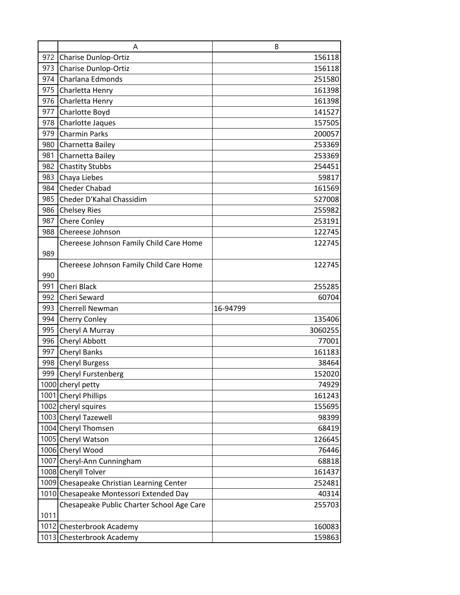|      | A                                         | B        |
|------|-------------------------------------------|----------|
| 972  | <b>Charise Dunlop-Ortiz</b>               | 156118   |
| 973  | <b>Charise Dunlop-Ortiz</b>               | 156118   |
| 974  | Charlana Edmonds                          | 251580   |
| 975  | Charletta Henry                           | 161398   |
| 976  | Charletta Henry                           | 161398   |
| 977  | Charlotte Boyd                            | 141527   |
| 978  | Charlotte Jaques                          | 157505   |
| 979  | <b>Charmin Parks</b>                      | 200057   |
| 980  | Charnetta Bailey                          | 253369   |
| 981  | Charnetta Bailey                          | 253369   |
| 982  | <b>Chastity Stubbs</b>                    | 254451   |
| 983  | Chaya Liebes                              | 59817    |
| 984  | <b>Cheder Chabad</b>                      | 161569   |
| 985  | Cheder D'Kahal Chassidim                  | 527008   |
| 986  | <b>Chelsey Ries</b>                       | 255982   |
| 987  | Chere Conley                              | 253191   |
| 988  | Chereese Johnson                          | 122745   |
|      | Chereese Johnson Family Child Care Home   | 122745   |
| 989  |                                           |          |
|      | Chereese Johnson Family Child Care Home   | 122745   |
| 990  |                                           |          |
| 991  | Cheri Black                               | 255285   |
| 992  | Cheri Seward                              | 60704    |
| 993  | <b>Cherrell Newman</b>                    | 16-94799 |
| 994  | Cherry Conley                             | 135406   |
| 995  | Cheryl A Murray                           | 3060255  |
| 996  | Cheryl Abbott                             | 77001    |
| 997  | <b>Cheryl Banks</b>                       | 161183   |
| 998  | <b>Cheryl Burgess</b>                     | 38464    |
| 999  | Cheryl Furstenberg                        | 152020   |
|      | 1000 cheryl petty                         | 74929    |
|      | 1001 Cheryl Phillips                      | 161243   |
|      | 1002 cheryl squires                       | 155695   |
|      | 1003 Cheryl Tazewell                      | 98399    |
|      | 1004 Cheryl Thomsen                       | 68419    |
|      | 1005 Cheryl Watson                        | 126645   |
|      | 1006 Cheryl Wood                          | 76446    |
|      | 1007 Cheryl-Ann Cunningham                | 68818    |
|      | 1008 Cheryll Tolver                       | 161437   |
|      | 1009 Chesapeake Christian Learning Center | 252481   |
|      | 1010 Chesapeake Montessori Extended Day   | 40314    |
|      | Chesapeake Public Charter School Age Care | 255703   |
| 1011 |                                           |          |
|      | 1012 Chesterbrook Academy                 | 160083   |
| 1013 | Chesterbrook Academy                      | 159863   |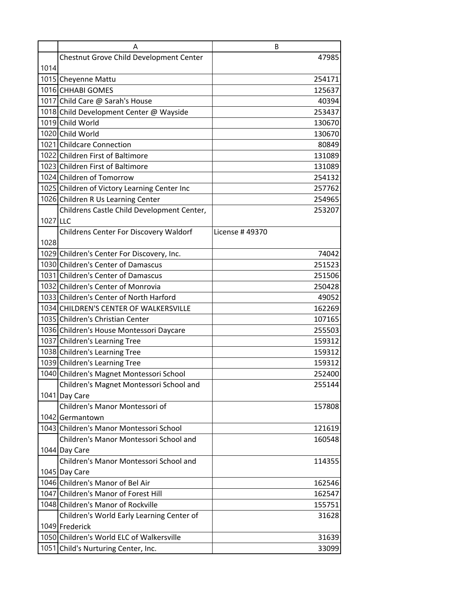|          | A                                            | B              |
|----------|----------------------------------------------|----------------|
|          | Chestnut Grove Child Development Center      | 47985          |
| 1014     |                                              |                |
|          | 1015 Cheyenne Mattu                          | 254171         |
|          | 1016 CHHABI GOMES                            | 125637         |
|          | 1017 Child Care @ Sarah's House              | 40394          |
|          | 1018 Child Development Center @ Wayside      | 253437         |
|          | 1019 Child World                             | 130670         |
|          | 1020 Child World                             | 130670         |
|          | 1021 Childcare Connection                    | 80849          |
|          | 1022 Children First of Baltimore             | 131089         |
|          | 1023 Children First of Baltimore             | 131089         |
|          | 1024 Children of Tomorrow                    | 254132         |
|          | 1025 Children of Victory Learning Center Inc | 257762         |
|          | 1026 Children R Us Learning Center           | 254965         |
|          | Childrens Castle Child Development Center,   | 253207         |
| 1027 LLC |                                              |                |
|          | Childrens Center For Discovery Waldorf       | License #49370 |
| 1028     |                                              |                |
|          | 1029 Children's Center For Discovery, Inc.   | 74042          |
|          | 1030 Children's Center of Damascus           | 251523         |
|          | 1031 Children's Center of Damascus           | 251506         |
|          | 1032 Children's Center of Monrovia           | 250428         |
|          | 1033 Children's Center of North Harford      | 49052          |
|          | 1034 CHILDREN'S CENTER OF WALKERSVILLE       | 162269         |
|          | 1035 Children's Christian Center             | 107165         |
|          | 1036 Children's House Montessori Daycare     | 255503         |
|          | 1037 Children's Learning Tree                | 159312         |
|          | 1038 Children's Learning Tree                | 159312         |
|          | 1039 Children's Learning Tree                | 159312         |
|          | 1040 Children's Magnet Montessori School     | 252400         |
|          | Children's Magnet Montessori School and      | 255144         |
|          | 1041 Day Care                                |                |
|          | Children's Manor Montessori of               | 157808         |
|          | 1042 Germantown                              |                |
|          | 1043 Children's Manor Montessori School      | 121619         |
|          | Children's Manor Montessori School and       | 160548         |
|          | 1044 Day Care                                |                |
|          | Children's Manor Montessori School and       | 114355         |
|          | 1045 Day Care                                |                |
|          | 1046 Children's Manor of Bel Air             | 162546         |
|          | 1047 Children's Manor of Forest Hill         | 162547         |
|          | 1048 Children's Manor of Rockville           | 155751         |
|          | Children's World Early Learning Center of    | 31628          |
|          | 1049 Frederick                               |                |
|          | 1050 Children's World ELC of Walkersville    | 31639          |
|          | 1051 Child's Nurturing Center, Inc.          | 33099          |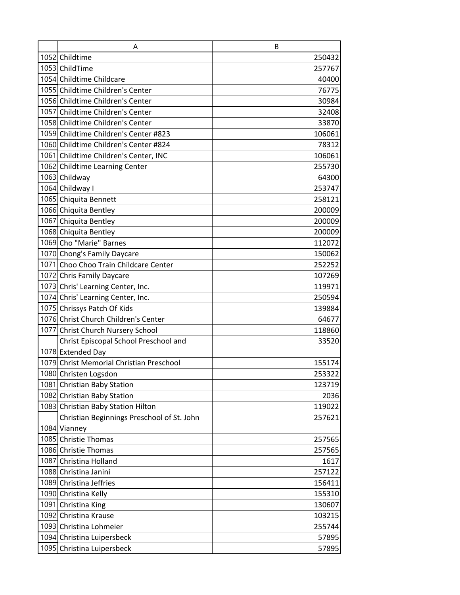| A                                          | B      |
|--------------------------------------------|--------|
| 1052 Childtime                             | 250432 |
| 1053 ChildTime                             | 257767 |
| 1054 Childtime Childcare                   | 40400  |
| 1055 Childtime Children's Center           | 76775  |
| 1056 Childtime Children's Center           | 30984  |
| 1057 Childtime Children's Center           | 32408  |
| 1058 Childtime Children's Center           | 33870  |
| 1059 Childtime Children's Center #823      | 106061 |
| 1060 Childtime Children's Center #824      | 78312  |
| 1061 Childtime Children's Center, INC      | 106061 |
| 1062 Childtime Learning Center             | 255730 |
| 1063 Childway                              | 64300  |
| 1064 Childway I                            | 253747 |
| 1065 Chiquita Bennett                      | 258121 |
| 1066 Chiquita Bentley                      | 200009 |
| 1067 Chiquita Bentley                      | 200009 |
| 1068 Chiquita Bentley                      | 200009 |
| 1069 Cho "Marie" Barnes                    | 112072 |
| 1070 Chong's Family Daycare                | 150062 |
| 1071 Choo Choo Train Childcare Center      | 252252 |
| 1072 Chris Family Daycare                  | 107269 |
| 1073 Chris' Learning Center, Inc.          | 119971 |
| 1074 Chris' Learning Center, Inc.          | 250594 |
| 1075 Chrissys Patch Of Kids                | 139884 |
| 1076 Christ Church Children's Center       | 64677  |
| 1077 Christ Church Nursery School          | 118860 |
| Christ Episcopal School Preschool and      | 33520  |
| 1078 Extended Day                          |        |
| 1079 Christ Memorial Christian Preschool   | 155174 |
| 1080 Christen Logsdon                      | 253322 |
| 1081 Christian Baby Station                | 123719 |
| 1082 Christian Baby Station                | 2036   |
| 1083 Christian Baby Station Hilton         | 119022 |
| Christian Beginnings Preschool of St. John | 257621 |
| 1084 Vianney                               |        |
| 1085 Christie Thomas                       | 257565 |
| 1086 Christie Thomas                       | 257565 |
| 1087 Christina Holland                     | 1617   |
| 1088 Christina Janini                      | 257122 |
| 1089 Christina Jeffries                    | 156411 |
| 1090 Christina Kelly                       | 155310 |
| 1091 Christina King                        | 130607 |
| 1092 Christina Krause                      | 103215 |
| 1093 Christina Lohmeier                    | 255744 |
| 1094 Christina Luipersbeck                 | 57895  |
| 1095 Christina Luipersbeck                 | 57895  |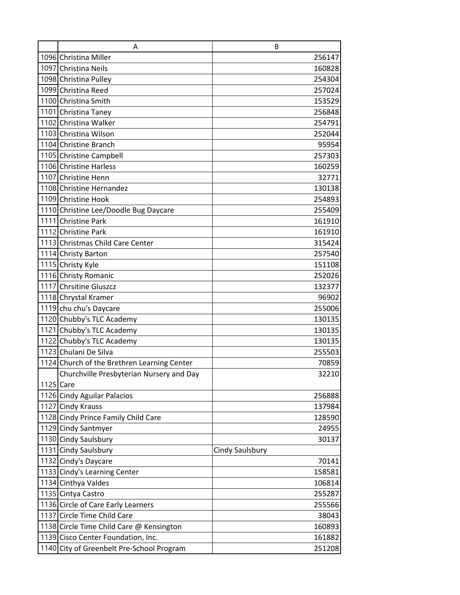| A                                           | B               |
|---------------------------------------------|-----------------|
| 1096 Christina Miller                       | 256147          |
| 1097 Christina Neils                        | 160828          |
| 1098 Christina Pulley                       | 254304          |
| 1099 Christina Reed                         | 257024          |
| 1100 Christina Smith                        | 153529          |
| 1101 Christina Taney                        | 256848          |
| 1102 Christina Walker                       | 254791          |
| 1103 Christina Wilson                       | 252044          |
| 1104 Christine Branch                       | 95954           |
| 1105 Christine Campbell                     | 257303          |
| 1106 Christine Harless                      | 160259          |
| 1107 Christine Henn                         | 32771           |
| 1108 Christine Hernandez                    | 130138          |
| 1109 Christine Hook                         | 254893          |
| 1110 Christine Lee/Doodle Bug Daycare       | 255409          |
| 1111 Christine Park                         | 161910          |
| 1112 Christine Park                         | 161910          |
| 1113 Christmas Child Care Center            | 315424          |
| 1114 Christy Barton                         | 257540          |
| 1115 Christy Kyle                           | 151108          |
| 1116 Christy Romanic                        | 252026          |
| 1117 Chrsitine Gluszcz                      | 132377          |
| 1118 Chrystal Kramer                        | 96902           |
| 1119 chu chu's Daycare                      | 255006          |
| 1120 Chubby's TLC Academy                   | 130135          |
| 1121 Chubby's TLC Academy                   | 130135          |
| 1122 Chubby's TLC Academy                   | 130135          |
| 1123 Chulani De Silva                       | 255503          |
| 1124 Church of the Brethren Learning Center | 70859           |
| Churchville Presbyterian Nursery and Day    | 32210           |
| 1125 Care                                   |                 |
| 1126 Cindy Aguilar Palacios                 | 256888          |
| 1127 Cindy Krauss                           | 137984          |
| 1128 Cindy Prince Family Child Care         | 128590          |
| 1129 Cindy Santmyer                         | 24955           |
| 1130 Cindy Saulsbury                        | 30137           |
| 1131 Cindy Saulsbury                        | Cindy Saulsbury |
| 1132 Cindy's Daycare                        | 70141           |
| 1133 Cindy's Learning Center                | 158581          |
| 1134 Cinthya Valdes                         | 106814          |
| 1135 Cintya Castro                          | 255287          |
| 1136 Circle of Care Early Learners          | 255566          |
| 1137 Circle Time Child Care                 | 38043           |
| 1138 Circle Time Child Care @ Kensington    | 160893          |
| 1139 Cisco Center Foundation, Inc.          | 161882          |
| 1140 City of Greenbelt Pre-School Program   | 251208          |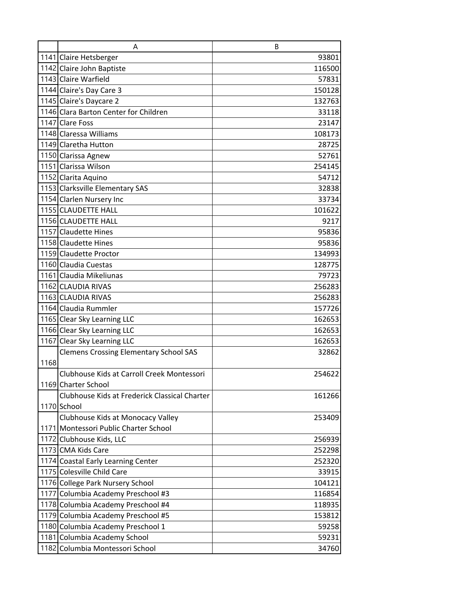|      | A                                             | B      |
|------|-----------------------------------------------|--------|
|      | 1141 Claire Hetsberger                        | 93801  |
|      | 1142 Claire John Baptiste                     | 116500 |
|      | 1143 Claire Warfield                          | 57831  |
|      | 1144 Claire's Day Care 3                      | 150128 |
|      | 1145 Claire's Daycare 2                       | 132763 |
|      | 1146 Clara Barton Center for Children         | 33118  |
|      | 1147 Clare Foss                               | 23147  |
|      | 1148 Claressa Williams                        | 108173 |
|      | 1149 Claretha Hutton                          | 28725  |
|      | 1150 Clarissa Agnew                           | 52761  |
|      | 1151 Clarissa Wilson                          | 254145 |
|      | 1152 Clarita Aquino                           | 54712  |
|      | 1153 Clarksville Elementary SAS               | 32838  |
|      | 1154 Clarlen Nursery Inc                      | 33734  |
|      | 1155 CLAUDETTE HALL                           | 101622 |
|      | 1156 CLAUDETTE HALL                           | 9217   |
|      | 1157 Claudette Hines                          | 95836  |
|      | 1158 Claudette Hines                          | 95836  |
|      | 1159 Claudette Proctor                        | 134993 |
|      | 1160 Claudia Cuestas                          | 128775 |
|      | 1161 Claudia Mikeliunas                       | 79723  |
|      | 1162 CLAUDIA RIVAS                            | 256283 |
|      | 1163 CLAUDIA RIVAS                            | 256283 |
|      | 1164 Claudia Rummler                          | 157726 |
|      | 1165 Clear Sky Learning LLC                   | 162653 |
|      | 1166 Clear Sky Learning LLC                   | 162653 |
|      | 1167 Clear Sky Learning LLC                   | 162653 |
|      | <b>Clemens Crossing Elementary School SAS</b> | 32862  |
| 1168 |                                               |        |
|      | Clubhouse Kids at Carroll Creek Montessori    | 254622 |
|      | 1169 Charter School                           |        |
|      | Clubhouse Kids at Frederick Classical Charter | 161266 |
|      | 1170 School                                   |        |
|      | Clubhouse Kids at Monocacy Valley             | 253409 |
|      | 1171 Montessori Public Charter School         |        |
|      | 1172 Clubhouse Kids, LLC                      | 256939 |
|      | 1173 CMA Kids Care                            | 252298 |
|      | 1174 Coastal Early Learning Center            | 252320 |
|      | 1175 Colesville Child Care                    | 33915  |
|      | 1176 College Park Nursery School              | 104121 |
|      | 1177 Columbia Academy Preschool #3            | 116854 |
|      | 1178 Columbia Academy Preschool #4            | 118935 |
|      | 1179 Columbia Academy Preschool #5            | 153812 |
|      | 1180 Columbia Academy Preschool 1             | 59258  |
|      | 1181 Columbia Academy School                  | 59231  |
|      | 1182 Columbia Montessori School               | 34760  |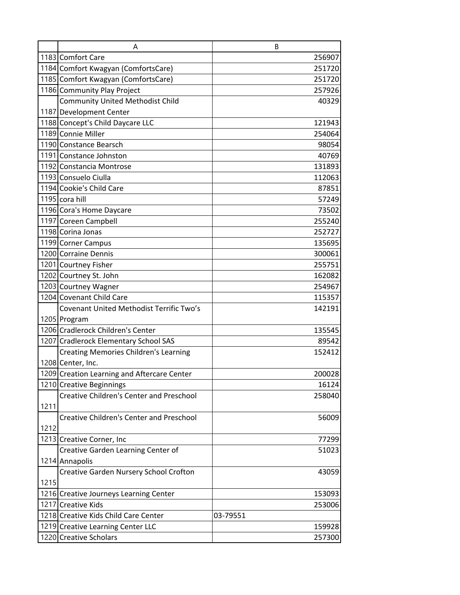|      | A                                               | B        |
|------|-------------------------------------------------|----------|
|      | 1183 Comfort Care                               | 256907   |
|      | 1184 Comfort Kwagyan (ComfortsCare)             | 251720   |
|      | 1185 Comfort Kwagyan (ComfortsCare)             | 251720   |
|      | 1186 Community Play Project                     | 257926   |
|      | <b>Community United Methodist Child</b>         | 40329    |
|      | 1187 Development Center                         |          |
|      | 1188 Concept's Child Daycare LLC                | 121943   |
|      | 1189 Connie Miller                              | 254064   |
|      | 1190 Constance Bearsch                          | 98054    |
|      | 1191 Constance Johnston                         | 40769    |
|      | 1192 Constancia Montrose                        | 131893   |
|      | 1193 Consuelo Ciulla                            | 112063   |
|      | 1194 Cookie's Child Care                        | 87851    |
|      | 1195 cora hill                                  | 57249    |
|      | 1196 Cora's Home Daycare                        | 73502    |
|      | 1197 Coreen Campbell                            | 255240   |
|      | 1198 Corina Jonas                               | 252727   |
|      | 1199 Corner Campus                              | 135695   |
|      | 1200 Corraine Dennis                            | 300061   |
|      | 1201 Courtney Fisher                            | 255751   |
|      | 1202 Courtney St. John                          | 162082   |
|      | 1203 Courtney Wagner                            | 254967   |
|      | 1204 Covenant Child Care                        | 115357   |
|      | Covenant United Methodist Terrific Two's        | 142191   |
|      | 1205 Program                                    |          |
|      | 1206 Cradlerock Children's Center               | 135545   |
|      | 1207 Cradlerock Elementary School SAS           | 89542    |
|      | <b>Creating Memories Children's Learning</b>    | 152412   |
|      | 1208 Center, Inc.                               |          |
|      | 1209 Creation Learning and Aftercare Center     | 200028   |
|      | 1210 Creative Beginnings                        | 16124    |
|      | <b>Creative Children's Center and Preschool</b> | 258040   |
| 1211 |                                                 |          |
|      | <b>Creative Children's Center and Preschool</b> | 56009    |
| 1212 |                                                 |          |
|      | 1213 Creative Corner, Inc                       | 77299    |
|      | Creative Garden Learning Center of              | 51023    |
|      | 1214 Annapolis                                  |          |
|      | Creative Garden Nursery School Crofton          | 43059    |
| 1215 |                                                 |          |
|      | 1216 Creative Journeys Learning Center          | 153093   |
|      | 1217 Creative Kids                              | 253006   |
|      | 1218 Creative Kids Child Care Center            | 03-79551 |
|      | 1219 Creative Learning Center LLC               | 159928   |
|      | 1220 Creative Scholars                          | 257300   |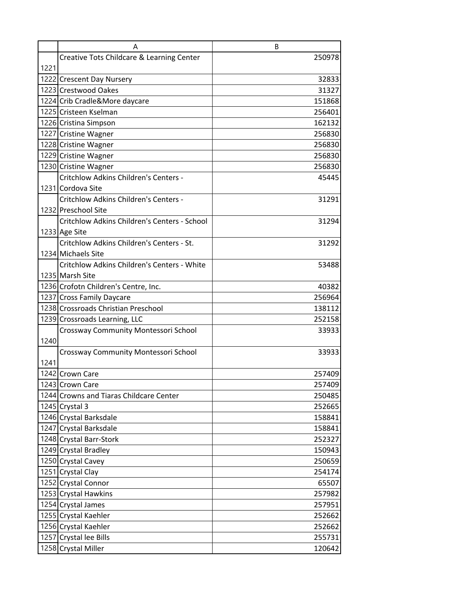|      | A                                                  | B      |
|------|----------------------------------------------------|--------|
|      | Creative Tots Childcare & Learning Center          | 250978 |
| 1221 |                                                    |        |
|      | 1222 Crescent Day Nursery                          | 32833  |
|      | 1223 Crestwood Oakes                               | 31327  |
|      | 1224 Crib Cradle&More daycare                      | 151868 |
|      | 1225 Cristeen Kselman                              | 256401 |
|      | 1226 Cristina Simpson                              | 162132 |
|      | 1227 Cristine Wagner                               | 256830 |
|      | 1228 Cristine Wagner                               | 256830 |
|      | 1229 Cristine Wagner                               | 256830 |
|      | 1230 Cristine Wagner                               | 256830 |
|      | Critchlow Adkins Children's Centers -              | 45445  |
|      | 1231 Cordova Site                                  |        |
|      | Critchlow Adkins Children's Centers -              | 31291  |
|      | 1232 Preschool Site                                |        |
|      | Critchlow Adkins Children's Centers - School       | 31294  |
|      | 1233 Age Site                                      |        |
|      | Critchlow Adkins Children's Centers - St.          | 31292  |
|      | 1234 Michaels Site                                 |        |
|      | <b>Critchlow Adkins Children's Centers - White</b> | 53488  |
|      | 1235 Marsh Site                                    |        |
|      | 1236 Crofotn Children's Centre, Inc.               | 40382  |
|      | 1237 Cross Family Daycare                          | 256964 |
|      | 1238 Crossroads Christian Preschool                | 138112 |
|      | 1239 Crossroads Learning, LLC                      | 252158 |
|      | Crossway Community Montessori School               | 33933  |
| 1240 |                                                    |        |
|      | Crossway Community Montessori School               | 33933  |
| 1241 |                                                    |        |
|      | 1242 Crown Care                                    | 257409 |
|      | 1243 Crown Care                                    | 257409 |
|      | 1244 Crowns and Tiaras Childcare Center            | 250485 |
|      | 1245 Crystal 3                                     | 252665 |
|      | 1246 Crystal Barksdale                             | 158841 |
|      | 1247 Crystal Barksdale                             | 158841 |
|      | 1248 Crystal Barr-Stork                            | 252327 |
|      | 1249 Crystal Bradley                               | 150943 |
|      | 1250 Crystal Cavey                                 | 250659 |
|      | 1251 Crystal Clay                                  | 254174 |
|      | 1252 Crystal Connor                                | 65507  |
|      | 1253 Crystal Hawkins                               | 257982 |
|      | 1254 Crystal James                                 | 257951 |
|      | 1255 Crystal Kaehler                               | 252662 |
|      | 1256 Crystal Kaehler                               | 252662 |
|      | 1257 Crystal lee Bills                             | 255731 |
|      | 1258 Crystal Miller                                | 120642 |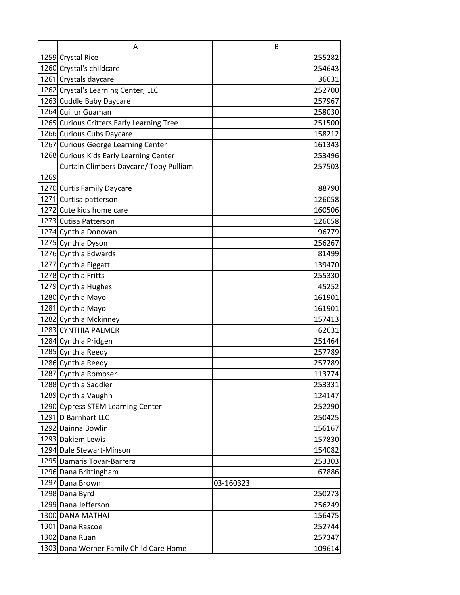|      | A                                         | B         |
|------|-------------------------------------------|-----------|
|      | 1259 Crystal Rice                         | 255282    |
|      | 1260 Crystal's childcare                  | 254643    |
|      | 1261 Crystals daycare                     | 36631     |
|      | 1262 Crystal's Learning Center, LLC       | 252700    |
|      | 1263 Cuddle Baby Daycare                  | 257967    |
|      | 1264 Cuillur Guaman                       | 258030    |
|      | 1265 Curious Critters Early Learning Tree | 251500    |
|      | 1266 Curious Cubs Daycare                 | 158212    |
|      | 1267 Curious George Learning Center       | 161343    |
|      | 1268 Curious Kids Early Learning Center   | 253496    |
|      | Curtain Climbers Daycare/ Toby Pulliam    | 257503    |
| 1269 |                                           |           |
|      | 1270 Curtis Family Daycare                | 88790     |
|      | 1271 Curtisa patterson                    | 126058    |
|      | 1272 Cute kids home care                  | 160506    |
|      | 1273 Cutisa Patterson                     | 126058    |
|      | 1274 Cynthia Donovan                      | 96779     |
|      | 1275 Cynthia Dyson                        | 256267    |
|      | 1276 Cynthia Edwards                      | 81499     |
|      | 1277 Cynthia Figgatt                      | 139470    |
|      | 1278 Cynthia Fritts                       | 255330    |
|      | 1279 Cynthia Hughes                       | 45252     |
|      | 1280 Cynthia Mayo                         | 161901    |
|      | 1281 Cynthia Mayo                         | 161901    |
|      | 1282 Cynthia Mckinney                     | 157413    |
|      | 1283 CYNTHIA PALMER                       | 62631     |
|      | 1284 Cynthia Pridgen                      | 251464    |
|      | 1285 Cynthia Reedy                        | 257789    |
|      | 1286 Cynthia Reedy                        | 257789    |
|      | 1287 Cynthia Romoser                      | 113774    |
|      | 1288 Cynthia Saddler                      | 253331    |
|      | 1289 Cynthia Vaughn                       | 124147    |
|      | 1290 Cypress STEM Learning Center         | 252290    |
|      | 1291 D Barnhart LLC                       | 250425    |
|      | 1292 Dainna Bowlin                        | 156167    |
|      | 1293 Dakiem Lewis                         | 157830    |
|      | 1294 Dale Stewart-Minson                  | 154082    |
|      | 1295 Damaris Tovar-Barrera                | 253303    |
|      | 1296 Dana Brittingham                     | 67886     |
|      | 1297 Dana Brown                           | 03-160323 |
|      | 1298 Dana Byrd                            | 250273    |
|      | 1299 Dana Jefferson                       | 256249    |
|      | 1300 DANA MATHAI                          | 156475    |
|      | 1301 Dana Rascoe                          | 252744    |
|      | 1302 Dana Ruan                            | 257347    |
|      | 1303 Dana Werner Family Child Care Home   | 109614    |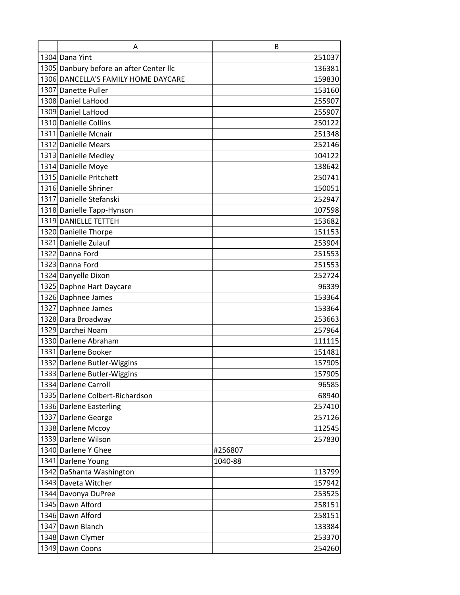| A                                       | B       |
|-----------------------------------------|---------|
| 1304 Dana Yint                          | 251037  |
| 1305 Danbury before an after Center IIc | 136381  |
| 1306 DANCELLA'S FAMILY HOME DAYCARE     | 159830  |
| 1307 Danette Puller                     | 153160  |
| 1308 Daniel LaHood                      | 255907  |
| 1309 Daniel LaHood                      | 255907  |
| 1310 Danielle Collins                   | 250122  |
| 1311 Danielle Mcnair                    | 251348  |
| 1312 Danielle Mears                     | 252146  |
| 1313 Danielle Medley                    | 104122  |
| 1314 Danielle Moye                      | 138642  |
| 1315 Danielle Pritchett                 | 250741  |
| 1316 Danielle Shriner                   | 150051  |
| 1317 Danielle Stefanski                 | 252947  |
| 1318 Danielle Tapp-Hynson               | 107598  |
| 1319 DANIELLE TETTEH                    | 153682  |
| 1320 Danielle Thorpe                    | 151153  |
| 1321 Danielle Zulauf                    | 253904  |
| 1322 Danna Ford                         | 251553  |
| 1323 Danna Ford                         | 251553  |
| 1324 Danyelle Dixon                     | 252724  |
| 1325 Daphne Hart Daycare                | 96339   |
| 1326 Daphnee James                      | 153364  |
| 1327 Daphnee James                      | 153364  |
| 1328 Dara Broadway                      | 253663  |
| 1329 Darchei Noam                       | 257964  |
| 1330 Darlene Abraham                    | 111115  |
| 1331 Darlene Booker                     | 151481  |
| 1332 Darlene Butler-Wiggins             | 157905  |
| 1333 Darlene Butler-Wiggins             | 157905  |
| 1334 Darlene Carroll                    | 96585   |
| 1335 Darlene Colbert-Richardson         | 68940   |
| 1336 Darlene Easterling                 | 257410  |
| 1337 Darlene George                     | 257126  |
| 1338 Darlene Mccoy                      | 112545  |
| 1339 Darlene Wilson                     | 257830  |
| 1340 Darlene Y Ghee                     | #256807 |
| 1341 Darlene Young                      | 1040-88 |
| 1342 DaShanta Washington                | 113799  |
| 1343 Daveta Witcher                     | 157942  |
| 1344 Davonya DuPree                     | 253525  |
| 1345 Dawn Alford                        | 258151  |
| 1346 Dawn Alford                        | 258151  |
| 1347 Dawn Blanch                        | 133384  |
| 1348 Dawn Clymer                        | 253370  |
| 1349 Dawn Coons                         | 254260  |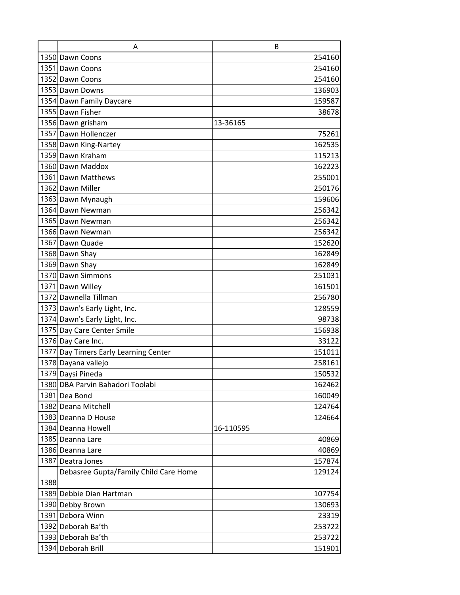|      | A                                     | B         |
|------|---------------------------------------|-----------|
|      | 1350 Dawn Coons                       | 254160    |
|      | 1351 Dawn Coons                       | 254160    |
|      | 1352 Dawn Coons                       | 254160    |
|      | 1353 Dawn Downs                       | 136903    |
|      | 1354 Dawn Family Daycare              | 159587    |
|      | 1355 Dawn Fisher                      | 38678     |
|      | 1356 Dawn grisham                     | 13-36165  |
|      | 1357 Dawn Hollenczer                  | 75261     |
|      | 1358 Dawn King-Nartey                 | 162535    |
|      | 1359 Dawn Kraham                      | 115213    |
|      | 1360 Dawn Maddox                      | 162223    |
|      | 1361 Dawn Matthews                    | 255001    |
|      | 1362 Dawn Miller                      | 250176    |
|      | 1363 Dawn Mynaugh                     | 159606    |
|      | 1364 Dawn Newman                      | 256342    |
|      | 1365 Dawn Newman                      | 256342    |
|      | 1366 Dawn Newman                      | 256342    |
|      | 1367 Dawn Quade                       | 152620    |
|      | 1368 Dawn Shay                        | 162849    |
|      | 1369 Dawn Shay                        | 162849    |
|      | 1370 Dawn Simmons                     | 251031    |
|      | 1371 Dawn Willey                      | 161501    |
|      | 1372 Dawnella Tillman                 | 256780    |
|      | 1373 Dawn's Early Light, Inc.         | 128559    |
|      | 1374 Dawn's Early Light, Inc.         | 98738     |
|      | 1375 Day Care Center Smile            | 156938    |
|      | 1376 Day Care Inc.                    | 33122     |
|      | 1377 Day Timers Early Learning Center | 151011    |
|      | 1378 Dayana vallejo                   | 258161    |
|      | 1379 Daysi Pineda                     | 150532    |
|      | 1380 DBA Parvin Bahadori Toolabi      | 162462    |
|      | 1381 Dea Bond                         | 160049    |
|      | 1382 Deana Mitchell                   | 124764    |
|      | 1383 Deanna D House                   | 124664    |
|      | 1384 Deanna Howell                    | 16-110595 |
|      | 1385 Deanna Lare                      | 40869     |
|      | 1386 Deanna Lare                      | 40869     |
|      | 1387 Deatra Jones                     | 157874    |
|      | Debasree Gupta/Family Child Care Home | 129124    |
| 1388 |                                       |           |
|      | 1389 Debbie Dian Hartman              | 107754    |
|      | 1390 Debby Brown                      | 130693    |
|      | 1391 Debora Winn                      | 23319     |
|      | 1392 Deborah Ba'th                    | 253722    |
|      | 1393 Deborah Ba'th                    | 253722    |
|      | 1394 Deborah Brill                    | 151901    |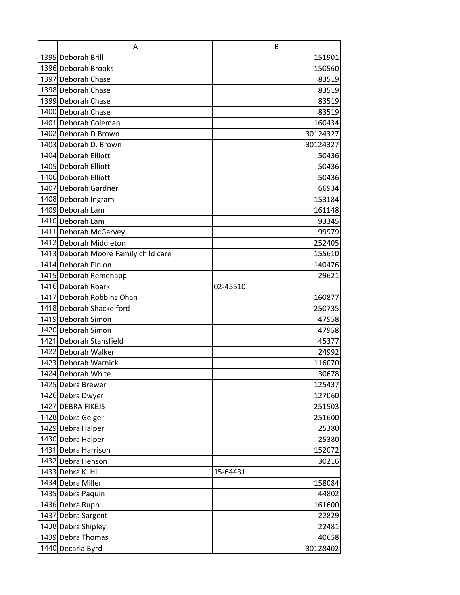| A                                    | B        |
|--------------------------------------|----------|
| 1395 Deborah Brill                   | 151901   |
| 1396 Deborah Brooks                  | 150560   |
| 1397 Deborah Chase                   | 83519    |
| 1398 Deborah Chase                   | 83519    |
| 1399 Deborah Chase                   | 83519    |
| 1400 Deborah Chase                   | 83519    |
| 1401 Deborah Coleman                 | 160434   |
| 1402 Deborah D Brown                 | 30124327 |
| 1403 Deborah D. Brown                | 30124327 |
| 1404 Deborah Elliott                 | 50436    |
| 1405 Deborah Elliott                 | 50436    |
| 1406 Deborah Elliott                 | 50436    |
| 1407 Deborah Gardner                 | 66934    |
| 1408 Deborah Ingram                  | 153184   |
| 1409 Deborah Lam                     | 161148   |
| 1410 Deborah Lam                     | 93345    |
| 1411 Deborah McGarvey                | 99979    |
| 1412 Deborah Middleton               | 252405   |
| 1413 Deborah Moore Family child care | 155610   |
| 1414 Deborah Pinion                  | 140476   |
| 1415 Deborah Remenapp                | 29621    |
| 1416 Deborah Roark                   | 02-45510 |
| 1417 Deborah Robbins Ohan            | 160877   |
| 1418 Deborah Shackelford             | 250735   |
| 1419 Deborah Simon                   | 47958    |
| 1420 Deborah Simon                   | 47958    |
| 1421 Deborah Stansfield              | 45377    |
| 1422 Deborah Walker                  | 24992    |
| 1423 Deborah Warnick                 | 116070   |
| 1424 Deborah White                   | 30678    |
| 1425 Debra Brewer                    | 125437   |
| 1426 Debra Dwyer                     | 127060   |
| 1427 DEBRA FIKEJS                    | 251503   |
| 1428 Debra Geiger                    | 251600   |
| 1429 Debra Halper                    | 25380    |
| 1430 Debra Halper                    | 25380    |
| 1431 Debra Harrison                  | 152072   |
| 1432 Debra Henson                    | 30216    |
| 1433 Debra K. Hill                   | 15-64431 |
| 1434 Debra Miller                    | 158084   |
| 1435 Debra Paquin                    | 44802    |
| 1436 Debra Rupp                      | 161600   |
| 1437 Debra Sargent                   | 22829    |
| 1438 Debra Shipley                   | 22481    |
| 1439 Debra Thomas                    | 40658    |
| 1440 Decarla Byrd                    | 30128402 |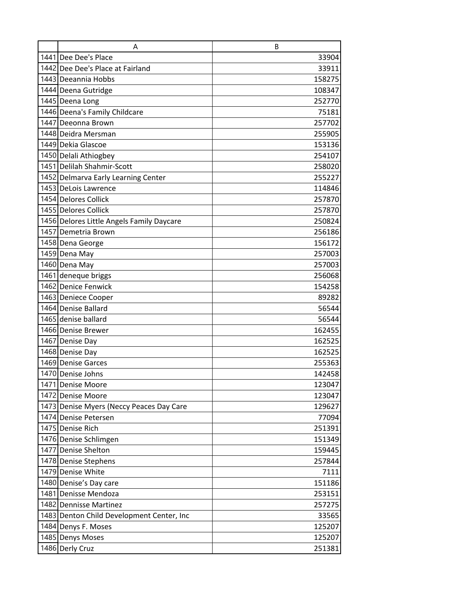| A                                         | B      |
|-------------------------------------------|--------|
| 1441 Dee Dee's Place                      | 33904  |
| 1442 Dee Dee's Place at Fairland          | 33911  |
| 1443 Deeannia Hobbs                       | 158275 |
| 1444 Deena Gutridge                       | 108347 |
| 1445 Deena Long                           | 252770 |
| 1446 Deena's Family Childcare             | 75181  |
| 1447 Deeonna Brown                        | 257702 |
| 1448 Deidra Mersman                       | 255905 |
| 1449 Dekia Glascoe                        | 153136 |
| 1450 Delali Athiogbey                     | 254107 |
| 1451 Delilah Shahmir-Scott                | 258020 |
| 1452 Delmarva Early Learning Center       | 255227 |
| 1453 DeLois Lawrence                      | 114846 |
| 1454 Delores Collick                      | 257870 |
| 1455 Delores Collick                      | 257870 |
| 1456 Delores Little Angels Family Daycare | 250824 |
| 1457 Demetria Brown                       | 256186 |
| 1458 Dena George                          | 156172 |
| 1459 Dena May                             | 257003 |
| 1460 Dena May                             | 257003 |
| 1461 deneque briggs                       | 256068 |
| 1462 Denice Fenwick                       | 154258 |
| 1463 Deniece Cooper                       | 89282  |
| 1464 Denise Ballard                       | 56544  |
| 1465 denise ballard                       | 56544  |
| 1466 Denise Brewer                        | 162455 |
| 1467 Denise Day                           | 162525 |
| 1468 Denise Day                           | 162525 |
| 1469 Denise Garces                        | 255363 |
| 1470 Denise Johns                         | 142458 |
| 1471 Denise Moore                         | 123047 |
| 1472 Denise Moore                         | 123047 |
| 1473 Denise Myers (Neccy Peaces Day Care  | 129627 |
| 1474 Denise Petersen                      | 77094  |
| 1475 Denise Rich                          | 251391 |
| 1476 Denise Schlimgen                     | 151349 |
| 1477 Denise Shelton                       | 159445 |
| 1478 Denise Stephens                      | 257844 |
| 1479 Denise White                         | 7111   |
| 1480 Denise's Day care                    | 151186 |
| 1481 Denisse Mendoza                      | 253151 |
| 1482 Dennisse Martinez                    | 257275 |
| 1483 Denton Child Development Center, Inc | 33565  |
| 1484 Denys F. Moses                       | 125207 |
| 1485 Denys Moses                          | 125207 |
| 1486 Derly Cruz                           | 251381 |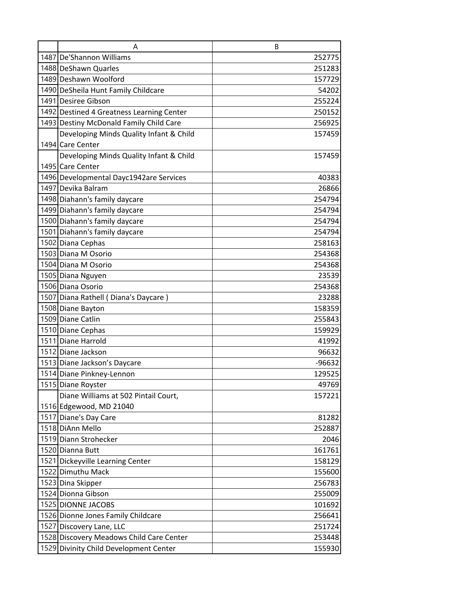| A                                         | B        |
|-------------------------------------------|----------|
| 1487 De'Shannon Williams                  | 252775   |
| 1488 DeShawn Quarles                      | 251283   |
| 1489 Deshawn Woolford                     | 157729   |
| 1490 DeSheila Hunt Family Childcare       | 54202    |
| 1491 Desiree Gibson                       | 255224   |
| 1492 Destined 4 Greatness Learning Center | 250152   |
| 1493 Destiny McDonald Family Child Care   | 256925   |
| Developing Minds Quality Infant & Child   | 157459   |
| 1494 Care Center                          |          |
| Developing Minds Quality Infant & Child   | 157459   |
| 1495 Care Center                          |          |
| 1496 Developmental Dayc1942are Services   | 40383    |
| 1497 Devika Balram                        | 26866    |
| 1498 Diahann's family daycare             | 254794   |
| 1499 Diahann's family daycare             | 254794   |
| 1500 Diahann's family daycare             | 254794   |
| 1501 Diahann's family daycare             | 254794   |
| 1502 Diana Cephas                         | 258163   |
| 1503 Diana M Osorio                       | 254368   |
| 1504 Diana M Osorio                       | 254368   |
| 1505 Diana Nguyen                         | 23539    |
| 1506 Diana Osorio                         | 254368   |
| 1507 Diana Rathell (Diana's Daycare)      | 23288    |
| 1508 Diane Bayton                         | 158359   |
| 1509 Diane Catlin                         | 255843   |
| 1510 Diane Cephas                         | 159929   |
| 1511 Diane Harrold                        | 41992    |
| 1512 Diane Jackson                        | 96632    |
| 1513 Diane Jackson's Daycare              | $-96632$ |
| 1514 Diane Pinkney-Lennon                 | 129525   |
| 1515 Diane Royster                        | 49769    |
| Diane Williams at 502 Pintail Court,      | 157221   |
| 1516 Edgewood, MD 21040                   |          |
| 1517 Diane's Day Care                     | 81282    |
| 1518 DiAnn Mello                          | 252887   |
| 1519 Diann Strohecker                     | 2046     |
| 1520 Dianna Butt                          | 161761   |
| 1521 Dickeyville Learning Center          | 158129   |
| 1522 Dimuthu Mack                         | 155600   |
| 1523 Dina Skipper                         | 256783   |
| 1524 Dionna Gibson                        | 255009   |
| 1525 DIONNE JACOBS                        | 101692   |
| 1526 Dionne Jones Family Childcare        | 256641   |
| 1527 Discovery Lane, LLC                  | 251724   |
| 1528 Discovery Meadows Child Care Center  | 253448   |
| 1529 Divinity Child Development Center    | 155930   |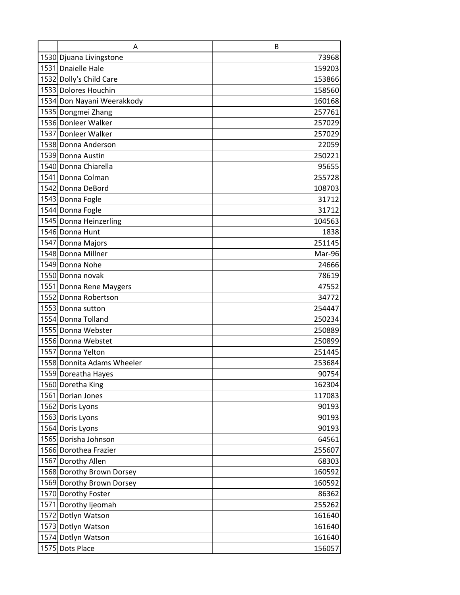|      | A                                          | B                |
|------|--------------------------------------------|------------------|
|      | 1530 Djuana Livingstone                    | 73968            |
|      | 1531 Dnaielle Hale                         | 159203           |
|      | 1532 Dolly's Child Care                    | 153866           |
|      | 1533 Dolores Houchin                       | 158560           |
|      | 1534 Don Nayani Weerakkody                 | 160168           |
|      | 1535 Dongmei Zhang                         | 257761           |
|      | 1536 Donleer Walker                        | 257029           |
|      | 1537 Donleer Walker                        | 257029           |
|      | 1538 Donna Anderson                        | 22059            |
|      | 1539 Donna Austin                          | 250221           |
|      | 1540 Donna Chiarella                       | 95655            |
|      | 1541 Donna Colman                          | 255728           |
|      | 1542 Donna DeBord                          | 108703           |
|      | 1543 Donna Fogle                           | 31712            |
|      | 1544 Donna Fogle                           | 31712            |
|      | 1545 Donna Heinzerling                     | 104563           |
|      | 1546 Donna Hunt                            | 1838             |
|      | 1547 Donna Majors                          | 251145           |
|      | 1548 Donna Millner                         | Mar-96           |
|      | 1549 Donna Nohe                            | 24666            |
|      | 1550 Donna novak                           | 78619            |
|      | 1551 Donna Rene Maygers                    | 47552            |
|      | 1552 Donna Robertson                       | 34772            |
|      | 1553 Donna sutton                          | 254447           |
|      | 1554 Donna Tolland                         | 250234           |
|      | 1555 Donna Webster                         | 250889           |
|      | 1556 Donna Webstet                         | 250899           |
|      | 1557 Donna Yelton                          | 251445           |
|      | 1558 Donnita Adams Wheeler                 | 253684           |
|      | 1559 Doreatha Hayes                        | 90754            |
|      | 1560 Doretha King                          | 162304           |
|      | 1561 Dorian Jones                          | 117083           |
|      | 1562 Doris Lyons                           | 90193            |
|      | 1563 Doris Lyons                           | 90193            |
|      | 1564 Doris Lyons                           | 90193            |
|      | 1565 Dorisha Johnson                       | 64561            |
|      | 1566 Dorothea Frazier                      | 255607           |
|      | 1567 Dorothy Allen                         | 68303            |
|      | 1568 Dorothy Brown Dorsey                  | 160592           |
|      | 1569 Dorothy Brown Dorsey                  | 160592           |
|      | 1570 Dorothy Foster                        | 86362            |
|      | 1571 Dorothy Ijeomah<br>1572 Dotlyn Watson | 255262           |
|      | 1573 Dotlyn Watson                         | 161640<br>161640 |
|      | 1574 Dotlyn Watson                         | 161640           |
| 1575 | Dots Place                                 | 156057           |
|      |                                            |                  |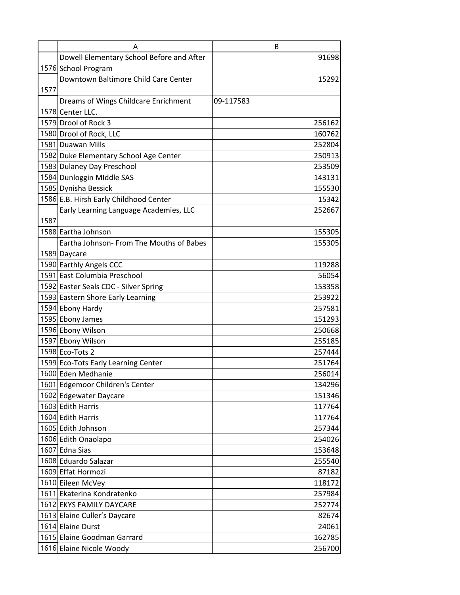|      | A                                         | B         |
|------|-------------------------------------------|-----------|
|      | Dowell Elementary School Before and After | 91698     |
|      | 1576 School Program                       |           |
|      | Downtown Baltimore Child Care Center      | 15292     |
| 1577 |                                           |           |
|      | Dreams of Wings Childcare Enrichment      | 09-117583 |
|      | 1578 Center LLC.                          |           |
|      | 1579 Drool of Rock 3                      | 256162    |
|      | 1580 Drool of Rock, LLC                   | 160762    |
|      | 1581 Duawan Mills                         | 252804    |
|      | 1582 Duke Elementary School Age Center    | 250913    |
|      | 1583 Dulaney Day Preschool                | 253509    |
|      | 1584 Dunloggin Middle SAS                 | 143131    |
|      | 1585 Dynisha Bessick                      | 155530    |
|      | 1586 E.B. Hirsh Early Childhood Center    | 15342     |
|      | Early Learning Language Academies, LLC    | 252667    |
| 1587 |                                           |           |
|      | 1588 Eartha Johnson                       | 155305    |
|      | Eartha Johnson- From The Mouths of Babes  | 155305    |
|      | 1589 Daycare                              |           |
|      | 1590 Earthly Angels CCC                   | 119288    |
|      | 1591 East Columbia Preschool              | 56054     |
|      | 1592 Easter Seals CDC - Silver Spring     | 153358    |
|      | 1593 Eastern Shore Early Learning         | 253922    |
|      | 1594 Ebony Hardy                          | 257581    |
|      | 1595 Ebony James                          | 151293    |
|      | 1596 Ebony Wilson                         | 250668    |
|      | 1597 Ebony Wilson                         | 255185    |
|      | 1598 Eco-Tots 2                           | 257444    |
|      | 1599 Eco-Tots Early Learning Center       | 251764    |
|      | 1600 Eden Medhanie                        | 256014    |
|      | 1601 Edgemoor Children's Center           | 134296    |
|      | 1602 Edgewater Daycare                    | 151346    |
|      | 1603 Edith Harris                         | 117764    |
|      | 1604 Edith Harris                         | 117764    |
|      | 1605 Edith Johnson                        | 257344    |
|      | 1606 Edith Onaolapo                       | 254026    |
|      | 1607 Edna Sias                            | 153648    |
|      | 1608 Eduardo Salazar                      | 255540    |
|      | 1609 Effat Hormozi                        | 87182     |
|      | 1610 Eileen McVey                         | 118172    |
|      | 1611 Ekaterina Kondratenko                | 257984    |
|      | 1612 EKYS FAMILY DAYCARE                  | 252774    |
|      | 1613 Elaine Culler's Daycare              | 82674     |
|      | 1614 Elaine Durst                         | 24061     |
|      | 1615 Elaine Goodman Garrard               | 162785    |
|      | 1616 Elaine Nicole Woody                  | 256700    |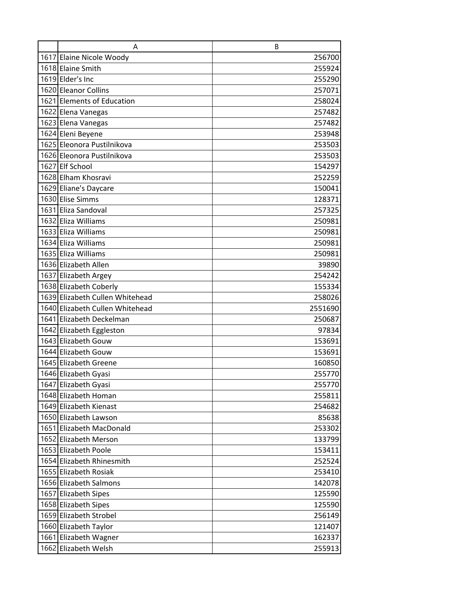| A                                             | B                |
|-----------------------------------------------|------------------|
| 1617 Elaine Nicole Woody                      | 256700           |
| 1618 Elaine Smith                             | 255924           |
| 1619 Elder's Inc                              | 255290           |
| 1620 Eleanor Collins                          | 257071           |
| 1621 Elements of Education                    | 258024           |
| 1622 Elena Vanegas                            | 257482           |
| 1623 Elena Vanegas                            | 257482           |
| 1624 Eleni Beyene                             | 253948           |
| 1625 Eleonora Pustilnikova                    | 253503           |
| 1626 Eleonora Pustilnikova                    | 253503           |
| 1627 Elf School                               | 154297           |
| 1628 Elham Khosravi                           | 252259           |
| 1629 Eliane's Daycare                         | 150041           |
| 1630 Elise Simms                              | 128371           |
| 1631 Eliza Sandoval                           | 257325           |
| 1632 Eliza Williams                           | 250981           |
| 1633 Eliza Williams                           | 250981           |
| 1634 Eliza Williams                           | 250981           |
| 1635 Eliza Williams                           | 250981           |
| 1636 Elizabeth Allen                          | 39890            |
| 1637 Elizabeth Argey                          | 254242           |
| 1638 Elizabeth Coberly                        | 155334           |
| 1639 Elizabeth Cullen Whitehead               | 258026           |
| 1640 Elizabeth Cullen Whitehead               | 2551690          |
| 1641 Elizabeth Deckelman                      | 250687           |
| 1642 Elizabeth Eggleston                      | 97834            |
| 1643 Elizabeth Gouw                           | 153691           |
| 1644 Elizabeth Gouw                           | 153691           |
| 1645 Elizabeth Greene                         | 160850           |
| 1646 Elizabeth Gyasi                          | 255770           |
| 1647 Elizabeth Gyasi                          | 255770           |
| 1648 Elizabeth Homan                          | 255811           |
| 1649 Elizabeth Kienast                        | 254682           |
| 1650 Elizabeth Lawson                         | 85638            |
| 1651 Elizabeth MacDonald                      | 253302           |
| 1652 Elizabeth Merson<br>1653 Elizabeth Poole | 133799<br>153411 |
| 1654 Elizabeth Rhinesmith                     | 252524           |
| 1655 Elizabeth Rosiak                         | 253410           |
| 1656 Elizabeth Salmons                        | 142078           |
| 1657 Elizabeth Sipes                          | 125590           |
| 1658 Elizabeth Sipes                          | 125590           |
| 1659 Elizabeth Strobel                        | 256149           |
| 1660 Elizabeth Taylor                         | 121407           |
| 1661 Elizabeth Wagner                         | 162337           |
| 1662 Elizabeth Welsh                          | 255913           |
|                                               |                  |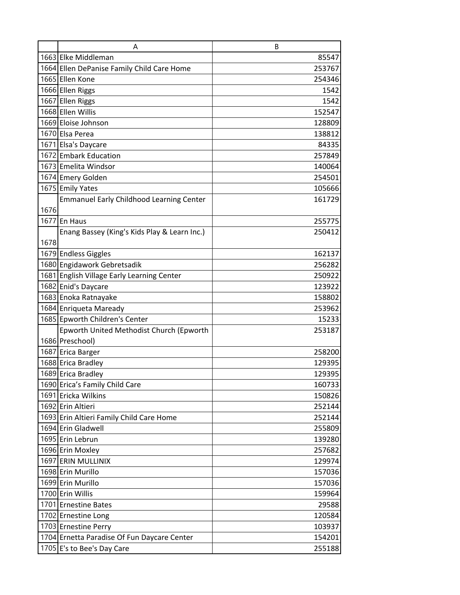|      | A                                               | B      |
|------|-------------------------------------------------|--------|
|      | 1663 Elke Middleman                             | 85547  |
|      | 1664 Ellen DePanise Family Child Care Home      | 253767 |
|      | 1665 Ellen Kone                                 | 254346 |
|      | 1666 Ellen Riggs                                | 1542   |
|      | 1667 Ellen Riggs                                | 1542   |
|      | 1668 Ellen Willis                               | 152547 |
|      | 1669 Eloise Johnson                             | 128809 |
|      | 1670 Elsa Perea                                 | 138812 |
|      | 1671 Elsa's Daycare                             | 84335  |
|      | 1672 Embark Education                           | 257849 |
|      | 1673 Emelita Windsor                            | 140064 |
|      | 1674 Emery Golden                               | 254501 |
|      | 1675 Emily Yates                                | 105666 |
|      | <b>Emmanuel Early Childhood Learning Center</b> | 161729 |
| 1676 |                                                 |        |
|      | 1677 En Haus                                    | 255775 |
|      | Enang Bassey (King's Kids Play & Learn Inc.)    | 250412 |
| 1678 |                                                 |        |
|      | 1679 Endless Giggles                            | 162137 |
|      | 1680 Engidawork Gebretsadik                     | 256282 |
|      | 1681 English Village Early Learning Center      | 250922 |
|      | 1682 Enid's Daycare                             | 123922 |
|      | 1683 Enoka Ratnayake                            | 158802 |
|      | 1684 Enriqueta Maready                          | 253962 |
|      | 1685 Epworth Children's Center                  | 15233  |
|      | Epworth United Methodist Church (Epworth        | 253187 |
|      | 1686 Preschool)                                 |        |
|      | 1687 Erica Barger                               | 258200 |
|      | 1688 Erica Bradley                              | 129395 |
|      | 1689 Erica Bradley                              | 129395 |
|      | 1690 Erica's Family Child Care                  | 160733 |
|      | 1691 Ericka Wilkins                             | 150826 |
|      | 1692 Erin Altieri                               | 252144 |
|      | 1693 Erin Altieri Family Child Care Home        | 252144 |
|      | 1694 Erin Gladwell                              | 255809 |
|      | 1695 Erin Lebrun                                | 139280 |
|      | 1696 Erin Moxley                                | 257682 |
|      | 1697 ERIN MULLINIX                              | 129974 |
|      | 1698 Erin Murillo                               | 157036 |
|      | 1699 Erin Murillo                               | 157036 |
|      | 1700 Erin Willis                                | 159964 |
|      | 1701 Ernestine Bates                            | 29588  |
|      | 1702 Ernestine Long                             | 120584 |
|      | 1703 Ernestine Perry                            | 103937 |
|      | 1704 Ernetta Paradise Of Fun Daycare Center     | 154201 |
|      | 1705 E's to Bee's Day Care                      | 255188 |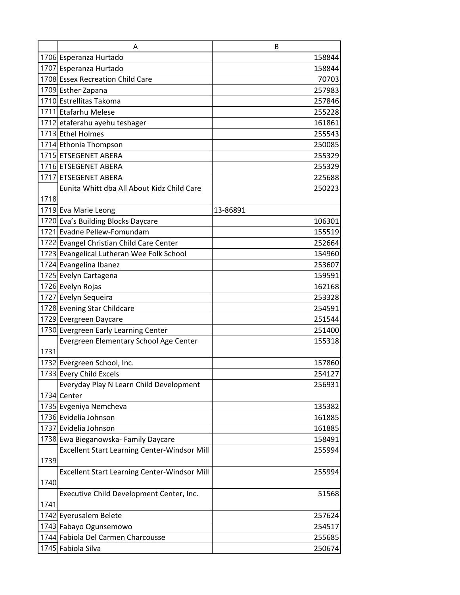|      | A                                                   | B        |
|------|-----------------------------------------------------|----------|
|      | 1706 Esperanza Hurtado                              | 158844   |
|      | 1707 Esperanza Hurtado                              | 158844   |
|      | 1708 Essex Recreation Child Care                    | 70703    |
|      | 1709 Esther Zapana                                  | 257983   |
|      | 1710 Estrellitas Takoma                             | 257846   |
|      | 1711 Etafarhu Melese                                | 255228   |
|      | 1712 etaferahu ayehu teshager                       | 161861   |
|      | 1713 Ethel Holmes                                   | 255543   |
|      | 1714 Ethonia Thompson                               | 250085   |
|      | 1715 ETSEGENET ABERA                                | 255329   |
|      | 1716 ETSEGENET ABERA                                | 255329   |
|      | 1717 ETSEGENET ABERA                                | 225688   |
|      | Eunita Whitt dba All About Kidz Child Care          | 250223   |
| 1718 |                                                     |          |
|      | 1719 Eva Marie Leong                                | 13-86891 |
|      | 1720 Eva's Building Blocks Daycare                  | 106301   |
|      | 1721 Evadne Pellew-Fomundam                         | 155519   |
|      | 1722 Evangel Christian Child Care Center            | 252664   |
|      | 1723 Evangelical Lutheran Wee Folk School           | 154960   |
|      | 1724 Evangelina Ibanez                              | 253607   |
|      | 1725 Evelyn Cartagena                               | 159591   |
|      | 1726 Evelyn Rojas                                   | 162168   |
|      | 1727 Evelyn Sequeira                                | 253328   |
|      | 1728 Evening Star Childcare                         | 254591   |
|      | 1729 Evergreen Daycare                              | 251544   |
|      | 1730 Evergreen Early Learning Center                | 251400   |
|      | Evergreen Elementary School Age Center              | 155318   |
| 1731 |                                                     |          |
|      | 1732 Evergreen School, Inc.                         | 157860   |
|      | 1733 Every Child Excels                             | 254127   |
|      | Everyday Play N Learn Child Development             | 256931   |
|      | 1734 Center                                         |          |
|      | 1735 Evgeniya Nemcheva                              | 135382   |
|      | 1736 Evidelia Johnson                               | 161885   |
|      | 1737 Evidelia Johnson                               | 161885   |
|      | 1738 Ewa Bieganowska- Family Daycare                | 158491   |
|      | <b>Excellent Start Learning Center-Windsor Mill</b> | 255994   |
| 1739 |                                                     |          |
|      | <b>Excellent Start Learning Center-Windsor Mill</b> | 255994   |
| 1740 |                                                     |          |
|      | Executive Child Development Center, Inc.            | 51568    |
| 1741 |                                                     |          |
|      | 1742 Eyerusalem Belete                              | 257624   |
|      | 1743 Fabayo Ogunsemowo                              | 254517   |
|      | 1744 Fabiola Del Carmen Charcousse                  | 255685   |
|      | 1745 Fabiola Silva                                  | 250674   |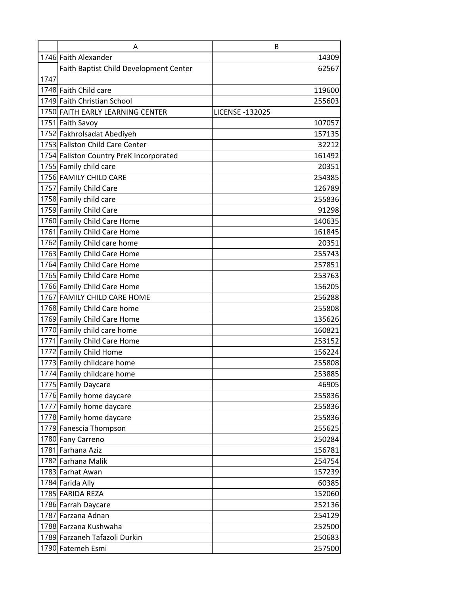|      | A                                           | B                      |
|------|---------------------------------------------|------------------------|
|      | 1746 Faith Alexander                        | 14309                  |
|      | Faith Baptist Child Development Center      | 62567                  |
| 1747 |                                             |                        |
|      | 1748 Faith Child care                       | 119600                 |
|      | 1749 Faith Christian School                 | 255603                 |
|      | 1750 FAITH EARLY LEARNING CENTER            | <b>LICENSE -132025</b> |
|      | 1751 Faith Savoy                            | 107057                 |
|      | 1752 Fakhrolsadat Abediyeh                  | 157135                 |
|      | 1753 Fallston Child Care Center             | 32212                  |
|      | 1754 Fallston Country PreK Incorporated     | 161492                 |
|      | 1755 Family child care                      | 20351                  |
|      | 1756 FAMILY CHILD CARE                      | 254385                 |
|      | 1757 Family Child Care                      | 126789                 |
|      | 1758 Family child care                      | 255836                 |
|      | 1759 Family Child Care                      | 91298                  |
|      | 1760 Family Child Care Home                 | 140635                 |
|      | 1761 Family Child Care Home                 | 161845                 |
|      | 1762 Family Child care home                 | 20351                  |
|      | 1763 Family Child Care Home                 | 255743                 |
|      | 1764 Family Child Care Home                 | 257851                 |
|      | 1765 Family Child Care Home                 | 253763                 |
|      | 1766 Family Child Care Home                 | 156205                 |
|      | 1767 FAMILY CHILD CARE HOME                 | 256288                 |
|      | 1768 Family Child Care home                 | 255808                 |
|      | 1769 Family Child Care Home                 | 135626                 |
|      | 1770 Family child care home                 | 160821                 |
|      | 1771 Family Child Care Home                 | 253152                 |
|      | 1772 Family Child Home                      | 156224                 |
|      | 1773 Family childcare home                  | 255808                 |
|      | 1774 Family childcare home                  | 253885                 |
|      | 1775 Family Daycare                         | 46905                  |
|      | 1776 Family home daycare                    | 255836                 |
|      | 1777 Family home daycare                    | 255836                 |
|      | 1778 Family home daycare                    | 255836                 |
|      | 1779 Fanescia Thompson                      | 255625                 |
|      | 1780 Fany Carreno                           | 250284                 |
|      | 1781 Farhana Aziz                           | 156781                 |
|      | 1782 Farhana Malik                          | 254754                 |
|      | 1783 Farhat Awan                            | 157239                 |
|      | 1784 Farida Ally                            | 60385                  |
|      | 1785 FARIDA REZA                            | 152060                 |
|      | 1786 Farrah Daycare                         | 252136                 |
|      | 1787 Farzana Adnan<br>1788 Farzana Kushwaha | 254129                 |
|      | 1789 Farzaneh Tafazoli Durkin               | 252500                 |
|      | 1790 Fatemeh Esmi                           | 250683                 |
|      |                                             | 257500                 |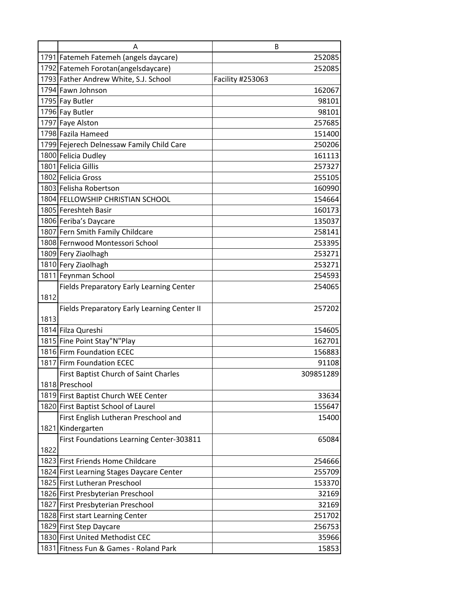|      | Α                                                        | B                  |
|------|----------------------------------------------------------|--------------------|
|      | 1791 Fatemeh Fatemeh (angels daycare)                    | 252085             |
|      | 1792 Fatemeh Forotan (angelsdaycare)                     | 252085             |
|      | 1793 Father Andrew White, S.J. School                    | Facility #253063   |
|      | 1794 Fawn Johnson                                        | 162067             |
|      | 1795 Fay Butler                                          | 98101              |
|      | 1796 Fay Butler                                          | 98101              |
|      | 1797 Faye Alston                                         | 257685             |
|      | 1798 Fazila Hameed                                       | 151400             |
|      | 1799 Fejerech Delnessaw Family Child Care                | 250206             |
|      | 1800 Felicia Dudley                                      | 161113             |
|      | 1801 Felicia Gillis                                      | 257327             |
|      | 1802 Felicia Gross                                       | 255105             |
|      | 1803 Felisha Robertson                                   | 160990             |
|      | 1804 FELLOWSHIP CHRISTIAN SCHOOL                         | 154664             |
|      | 1805 Fereshteh Basir                                     | 160173             |
|      | 1806 Feriba's Daycare                                    | 135037             |
|      | 1807 Fern Smith Family Childcare                         | 258141             |
|      | 1808 Fernwood Montessori School                          | 253395             |
|      | 1809 Fery Ziaolhagh                                      | 253271             |
|      | 1810 Fery Ziaolhagh                                      | 253271             |
|      | 1811 Feynman School                                      | 254593             |
|      | <b>Fields Preparatory Early Learning Center</b>          | 254065             |
| 1812 |                                                          |                    |
|      | Fields Preparatory Early Learning Center II              | 257202             |
| 1813 |                                                          |                    |
|      | 1814 Filza Qureshi                                       | 154605             |
|      | 1815 Fine Point Stay"N"Play<br>1816 Firm Foundation ECEC | 162701             |
|      | 1817 Firm Foundation ECEC                                | 156883             |
|      | First Baptist Church of Saint Charles                    | 91108<br>309851289 |
|      | 1818 Preschool                                           |                    |
|      | 1819 First Baptist Church WEE Center                     | 33634              |
|      | 1820 First Baptist School of Laurel                      | 155647             |
|      | First English Lutheran Preschool and                     | 15400              |
|      | 1821 Kindergarten                                        |                    |
|      | First Foundations Learning Center-303811                 | 65084              |
| 1822 |                                                          |                    |
|      | 1823 First Friends Home Childcare                        | 254666             |
|      | 1824 First Learning Stages Daycare Center                | 255709             |
|      | 1825 First Lutheran Preschool                            | 153370             |
|      | 1826 First Presbyterian Preschool                        | 32169              |
|      | 1827 First Presbyterian Preschool                        | 32169              |
|      | 1828 First start Learning Center                         | 251702             |
|      | 1829 First Step Daycare                                  | 256753             |
|      | 1830 First United Methodist CEC                          | 35966              |
|      | 1831 Fitness Fun & Games - Roland Park                   | 15853              |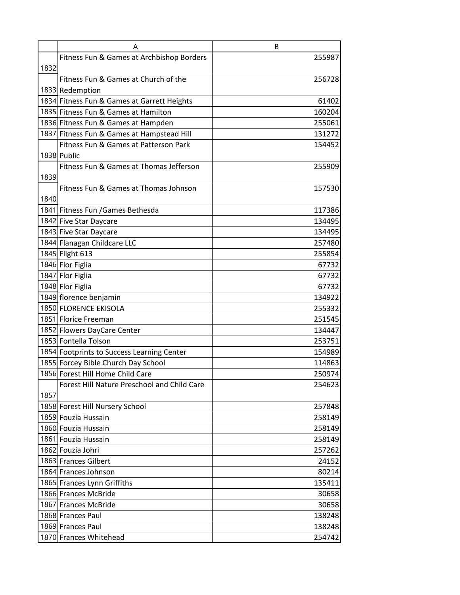| Fitness Fun & Games at Archbishop Borders   | 255987 |
|---------------------------------------------|--------|
| 1832                                        |        |
| Fitness Fun & Games at Church of the        | 256728 |
| 1833 Redemption                             |        |
| 1834 Fitness Fun & Games at Garrett Heights | 61402  |
| 1835 Fitness Fun & Games at Hamilton        | 160204 |
| 1836 Fitness Fun & Games at Hampden         | 255061 |
| 1837 Fitness Fun & Games at Hampstead Hill  | 131272 |
| Fitness Fun & Games at Patterson Park       | 154452 |
| 1838 Public                                 |        |
| Fitness Fun & Games at Thomas Jefferson     | 255909 |
| 1839                                        |        |
| Fitness Fun & Games at Thomas Johnson       | 157530 |
| 1840                                        |        |
| 1841 Fitness Fun / Games Bethesda           | 117386 |
| 1842 Five Star Daycare                      | 134495 |
| 1843 Five Star Daycare                      | 134495 |
| 1844 Flanagan Childcare LLC                 | 257480 |
| 1845 Flight 613                             | 255854 |
| 1846 Flor Figlia                            | 67732  |
| 1847 Flor Figlia                            | 67732  |
| 1848 Flor Figlia                            | 67732  |
| 1849 florence benjamin                      | 134922 |
| 1850 FLORENCE EKISOLA                       | 255332 |
| 1851 Florice Freeman                        | 251545 |
| 1852 Flowers DayCare Center                 | 134447 |
| 1853 Fontella Tolson                        | 253751 |
| 1854 Footprints to Success Learning Center  | 154989 |
| 1855 Forcey Bible Church Day School         | 114863 |
| 1856 Forest Hill Home Child Care            | 250974 |
| Forest Hill Nature Preschool and Child Care | 254623 |
| 1857                                        |        |
| 1858 Forest Hill Nursery School             | 257848 |
| 1859 Fouzia Hussain                         | 258149 |
| 1860 Fouzia Hussain                         | 258149 |
| 1861 Fouzia Hussain                         | 258149 |
| 1862 Fouzia Johri                           | 257262 |
| 1863 Frances Gilbert                        | 24152  |
| 1864 Frances Johnson                        | 80214  |
| 1865 Frances Lynn Griffiths                 | 135411 |
| 1866 Frances McBride                        | 30658  |
| 1867 Frances McBride                        | 30658  |
| 1868 Frances Paul                           | 138248 |
| 1869 Frances Paul                           | 138248 |
| 1870 Frances Whitehead                      | 254742 |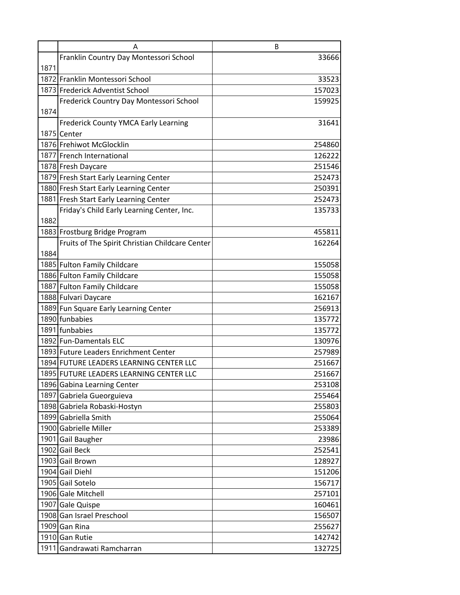|      | A                                               | B      |
|------|-------------------------------------------------|--------|
|      | Franklin Country Day Montessori School          | 33666  |
| 1871 |                                                 |        |
|      | 1872 Franklin Montessori School                 | 33523  |
|      | 1873 Frederick Adventist School                 | 157023 |
|      | Frederick Country Day Montessori School         | 159925 |
| 1874 |                                                 |        |
|      | <b>Frederick County YMCA Early Learning</b>     | 31641  |
|      | 1875 Center                                     |        |
|      | 1876 Frehiwot McGlocklin                        | 254860 |
|      | 1877 French International                       | 126222 |
|      | 1878 Fresh Daycare                              | 251546 |
|      | 1879 Fresh Start Early Learning Center          | 252473 |
|      | 1880 Fresh Start Early Learning Center          | 250391 |
|      | 1881 Fresh Start Early Learning Center          | 252473 |
|      | Friday's Child Early Learning Center, Inc.      | 135733 |
| 1882 |                                                 |        |
|      | 1883 Frostburg Bridge Program                   | 455811 |
|      | Fruits of The Spirit Christian Childcare Center | 162264 |
| 1884 |                                                 |        |
|      | 1885 Fulton Family Childcare                    | 155058 |
|      | 1886 Fulton Family Childcare                    | 155058 |
|      | 1887 Fulton Family Childcare                    | 155058 |
|      | 1888 Fulvari Daycare                            | 162167 |
|      | 1889 Fun Square Early Learning Center           | 256913 |
|      | 1890 funbabies                                  | 135772 |
|      | 1891 funbabies                                  | 135772 |
|      | 1892 Fun-Damentals ELC                          | 130976 |
|      | 1893 Future Leaders Enrichment Center           | 257989 |
|      | 1894 FUTURE LEADERS LEARNING CENTER LLC         | 251667 |
|      | 1895 FUTURE LEADERS LEARNING CENTER LLC         | 251667 |
|      | 1896 Gabina Learning Center                     | 253108 |
|      | 1897 Gabriela Gueorguieva                       | 255464 |
|      | 1898 Gabriela Robaski-Hostyn                    | 255803 |
|      | 1899 Gabriella Smith                            | 255064 |
|      | 1900 Gabrielle Miller                           | 253389 |
|      | 1901 Gail Baugher                               | 23986  |
|      | 1902 Gail Beck                                  | 252541 |
|      | 1903 Gail Brown                                 | 128927 |
|      | 1904 Gail Diehl                                 | 151206 |
|      | 1905 Gail Sotelo                                | 156717 |
|      | 1906 Gale Mitchell                              | 257101 |
|      | 1907 Gale Quispe                                | 160461 |
|      | 1908 Gan Israel Preschool                       | 156507 |
|      | 1909 Gan Rina                                   | 255627 |
|      | 1910 Gan Rutie                                  | 142742 |
|      | 1911 Gandrawati Ramcharran                      | 132725 |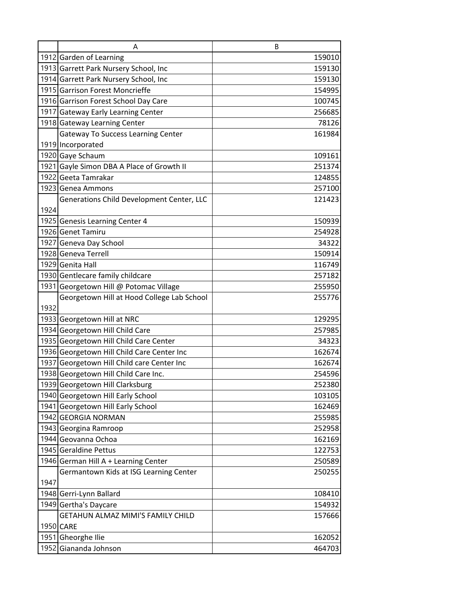|      | A                                                                                                                      | B                                    |
|------|------------------------------------------------------------------------------------------------------------------------|--------------------------------------|
|      | 1912 Garden of Learning                                                                                                | 159010                               |
|      | 1913 Garrett Park Nursery School, Inc                                                                                  | 159130                               |
|      | 1914 Garrett Park Nursery School, Inc                                                                                  | 159130                               |
|      | 1915 Garrison Forest Moncrieffe                                                                                        | 154995                               |
|      | 1916 Garrison Forest School Day Care                                                                                   | 100745                               |
|      | 1917 Gateway Early Learning Center                                                                                     | 256685                               |
|      | 1918 Gateway Learning Center                                                                                           | 78126                                |
|      | <b>Gateway To Success Learning Center</b>                                                                              | 161984                               |
|      | 1919 Incorporated                                                                                                      |                                      |
|      | 1920 Gaye Schaum                                                                                                       | 109161                               |
|      | 1921 Gayle Simon DBA A Place of Growth II                                                                              | 251374                               |
|      | 1922 Geeta Tamrakar                                                                                                    | 124855                               |
|      | 1923 Genea Ammons                                                                                                      | 257100                               |
|      | Generations Child Development Center, LLC                                                                              | 121423                               |
| 1924 |                                                                                                                        |                                      |
|      | 1925 Genesis Learning Center 4                                                                                         | 150939                               |
|      | 1926 Genet Tamiru                                                                                                      | 254928                               |
|      | 1927 Geneva Day School                                                                                                 | 34322                                |
|      | 1928 Geneva Terrell                                                                                                    | 150914                               |
|      | 1929 Genita Hall                                                                                                       | 116749                               |
|      | 1930 Gentlecare family childcare                                                                                       | 257182                               |
|      | 1931 Georgetown Hill @ Potomac Village                                                                                 | 255950                               |
|      | Georgetown Hill at Hood College Lab School                                                                             | 255776                               |
| 1932 |                                                                                                                        |                                      |
|      | 1933 Georgetown Hill at NRC                                                                                            | 129295                               |
|      | 1934 Georgetown Hill Child Care                                                                                        | 257985                               |
|      | 1935 Georgetown Hill Child Care Center                                                                                 | 34323                                |
|      | 1936 Georgetown Hill Child Care Center Inc                                                                             | 162674                               |
|      | 1937 Georgetown Hill Child care Center Inc                                                                             | 162674                               |
|      | 1938 Georgetown Hill Child Care Inc.                                                                                   | 254596                               |
|      | 1939 Georgetown Hill Clarksburg                                                                                        | 252380                               |
|      | 1940 Georgetown Hill Early School                                                                                      | 103105                               |
|      | 1941 Georgetown Hill Early School                                                                                      | 162469                               |
|      | 1942 GEORGIA NORMAN                                                                                                    | 255985                               |
|      | 1943 Georgina Ramroop                                                                                                  | 252958                               |
|      | 1944 Geovanna Ochoa<br>1945 Geraldine Pettus                                                                           | 162169                               |
|      |                                                                                                                        | 122753<br>250589                     |
|      | 1946 German Hill A + Learning Center                                                                                   |                                      |
| 1947 | Germantown Kids at ISG Learning Center                                                                                 | 250255                               |
|      | 1948 Gerri-Lynn Ballard                                                                                                | 108410                               |
|      |                                                                                                                        |                                      |
|      |                                                                                                                        |                                      |
|      |                                                                                                                        |                                      |
|      |                                                                                                                        |                                      |
|      |                                                                                                                        |                                      |
|      | 1949 Gertha's Daycare<br>GETAHUN ALMAZ MIMI'S FAMILY CHILD<br>1950 CARE<br>1951 Gheorghe Ilie<br>1952 Giananda Johnson | 154932<br>157666<br>162052<br>464703 |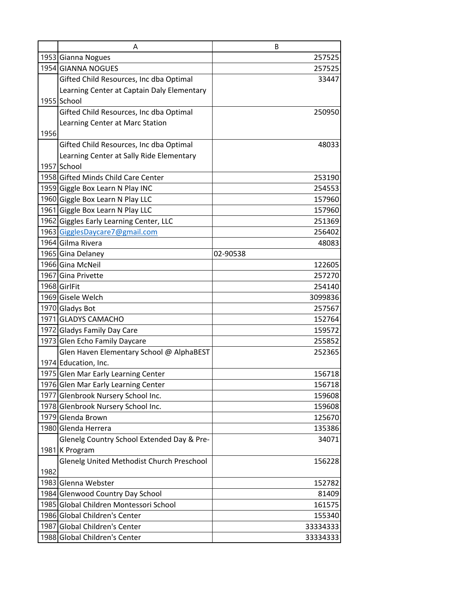|      | A                                          | B        |
|------|--------------------------------------------|----------|
|      | 1953 Gianna Nogues                         | 257525   |
|      | 1954 GIANNA NOGUES                         | 257525   |
|      | Gifted Child Resources, Inc dba Optimal    | 33447    |
|      | Learning Center at Captain Daly Elementary |          |
|      | 1955 School                                |          |
|      | Gifted Child Resources, Inc dba Optimal    | 250950   |
|      | Learning Center at Marc Station            |          |
| 1956 |                                            |          |
|      | Gifted Child Resources, Inc dba Optimal    | 48033    |
|      | Learning Center at Sally Ride Elementary   |          |
|      | 1957 School                                |          |
|      | 1958 Gifted Minds Child Care Center        | 253190   |
|      | 1959 Giggle Box Learn N Play INC           | 254553   |
|      | 1960 Giggle Box Learn N Play LLC           | 157960   |
|      | 1961 Giggle Box Learn N Play LLC           | 157960   |
|      | 1962 Giggles Early Learning Center, LLC    | 251369   |
|      | 1963 GigglesDaycare7@gmail.com             | 256402   |
|      | 1964 Gilma Rivera                          | 48083    |
|      | 1965 Gina Delaney                          | 02-90538 |
|      | 1966 Gina McNeil                           | 122605   |
|      | 1967 Gina Privette                         | 257270   |
|      | 1968 GirlFit                               | 254140   |
|      | 1969 Gisele Welch                          | 3099836  |
|      | 1970 Gladys Bot                            | 257567   |
|      | 1971 GLADYS CAMACHO                        | 152764   |
|      | 1972 Gladys Family Day Care                | 159572   |
|      | 1973 Glen Echo Family Daycare              | 255852   |
|      | Glen Haven Elementary School @ AlphaBEST   | 252365   |
|      | 1974 Education, Inc.                       |          |
|      | 1975 Glen Mar Early Learning Center        | 156718   |
|      | 1976 Glen Mar Early Learning Center        | 156718   |
|      | 1977 Glenbrook Nursery School Inc.         | 159608   |
|      | 1978 Glenbrook Nursery School Inc.         | 159608   |
|      | 1979 Glenda Brown                          | 125670   |
|      | 1980 Glenda Herrera                        | 135386   |
|      | Glenelg Country School Extended Day & Pre- | 34071    |
|      | 1981 K Program                             |          |
|      | Glenelg United Methodist Church Preschool  | 156228   |
| 1982 |                                            |          |
|      | 1983 Glenna Webster                        | 152782   |
|      | 1984 Glenwood Country Day School           | 81409    |
|      | 1985 Global Children Montessori School     | 161575   |
|      | 1986 Global Children's Center              | 155340   |
|      | 1987 Global Children's Center              | 33334333 |
|      | 1988 Global Children's Center              | 33334333 |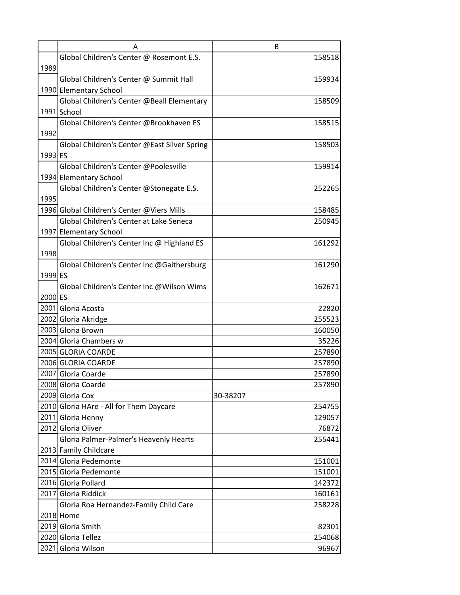|         | Α                                            | B        |
|---------|----------------------------------------------|----------|
|         | Global Children's Center @ Rosemont E.S.     | 158518   |
| 1989    |                                              |          |
|         | Global Children's Center @ Summit Hall       | 159934   |
|         | 1990 Elementary School                       |          |
|         | Global Children's Center @Beall Elementary   | 158509   |
|         | 1991 School                                  |          |
|         | Global Children's Center @Brookhaven ES      | 158515   |
| 1992    |                                              |          |
|         | Global Children's Center @East Silver Spring | 158503   |
| 1993 ES |                                              |          |
|         | Global Children's Center @Poolesville        | 159914   |
|         | 1994 Elementary School                       |          |
|         | Global Children's Center @Stonegate E.S.     | 252265   |
| 1995    |                                              |          |
|         | 1996 Global Children's Center @Viers Mills   | 158485   |
|         | Global Children's Center at Lake Seneca      | 250945   |
|         | 1997 Elementary School                       |          |
|         | Global Children's Center Inc @ Highland ES   | 161292   |
| 1998    |                                              |          |
| 1999 ES | Global Children's Center Inc @Gaithersburg   | 161290   |
|         | Global Children's Center Inc @Wilson Wims    | 162671   |
| 2000 ES |                                              |          |
|         | 2001 Gloria Acosta                           | 22820    |
|         | 2002 Gloria Akridge                          | 255523   |
|         | 2003 Gloria Brown                            | 160050   |
|         | 2004 Gloria Chambers w                       | 35226    |
|         | 2005 GLORIA COARDE                           | 257890   |
|         | 2006 GLORIA COARDE                           | 257890   |
|         | 2007 Gloria Coarde                           | 257890   |
|         | 2008 Gloria Coarde                           | 257890   |
|         | 2009 Gloria Cox                              | 30-38207 |
|         | 2010 Gloria HAre - All for Them Daycare      | 254755   |
|         | 2011 Gloria Henny                            | 129057   |
|         | 2012 Gloria Oliver                           | 76872    |
|         | Gloria Palmer-Palmer's Heavenly Hearts       | 255441   |
|         | 2013 Family Childcare                        |          |
|         | 2014 Gloria Pedemonte                        | 151001   |
|         | 2015 Gloria Pedemonte                        | 151001   |
|         | 2016 Gloria Pollard                          | 142372   |
|         | 2017 Gloria Riddick                          | 160161   |
|         | Gloria Roa Hernandez-Family Child Care       | 258228   |
|         | 2018 Home                                    |          |
|         | 2019 Gloria Smith                            | 82301    |
|         | 2020 Gloria Tellez                           | 254068   |
|         | 2021 Gloria Wilson                           | 96967    |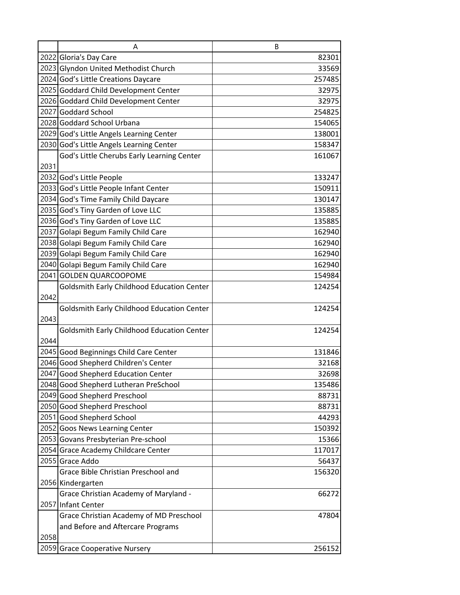|      | A                                                 | B      |
|------|---------------------------------------------------|--------|
|      | 2022 Gloria's Day Care                            | 82301  |
|      | 2023 Glyndon United Methodist Church              | 33569  |
|      | 2024 God's Little Creations Daycare               | 257485 |
|      | 2025 Goddard Child Development Center             | 32975  |
|      | 2026 Goddard Child Development Center             | 32975  |
|      | 2027 Goddard School                               | 254825 |
|      | 2028 Goddard School Urbana                        | 154065 |
|      | 2029 God's Little Angels Learning Center          | 138001 |
|      | 2030 God's Little Angels Learning Center          | 158347 |
|      | God's Little Cherubs Early Learning Center        | 161067 |
| 2031 |                                                   |        |
|      | 2032 God's Little People                          | 133247 |
|      | 2033 God's Little People Infant Center            | 150911 |
|      | 2034 God's Time Family Child Daycare              | 130147 |
|      | 2035 God's Tiny Garden of Love LLC                | 135885 |
|      | 2036 God's Tiny Garden of Love LLC                | 135885 |
|      | 2037 Golapi Begum Family Child Care               | 162940 |
|      | 2038 Golapi Begum Family Child Care               | 162940 |
|      | 2039 Golapi Begum Family Child Care               | 162940 |
|      | 2040 Golapi Begum Family Child Care               | 162940 |
|      | 2041 GOLDEN QUARCOOPOME                           | 154984 |
|      | <b>Goldsmith Early Childhood Education Center</b> | 124254 |
| 2042 |                                                   |        |
|      | Goldsmith Early Childhood Education Center        | 124254 |
| 2043 |                                                   |        |
|      | <b>Goldsmith Early Childhood Education Center</b> | 124254 |
| 2044 |                                                   |        |
|      | 2045 Good Beginnings Child Care Center            | 131846 |
|      | 2046 Good Shepherd Children's Center              | 32168  |
|      | 2047 Good Shepherd Education Center               | 32698  |
|      | 2048 Good Shepherd Lutheran PreSchool             | 135486 |
|      | 2049 Good Shepherd Preschool                      | 88731  |
|      | 2050 Good Shepherd Preschool                      | 88731  |
|      | 2051 Good Shepherd School                         | 44293  |
|      | 2052 Goos News Learning Center                    | 150392 |
|      | 2053 Govans Presbyterian Pre-school               | 15366  |
|      | 2054 Grace Academy Childcare Center               | 117017 |
|      | 2055 Grace Addo                                   | 56437  |
|      | Grace Bible Christian Preschool and               | 156320 |
|      | 2056 Kindergarten                                 |        |
|      | Grace Christian Academy of Maryland -             | 66272  |
|      | 2057 Infant Center                                |        |
|      | Grace Christian Academy of MD Preschool           | 47804  |
|      | and Before and Aftercare Programs                 |        |
| 2058 |                                                   |        |
|      | 2059 Grace Cooperative Nursery                    | 256152 |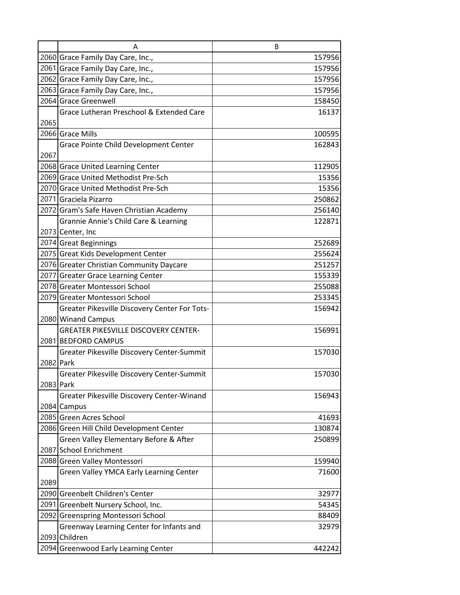|      | А                                             | B      |
|------|-----------------------------------------------|--------|
|      | 2060 Grace Family Day Care, Inc.,             | 157956 |
|      | 2061 Grace Family Day Care, Inc.,             | 157956 |
|      | 2062 Grace Family Day Care, Inc.,             | 157956 |
|      | 2063 Grace Family Day Care, Inc.,             | 157956 |
|      | 2064 Grace Greenwell                          | 158450 |
|      | Grace Lutheran Preschool & Extended Care      | 16137  |
| 2065 |                                               |        |
|      | 2066 Grace Mills                              | 100595 |
|      | Grace Pointe Child Development Center         | 162843 |
| 2067 |                                               |        |
|      | 2068 Grace United Learning Center             | 112905 |
|      | 2069 Grace United Methodist Pre-Sch           | 15356  |
|      | 2070 Grace United Methodist Pre-Sch           | 15356  |
|      | 2071 Graciela Pizarro                         | 250862 |
|      | 2072 Gram's Safe Haven Christian Academy      | 256140 |
|      | Grannie Annie's Child Care & Learning         | 122871 |
|      | 2073 Center, Inc                              |        |
|      | 2074 Great Beginnings                         | 252689 |
|      | 2075 Great Kids Development Center            | 255624 |
|      | 2076 Greater Christian Community Daycare      | 251257 |
|      | 2077 Greater Grace Learning Center            | 155339 |
|      | 2078 Greater Montessori School                | 255088 |
|      | 2079 Greater Montessori School                | 253345 |
|      | Greater Pikesville Discovery Center For Tots- | 156942 |
|      | 2080 Winand Campus                            |        |
|      | <b>GREATER PIKESVILLE DISCOVERY CENTER-</b>   | 156991 |
|      | 2081 BEDFORD CAMPUS                           |        |
|      | Greater Pikesville Discovery Center-Summit    | 157030 |
|      | 2082 Park                                     |        |
|      | Greater Pikesville Discovery Center-Summit    | 157030 |
|      | 2083 Park                                     |        |
|      | Greater Pikesville Discovery Center-Winand    | 156943 |
|      | 2084 Campus                                   |        |
|      | 2085 Green Acres School                       | 41693  |
|      | 2086 Green Hill Child Development Center      | 130874 |
|      | Green Valley Elementary Before & After        | 250899 |
|      | 2087 School Enrichment                        |        |
|      | 2088 Green Valley Montessori                  | 159940 |
|      | Green Valley YMCA Early Learning Center       | 71600  |
| 2089 |                                               |        |
|      | 2090 Greenbelt Children's Center              | 32977  |
|      | 2091 Greenbelt Nursery School, Inc.           | 54345  |
|      | 2092 Greenspring Montessori School            | 88409  |
|      | Greenway Learning Center for Infants and      | 32979  |
|      | 2093 Children                                 |        |
|      | 2094 Greenwood Early Learning Center          | 442242 |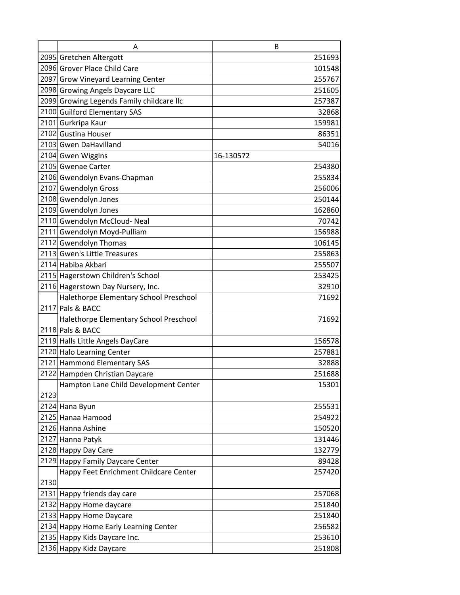|      | A                                         | B         |
|------|-------------------------------------------|-----------|
|      | 2095 Gretchen Altergott                   | 251693    |
|      | 2096 Grover Place Child Care              | 101548    |
|      | 2097 Grow Vineyard Learning Center        | 255767    |
|      | 2098 Growing Angels Daycare LLC           | 251605    |
|      | 2099 Growing Legends Family childcare llc | 257387    |
|      | 2100 Guilford Elementary SAS              | 32868     |
|      | 2101 Gurkripa Kaur                        | 159981    |
|      | 2102 Gustina Houser                       | 86351     |
|      | 2103 Gwen DaHavilland                     | 54016     |
|      | 2104 Gwen Wiggins                         | 16-130572 |
|      | 2105 Gwenae Carter                        | 254380    |
|      | 2106 Gwendolyn Evans-Chapman              | 255834    |
|      | 2107 Gwendolyn Gross                      | 256006    |
|      | 2108 Gwendolyn Jones                      | 250144    |
|      | 2109 Gwendolyn Jones                      | 162860    |
|      | 2110 Gwendolyn McCloud-Neal               | 70742     |
|      | 2111 Gwendolyn Moyd-Pulliam               | 156988    |
|      | 2112 Gwendolyn Thomas                     | 106145    |
|      | 2113 Gwen's Little Treasures              | 255863    |
|      | 2114 Habiba Akbari                        | 255507    |
|      | 2115 Hagerstown Children's School         | 253425    |
|      | 2116 Hagerstown Day Nursery, Inc.         | 32910     |
|      | Halethorpe Elementary School Preschool    | 71692     |
|      | 2117 Pals & BACC                          |           |
|      | Halethorpe Elementary School Preschool    | 71692     |
|      | 2118 Pals & BACC                          |           |
|      | 2119 Halls Little Angels DayCare          | 156578    |
|      | 2120 Halo Learning Center                 | 257881    |
|      | 2121 Hammond Elementary SAS               | 32888     |
|      | 2122 Hampden Christian Daycare            | 251688    |
|      | Hampton Lane Child Development Center     | 15301     |
| 2123 |                                           |           |
|      | 2124 Hana Byun                            | 255531    |
|      | 2125 Hanaa Hamood                         | 254922    |
|      | 2126 Hanna Ashine                         | 150520    |
|      | 2127 Hanna Patyk                          | 131446    |
|      | 2128 Happy Day Care                       | 132779    |
|      | 2129 Happy Family Daycare Center          | 89428     |
|      | Happy Feet Enrichment Childcare Center    | 257420    |
| 2130 |                                           |           |
|      | 2131 Happy friends day care               | 257068    |
|      | 2132 Happy Home daycare                   | 251840    |
|      | 2133 Happy Home Daycare                   | 251840    |
|      | 2134 Happy Home Early Learning Center     | 256582    |
|      | 2135 Happy Kids Daycare Inc.              | 253610    |
|      | 2136 Happy Kidz Daycare                   | 251808    |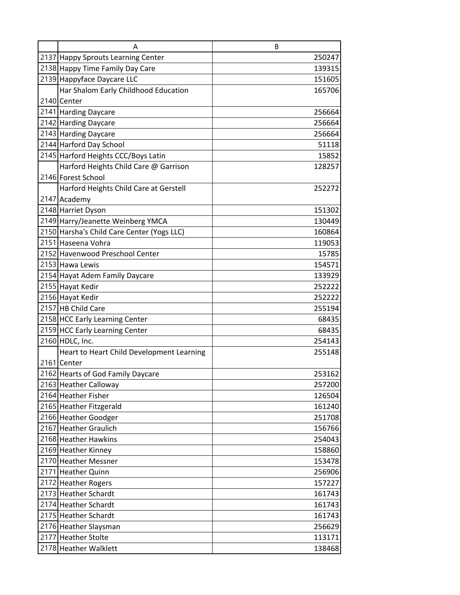| Α                                          | B      |
|--------------------------------------------|--------|
| 2137 Happy Sprouts Learning Center         | 250247 |
| 2138 Happy Time Family Day Care            | 139315 |
| 2139 Happyface Daycare LLC                 | 151605 |
| Har Shalom Early Childhood Education       | 165706 |
| 2140 Center                                |        |
| 2141 Harding Daycare                       | 256664 |
| 2142 Harding Daycare                       | 256664 |
| 2143 Harding Daycare                       | 256664 |
| 2144 Harford Day School                    | 51118  |
| 2145 Harford Heights CCC/Boys Latin        | 15852  |
| Harford Heights Child Care @ Garrison      | 128257 |
| 2146 Forest School                         |        |
| Harford Heights Child Care at Gerstell     | 252272 |
| 2147 Academy                               |        |
| 2148 Harriet Dyson                         | 151302 |
| 2149 Harry/Jeanette Weinberg YMCA          | 130449 |
| 2150 Harsha's Child Care Center (Yogs LLC) | 160864 |
| 2151 Haseena Vohra                         | 119053 |
| 2152 Havenwood Preschool Center            | 15785  |
| 2153 Hawa Lewis                            | 154571 |
| 2154 Hayat Adem Family Daycare             | 133929 |
| 2155 Hayat Kedir                           | 252222 |
| 2156 Hayat Kedir                           | 252222 |
| 2157 HB Child Care                         | 255194 |
| 2158 HCC Early Learning Center             | 68435  |
| 2159 HCC Early Learning Center             | 68435  |
| 2160 HDLC, Inc.                            | 254143 |
| Heart to Heart Child Development Learning  | 255148 |
| 2161 Center                                |        |
| 2162 Hearts of God Family Daycare          | 253162 |
| 2163 Heather Calloway                      | 257200 |
| 2164 Heather Fisher                        | 126504 |
| 2165 Heather Fitzgerald                    | 161240 |
| 2166 Heather Goodger                       | 251708 |
| 2167 Heather Graulich                      | 156766 |
| 2168 Heather Hawkins                       | 254043 |
| 2169 Heather Kinney                        | 158860 |
| 2170 Heather Messner                       | 153478 |
| 2171 Heather Quinn                         | 256906 |
| 2172 Heather Rogers                        | 157227 |
| 2173 Heather Schardt                       | 161743 |
| 2174 Heather Schardt                       | 161743 |
| 2175 Heather Schardt                       | 161743 |
| 2176 Heather Slaysman                      | 256629 |
| 2177 Heather Stolte                        | 113171 |
| 2178 Heather Walklett                      | 138468 |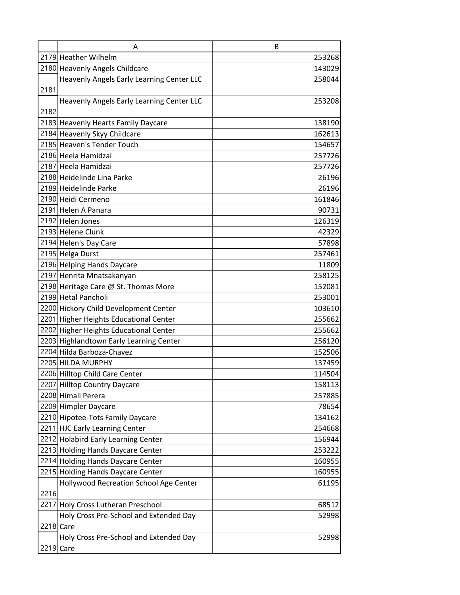|      | A                                                                    | B                |
|------|----------------------------------------------------------------------|------------------|
|      | 2179 Heather Wilhelm                                                 | 253268           |
|      | 2180 Heavenly Angels Childcare                                       | 143029           |
|      | Heavenly Angels Early Learning Center LLC                            | 258044           |
| 2181 |                                                                      |                  |
|      | Heavenly Angels Early Learning Center LLC                            | 253208           |
| 2182 |                                                                      |                  |
|      | 2183 Heavenly Hearts Family Daycare                                  | 138190           |
|      | 2184 Heavenly Skyy Childcare                                         | 162613           |
|      | 2185 Heaven's Tender Touch                                           | 154657           |
|      | 2186 Heela Hamidzai                                                  | 257726           |
|      | 2187 Heela Hamidzai                                                  | 257726           |
|      | 2188 Heidelinde Lina Parke                                           | 26196            |
|      | 2189 Heidelinde Parke                                                | 26196            |
|      | 2190 Heidi Cermeno                                                   | 161846           |
|      | 2191 Helen A Panara                                                  | 90731            |
|      | 2192 Helen Jones                                                     | 126319           |
|      | 2193 Helene Clunk                                                    | 42329            |
|      | 2194 Helen's Day Care                                                | 57898            |
|      | 2195 Helga Durst                                                     | 257461           |
|      | 2196 Helping Hands Daycare                                           | 11809            |
|      | 2197 Henrita Mnatsakanyan                                            | 258125           |
|      | 2198 Heritage Care @ St. Thomas More                                 | 152081           |
|      | 2199 Hetal Pancholi                                                  | 253001           |
|      | 2200 Hickory Child Development Center                                | 103610           |
|      | 2201 Higher Heights Educational Center                               | 255662           |
|      | 2202 Higher Heights Educational Center                               | 255662           |
|      | 2203 Highlandtown Early Learning Center<br>2204 Hilda Barboza-Chavez | 256120           |
|      | 2205 HILDA MURPHY                                                    | 152506           |
|      | 2206 Hilltop Child Care Center                                       | 137459<br>114504 |
|      | 2207 Hilltop Country Daycare                                         | 158113           |
|      | 2208 Himali Perera                                                   | 257885           |
|      | 2209 Himpler Daycare                                                 | 78654            |
|      | 2210 Hipotee-Tots Family Daycare                                     | 134162           |
|      | 2211 HJC Early Learning Center                                       | 254668           |
|      | 2212 Holabird Early Learning Center                                  | 156944           |
|      | 2213 Holding Hands Daycare Center                                    | 253222           |
|      | 2214 Holding Hands Daycare Center                                    | 160955           |
|      | 2215 Holding Hands Daycare Center                                    | 160955           |
|      | Hollywood Recreation School Age Center                               | 61195            |
| 2216 |                                                                      |                  |
|      | 2217 Holy Cross Lutheran Preschool                                   | 68512            |
|      | Holy Cross Pre-School and Extended Day                               | 52998            |
|      | 2218 Care                                                            |                  |
|      | Holy Cross Pre-School and Extended Day                               | 52998            |
|      | 2219 Care                                                            |                  |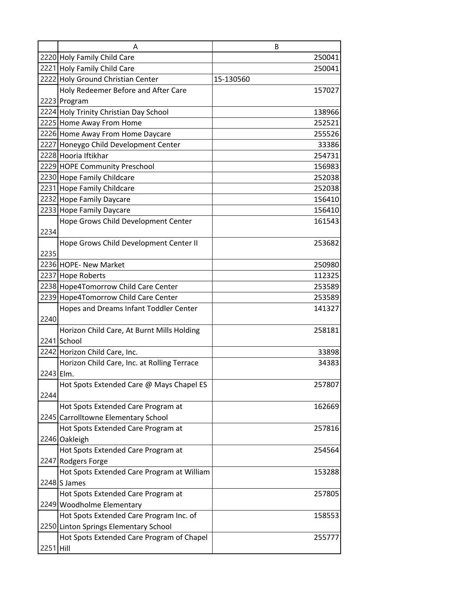|           | Α                                           | B         |
|-----------|---------------------------------------------|-----------|
|           | 2220 Holy Family Child Care                 | 250041    |
|           | 2221 Holy Family Child Care                 | 250041    |
|           | 2222 Holy Ground Christian Center           | 15-130560 |
|           | Holy Redeemer Before and After Care         | 157027    |
|           | 2223 Program                                |           |
|           | 2224 Holy Trinity Christian Day School      | 138966    |
|           | 2225 Home Away From Home                    | 252521    |
|           | 2226 Home Away From Home Daycare            | 255526    |
|           | 2227 Honeygo Child Development Center       | 33386     |
|           | 2228 Hooria Iftikhar                        | 254731    |
|           | 2229 HOPE Community Preschool               | 156983    |
|           | 2230 Hope Family Childcare                  | 252038    |
|           | 2231 Hope Family Childcare                  | 252038    |
|           | 2232 Hope Family Daycare                    | 156410    |
|           | 2233 Hope Family Daycare                    | 156410    |
|           | Hope Grows Child Development Center         | 161543    |
| 2234      |                                             |           |
|           | Hope Grows Child Development Center II      | 253682    |
| 2235      |                                             |           |
|           | 2236 HOPE- New Market                       | 250980    |
|           | 2237 Hope Roberts                           | 112325    |
|           | 2238 Hope4Tomorrow Child Care Center        | 253589    |
|           | 2239 Hope4Tomorrow Child Care Center        | 253589    |
|           | Hopes and Dreams Infant Toddler Center      | 141327    |
| 2240      |                                             |           |
|           | Horizon Child Care, At Burnt Mills Holding  | 258181    |
|           | 2241 School                                 |           |
|           | 2242 Horizon Child Care, Inc.               | 33898     |
|           | Horizon Child Care, Inc. at Rolling Terrace | 34383     |
| 2243 Elm. |                                             |           |
|           | Hot Spots Extended Care @ Mays Chapel ES    | 257807    |
| 2244      |                                             |           |
|           | Hot Spots Extended Care Program at          | 162669    |
|           | 2245 Carrolltowne Elementary School         |           |
|           | Hot Spots Extended Care Program at          | 257816    |
|           | 2246 Oakleigh                               |           |
|           | Hot Spots Extended Care Program at          | 254564    |
|           | 2247 Rodgers Forge                          |           |
|           | Hot Spots Extended Care Program at William  | 153288    |
|           | $2248$ S James                              |           |
|           | Hot Spots Extended Care Program at          | 257805    |
|           | 2249 Woodholme Elementary                   |           |
|           | Hot Spots Extended Care Program Inc. of     | 158553    |
|           | 2250 Linton Springs Elementary School       |           |
|           | Hot Spots Extended Care Program of Chapel   | 255777    |
| 2251 Hill |                                             |           |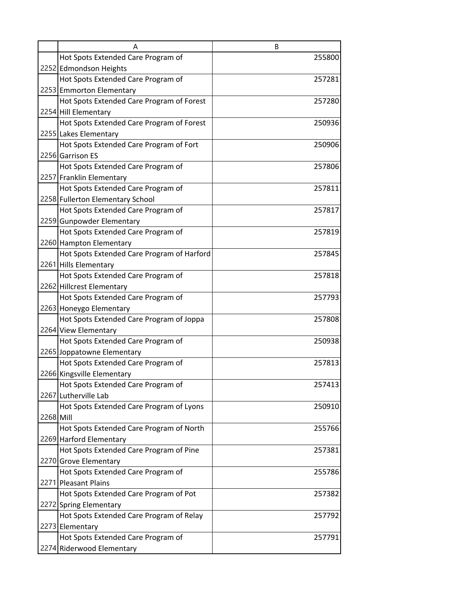|           | А                                          | B      |
|-----------|--------------------------------------------|--------|
|           | Hot Spots Extended Care Program of         | 255800 |
|           | 2252 Edmondson Heights                     |        |
|           | Hot Spots Extended Care Program of         | 257281 |
|           | 2253 Emmorton Elementary                   |        |
|           | Hot Spots Extended Care Program of Forest  | 257280 |
|           | 2254 Hill Elementary                       |        |
|           | Hot Spots Extended Care Program of Forest  | 250936 |
|           | 2255 Lakes Elementary                      |        |
|           | Hot Spots Extended Care Program of Fort    | 250906 |
|           | 2256 Garrison ES                           |        |
|           | Hot Spots Extended Care Program of         | 257806 |
|           | 2257 Franklin Elementary                   |        |
|           | Hot Spots Extended Care Program of         | 257811 |
|           | 2258 Fullerton Elementary School           |        |
|           | Hot Spots Extended Care Program of         | 257817 |
|           | 2259 Gunpowder Elementary                  |        |
|           | Hot Spots Extended Care Program of         | 257819 |
|           | 2260 Hampton Elementary                    |        |
|           | Hot Spots Extended Care Program of Harford | 257845 |
|           | 2261 Hills Elementary                      |        |
|           | Hot Spots Extended Care Program of         | 257818 |
|           | 2262 Hillcrest Elementary                  |        |
|           | Hot Spots Extended Care Program of         | 257793 |
|           | 2263 Honeygo Elementary                    |        |
|           | Hot Spots Extended Care Program of Joppa   | 257808 |
|           | 2264 View Elementary                       |        |
|           | Hot Spots Extended Care Program of         | 250938 |
|           | 2265 Joppatowne Elementary                 |        |
|           | Hot Spots Extended Care Program of         | 257813 |
|           | 2266 Kingsville Elementary                 |        |
|           | Hot Spots Extended Care Program of         | 257413 |
|           | 2267 Lutherville Lab                       |        |
|           | Hot Spots Extended Care Program of Lyons   | 250910 |
| 2268 Mill |                                            |        |
|           | Hot Spots Extended Care Program of North   | 255766 |
|           | 2269 Harford Elementary                    |        |
|           | Hot Spots Extended Care Program of Pine    | 257381 |
|           | 2270 Grove Elementary                      |        |
|           | Hot Spots Extended Care Program of         | 255786 |
|           | 2271 Pleasant Plains                       |        |
|           | Hot Spots Extended Care Program of Pot     | 257382 |
|           | 2272 Spring Elementary                     |        |
|           | Hot Spots Extended Care Program of Relay   | 257792 |
|           | 2273 Elementary                            |        |
|           | Hot Spots Extended Care Program of         | 257791 |
|           | 2274 Riderwood Elementary                  |        |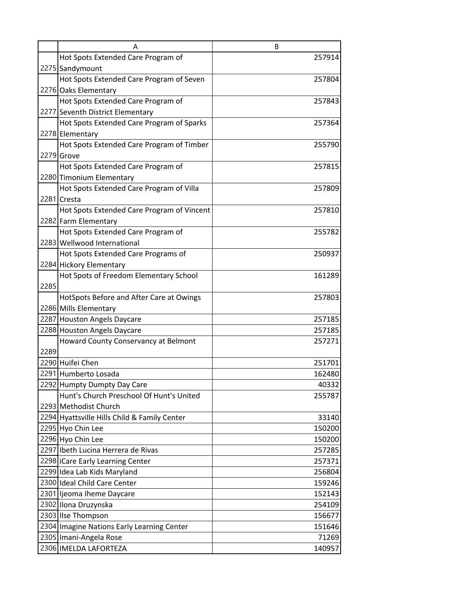|      | А                                                               | B                |
|------|-----------------------------------------------------------------|------------------|
|      | Hot Spots Extended Care Program of                              | 257914           |
|      | 2275 Sandymount                                                 |                  |
|      | Hot Spots Extended Care Program of Seven                        | 257804           |
|      | 2276 Oaks Elementary                                            |                  |
|      | Hot Spots Extended Care Program of                              | 257843           |
|      | 2277 Seventh District Elementary                                |                  |
|      | Hot Spots Extended Care Program of Sparks                       | 257364           |
|      | 2278 Elementary                                                 |                  |
|      | Hot Spots Extended Care Program of Timber                       | 255790           |
|      | 2279 Grove                                                      |                  |
|      | Hot Spots Extended Care Program of                              | 257815           |
|      | 2280 Timonium Elementary                                        |                  |
|      | Hot Spots Extended Care Program of Villa                        | 257809           |
|      | 2281 Cresta                                                     |                  |
|      | Hot Spots Extended Care Program of Vincent                      | 257810           |
|      | 2282 Farm Elementary                                            |                  |
|      | Hot Spots Extended Care Program of                              | 255782           |
|      | 2283 Wellwood International                                     |                  |
|      | Hot Spots Extended Care Programs of                             | 250937           |
|      | 2284 Hickory Elementary                                         |                  |
|      | Hot Spots of Freedom Elementary School                          | 161289           |
| 2285 |                                                                 |                  |
|      | HotSpots Before and After Care at Owings                        | 257803           |
|      | 2286 Mills Elementary                                           |                  |
|      | 2287 Houston Angels Daycare                                     | 257185           |
|      | 2288 Houston Angels Daycare                                     | 257185           |
|      | Howard County Conservancy at Belmont                            | 257271           |
| 2289 |                                                                 |                  |
|      | 2290 Huifei Chen                                                | 251701           |
|      | 2291 Humberto Losada                                            | 162480           |
|      | 2292 Humpty Dumpty Day Care                                     | 40332            |
|      | Hunt's Church Preschool Of Hunt's United                        | 255787           |
|      | 2293 Methodist Church                                           |                  |
|      | 2294 Hyattsville Hills Child & Family Center                    | 33140            |
|      | 2295 Hyo Chin Lee                                               | 150200           |
|      | 2296 Hyo Chin Lee<br>2297 Ibeth Lucina Herrera de Rivas         | 150200           |
|      |                                                                 | 257285<br>257371 |
|      | 2298 ICare Early Learning Center<br>2299 Idea Lab Kids Maryland | 256804           |
|      | 2300 Ideal Child Care Center                                    |                  |
|      | 2301 ljeoma Iheme Daycare                                       | 159246<br>152143 |
|      | 2302 Ilona Druzynska                                            | 254109           |
|      | 2303 Ilse Thompson                                              | 156677           |
|      | 2304 Imagine Nations Early Learning Center                      | 151646           |
|      | 2305 Imani-Angela Rose                                          | 71269            |
|      | 2306 IMELDA LAFORTEZA                                           | 140957           |
|      |                                                                 |                  |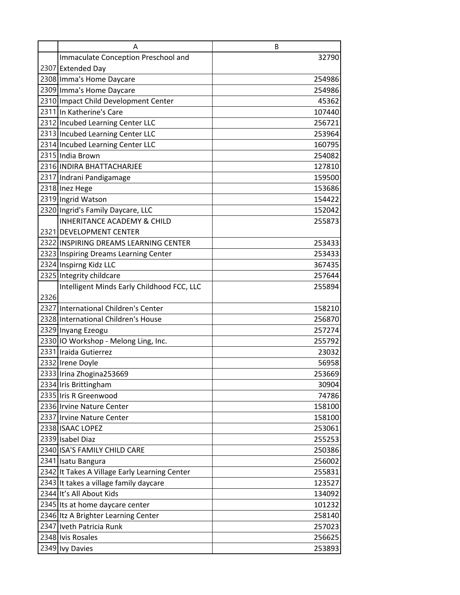|      | Α                                             | B      |
|------|-----------------------------------------------|--------|
|      | Immaculate Conception Preschool and           | 32790  |
|      | 2307 Extended Day                             |        |
|      | 2308 Imma's Home Daycare                      | 254986 |
|      | 2309 Imma's Home Daycare                      | 254986 |
|      | 2310 Impact Child Development Center          | 45362  |
|      | 2311 In Katherine's Care                      | 107440 |
|      | 2312 Incubed Learning Center LLC              | 256721 |
|      | 2313 Incubed Learning Center LLC              | 253964 |
|      | 2314 Incubed Learning Center LLC              | 160795 |
|      | 2315 India Brown                              | 254082 |
|      | 2316 INDIRA BHATTACHARJEE                     | 127810 |
|      | 2317 Indrani Pandigamage                      | 159500 |
|      | 2318 Inez Hege                                | 153686 |
|      | 2319 Ingrid Watson                            | 154422 |
|      | 2320 Ingrid's Family Daycare, LLC             | 152042 |
|      | <b>INHERITANCE ACADEMY &amp; CHILD</b>        | 255873 |
|      | 2321 DEVELOPMENT CENTER                       |        |
|      | 2322 INSPIRING DREAMS LEARNING CENTER         | 253433 |
|      | 2323 Inspiring Dreams Learning Center         | 253433 |
|      | 2324 Inspirng Kidz LLC                        | 367435 |
|      | 2325 Integrity childcare                      | 257644 |
|      | Intelligent Minds Early Childhood FCC, LLC    | 255894 |
| 2326 |                                               |        |
|      | 2327 International Children's Center          | 158210 |
|      | 2328 International Children's House           | 256870 |
|      | 2329 Inyang Ezeogu                            | 257274 |
|      | 2330 IO Workshop - Melong Ling, Inc.          | 255792 |
|      | 2331 Iraida Gutierrez                         | 23032  |
|      | 2332 Irene Doyle                              | 56958  |
|      | 2333 Irina Zhogina 253669                     | 253669 |
|      | 2334 Iris Brittingham                         | 30904  |
|      | 2335 Iris R Greenwood                         | 74786  |
|      | 2336 Irvine Nature Center                     | 158100 |
|      | 2337 Irvine Nature Center                     | 158100 |
|      | 2338 ISAAC LOPEZ                              | 253061 |
|      | 2339 Isabel Diaz                              | 255253 |
|      | 2340 ISA'S FAMILY CHILD CARE                  | 250386 |
|      | 2341 Isatu Bangura                            | 256002 |
|      | 2342 It Takes A Village Early Learning Center | 255831 |
|      | 2343 It takes a village family daycare        | 123527 |
|      | 2344 It's All About Kids                      | 134092 |
|      | 2345 Its at home daycare center               | 101232 |
|      | 2346 Itz A Brighter Learning Center           | 258140 |
|      | 2347 Iveth Patricia Runk                      | 257023 |
|      | 2348 Ivis Rosales                             | 256625 |
|      | 2349 Ivy Davies                               | 253893 |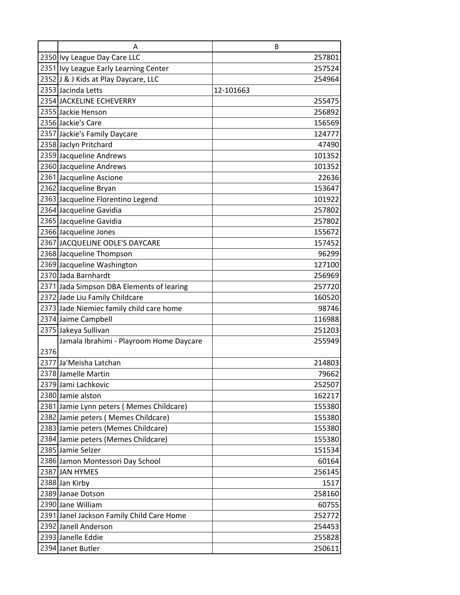|      | A                                         | B         |
|------|-------------------------------------------|-----------|
|      | 2350 Ivy League Day Care LLC              | 257801    |
|      | 2351 Ivy League Early Learning Center     | 257524    |
|      | 2352 J & J Kids at Play Daycare, LLC      | 254964    |
|      | 2353 Jacinda Letts                        | 12-101663 |
|      | 2354 JACKELINE ECHEVERRY                  | 255475    |
|      | 2355 Jackie Henson                        | 256892    |
|      | 2356 Jackie's Care                        | 156569    |
|      | 2357 Jackie's Family Daycare              | 124777    |
|      | 2358 Jaclyn Pritchard                     | 47490     |
|      | 2359 Jacqueline Andrews                   | 101352    |
|      | 2360 Jacqueline Andrews                   | 101352    |
|      | 2361 Jacqueline Ascione                   | 22636     |
|      | 2362 Jacqueline Bryan                     | 153647    |
|      | 2363 Jacqueline Florentino Legend         | 101922    |
|      | 2364 Jacqueline Gavidia                   | 257802    |
|      | 2365 Jacqueline Gavidia                   | 257802    |
|      | 2366 Jacqueline Jones                     | 155672    |
|      | 2367 JACQUELINE ODLE'S DAYCARE            | 157452    |
|      | 2368 Jacqueline Thompson                  | 96299     |
|      | 2369 Jacqueline Washington                | 127100    |
|      | 2370 Jada Barnhardt                       | 256969    |
|      | 2371 Jada Simpson DBA Elements of learing | 257720    |
|      | 2372 Jade Liu Family Childcare            | 160520    |
|      | 2373 Jade Niemiec family child care home  | 98746     |
|      | 2374 Jaime Campbell                       | 116988    |
|      | 2375 Jakeya Sullivan                      | 251203    |
|      | Jamala Ibrahimi - Playroom Home Daycare   | 255949    |
| 2376 |                                           |           |
|      | 2377 Ja'Meisha Latchan                    | 214803    |
|      | 2378 Jamelle Martin                       | 79662     |
|      | 2379 Jami Lachkovic                       | 252507    |
|      | 2380 Jamie alston                         | 162217    |
|      | 2381 Jamie Lynn peters (Memes Childcare)  | 155380    |
|      | 2382 Jamie peters (Memes Childcare)       | 155380    |
|      | 2383 Jamie peters (Memes Childcare)       | 155380    |
|      | 2384 Jamie peters (Memes Childcare)       | 155380    |
|      | 2385 Jamie Selzer                         | 151534    |
|      | 2386 Jamon Montessori Day School          | 60164     |
|      | 2387 JAN HYMES                            | 256145    |
|      | 2388 Jan Kirby                            | 1517      |
|      | 2389 Janae Dotson                         | 258160    |
|      | 2390 Jane William                         | 60755     |
|      | 2391 Janel Jackson Family Child Care Home | 252772    |
|      | 2392 Janell Anderson                      | 254453    |
|      | 2393 Janelle Eddie                        | 255828    |
|      | 2394 Janet Butler                         | 250611    |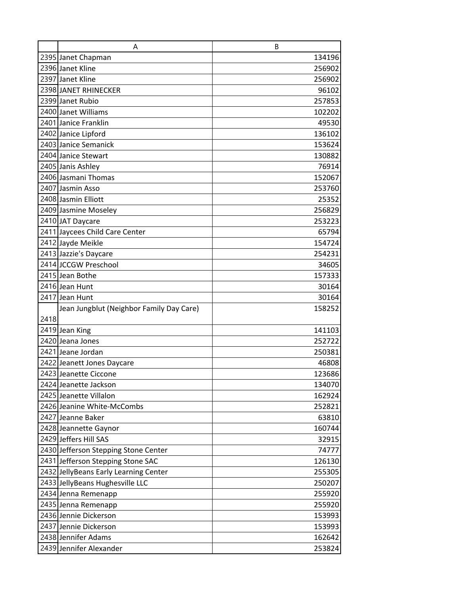|      | A                                        | B      |
|------|------------------------------------------|--------|
|      | 2395 Janet Chapman                       | 134196 |
|      | 2396 Janet Kline                         | 256902 |
|      | 2397 Janet Kline                         | 256902 |
|      | 2398 JANET RHINECKER                     | 96102  |
|      | 2399 Janet Rubio                         | 257853 |
|      | 2400 Janet Williams                      | 102202 |
|      | 2401 Janice Franklin                     | 49530  |
|      | 2402 Janice Lipford                      | 136102 |
|      | 2403 Janice Semanick                     | 153624 |
|      | 2404 Janice Stewart                      | 130882 |
|      | 2405 Janis Ashley                        | 76914  |
|      | 2406 Jasmani Thomas                      | 152067 |
|      | 2407 Jasmin Asso                         | 253760 |
|      | 2408 Jasmin Elliott                      | 25352  |
|      | 2409 Jasmine Moseley                     | 256829 |
|      | 2410 JAT Daycare                         | 253223 |
|      | 2411 Jaycees Child Care Center           | 65794  |
|      | 2412 Jayde Meikle                        | 154724 |
|      | 2413 Jazzie's Daycare                    | 254231 |
|      | 2414 JCCGW Preschool                     | 34605  |
|      | 2415 Jean Bothe                          | 157333 |
|      | 2416 Jean Hunt                           | 30164  |
|      | 2417 Jean Hunt                           | 30164  |
|      | Jean Jungblut (Neighbor Family Day Care) | 158252 |
| 2418 |                                          |        |
|      | 2419 Jean King                           | 141103 |
|      | 2420 Jeana Jones                         | 252722 |
|      | 2421 Jeane Jordan                        | 250381 |
|      | 2422 Jeanett Jones Daycare               | 46808  |
|      | 2423 Jeanette Ciccone                    | 123686 |
|      | 2424 Jeanette Jackson                    | 134070 |
|      | 2425 Jeanette Villalon                   | 162924 |
|      | 2426 Jeanine White-McCombs               | 252821 |
|      | 2427 Jeanne Baker                        | 63810  |
|      | 2428 Jeannette Gaynor                    | 160744 |
|      | 2429 Jeffers Hill SAS                    | 32915  |
|      | 2430 Jefferson Stepping Stone Center     | 74777  |
|      | 2431 Jefferson Stepping Stone SAC        | 126130 |
|      | 2432 Jelly Beans Early Learning Center   | 255305 |
|      | 2433 JellyBeans Hughesville LLC          | 250207 |
|      | 2434 Jenna Remenapp                      | 255920 |
|      | 2435 Jenna Remenapp                      | 255920 |
|      | 2436 Jennie Dickerson                    | 153993 |
|      | 2437 Jennie Dickerson                    | 153993 |
|      | 2438 Jennifer Adams                      | 162642 |
|      | 2439 Jennifer Alexander                  | 253824 |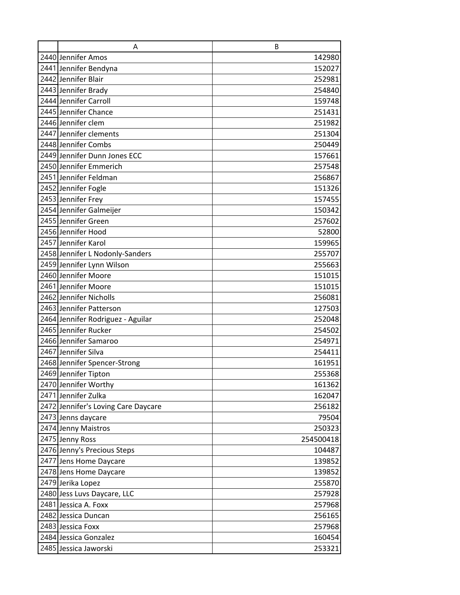| A                                   | B         |
|-------------------------------------|-----------|
| 2440 Jennifer Amos                  | 142980    |
| 2441 Jennifer Bendyna               | 152027    |
| 2442 Jennifer Blair                 | 252981    |
| 2443 Jennifer Brady                 | 254840    |
| 2444 Jennifer Carroll               | 159748    |
| 2445 Jennifer Chance                | 251431    |
| 2446 Jennifer clem                  | 251982    |
| 2447 Jennifer clements              | 251304    |
| 2448 Jennifer Combs                 | 250449    |
| 2449 Jennifer Dunn Jones ECC        | 157661    |
| 2450 Jennifer Emmerich              | 257548    |
| 2451 Jennifer Feldman               | 256867    |
| 2452 Jennifer Fogle                 | 151326    |
| 2453 Jennifer Frey                  | 157455    |
| 2454 Jennifer Galmeijer             | 150342    |
| 2455 Jennifer Green                 | 257602    |
| 2456 Jennifer Hood                  | 52800     |
| 2457 Jennifer Karol                 | 159965    |
| 2458 Jennifer L Nodonly-Sanders     | 255707    |
| 2459 Jennifer Lynn Wilson           | 255663    |
| 2460 Jennifer Moore                 | 151015    |
| 2461 Jennifer Moore                 | 151015    |
| 2462 Jennifer Nicholls              | 256081    |
| 2463 Jennifer Patterson             | 127503    |
| 2464 Jennifer Rodriguez - Aguilar   | 252048    |
| 2465 Jennifer Rucker                | 254502    |
| 2466 Jennifer Samaroo               | 254971    |
| 2467 Jennifer Silva                 | 254411    |
| 2468 Jennifer Spencer-Strong        | 161951    |
| 2469 Jennifer Tipton                | 255368    |
| 2470 Jennifer Worthy                | 161362    |
| 2471 Jennifer Zulka                 | 162047    |
| 2472 Jennifer's Loving Care Daycare | 256182    |
| 2473 Jenns daycare                  | 79504     |
| 2474 Jenny Maistros                 | 250323    |
| 2475 Jenny Ross                     | 254500418 |
| 2476 Jenny's Precious Steps         | 104487    |
| 2477 Jens Home Daycare              | 139852    |
| 2478 Jens Home Daycare              | 139852    |
| 2479 Jerika Lopez                   | 255870    |
| 2480 Jess Luvs Daycare, LLC         | 257928    |
| 2481 Jessica A. Foxx                | 257968    |
| 2482 Jessica Duncan                 | 256165    |
| 2483 Jessica Foxx                   | 257968    |
| 2484 Jessica Gonzalez               | 160454    |
| 2485 Jessica Jaworski               | 253321    |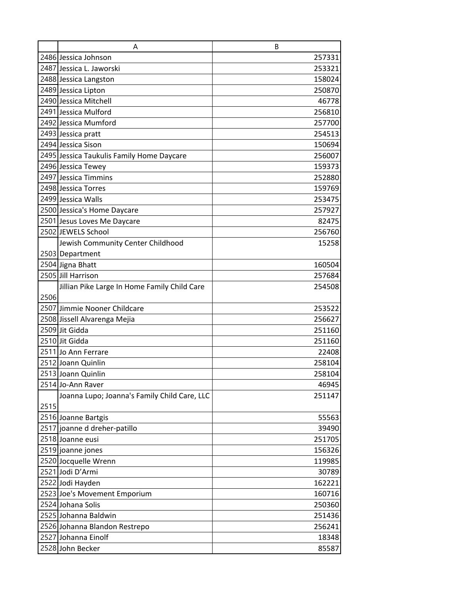|      | A                                            | B      |
|------|----------------------------------------------|--------|
|      | 2486 Jessica Johnson                         | 257331 |
|      | 2487 Jessica L. Jaworski                     | 253321 |
|      | 2488 Jessica Langston                        | 158024 |
|      | 2489 Jessica Lipton                          | 250870 |
|      | 2490 Jessica Mitchell                        | 46778  |
|      | 2491 Jessica Mulford                         | 256810 |
|      | 2492 Jessica Mumford                         | 257700 |
|      | 2493 Jessica pratt                           | 254513 |
|      | 2494 Jessica Sison                           | 150694 |
|      | 2495 Jessica Taukulis Family Home Daycare    | 256007 |
|      | 2496 Jessica Tewey                           | 159373 |
|      | 2497 Jessica Timmins                         | 252880 |
|      | 2498 Jessica Torres                          | 159769 |
|      | 2499 Jessica Walls                           | 253475 |
|      | 2500 Jessica's Home Daycare                  | 257927 |
|      | 2501 Jesus Loves Me Daycare                  | 82475  |
|      | 2502 JEWELS School                           | 256760 |
|      | Jewish Community Center Childhood            | 15258  |
|      | 2503 Department                              |        |
|      | 2504 Jigna Bhatt                             | 160504 |
|      | 2505 Jill Harrison                           | 257684 |
|      | Jillian Pike Large In Home Family Child Care | 254508 |
| 2506 |                                              |        |
|      | 2507 Jimmie Nooner Childcare                 | 253522 |
|      | 2508 Jissell Alvarenga Mejia                 | 256627 |
|      | 2509 Jit Gidda                               | 251160 |
|      | 2510 Jit Gidda                               | 251160 |
|      | 2511 Jo Ann Ferrare                          | 22408  |
|      | 2512 Joann Quinlin                           | 258104 |
|      | 2513 Joann Quinlin                           | 258104 |
|      | 2514 Jo-Ann Raver                            | 46945  |
| 2515 | Joanna Lupo; Joanna's Family Child Care, LLC | 251147 |
|      | 2516 Joanne Bartgis                          | 55563  |
|      | 2517 joanne d dreher-patillo                 | 39490  |
|      | 2518 Joanne eusi                             | 251705 |
|      | 2519 joanne jones                            | 156326 |
|      | 2520 Jocquelle Wrenn                         | 119985 |
|      | 2521 Jodi D'Armi                             | 30789  |
|      | 2522 Jodi Hayden                             | 162221 |
|      | 2523 Joe's Movement Emporium                 | 160716 |
|      | 2524 Johana Solis                            | 250360 |
|      | 2525 Johanna Baldwin                         | 251436 |
|      | 2526 Johanna Blandon Restrepo                | 256241 |
|      | 2527 Johanna Einolf                          | 18348  |
|      | 2528 John Becker                             | 85587  |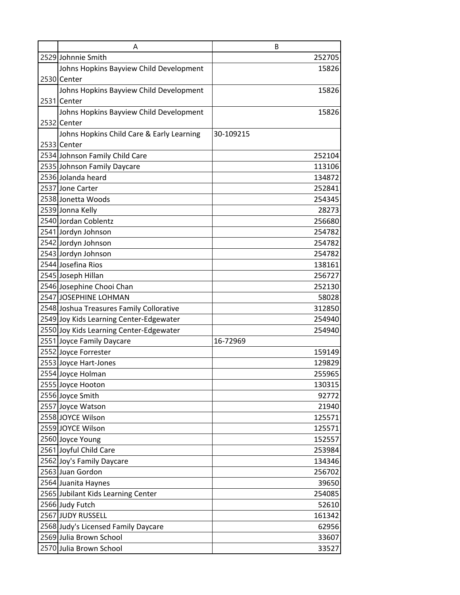| A                                         | B         |
|-------------------------------------------|-----------|
| 2529 Johnnie Smith                        | 252705    |
| Johns Hopkins Bayview Child Development   | 15826     |
| 2530 Center                               |           |
| Johns Hopkins Bayview Child Development   | 15826     |
| 2531 Center                               |           |
| Johns Hopkins Bayview Child Development   | 15826     |
| 2532 Center                               |           |
| Johns Hopkins Child Care & Early Learning | 30-109215 |
| 2533 Center                               |           |
| 2534 Johnson Family Child Care            | 252104    |
| 2535 Johnson Family Daycare               | 113106    |
| 2536 Jolanda heard                        | 134872    |
| 2537 Jone Carter                          | 252841    |
| 2538 Jonetta Woods                        | 254345    |
| 2539 Jonna Kelly                          | 28273     |
| 2540 Jordan Coblentz                      | 256680    |
| 2541 Jordyn Johnson                       | 254782    |
| 2542 Jordyn Johnson                       | 254782    |
| 2543 Jordyn Johnson                       | 254782    |
| 2544 Josefina Rios                        | 138161    |
| 2545 Joseph Hillan                        | 256727    |
| 2546 Josephine Chooi Chan                 | 252130    |
| 2547 JOSEPHINE LOHMAN                     | 58028     |
| 2548 Joshua Treasures Family Collorative  | 312850    |
| 2549 Joy Kids Learning Center-Edgewater   | 254940    |
| 2550 Joy Kids Learning Center-Edgewater   | 254940    |
| 2551 Joyce Family Daycare                 | 16-72969  |
| 2552 Joyce Forrester                      | 159149    |
| 2553 Joyce Hart-Jones                     | 129829    |
| 2554 Joyce Holman                         | 255965    |
| 2555 Joyce Hooton                         | 130315    |
| 2556 Joyce Smith                          | 92772     |
| 2557 Joyce Watson                         | 21940     |
| 2558 JOYCE Wilson                         | 125571    |
| 2559 JOYCE Wilson                         | 125571    |
| 2560 Joyce Young                          | 152557    |
| 2561 Joyful Child Care                    | 253984    |
| 2562 Joy's Family Daycare                 | 134346    |
| 2563 Juan Gordon                          | 256702    |
| 2564 Juanita Haynes                       | 39650     |
| 2565 Jubilant Kids Learning Center        | 254085    |
| 2566 Judy Futch                           | 52610     |
| 2567 JUDY RUSSELL                         | 161342    |
| 2568 Judy's Licensed Family Daycare       | 62956     |
| 2569 Julia Brown School                   | 33607     |
| 2570 Julia Brown School                   | 33527     |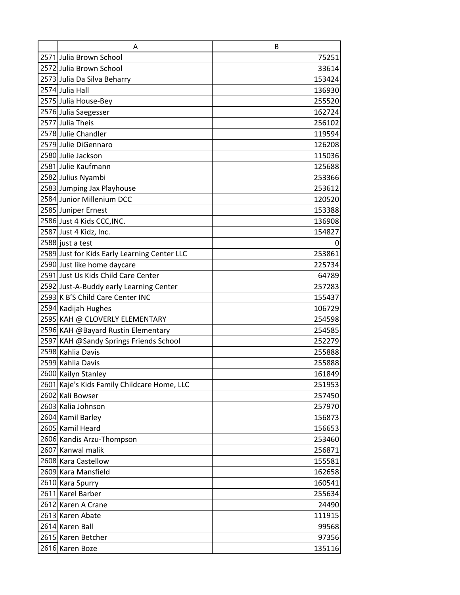| A                                            | B      |
|----------------------------------------------|--------|
| 2571 Julia Brown School                      | 75251  |
| 2572 Julia Brown School                      | 33614  |
| 2573 Julia Da Silva Beharry                  | 153424 |
| 2574 Julia Hall                              | 136930 |
| 2575 Julia House-Bey                         | 255520 |
| 2576 Julia Saegesser                         | 162724 |
| 2577 Julia Theis                             | 256102 |
| 2578 Julie Chandler                          | 119594 |
| 2579 Julie DiGennaro                         | 126208 |
| 2580 Julie Jackson                           | 115036 |
| 2581 Julie Kaufmann                          | 125688 |
| 2582 Julius Nyambi                           | 253366 |
| 2583 Jumping Jax Playhouse                   | 253612 |
| 2584 Junior Millenium DCC                    | 120520 |
| 2585 Juniper Ernest                          | 153388 |
| 2586 Just 4 Kids CCC, INC.                   | 136908 |
| 2587 Just 4 Kidz, Inc.                       | 154827 |
| 2588 just a test                             | 0      |
| 2589 Just for Kids Early Learning Center LLC | 253861 |
| 2590 Just like home daycare                  | 225734 |
| 2591 Just Us Kids Child Care Center          | 64789  |
| 2592 Just-A-Buddy early Learning Center      | 257283 |
| 2593 K B'S Child Care Center INC             | 155437 |
| 2594 Kadijah Hughes                          | 106729 |
| 2595 KAH @ CLOVERLY ELEMENTARY               | 254598 |
| 2596 KAH @Bayard Rustin Elementary           | 254585 |
| 2597 KAH @Sandy Springs Friends School       | 252279 |
| 2598 Kahlia Davis                            | 255888 |
| 2599 Kahlia Davis                            | 255888 |
| 2600 Kailyn Stanley                          | 161849 |
| 2601 Kaje's Kids Family Childcare Home, LLC  | 251953 |
| 2602 Kali Bowser                             | 257450 |
| 2603 Kalia Johnson                           | 257970 |
| 2604 Kamil Barley                            | 156873 |
| 2605 Kamil Heard                             | 156653 |
| 2606 Kandis Arzu-Thompson                    | 253460 |
| 2607 Kanwal malik                            | 256871 |
| 2608 Kara Castellow                          | 155581 |
| 2609 Kara Mansfield                          | 162658 |
| 2610 Kara Spurry                             | 160541 |
| 2611 Karel Barber                            | 255634 |
| 2612 Karen A Crane                           | 24490  |
| 2613 Karen Abate                             | 111915 |
| 2614 Karen Ball                              | 99568  |
| 2615 Karen Betcher                           | 97356  |
| 2616 Karen Boze                              | 135116 |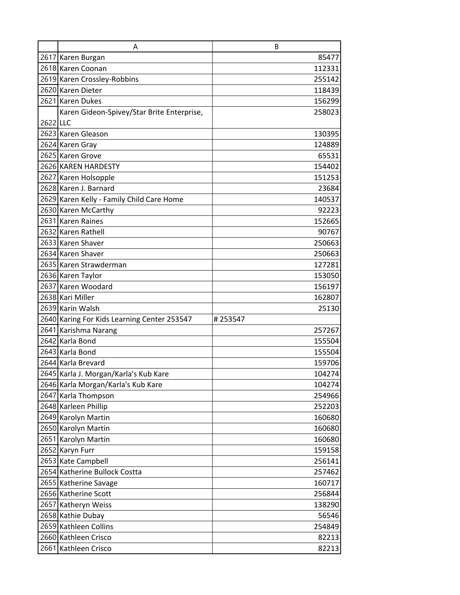|          | A                                           | B       |
|----------|---------------------------------------------|---------|
|          | 2617 Karen Burgan                           | 85477   |
|          | 2618 Karen Coonan                           | 112331  |
|          | 2619 Karen Crossley-Robbins                 | 255142  |
|          | 2620 Karen Dieter                           | 118439  |
|          | 2621 Karen Dukes                            | 156299  |
|          | Karen Gideon-Spivey/Star Brite Enterprise,  | 258023  |
| 2622 LLC |                                             |         |
|          | 2623 Karen Gleason                          | 130395  |
|          | 2624 Karen Gray                             | 124889  |
|          | 2625 Karen Grove                            | 65531   |
|          | 2626 KAREN HARDESTY                         | 154402  |
|          | 2627 Karen Holsopple                        | 151253  |
|          | 2628 Karen J. Barnard                       | 23684   |
|          | 2629 Karen Kelly - Family Child Care Home   | 140537  |
|          | 2630 Karen McCarthy                         | 92223   |
|          | 2631 Karen Raines                           | 152665  |
|          | 2632 Karen Rathell                          | 90767   |
|          | 2633 Karen Shaver                           | 250663  |
|          | 2634 Karen Shaver                           | 250663  |
|          | 2635 Karen Strawderman                      | 127281  |
|          | 2636 Karen Taylor                           | 153050  |
|          | 2637 Karen Woodard                          | 156197  |
|          | 2638 Kari Miller                            | 162807  |
|          | 2639 Karin Walsh                            | 25130   |
|          | 2640 Karing For Kids Learning Center 253547 | #253547 |
|          | 2641 Karishma Narang                        | 257267  |
|          | 2642 Karla Bond                             | 155504  |
|          | 2643 Karla Bond                             | 155504  |
|          | 2644 Karla Brevard                          | 159706  |
|          | 2645 Karla J. Morgan/Karla's Kub Kare       | 104274  |
|          | 2646 Karla Morgan/Karla's Kub Kare          | 104274  |
|          | 2647 Karla Thompson                         | 254966  |
|          | 2648 Karleen Phillip                        | 252203  |
|          | 2649 Karolyn Martin                         | 160680  |
|          | 2650 Karolyn Martin                         | 160680  |
|          | 2651 Karolyn Martin                         | 160680  |
|          | 2652 Karyn Furr                             | 159158  |
|          | 2653 Kate Campbell                          | 256141  |
|          | 2654 Katherine Bullock Costta               | 257462  |
|          | 2655 Katherine Savage                       | 160717  |
|          | 2656 Katherine Scott                        | 256844  |
|          | 2657 Katheryn Weiss                         | 138290  |
|          | 2658 Kathie Dubay                           | 56546   |
|          | 2659 Kathleen Collins                       | 254849  |
|          | 2660 Kathleen Crisco                        | 82213   |
|          | 2661 Kathleen Crisco                        | 82213   |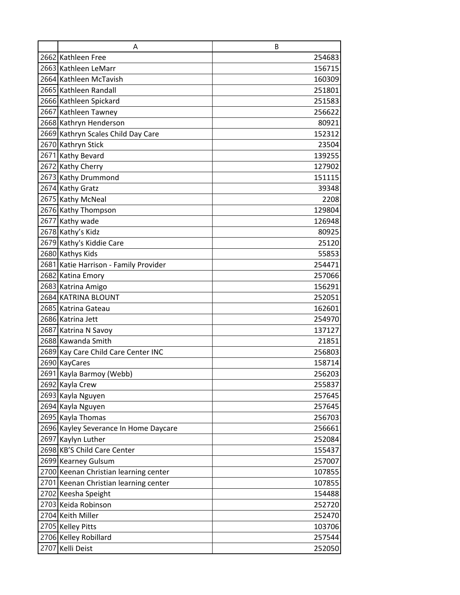| A                                                 | B                |
|---------------------------------------------------|------------------|
| 2662 Kathleen Free                                | 254683           |
| 2663 Kathleen LeMarr                              | 156715           |
| 2664 Kathleen McTavish                            | 160309           |
| 2665 Kathleen Randall                             | 251801           |
| 2666 Kathleen Spickard                            | 251583           |
| 2667 Kathleen Tawney                              | 256622           |
| 2668 Kathryn Henderson                            | 80921            |
| 2669 Kathryn Scales Child Day Care                | 152312           |
| 2670 Kathryn Stick                                | 23504            |
| 2671 Kathy Bevard                                 | 139255           |
| 2672 Kathy Cherry                                 | 127902           |
| 2673 Kathy Drummond                               | 151115           |
| 2674 Kathy Gratz                                  | 39348            |
| 2675 Kathy McNeal                                 | 2208             |
| 2676 Kathy Thompson                               | 129804           |
| 2677 Kathy wade                                   | 126948           |
| 2678 Kathy's Kidz                                 | 80925            |
| 2679 Kathy's Kiddie Care                          | 25120            |
| 2680 Kathys Kids                                  | 55853            |
| 2681 Katie Harrison - Family Provider             | 254471           |
| 2682 Katina Emory                                 | 257066           |
| 2683 Katrina Amigo                                | 156291           |
| 2684 KATRINA BLOUNT                               | 252051           |
| 2685 Katrina Gateau                               | 162601           |
| 2686 Katrina Jett                                 | 254970           |
| 2687 Katrina N Savoy                              | 137127           |
| 2688 Kawanda Smith                                | 21851            |
| 2689 Kay Care Child Care Center INC               | 256803           |
| 2690 KayCares                                     | 158714           |
| 2691 Kayla Barmoy (Webb)                          | 256203           |
| 2692 Kayla Crew                                   | 255837           |
| 2693 Kayla Nguyen                                 | 257645           |
| 2694 Kayla Nguyen                                 | 257645           |
| 2695 Kayla Thomas                                 | 256703           |
| 2696 Kayley Severance In Home Daycare             | 256661           |
| 2697 Kaylyn Luther<br>2698 KB'S Child Care Center | 252084           |
|                                                   | 155437           |
| 2699 Kearney Gulsum                               | 257007           |
| 2700 Keenan Christian learning center             | 107855           |
| 2701 Keenan Christian learning center             | 107855<br>154488 |
| 2702 Keesha Speight<br>2703 Keida Robinson        |                  |
| 2704 Keith Miller                                 | 252720<br>252470 |
| 2705 Kelley Pitts                                 | 103706           |
| 2706 Kelley Robillard                             | 257544           |
| 2707 Kelli Deist                                  | 252050           |
|                                                   |                  |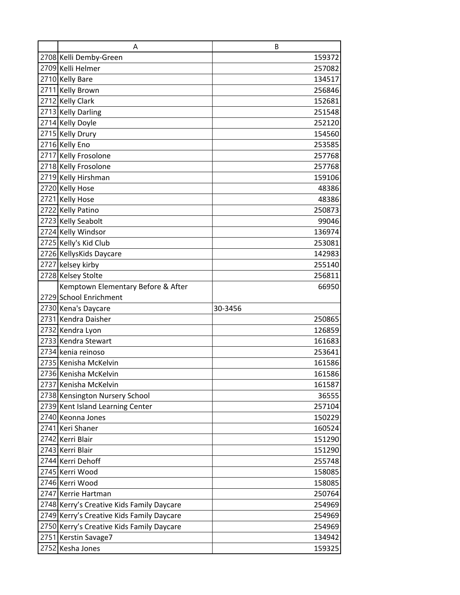| Α                                         | B                |
|-------------------------------------------|------------------|
| 2708 Kelli Demby-Green                    | 159372           |
| 2709 Kelli Helmer                         | 257082           |
| 2710 Kelly Bare                           | 134517           |
| 2711 Kelly Brown                          | 256846           |
| 2712 Kelly Clark                          | 152681           |
| 2713 Kelly Darling                        | 251548           |
| 2714 Kelly Doyle                          | 252120           |
| 2715 Kelly Drury                          | 154560           |
| 2716 Kelly Eno                            | 253585           |
| 2717 Kelly Frosolone                      | 257768           |
| 2718 Kelly Frosolone                      | 257768           |
| 2719 Kelly Hirshman                       | 159106           |
| 2720 Kelly Hose                           | 48386            |
| 2721 Kelly Hose                           | 48386            |
| 2722 Kelly Patino                         | 250873           |
| 2723 Kelly Seabolt                        | 99046            |
| 2724 Kelly Windsor                        | 136974           |
| 2725 Kelly's Kid Club                     | 253081           |
| 2726 KellysKids Daycare                   | 142983           |
| 2727 kelsey kirby                         | 255140           |
| 2728 Kelsey Stolte                        | 256811           |
| Kemptown Elementary Before & After        | 66950            |
| 2729 School Enrichment                    |                  |
|                                           |                  |
| 2730 Kena's Daycare                       | 30-3456          |
| 2731 Kendra Daisher                       | 250865           |
| 2732 Kendra Lyon                          | 126859           |
| 2733 Kendra Stewart                       | 161683           |
| 2734 kenia reinoso                        | 253641           |
| 2735 Kenisha McKelvin                     | 161586           |
| 2736 Kenisha McKelvin                     | 161586           |
| 2737 Kenisha McKelvin                     | 161587           |
| 2738 Kensington Nursery School            | 36555            |
| 2739 Kent Island Learning Center          | 257104           |
| 2740 Keonna Jones                         | 150229           |
| 2741 Keri Shaner                          | 160524           |
| 2742 Kerri Blair                          | 151290           |
| 2743 Kerri Blair                          | 151290           |
| 2744 Kerri Dehoff                         | 255748           |
| 2745 Kerri Wood                           | 158085           |
| 2746 Kerri Wood                           | 158085           |
| 2747 Kerrie Hartman                       | 250764           |
| 2748 Kerry's Creative Kids Family Daycare | 254969           |
| 2749 Kerry's Creative Kids Family Daycare | 254969           |
| 2750 Kerry's Creative Kids Family Daycare | 254969           |
| 2751 Kerstin Savage7<br>2752 Kesha Jones  | 134942<br>159325 |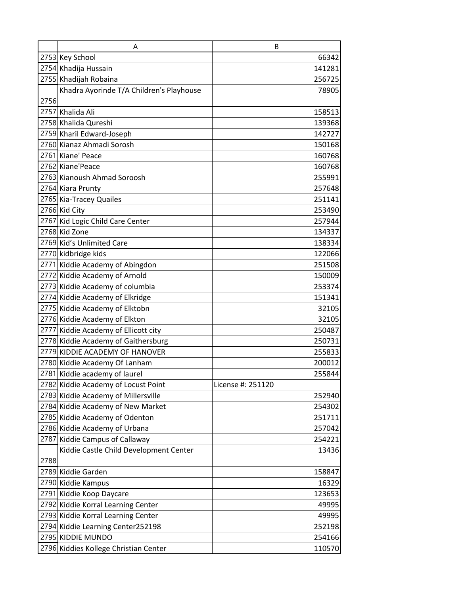|      | A                                        | B                 |
|------|------------------------------------------|-------------------|
|      | 2753 Key School                          | 66342             |
|      | 2754 Khadija Hussain                     | 141281            |
|      | 2755 Khadijah Robaina                    | 256725            |
|      | Khadra Ayorinde T/A Children's Playhouse | 78905             |
| 2756 |                                          |                   |
|      | 2757 Khalida Ali                         | 158513            |
|      | 2758 Khalida Qureshi                     | 139368            |
|      | 2759 Kharil Edward-Joseph                | 142727            |
|      | 2760 Kianaz Ahmadi Sorosh                | 150168            |
|      | 2761 Kiane' Peace                        | 160768            |
|      | 2762 Kiane'Peace                         | 160768            |
|      | 2763 Kianoush Ahmad Soroosh              | 255991            |
|      | 2764 Kiara Prunty                        | 257648            |
|      | 2765 Kia-Tracey Quailes                  | 251141            |
|      | 2766 Kid City                            | 253490            |
|      | 2767 Kid Logic Child Care Center         | 257944            |
|      | 2768 Kid Zone                            | 134337            |
|      | 2769 Kid's Unlimited Care                | 138334            |
|      | 2770 kidbridge kids                      | 122066            |
|      | 2771 Kiddie Academy of Abingdon          | 251508            |
|      | 2772 Kiddie Academy of Arnold            | 150009            |
|      | 2773 Kiddie Academy of columbia          | 253374            |
|      | 2774 Kiddie Academy of Elkridge          | 151341            |
|      | 2775 Kiddie Academy of Elktobn           | 32105             |
|      | 2776 Kiddie Academy of Elkton            | 32105             |
|      | 2777 Kiddie Academy of Ellicott city     | 250487            |
|      | 2778 Kiddie Academy of Gaithersburg      | 250731            |
|      | 2779 KIDDIE ACADEMY OF HANOVER           | 255833            |
|      | 2780 Kiddie Academy Of Lanham            | 200012            |
|      | 2781 Kiddie academy of laurel            | 255844            |
|      | 2782 Kiddie Academy of Locust Point      | License #: 251120 |
|      | 2783 Kiddie Academy of Millersville      | 252940            |
|      | 2784 Kiddie Academy of New Market        | 254302            |
|      | 2785 Kiddie Academy of Odenton           | 251711            |
|      | 2786 Kiddie Academy of Urbana            | 257042            |
|      | 2787 Kiddie Campus of Callaway           | 254221            |
|      | Kiddie Castle Child Development Center   | 13436             |
| 2788 |                                          |                   |
|      | 2789 Kiddie Garden                       | 158847            |
|      | 2790 Kiddie Kampus                       | 16329             |
|      | 2791 Kiddie Koop Daycare                 | 123653            |
|      | 2792 Kiddie Korral Learning Center       | 49995             |
|      | 2793 Kiddie Korral Learning Center       | 49995             |
|      | 2794 Kiddie Learning Center252198        | 252198            |
|      | 2795 KIDDIE MUNDO                        | 254166            |
|      | 2796 Kiddies Kollege Christian Center    | 110570            |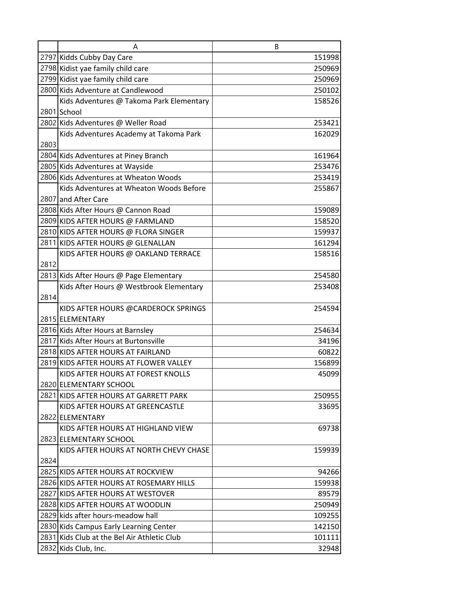|      | A                                                                           | B               |
|------|-----------------------------------------------------------------------------|-----------------|
|      | 2797 Kidds Cubby Day Care                                                   | 151998          |
|      | 2798 Kidist yae family child care                                           | 250969          |
|      | 2799 Kidist yae family child care                                           | 250969          |
|      | 2800 Kids Adventure at Candlewood                                           | 250102          |
|      | Kids Adventures @ Takoma Park Elementary                                    | 158526          |
|      | 2801 School                                                                 |                 |
|      | 2802 Kids Adventures @ Weller Road                                          | 253421          |
|      | Kids Adventures Academy at Takoma Park                                      | 162029          |
| 2803 |                                                                             |                 |
|      | 2804 Kids Adventures at Piney Branch                                        | 161964          |
|      | 2805 Kids Adventures at Wayside                                             | 253476          |
|      | 2806 Kids Adventures at Wheaton Woods                                       | 253419          |
|      | Kids Adventures at Wheaton Woods Before                                     | 255867          |
|      | 2807 and After Care                                                         |                 |
|      | 2808 Kids After Hours @ Cannon Road                                         | 159089          |
|      | 2809 KIDS AFTER HOURS @ FARMLAND                                            | 158520          |
|      | 2810 KIDS AFTER HOURS @ FLORA SINGER                                        | 159937          |
|      | 2811 KIDS AFTER HOURS @ GLENALLAN                                           | 161294          |
|      | KIDS AFTER HOURS @ OAKLAND TERRACE                                          | 158516          |
| 2812 |                                                                             |                 |
|      | 2813 Kids After Hours @ Page Elementary                                     | 254580          |
|      | Kids After Hours @ Westbrook Elementary                                     | 253408          |
| 2814 |                                                                             |                 |
|      | KIDS AFTER HOURS @CARDEROCK SPRINGS                                         | 254594          |
|      | 2815 ELEMENTARY                                                             |                 |
|      | 2816 Kids After Hours at Barnsley                                           | 254634          |
|      | 2817 Kids After Hours at Burtonsville                                       | 34196           |
|      | 2818 KIDS AFTER HOURS AT FAIRLAND<br>2819 KIDS AFTER HOURS AT FLOWER VALLEY | 60822<br>156899 |
|      | KIDS AFTER HOURS AT FOREST KNOLLS                                           | 45099           |
|      | 2820 ELEMENTARY SCHOOL                                                      |                 |
|      | 2821 KIDS AFTER HOURS AT GARRETT PARK                                       | 250955          |
|      | KIDS AFTER HOURS AT GREENCASTLE                                             | 33695           |
|      | 2822 ELEMENTARY                                                             |                 |
|      | KIDS AFTER HOURS AT HIGHLAND VIEW                                           | 69738           |
|      | 2823 ELEMENTARY SCHOOL                                                      |                 |
|      | KIDS AFTER HOURS AT NORTH CHEVY CHASE                                       | 159939          |
| 2824 |                                                                             |                 |
|      | 2825 KIDS AFTER HOURS AT ROCKVIEW                                           | 94266           |
|      | 2826 KIDS AFTER HOURS AT ROSEMARY HILLS                                     | 159938          |
|      | 2827 KIDS AFTER HOURS AT WESTOVER                                           | 89579           |
|      | 2828 KIDS AFTER HOURS AT WOODLIN                                            | 250949          |
|      | 2829 kids after hours-meadow hall                                           | 109255          |
|      | 2830 Kids Campus Early Learning Center                                      | 142150          |
|      | 2831 Kids Club at the Bel Air Athletic Club                                 | 101111          |
|      | 2832 Kids Club, Inc.                                                        | 32948           |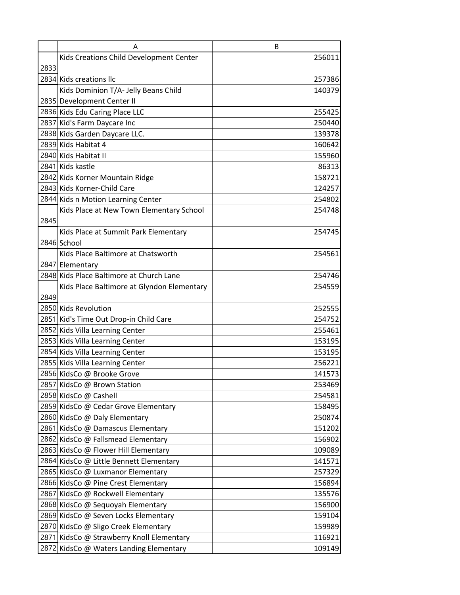|      | A                                          | B      |
|------|--------------------------------------------|--------|
|      | Kids Creations Child Development Center    | 256011 |
| 2833 |                                            |        |
|      | 2834 Kids creations Ilc                    | 257386 |
|      | Kids Dominion T/A- Jelly Beans Child       | 140379 |
|      | 2835 Development Center II                 |        |
|      | 2836 Kids Edu Caring Place LLC             | 255425 |
|      | 2837 Kid's Farm Daycare Inc                | 250440 |
|      | 2838 Kids Garden Daycare LLC.              | 139378 |
|      | 2839 Kids Habitat 4                        | 160642 |
|      | 2840 Kids Habitat II                       | 155960 |
|      | 2841 Kids kastle                           | 86313  |
|      | 2842 Kids Korner Mountain Ridge            | 158721 |
|      | 2843 Kids Korner-Child Care                | 124257 |
|      | 2844 Kids n Motion Learning Center         | 254802 |
|      | Kids Place at New Town Elementary School   | 254748 |
| 2845 |                                            |        |
|      | Kids Place at Summit Park Elementary       | 254745 |
|      | 2846 School                                |        |
|      | Kids Place Baltimore at Chatsworth         | 254561 |
|      | 2847 Elementary                            |        |
|      | 2848 Kids Place Baltimore at Church Lane   | 254746 |
|      | Kids Place Baltimore at Glyndon Elementary | 254559 |
| 2849 |                                            |        |
|      | 2850 Kids Revolution                       | 252555 |
|      | 2851 Kid's Time Out Drop-in Child Care     | 254752 |
|      | 2852 Kids Villa Learning Center            | 255461 |
|      | 2853 Kids Villa Learning Center            | 153195 |
|      | 2854 Kids Villa Learning Center            | 153195 |
|      | 2855 Kids Villa Learning Center            | 256221 |
|      | 2856 KidsCo @ Brooke Grove                 | 141573 |
|      | 2857 KidsCo @ Brown Station                | 253469 |
|      | 2858 KidsCo @ Cashell                      | 254581 |
|      | 2859 KidsCo @ Cedar Grove Elementary       | 158495 |
|      | 2860 KidsCo @ Daly Elementary              | 250874 |
|      | 2861 KidsCo @ Damascus Elementary          | 151202 |
|      | 2862 KidsCo @ Fallsmead Elementary         | 156902 |
|      | 2863 KidsCo @ Flower Hill Elementary       | 109089 |
|      | 2864 KidsCo @ Little Bennett Elementary    | 141571 |
|      | 2865 KidsCo @ Luxmanor Elementary          | 257329 |
|      | 2866 KidsCo @ Pine Crest Elementary        | 156894 |
|      | 2867 KidsCo @ Rockwell Elementary          | 135576 |
|      | 2868 KidsCo @ Sequoyah Elementary          | 156900 |
|      | 2869 KidsCo @ Seven Locks Elementary       | 159104 |
|      | 2870 KidsCo @ Sligo Creek Elementary       | 159989 |
|      | 2871 KidsCo @ Strawberry Knoll Elementary  | 116921 |
|      | 2872 KidsCo @ Waters Landing Elementary    | 109149 |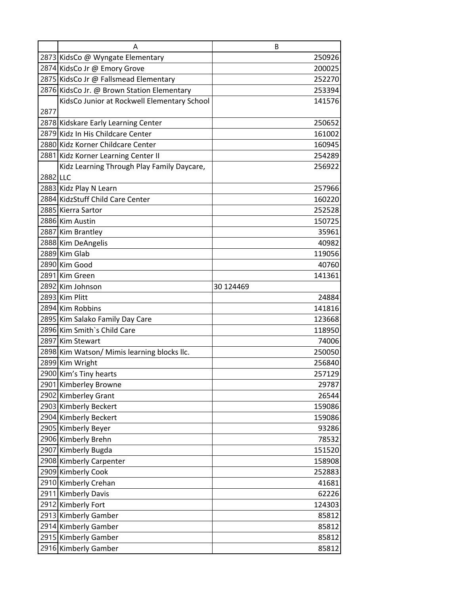|          | Α                                           | B         |
|----------|---------------------------------------------|-----------|
|          | 2873 KidsCo @ Wyngate Elementary            | 250926    |
|          | 2874 KidsCo Jr @ Emory Grove                | 200025    |
|          | 2875 KidsCo Jr @ Fallsmead Elementary       | 252270    |
|          | 2876 KidsCo Jr. @ Brown Station Elementary  | 253394    |
|          | KidsCo Junior at Rockwell Elementary School | 141576    |
| 2877     |                                             |           |
|          | 2878 Kidskare Early Learning Center         | 250652    |
|          | 2879 Kidz In His Childcare Center           | 161002    |
|          | 2880 Kidz Korner Childcare Center           | 160945    |
|          | 2881 Kidz Korner Learning Center II         | 254289    |
|          | Kidz Learning Through Play Family Daycare,  | 256922    |
| 2882 LLC |                                             |           |
|          | 2883 Kidz Play N Learn                      | 257966    |
|          | 2884 KidzStuff Child Care Center            | 160220    |
|          | 2885 Kierra Sartor                          | 252528    |
|          | 2886 Kim Austin                             | 150725    |
|          | 2887 Kim Brantley                           | 35961     |
|          | 2888 Kim DeAngelis                          | 40982     |
|          | 2889 Kim Glab                               | 119056    |
|          | 2890 Kim Good                               | 40760     |
|          | 2891 Kim Green                              | 141361    |
|          | 2892 Kim Johnson                            | 30 124469 |
|          | 2893 Kim Plitt                              | 24884     |
|          | 2894 Kim Robbins                            | 141816    |
|          | 2895 Kim Salako Family Day Care             | 123668    |
|          | 2896 Kim Smith's Child Care                 | 118950    |
|          | 2897 Kim Stewart                            | 74006     |
|          | 2898 Kim Watson/ Mimis learning blocks Ilc. | 250050    |
|          | 2899 Kim Wright                             | 256840    |
|          | 2900 Kim's Tiny hearts                      | 257129    |
|          | 2901 Kimberley Browne                       | 29787     |
|          | 2902 Kimberley Grant                        | 26544     |
|          | 2903 Kimberly Beckert                       | 159086    |
|          | 2904 Kimberly Beckert                       | 159086    |
|          | 2905 Kimberly Beyer                         | 93286     |
|          | 2906 Kimberly Brehn                         | 78532     |
|          | 2907 Kimberly Bugda                         | 151520    |
|          | 2908 Kimberly Carpenter                     | 158908    |
|          | 2909 Kimberly Cook                          | 252883    |
|          | 2910 Kimberly Crehan                        | 41681     |
|          | 2911 Kimberly Davis                         | 62226     |
|          | 2912 Kimberly Fort                          | 124303    |
|          | 2913 Kimberly Gamber                        | 85812     |
|          | 2914 Kimberly Gamber                        | 85812     |
|          | 2915 Kimberly Gamber                        | 85812     |
|          | 2916 Kimberly Gamber                        | 85812     |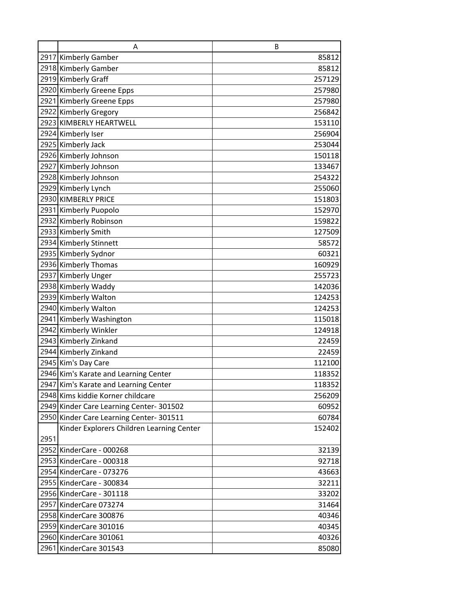|      | A                                         | B      |
|------|-------------------------------------------|--------|
|      | 2917 Kimberly Gamber                      | 85812  |
|      | 2918 Kimberly Gamber                      | 85812  |
|      | 2919 Kimberly Graff                       | 257129 |
|      | 2920 Kimberly Greene Epps                 | 257980 |
|      | 2921 Kimberly Greene Epps                 | 257980 |
|      | 2922 Kimberly Gregory                     | 256842 |
|      | 2923 KIMBERLY HEARTWELL                   | 153110 |
|      | 2924 Kimberly Iser                        | 256904 |
|      | 2925 Kimberly Jack                        | 253044 |
|      | 2926 Kimberly Johnson                     | 150118 |
|      | 2927 Kimberly Johnson                     | 133467 |
|      | 2928 Kimberly Johnson                     | 254322 |
|      | 2929 Kimberly Lynch                       | 255060 |
|      | 2930 KIMBERLY PRICE                       | 151803 |
|      | 2931 Kimberly Puopolo                     | 152970 |
|      | 2932 Kimberly Robinson                    | 159822 |
|      | 2933 Kimberly Smith                       | 127509 |
|      | 2934 Kimberly Stinnett                    | 58572  |
|      | 2935 Kimberly Sydnor                      | 60321  |
|      | 2936 Kimberly Thomas                      | 160929 |
|      | 2937 Kimberly Unger                       | 255723 |
|      | 2938 Kimberly Waddy                       | 142036 |
|      | 2939 Kimberly Walton                      | 124253 |
|      | 2940 Kimberly Walton                      | 124253 |
|      | 2941 Kimberly Washington                  | 115018 |
|      | 2942 Kimberly Winkler                     | 124918 |
|      | 2943 Kimberly Zinkand                     | 22459  |
|      | 2944 Kimberly Zinkand                     | 22459  |
|      | 2945 Kim's Day Care                       | 112100 |
|      | 2946 Kim's Karate and Learning Center     | 118352 |
|      | 2947 Kim's Karate and Learning Center     | 118352 |
|      | 2948 Kims kiddie Korner childcare         | 256209 |
|      | 2949 Kinder Care Learning Center-301502   | 60952  |
|      | 2950 Kinder Care Learning Center-301511   | 60784  |
|      | Kinder Explorers Children Learning Center | 152402 |
| 2951 |                                           |        |
|      | 2952 KinderCare - 000268                  | 32139  |
|      | 2953 KinderCare - 000318                  | 92718  |
|      | 2954 KinderCare - 073276                  | 43663  |
|      | 2955 KinderCare - 300834                  | 32211  |
|      | 2956 KinderCare - 301118                  | 33202  |
|      | 2957 KinderCare 073274                    | 31464  |
|      | 2958 KinderCare 300876                    | 40346  |
|      | 2959 KinderCare 301016                    | 40345  |
|      | 2960 KinderCare 301061                    | 40326  |
|      | 2961 KinderCare 301543                    | 85080  |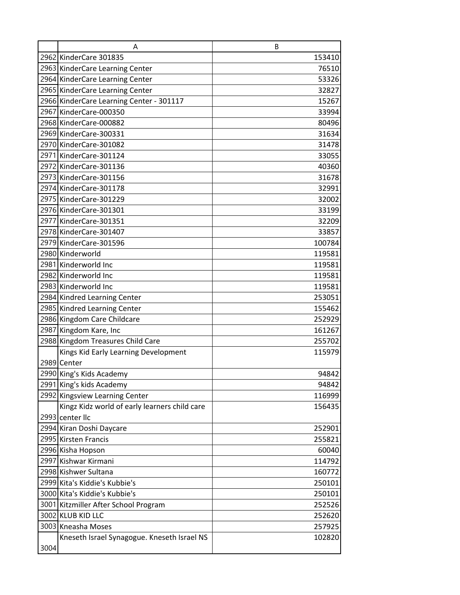|      | A                                                         | B               |
|------|-----------------------------------------------------------|-----------------|
|      | 2962 KinderCare 301835                                    | 153410          |
|      | 2963 KinderCare Learning Center                           | 76510           |
|      | 2964 KinderCare Learning Center                           | 53326           |
|      | 2965 KinderCare Learning Center                           | 32827           |
|      | 2966 KinderCare Learning Center - 301117                  | 15267           |
|      | 2967 KinderCare-000350                                    | 33994           |
|      | 2968 KinderCare-000882                                    | 80496           |
|      | 2969 KinderCare-300331                                    | 31634           |
|      | 2970 KinderCare-301082                                    | 31478           |
|      | 2971 KinderCare-301124                                    | 33055           |
|      | 2972 KinderCare-301136                                    | 40360           |
|      | 2973 KinderCare-301156                                    | 31678           |
|      | 2974 KinderCare-301178                                    | 32991           |
|      | 2975 KinderCare-301229                                    | 32002           |
|      | 2976 KinderCare-301301                                    | 33199           |
|      | 2977 KinderCare-301351                                    | 32209           |
|      | 2978 KinderCare-301407                                    | 33857           |
|      | 2979 KinderCare-301596                                    | 100784          |
|      | 2980 Kinderworld                                          | 119581          |
|      | 2981 Kinderworld Inc                                      | 119581          |
|      | 2982 Kinderworld Inc                                      | 119581          |
|      | 2983 Kinderworld Inc                                      | 119581          |
|      | 2984 Kindred Learning Center                              | 253051          |
|      | 2985 Kindred Learning Center                              | 155462          |
|      | 2986 Kingdom Care Childcare                               | 252929          |
|      | 2987 Kingdom Kare, Inc                                    | 161267          |
|      | 2988 Kingdom Treasures Child Care                         | 255702          |
|      | Kings Kid Early Learning Development                      | 115979          |
|      | 2989 Center                                               |                 |
|      | 2990 King's Kids Academy                                  | 94842           |
|      | 2991 King's kids Academy                                  | 94842           |
|      | 2992 Kingsview Learning Center                            | 116999          |
|      | Kingz Kidz world of early learners child care             | 156435          |
|      | 2993 center IIc                                           |                 |
|      | 2994 Kiran Doshi Daycare                                  | 252901          |
|      | 2995 Kirsten Francis                                      | 255821          |
|      | 2996 Kisha Hopson<br>2997 Kishwar Kirmani                 | 60040<br>114792 |
|      | 2998 Kishwer Sultana                                      | 160772          |
|      | 2999 Kita's Kiddie's Kubbie's                             | 250101          |
|      | 3000 Kita's Kiddie's Kubbie's                             | 250101          |
|      |                                                           | 252526          |
|      | 3001 Kitzmiller After School Program<br>3002 KLUB KID LLC | 252620          |
|      | 3003 Kneasha Moses                                        | 257925          |
|      | Kneseth Israel Synagogue. Kneseth Israel NS               | 102820          |
| 3004 |                                                           |                 |
|      |                                                           |                 |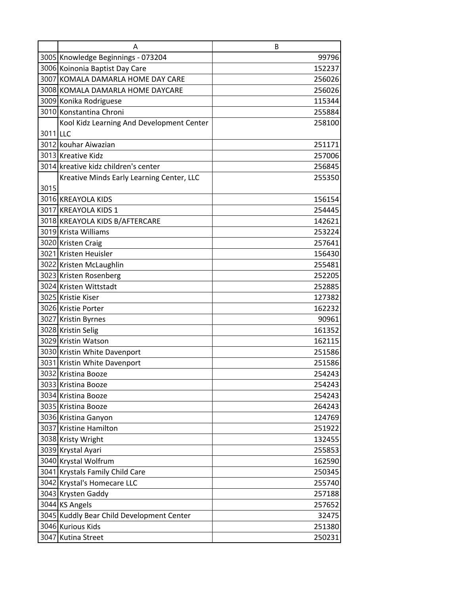|          | Α                                         | B      |
|----------|-------------------------------------------|--------|
|          | 3005 Knowledge Beginnings - 073204        | 99796  |
|          | 3006 Koinonia Baptist Day Care            | 152237 |
|          | 3007 KOMALA DAMARLA HOME DAY CARE         | 256026 |
|          | 3008 KOMALA DAMARLA HOME DAYCARE          | 256026 |
|          | 3009 Konika Rodriguese                    | 115344 |
|          | 3010 Konstantina Chroni                   | 255884 |
|          | Kool Kidz Learning And Development Center | 258100 |
| 3011 LLC |                                           |        |
|          | 3012 kouhar Aiwazian                      | 251171 |
|          | 3013 Kreative Kidz                        | 257006 |
|          | 3014 kreative kidz children's center      | 256845 |
|          | Kreative Minds Early Learning Center, LLC | 255350 |
| 3015     |                                           |        |
|          | 3016 KREAYOLA KIDS                        | 156154 |
|          | 3017 KREAYOLA KIDS 1                      | 254445 |
|          | 3018 KREAYOLA KIDS B/AFTERCARE            | 142621 |
|          | 3019 Krista Williams                      | 253224 |
|          | 3020 Kristen Craig                        | 257641 |
|          | 3021 Kristen Heuisler                     | 156430 |
|          | 3022 Kristen McLaughlin                   | 255481 |
|          | 3023 Kristen Rosenberg                    | 252205 |
|          | 3024 Kristen Wittstadt                    | 252885 |
|          | 3025 Kristie Kiser                        | 127382 |
|          | 3026 Kristie Porter                       | 162232 |
|          | 3027 Kristin Byrnes                       | 90961  |
|          | 3028 Kristin Selig                        | 161352 |
|          | 3029 Kristin Watson                       | 162115 |
|          | 3030 Kristin White Davenport              | 251586 |
|          | 3031 Kristin White Davenport              | 251586 |
|          | 3032 Kristina Booze                       | 254243 |
|          | 3033 Kristina Booze                       | 254243 |
|          | 3034 Kristina Booze                       | 254243 |
|          | 3035 Kristina Booze                       | 264243 |
|          | 3036 Kristina Ganyon                      | 124769 |
|          | 3037 Kristine Hamilton                    | 251922 |
|          | 3038 Kristy Wright                        | 132455 |
|          | 3039 Krystal Ayari                        | 255853 |
|          | 3040 Krystal Wolfrum                      | 162590 |
|          | 3041 Krystals Family Child Care           | 250345 |
|          | 3042 Krystal's Homecare LLC               | 255740 |
|          | 3043 Krysten Gaddy                        | 257188 |
|          | 3044 KS Angels                            | 257652 |
|          | 3045 Kuddly Bear Child Development Center | 32475  |
|          | 3046 Kurious Kids                         | 251380 |
|          | 3047 Kutina Street                        | 250231 |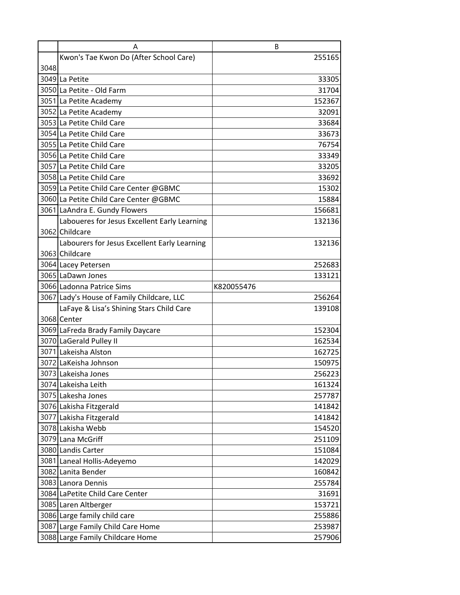|      | Α                                            | B          |
|------|----------------------------------------------|------------|
|      | Kwon's Tae Kwon Do (After School Care)       | 255165     |
| 3048 |                                              |            |
|      | 3049 La Petite                               | 33305      |
|      | 3050 La Petite - Old Farm                    | 31704      |
|      | 3051 La Petite Academy                       | 152367     |
|      | 3052 La Petite Academy                       | 32091      |
|      | 3053 La Petite Child Care                    | 33684      |
|      | 3054 La Petite Child Care                    | 33673      |
|      | 3055 La Petite Child Care                    | 76754      |
|      | 3056 La Petite Child Care                    | 33349      |
|      | 3057 La Petite Child Care                    | 33205      |
|      | 3058 La Petite Child Care                    | 33692      |
|      | 3059 La Petite Child Care Center @GBMC       | 15302      |
|      | 3060 La Petite Child Care Center @GBMC       | 15884      |
|      | 3061 LaAndra E. Gundy Flowers                | 156681     |
|      | Laboueres for Jesus Excellent Early Learning | 132136     |
|      | 3062 Childcare                               |            |
|      | Labourers for Jesus Excellent Early Learning | 132136     |
|      | 3063 Childcare                               |            |
|      | 3064 Lacey Petersen                          | 252683     |
|      | 3065 LaDawn Jones                            | 133121     |
|      | 3066 Ladonna Patrice Sims                    | K820055476 |
|      | 3067 Lady's House of Family Childcare, LLC   | 256264     |
|      | LaFaye & Lisa's Shining Stars Child Care     | 139108     |
|      | 3068 Center                                  |            |
|      | 3069 LaFreda Brady Family Daycare            | 152304     |
|      | 3070 LaGerald Pulley II                      | 162534     |
|      | 3071 Lakeisha Alston                         | 162725     |
|      | 3072 LaKeisha Johnson                        | 150975     |
|      | 3073 Lakeisha Jones                          | 256223     |
|      | 3074 Lakeisha Leith                          | 161324     |
|      | 3075 Lakesha Jones                           | 257787     |
|      | 3076 Lakisha Fitzgerald                      | 141842     |
|      | 3077 Lakisha Fitzgerald                      | 141842     |
|      | 3078 Lakisha Webb                            | 154520     |
|      | 3079 Lana McGriff                            | 251109     |
|      | 3080 Landis Carter                           | 151084     |
|      | 3081 Laneal Hollis-Adeyemo                   | 142029     |
|      | 3082 Lanita Bender                           | 160842     |
|      | 3083 Lanora Dennis                           | 255784     |
|      | 3084 LaPetite Child Care Center              | 31691      |
|      | 3085 Laren Altberger                         | 153721     |
|      | 3086 Large family child care                 | 255886     |
|      | 3087 Large Family Child Care Home            | 253987     |
|      | 3088 Large Family Childcare Home             | 257906     |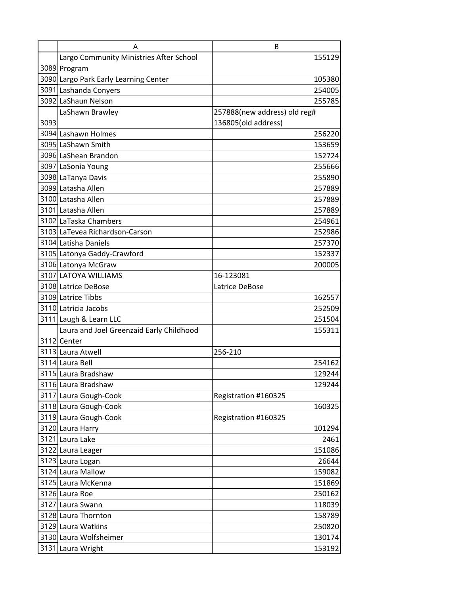|      | Α                                        | B                            |
|------|------------------------------------------|------------------------------|
|      | Largo Community Ministries After School  | 155129                       |
|      | 3089 Program                             |                              |
|      | 3090 Largo Park Early Learning Center    | 105380                       |
|      | 3091 Lashanda Conyers                    | 254005                       |
|      | 3092 LaShaun Nelson                      | 255785                       |
|      | LaShawn Brawley                          | 257888(new address) old reg# |
| 3093 |                                          | 136805(old address)          |
|      | 3094 Lashawn Holmes                      | 256220                       |
|      | 3095 LaShawn Smith                       | 153659                       |
|      | 3096 LaShean Brandon                     | 152724                       |
|      | 3097 LaSonia Young                       | 255666                       |
|      | 3098 LaTanya Davis                       | 255890                       |
|      | 3099 Latasha Allen                       | 257889                       |
|      | 3100 Latasha Allen                       | 257889                       |
|      | 3101 Latasha Allen                       | 257889                       |
|      | 3102 LaTaska Chambers                    | 254961                       |
|      | 3103 LaTevea Richardson-Carson           | 252986                       |
|      | 3104 Latisha Daniels                     | 257370                       |
|      | 3105 Latonya Gaddy-Crawford              | 152337                       |
|      | 3106 Latonya McGraw                      | 200005                       |
|      | 3107 LATOYA WILLIAMS                     | 16-123081                    |
|      | 3108 Latrice DeBose                      | Latrice DeBose               |
|      | 3109 Latrice Tibbs                       | 162557                       |
|      | 3110 Latricia Jacobs                     | 252509                       |
|      | 3111 Laugh & Learn LLC                   | 251504                       |
|      | Laura and Joel Greenzaid Early Childhood | 155311                       |
|      | 3112 Center                              |                              |
|      | 3113 Laura Atwell                        | 256-210                      |
|      | 3114 Laura Bell                          | 254162                       |
|      | 3115 Laura Bradshaw                      | 129244                       |
|      | 3116 Laura Bradshaw                      | 129244                       |
|      | 3117 Laura Gough-Cook                    | Registration #160325         |
|      | 3118 Laura Gough-Cook                    | 160325                       |
|      | 3119 Laura Gough-Cook                    | Registration #160325         |
|      | 3120 Laura Harry                         | 101294                       |
|      | 3121 Laura Lake                          | 2461                         |
|      | 3122 Laura Leager                        | 151086                       |
|      | 3123 Laura Logan                         | 26644                        |
|      | 3124 Laura Mallow                        | 159082                       |
|      | 3125 Laura McKenna                       | 151869                       |
|      | 3126 Laura Roe                           | 250162                       |
|      | 3127 Laura Swann                         | 118039                       |
|      | 3128 Laura Thornton                      | 158789                       |
|      | 3129 Laura Watkins                       | 250820                       |
|      | 3130 Laura Wolfsheimer                   | 130174                       |
|      | 3131 Laura Wright                        | 153192                       |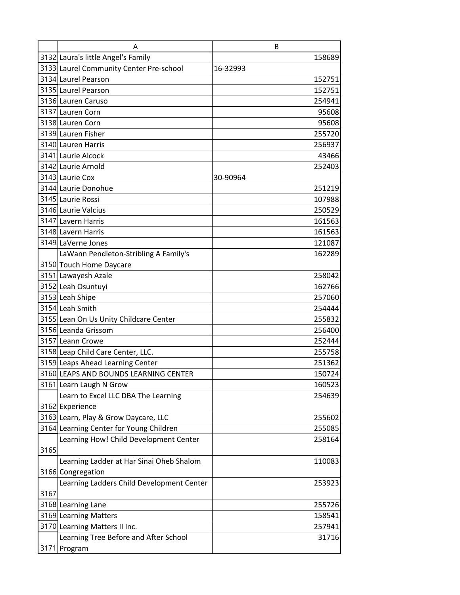|      | Α                                         | B        |
|------|-------------------------------------------|----------|
|      | 3132 Laura's little Angel's Family        | 158689   |
|      | 3133 Laurel Community Center Pre-school   | 16-32993 |
|      | 3134 Laurel Pearson                       | 152751   |
|      | 3135 Laurel Pearson                       | 152751   |
|      | 3136 Lauren Caruso                        | 254941   |
|      | 3137 Lauren Corn                          | 95608    |
|      | 3138 Lauren Corn                          | 95608    |
|      | 3139 Lauren Fisher                        | 255720   |
|      | 3140 Lauren Harris                        | 256937   |
|      | 3141 Laurie Alcock                        | 43466    |
|      | 3142 Laurie Arnold                        | 252403   |
|      | 3143 Laurie Cox                           | 30-90964 |
|      | 3144 Laurie Donohue                       | 251219   |
|      | 3145 Laurie Rossi                         | 107988   |
|      | 3146 Laurie Valcius                       | 250529   |
|      | 3147 Lavern Harris                        | 161563   |
|      | 3148 Lavern Harris                        | 161563   |
|      | 3149 LaVerne Jones                        | 121087   |
|      | LaWann Pendleton-Stribling A Family's     | 162289   |
|      | 3150 Touch Home Daycare                   |          |
|      | 3151 Lawayesh Azale                       | 258042   |
|      | 3152 Leah Osuntuyi                        | 162766   |
|      | 3153 Leah Shipe                           | 257060   |
|      | 3154 Leah Smith                           | 254444   |
|      | 3155 Lean On Us Unity Childcare Center    | 255832   |
|      | 3156 Leanda Grissom                       | 256400   |
|      | 3157 Leann Crowe                          | 252444   |
|      | 3158 Leap Child Care Center, LLC.         | 255758   |
|      | 3159 Leaps Ahead Learning Center          | 251362   |
|      | 3160 LEAPS AND BOUNDS LEARNING CENTER     | 150724   |
|      | 3161 Learn Laugh N Grow                   | 160523   |
|      | Learn to Excel LLC DBA The Learning       | 254639   |
|      | 3162 Experience                           |          |
|      | 3163 Learn, Play & Grow Daycare, LLC      | 255602   |
|      | 3164 Learning Center for Young Children   | 255085   |
|      | Learning How! Child Development Center    | 258164   |
| 3165 |                                           |          |
|      | Learning Ladder at Har Sinai Oheb Shalom  | 110083   |
|      | 3166 Congregation                         |          |
|      | Learning Ladders Child Development Center | 253923   |
| 3167 |                                           |          |
|      | 3168 Learning Lane                        | 255726   |
|      | 3169 Learning Matters                     | 158541   |
|      | 3170 Learning Matters II Inc.             | 257941   |
|      | Learning Tree Before and After School     | 31716    |
|      | 3171 Program                              |          |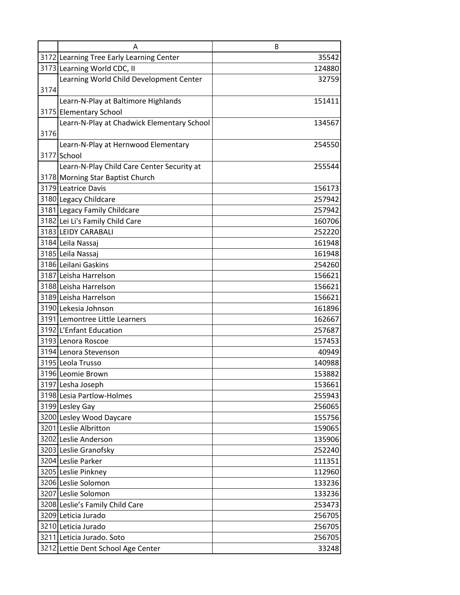|      | А                                          | B      |
|------|--------------------------------------------|--------|
|      | 3172 Learning Tree Early Learning Center   | 35542  |
|      | 3173 Learning World CDC, II                | 124880 |
|      | Learning World Child Development Center    | 32759  |
| 3174 |                                            |        |
|      | Learn-N-Play at Baltimore Highlands        | 151411 |
|      | 3175 Elementary School                     |        |
|      | Learn-N-Play at Chadwick Elementary School | 134567 |
| 3176 |                                            |        |
|      | Learn-N-Play at Hernwood Elementary        | 254550 |
|      | 3177 School                                |        |
|      | Learn-N-Play Child Care Center Security at | 255544 |
|      | 3178 Morning Star Baptist Church           |        |
|      | 3179 Leatrice Davis                        | 156173 |
|      | 3180 Legacy Childcare                      | 257942 |
|      | 3181 Legacy Family Childcare               | 257942 |
|      | 3182 Lei Li's Family Child Care            | 160706 |
|      | 3183 LEIDY CARABALI                        | 252220 |
|      | 3184 Leila Nassaj                          | 161948 |
|      | 3185 Leila Nassaj                          | 161948 |
|      | 3186 Leilani Gaskins                       | 254260 |
|      | 3187 Leisha Harrelson                      | 156621 |
|      | 3188 Leisha Harrelson                      | 156621 |
|      | 3189 Leisha Harrelson                      | 156621 |
|      | 3190 Lekesia Johnson                       | 161896 |
|      | 3191 Lemontree Little Learners             | 162667 |
|      | 3192 L'Enfant Education                    | 257687 |
|      | 3193 Lenora Roscoe                         | 157453 |
|      | 3194 Lenora Stevenson                      | 40949  |
|      | 3195 Leola Trusso                          | 140988 |
|      | 3196 Leomie Brown                          | 153882 |
|      | 3197 Lesha Joseph                          | 153661 |
|      | 3198 Lesia Partlow-Holmes                  | 255943 |
|      | 3199 Lesley Gay                            | 256065 |
|      | 3200 Lesley Wood Daycare                   | 155756 |
|      | 3201 Leslie Albritton                      | 159065 |
|      | 3202 Leslie Anderson                       | 135906 |
|      | 3203 Leslie Granofsky                      | 252240 |
|      | 3204 Leslie Parker                         | 111351 |
|      | 3205 Leslie Pinkney                        | 112960 |
|      | 3206 Leslie Solomon                        | 133236 |
|      | 3207 Leslie Solomon                        | 133236 |
|      | 3208 Leslie's Family Child Care            | 253473 |
|      | 3209 Leticia Jurado                        | 256705 |
|      | 3210 Leticia Jurado                        | 256705 |
|      | 3211 Leticia Jurado. Soto                  | 256705 |
|      | 3212 Lettie Dent School Age Center         | 33248  |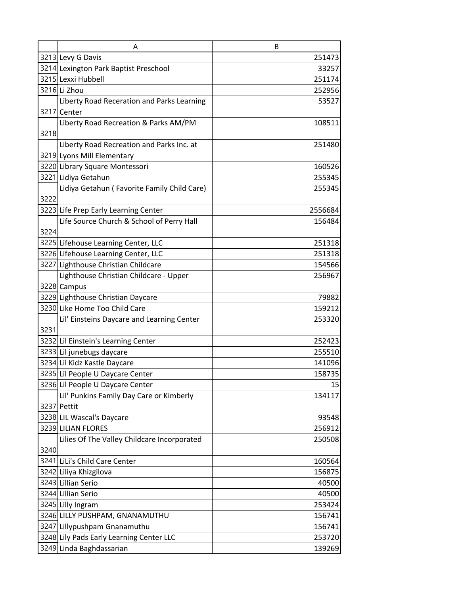|      | A                                           | B       |
|------|---------------------------------------------|---------|
|      | 3213 Levy G Davis                           | 251473  |
|      | 3214 Lexington Park Baptist Preschool       | 33257   |
|      | 3215 Lexxi Hubbell                          | 251174  |
|      | 3216 Li Zhou                                | 252956  |
|      | Liberty Road Receration and Parks Learning  | 53527   |
|      | 3217 Center                                 |         |
|      | Liberty Road Recreation & Parks AM/PM       | 108511  |
| 3218 |                                             |         |
|      | Liberty Road Recreation and Parks Inc. at   | 251480  |
|      | 3219 Lyons Mill Elementary                  |         |
|      | 3220 Library Square Montessori              | 160526  |
|      | 3221 Lidiya Getahun                         | 255345  |
|      | Lidiya Getahun (Favorite Family Child Care) | 255345  |
| 3222 |                                             |         |
|      | 3223 Life Prep Early Learning Center        | 2556684 |
|      | Life Source Church & School of Perry Hall   | 156484  |
| 3224 |                                             |         |
|      | 3225 Lifehouse Learning Center, LLC         | 251318  |
|      | 3226 Lifehouse Learning Center, LLC         | 251318  |
|      | 3227 Lighthouse Christian Childcare         | 154566  |
|      | Lighthouse Christian Childcare - Upper      | 256967  |
|      | 3228 Campus                                 |         |
|      | 3229 Lighthouse Christian Daycare           | 79882   |
|      | 3230 Like Home Too Child Care               | 159212  |
|      | Lil' Einsteins Daycare and Learning Center  | 253320  |
| 3231 |                                             |         |
|      | 3232 Lil Einstein's Learning Center         | 252423  |
|      | 3233 Lil junebugs daycare                   | 255510  |
|      | 3234 Lil Kidz Kastle Daycare                | 141096  |
|      | 3235 Lil People U Daycare Center            | 158735  |
|      | 3236 Lil People U Daycare Center            | 15      |
|      | Lil' Punkins Family Day Care or Kimberly    | 134117  |
|      | 3237 Pettit                                 |         |
|      | 3238 LIL Wascal's Daycare                   | 93548   |
|      | 3239 LILIAN FLORES                          | 256912  |
|      | Lilies Of The Valley Childcare Incorporated | 250508  |
| 3240 |                                             |         |
|      | 3241 LiLi's Child Care Center               | 160564  |
|      | 3242 Liliya Khizgilova                      | 156875  |
|      | 3243 Lillian Serio                          | 40500   |
|      | 3244 Lillian Serio                          | 40500   |
|      | 3245 Lilly Ingram                           | 253424  |
|      | 3246 LILLY PUSHPAM, GNANAMUTHU              | 156741  |
|      | 3247 Lillypushpam Gnanamuthu                | 156741  |
|      | 3248 Lily Pads Early Learning Center LLC    | 253720  |
|      | 3249 Linda Baghdassarian                    | 139269  |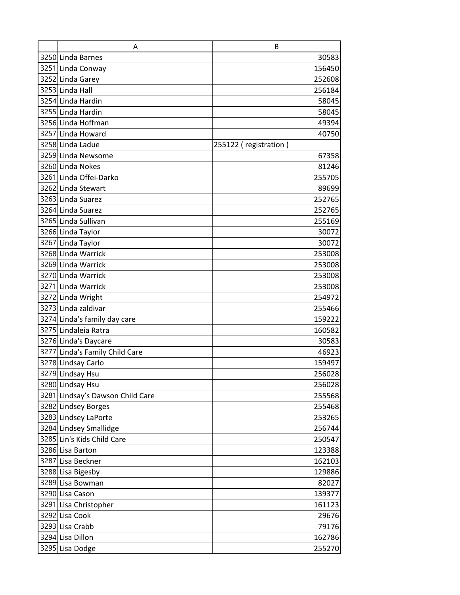| A                                | B                     |
|----------------------------------|-----------------------|
| 3250 Linda Barnes                | 30583                 |
| 3251 Linda Conway                | 156450                |
| 3252 Linda Garey                 | 252608                |
| 3253 Linda Hall                  | 256184                |
| 3254 Linda Hardin                | 58045                 |
| 3255 Linda Hardin                | 58045                 |
| 3256 Linda Hoffman               | 49394                 |
| 3257 Linda Howard                | 40750                 |
| 3258 Linda Ladue                 | 255122 (registration) |
| 3259 Linda Newsome               | 67358                 |
| 3260 Linda Nokes                 | 81246                 |
| 3261 Linda Offei-Darko           | 255705                |
| 3262 Linda Stewart               | 89699                 |
| 3263 Linda Suarez                | 252765                |
| 3264 Linda Suarez                | 252765                |
| 3265 Linda Sullivan              | 255169                |
| 3266 Linda Taylor                | 30072                 |
| 3267 Linda Taylor                | 30072                 |
| 3268 Linda Warrick               | 253008                |
| 3269 Linda Warrick               | 253008                |
| 3270 Linda Warrick               | 253008                |
| 3271 Linda Warrick               | 253008                |
| 3272 Linda Wright                | 254972                |
| 3273 Linda zaldivar              | 255466                |
| 3274 Linda's family day care     | 159222                |
| 3275 Lindaleia Ratra             | 160582                |
| 3276 Linda's Daycare             | 30583                 |
| 3277 Linda's Family Child Care   | 46923                 |
| 3278 Lindsay Carlo               | 159497                |
| 3279 Lindsay Hsu                 | 256028                |
| 3280 Lindsay Hsu                 | 256028                |
| 3281 Lindsay's Dawson Child Care | 255568                |
| 3282 Lindsey Borges              | 255468                |
| 3283 Lindsey LaPorte             | 253265                |
| 3284 Lindsey Smallidge           | 256744                |
| 3285 Lin's Kids Child Care       | 250547                |
| 3286 Lisa Barton                 | 123388                |
| 3287 Lisa Beckner                | 162103                |
| 3288 Lisa Bigesby                | 129886                |
| 3289 Lisa Bowman                 | 82027                 |
| 3290 Lisa Cason                  | 139377                |
| 3291 Lisa Christopher            | 161123                |
| 3292 Lisa Cook                   | 29676                 |
| 3293 Lisa Crabb                  | 79176                 |
| 3294 Lisa Dillon                 | 162786                |
| 3295 Lisa Dodge                  | 255270                |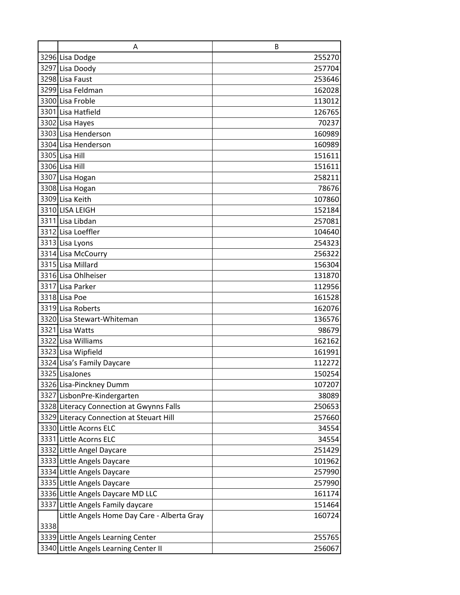|      | A                                          | B      |
|------|--------------------------------------------|--------|
|      | 3296 Lisa Dodge                            | 255270 |
|      | 3297 Lisa Doody                            | 257704 |
|      | 3298 Lisa Faust                            | 253646 |
|      | 3299 Lisa Feldman                          | 162028 |
|      | 3300 Lisa Froble                           | 113012 |
|      | 3301 Lisa Hatfield                         | 126765 |
|      | 3302 Lisa Hayes                            | 70237  |
|      | 3303 Lisa Henderson                        | 160989 |
|      | 3304 Lisa Henderson                        | 160989 |
|      | 3305 Lisa Hill                             | 151611 |
|      | 3306 Lisa Hill                             | 151611 |
|      | 3307 Lisa Hogan                            | 258211 |
|      | 3308 Lisa Hogan                            | 78676  |
|      | 3309 Lisa Keith                            | 107860 |
|      | 3310 LISA LEIGH                            | 152184 |
|      | 3311 Lisa Libdan                           | 257081 |
|      | 3312 Lisa Loeffler                         | 104640 |
|      | 3313 Lisa Lyons                            | 254323 |
|      | 3314 Lisa McCourry                         | 256322 |
|      | 3315 Lisa Millard                          | 156304 |
|      | 3316 Lisa Ohlheiser                        | 131870 |
|      | 3317 Lisa Parker                           | 112956 |
|      | 3318 Lisa Poe                              | 161528 |
|      | 3319 Lisa Roberts                          | 162076 |
|      | 3320 Lisa Stewart-Whiteman                 | 136576 |
|      | 3321 Lisa Watts                            | 98679  |
|      | 3322 Lisa Williams                         | 162162 |
|      | 3323 Lisa Wipfield                         | 161991 |
|      | 3324 Lisa's Family Daycare                 | 112272 |
|      | 3325 LisaJones                             | 150254 |
|      | 3326 Lisa-Pinckney Dumm                    | 107207 |
|      | 3327 LisbonPre-Kindergarten                | 38089  |
|      | 3328 Literacy Connection at Gwynns Falls   | 250653 |
|      | 3329 Literacy Connection at Steuart Hill   | 257660 |
|      | 3330 Little Acorns ELC                     | 34554  |
|      | 3331 Little Acorns ELC                     | 34554  |
|      | 3332 Little Angel Daycare                  | 251429 |
|      | 3333 Little Angels Daycare                 | 101962 |
|      | 3334 Little Angels Daycare                 | 257990 |
|      | 3335 Little Angels Daycare                 | 257990 |
|      | 3336 Little Angels Daycare MD LLC          | 161174 |
|      | 3337 Little Angels Family daycare          | 151464 |
|      | Little Angels Home Day Care - Alberta Gray | 160724 |
| 3338 |                                            |        |
|      | 3339 Little Angels Learning Center         | 255765 |
|      | 3340 Little Angels Learning Center II      | 256067 |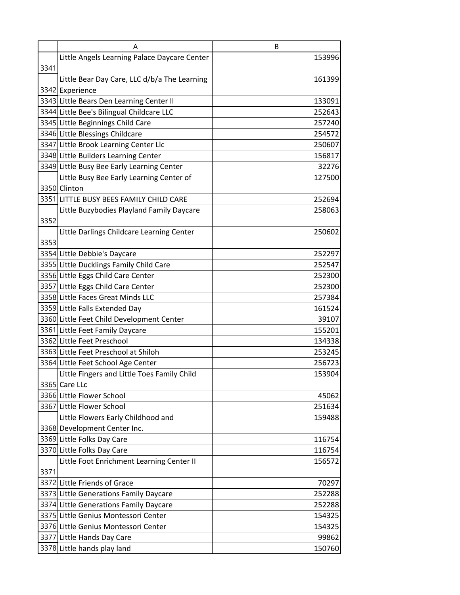|      | Α                                            | B      |
|------|----------------------------------------------|--------|
|      | Little Angels Learning Palace Daycare Center | 153996 |
| 3341 |                                              |        |
|      | Little Bear Day Care, LLC d/b/a The Learning | 161399 |
|      | 3342 Experience                              |        |
|      | 3343 Little Bears Den Learning Center II     | 133091 |
|      | 3344 Little Bee's Bilingual Childcare LLC    | 252643 |
|      | 3345 Little Beginnings Child Care            | 257240 |
|      | 3346 Little Blessings Childcare              | 254572 |
|      | 3347 Little Brook Learning Center Llc        | 250607 |
|      | 3348 Little Builders Learning Center         | 156817 |
|      | 3349 Little Busy Bee Early Learning Center   | 32276  |
|      | Little Busy Bee Early Learning Center of     | 127500 |
|      | 3350 Clinton                                 |        |
|      | 3351 LITTLE BUSY BEES FAMILY CHILD CARE      | 252694 |
|      | Little Buzybodies Playland Family Daycare    | 258063 |
| 3352 |                                              |        |
|      | Little Darlings Childcare Learning Center    | 250602 |
| 3353 |                                              |        |
|      | 3354 Little Debbie's Daycare                 | 252297 |
|      | 3355 Little Ducklings Family Child Care      | 252547 |
|      | 3356 Little Eggs Child Care Center           | 252300 |
|      | 3357 Little Eggs Child Care Center           | 252300 |
|      | 3358 Little Faces Great Minds LLC            | 257384 |
|      | 3359 Little Falls Extended Day               | 161524 |
|      | 3360 Little Feet Child Development Center    | 39107  |
|      | 3361 Little Feet Family Daycare              | 155201 |
|      | 3362 Little Feet Preschool                   | 134338 |
|      | 3363 Little Feet Preschool at Shiloh         | 253245 |
|      | 3364 Little Feet School Age Center           | 256723 |
|      | Little Fingers and Little Toes Family Child  | 153904 |
|      | 3365 Care LLc                                |        |
|      | 3366 Little Flower School                    | 45062  |
|      | 3367 Little Flower School                    | 251634 |
|      | Little Flowers Early Childhood and           | 159488 |
|      | 3368 Development Center Inc.                 |        |
|      | 3369 Little Folks Day Care                   | 116754 |
|      | 3370 Little Folks Day Care                   | 116754 |
|      | Little Foot Enrichment Learning Center II    | 156572 |
| 3371 |                                              |        |
|      | 3372 Little Friends of Grace                 | 70297  |
|      | 3373 Little Generations Family Daycare       | 252288 |
|      | 3374 Little Generations Family Daycare       | 252288 |
|      | 3375 Little Genius Montessori Center         | 154325 |
|      | 3376 Little Genius Montessori Center         | 154325 |
|      | 3377 Little Hands Day Care                   | 99862  |
|      | 3378 Little hands play land                  | 150760 |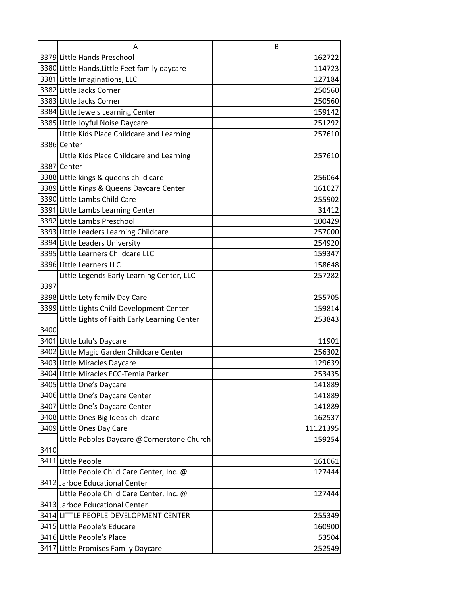|      | Α                                             | B        |
|------|-----------------------------------------------|----------|
|      | 3379 Little Hands Preschool                   | 162722   |
|      | 3380 Little Hands, Little Feet family daycare | 114723   |
|      | 3381 Little Imaginations, LLC                 | 127184   |
|      | 3382 Little Jacks Corner                      | 250560   |
|      | 3383 Little Jacks Corner                      | 250560   |
|      | 3384 Little Jewels Learning Center            | 159142   |
|      | 3385 Little Joyful Noise Daycare              | 251292   |
|      | Little Kids Place Childcare and Learning      | 257610   |
|      | 3386 Center                                   |          |
|      | Little Kids Place Childcare and Learning      | 257610   |
|      | 3387 Center                                   |          |
|      | 3388 Little kings & queens child care         | 256064   |
|      | 3389 Little Kings & Queens Daycare Center     | 161027   |
|      | 3390 Little Lambs Child Care                  | 255902   |
|      | 3391 Little Lambs Learning Center             | 31412    |
|      | 3392 Little Lambs Preschool                   | 100429   |
|      | 3393 Little Leaders Learning Childcare        | 257000   |
|      | 3394 Little Leaders University                | 254920   |
|      | 3395 Little Learners Childcare LLC            | 159347   |
|      | 3396 Little Learners LLC                      | 158648   |
|      | Little Legends Early Learning Center, LLC     | 257282   |
| 3397 |                                               |          |
|      | 3398 Little Lety family Day Care              | 255705   |
|      | 3399 Little Lights Child Development Center   | 159814   |
|      | Little Lights of Faith Early Learning Center  | 253843   |
| 3400 |                                               |          |
|      | 3401 Little Lulu's Daycare                    | 11901    |
|      | 3402 Little Magic Garden Childcare Center     | 256302   |
|      | 3403 Little Miracles Daycare                  | 129639   |
|      | 3404 Little Miracles FCC-Temia Parker         | 253435   |
|      | 3405 Little One's Daycare                     | 141889   |
|      | 3406 Little One's Daycare Center              | 141889   |
|      | 3407 Little One's Daycare Center              | 141889   |
|      | 3408 Little Ones Big Ideas childcare          | 162537   |
|      | 3409 Little Ones Day Care                     | 11121395 |
|      | Little Pebbles Daycare @Cornerstone Church    | 159254   |
| 3410 |                                               |          |
|      | 3411 Little People                            | 161061   |
|      | Little People Child Care Center, Inc. @       | 127444   |
|      | 3412 Jarboe Educational Center                |          |
|      | Little People Child Care Center, Inc. @       | 127444   |
|      | 3413 Jarboe Educational Center                |          |
|      | 3414 LITTLE PEOPLE DEVELOPMENT CENTER         | 255349   |
|      | 3415 Little People's Educare                  | 160900   |
|      | 3416 Little People's Place                    | 53504    |
|      | 3417 Little Promises Family Daycare           | 252549   |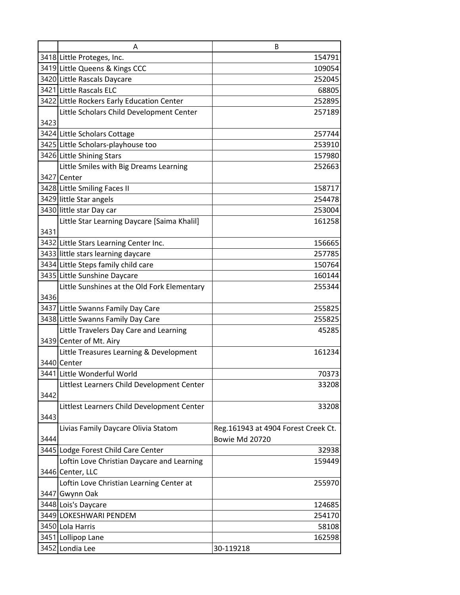|      | A                                           | B                                   |
|------|---------------------------------------------|-------------------------------------|
|      | 3418 Little Proteges, Inc.                  | 154791                              |
|      | 3419 Little Queens & Kings CCC              | 109054                              |
|      | 3420 Little Rascals Daycare                 | 252045                              |
|      | 3421 Little Rascals ELC                     | 68805                               |
|      | 3422 Little Rockers Early Education Center  | 252895                              |
|      | Little Scholars Child Development Center    | 257189                              |
| 3423 |                                             |                                     |
|      | 3424 Little Scholars Cottage                | 257744                              |
|      | 3425 Little Scholars-playhouse too          | 253910                              |
|      | 3426 Little Shining Stars                   | 157980                              |
|      | Little Smiles with Big Dreams Learning      | 252663                              |
|      | 3427 Center                                 |                                     |
|      | 3428 Little Smiling Faces II                | 158717                              |
|      | 3429 little Star angels                     | 254478                              |
|      | 3430 little star Day car                    | 253004                              |
|      | Little Star Learning Daycare [Saima Khalil] | 161258                              |
| 3431 |                                             |                                     |
|      | 3432 Little Stars Learning Center Inc.      | 156665                              |
|      | 3433 little stars learning daycare          | 257785                              |
|      | 3434 Little Steps family child care         | 150764                              |
|      | 3435 Little Sunshine Daycare                | 160144                              |
|      | Little Sunshines at the Old Fork Elementary | 255344                              |
| 3436 |                                             |                                     |
|      | 3437 Little Swanns Family Day Care          | 255825                              |
|      | 3438 Little Swanns Family Day Care          | 255825                              |
|      | Little Travelers Day Care and Learning      | 45285                               |
|      | 3439 Center of Mt. Airy                     |                                     |
|      | Little Treasures Learning & Development     | 161234                              |
|      | 3440 Center                                 |                                     |
|      | 3441 Little Wonderful World                 | 70373                               |
|      | Littlest Learners Child Development Center  | 33208                               |
| 3442 |                                             |                                     |
|      | Littlest Learners Child Development Center  | 33208                               |
| 3443 |                                             |                                     |
|      | Livias Family Daycare Olivia Statom         | Reg.161943 at 4904 Forest Creek Ct. |
| 3444 |                                             | Bowie Md 20720                      |
|      | 3445 Lodge Forest Child Care Center         | 32938                               |
|      | Loftin Love Christian Daycare and Learning  | 159449                              |
|      | 3446 Center, LLC                            |                                     |
|      | Loftin Love Christian Learning Center at    | 255970                              |
|      | 3447 Gwynn Oak                              |                                     |
|      | 3448 Lois's Daycare                         | 124685                              |
|      | 3449 LOKESHWARI PENDEM                      | 254170                              |
|      | 3450 Lola Harris                            | 58108                               |
|      | 3451 Lollipop Lane                          | 162598                              |
|      | 3452 Londia Lee                             | 30-119218                           |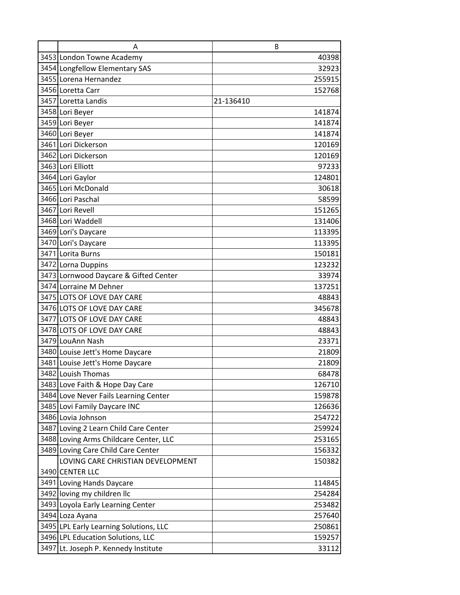| A                                      | B         |
|----------------------------------------|-----------|
| 3453 London Towne Academy              | 40398     |
| 3454 Longfellow Elementary SAS         | 32923     |
| 3455 Lorena Hernandez                  | 255915    |
| 3456 Loretta Carr                      | 152768    |
| 3457 Loretta Landis                    | 21-136410 |
| 3458 Lori Beyer                        | 141874    |
| 3459 Lori Beyer                        | 141874    |
| 3460 Lori Beyer                        | 141874    |
| 3461 Lori Dickerson                    | 120169    |
| 3462 Lori Dickerson                    | 120169    |
| 3463 Lori Elliott                      | 97233     |
| 3464 Lori Gaylor                       | 124801    |
| 3465 Lori McDonald                     | 30618     |
| 3466 Lori Paschal                      | 58599     |
| 3467 Lori Revell                       | 151265    |
| 3468 Lori Waddell                      | 131406    |
| 3469 Lori's Daycare                    | 113395    |
| 3470 Lori's Daycare                    | 113395    |
| 3471 Lorita Burns                      | 150181    |
| 3472 Lorna Duppins                     | 123232    |
| 3473 Lornwood Daycare & Gifted Center  | 33974     |
| 3474 Lorraine M Dehner                 | 137251    |
| 3475 LOTS OF LOVE DAY CARE             | 48843     |
| 3476 LOTS OF LOVE DAY CARE             | 345678    |
| 3477 LOTS OF LOVE DAY CARE             | 48843     |
| 3478 LOTS OF LOVE DAY CARE             | 48843     |
| 3479 LouAnn Nash                       | 23371     |
| 3480 Louise Jett's Home Daycare        | 21809     |
| 3481 Louise Jett's Home Daycare        | 21809     |
| 3482 Louish Thomas                     | 68478     |
| 3483 Love Faith & Hope Day Care        | 126710    |
| 3484 Love Never Fails Learning Center  | 159878    |
| 3485 Lovi Family Daycare INC           | 126636    |
| 3486 Lovia Johnson                     | 254722    |
| 3487 Loving 2 Learn Child Care Center  | 259924    |
| 3488 Loving Arms Childcare Center, LLC | 253165    |
| 3489 Loving Care Child Care Center     | 156332    |
| LOVING CARE CHRISTIAN DEVELOPMENT      | 150382    |
| 3490 CENTER LLC                        |           |
| 3491 Loving Hands Daycare              | 114845    |
| 3492 loving my children llc            | 254284    |
| 3493 Loyola Early Learning Center      | 253482    |
| 3494 Loza Ayana                        | 257640    |
| 3495 LPL Early Learning Solutions, LLC | 250861    |
| 3496 LPL Education Solutions, LLC      | 159257    |
| 3497 Lt. Joseph P. Kennedy Institute   | 33112     |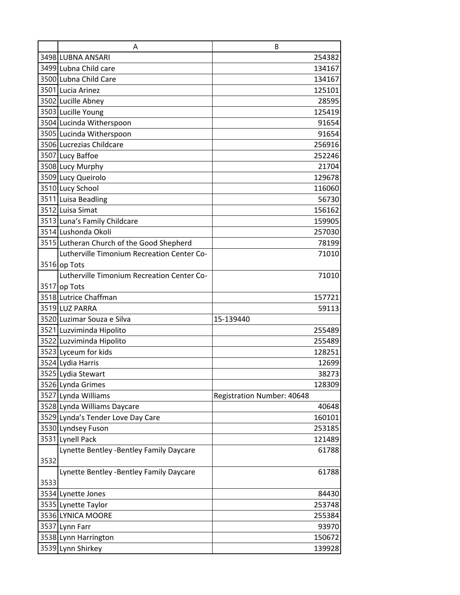|      | A                                          | B                                 |        |
|------|--------------------------------------------|-----------------------------------|--------|
|      | 3498 LUBNA ANSARI                          |                                   | 254382 |
|      | 3499 Lubna Child care                      |                                   | 134167 |
|      | 3500 Lubna Child Care                      |                                   | 134167 |
|      | 3501 Lucia Arinez                          |                                   | 125101 |
|      | 3502 Lucille Abney                         |                                   | 28595  |
|      | 3503 Lucille Young                         |                                   | 125419 |
|      | 3504 Lucinda Witherspoon                   |                                   | 91654  |
|      | 3505 Lucinda Witherspoon                   |                                   | 91654  |
|      | 3506 Lucrezias Childcare                   |                                   | 256916 |
|      | 3507 Lucy Baffoe                           |                                   | 252246 |
|      | 3508 Lucy Murphy                           |                                   | 21704  |
|      | 3509 Lucy Queirolo                         |                                   | 129678 |
|      | 3510 Lucy School                           |                                   | 116060 |
|      | 3511 Luisa Beadling                        |                                   | 56730  |
|      | 3512 Luisa Simat                           |                                   | 156162 |
|      | 3513 Luna's Family Childcare               |                                   | 159905 |
|      | 3514 Lushonda Okoli                        |                                   | 257030 |
|      | 3515 Lutheran Church of the Good Shepherd  |                                   | 78199  |
|      | Lutherville Timonium Recreation Center Co- |                                   | 71010  |
|      | 3516 op Tots                               |                                   |        |
|      | Lutherville Timonium Recreation Center Co- |                                   | 71010  |
|      | 3517 op Tots                               |                                   |        |
|      | 3518 Lutrice Chaffman                      |                                   | 157721 |
|      | 3519 LUZ PARRA                             |                                   | 59113  |
|      | 3520 Luzimar Souza e Silva                 | 15-139440                         |        |
|      | 3521 Luzviminda Hipolito                   |                                   | 255489 |
|      | 3522 Luzviminda Hipolito                   |                                   | 255489 |
|      | 3523 Lyceum for kids                       |                                   | 128251 |
|      | 3524 Lydia Harris                          |                                   | 12699  |
|      | 3525 Lydia Stewart                         |                                   | 38273  |
|      | 3526 Lynda Grimes                          |                                   | 128309 |
|      | 3527 Lynda Williams                        | <b>Registration Number: 40648</b> |        |
|      | 3528 Lynda Williams Daycare                |                                   | 40648  |
|      | 3529 Lynda's Tender Love Day Care          |                                   | 160101 |
|      | 3530 Lyndsey Fuson                         |                                   | 253185 |
|      | 3531 Lynell Pack                           |                                   | 121489 |
|      | Lynette Bentley -Bentley Family Daycare    |                                   | 61788  |
| 3532 |                                            |                                   |        |
|      | Lynette Bentley -Bentley Family Daycare    |                                   | 61788  |
| 3533 |                                            |                                   |        |
|      | 3534 Lynette Jones                         |                                   | 84430  |
|      | 3535 Lynette Taylor                        |                                   | 253748 |
|      | 3536 LYNICA MOORE                          |                                   | 255384 |
|      | 3537 Lynn Farr                             |                                   | 93970  |
|      | 3538 Lynn Harrington                       |                                   | 150672 |
|      | 3539 Lynn Shirkey                          |                                   | 139928 |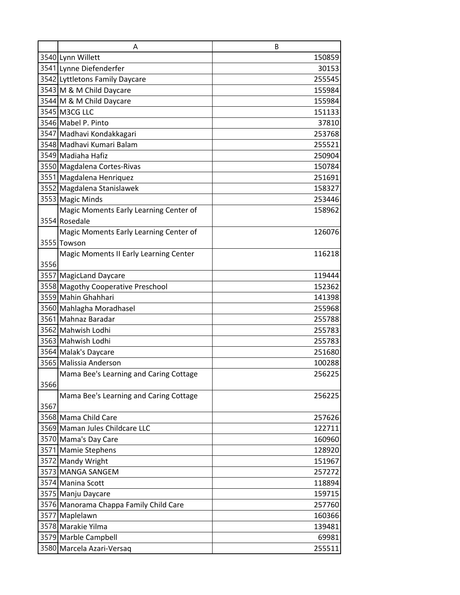|      | A                                                      | B                |
|------|--------------------------------------------------------|------------------|
|      | 3540 Lynn Willett                                      | 150859           |
|      | 3541 Lynne Diefenderfer                                | 30153            |
|      | 3542 Lyttletons Family Daycare                         | 255545           |
|      | 3543 M & M Child Daycare                               | 155984           |
|      | 3544 M & M Child Daycare                               | 155984           |
|      | 3545 M3CG LLC                                          | 151133           |
|      | 3546 Mabel P. Pinto                                    | 37810            |
|      | 3547 Madhavi Kondakkagari                              | 253768           |
|      | 3548 Madhavi Kumari Balam                              | 255521           |
|      | 3549 Madiaha Hafiz                                     | 250904           |
|      | 3550 Magdalena Cortes-Rivas                            | 150784           |
|      | 3551 Magdalena Henriquez                               | 251691           |
|      | 3552 Magdalena Stanislawek                             | 158327           |
|      | 3553 Magic Minds                                       | 253446           |
|      | Magic Moments Early Learning Center of                 | 158962           |
|      | 3554 Rosedale                                          |                  |
|      | Magic Moments Early Learning Center of                 | 126076           |
|      | 3555 Towson                                            |                  |
|      | Magic Moments II Early Learning Center                 | 116218           |
| 3556 |                                                        |                  |
|      | 3557 MagicLand Daycare                                 | 119444           |
|      | 3558 Magothy Cooperative Preschool                     | 152362           |
|      | 3559 Mahin Ghahhari                                    | 141398           |
|      | 3560 Mahlagha Moradhasel                               | 255968           |
|      | 3561 Mahnaz Baradar                                    | 255788           |
|      | 3562 Mahwish Lodhi                                     | 255783           |
|      | 3563 Mahwish Lodhi                                     | 255783           |
|      | 3564 Malak's Daycare                                   | 251680           |
|      | 3565 Malissia Anderson                                 | 100288           |
|      | Mama Bee's Learning and Caring Cottage                 | 256225           |
| 3566 |                                                        |                  |
|      | Mama Bee's Learning and Caring Cottage                 | 256225           |
| 3567 |                                                        |                  |
|      | 3568 Mama Child Care                                   | 257626           |
|      | 3569 Maman Jules Childcare LLC<br>3570 Mama's Day Care | 122711           |
|      | 3571 Mamie Stephens                                    | 160960<br>128920 |
|      | 3572 Mandy Wright                                      | 151967           |
|      | 3573 MANGA SANGEM                                      | 257272           |
|      | 3574 Manina Scott                                      |                  |
|      | 3575 Manju Daycare                                     | 118894<br>159715 |
|      | 3576 Manorama Chappa Family Child Care                 | 257760           |
|      | 3577 Maplelawn                                         | 160366           |
|      | 3578 Marakie Yilma                                     | 139481           |
|      | 3579 Marble Campbell                                   | 69981            |
|      | 3580 Marcela Azari-Versaq                              | 255511           |
|      |                                                        |                  |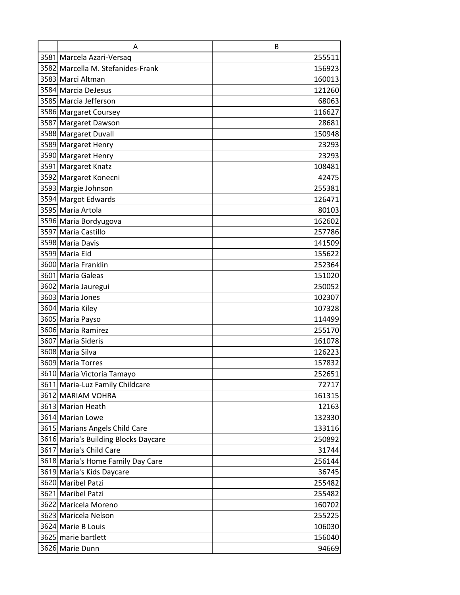| Α                                    | B      |
|--------------------------------------|--------|
| 3581 Marcela Azari-Versaq            | 255511 |
| 3582 Marcella M. Stefanides-Frank    | 156923 |
| 3583 Marci Altman                    | 160013 |
| 3584 Marcia DeJesus                  | 121260 |
| 3585 Marcia Jefferson                | 68063  |
| 3586 Margaret Coursey                | 116627 |
| 3587 Margaret Dawson                 | 28681  |
| 3588 Margaret Duvall                 | 150948 |
| 3589 Margaret Henry                  | 23293  |
| 3590 Margaret Henry                  | 23293  |
| 3591 Margaret Knatz                  | 108481 |
| 3592 Margaret Konecni                | 42475  |
| 3593 Margie Johnson                  | 255381 |
| 3594 Margot Edwards                  | 126471 |
| 3595 Maria Artola                    | 80103  |
| 3596 Maria Bordyugova                | 162602 |
| 3597 Maria Castillo                  | 257786 |
| 3598 Maria Davis                     | 141509 |
| 3599 Maria Eid                       | 155622 |
| 3600 Maria Franklin                  | 252364 |
| 3601 Maria Galeas                    | 151020 |
| 3602 Maria Jauregui                  | 250052 |
| 3603 Maria Jones                     | 102307 |
| 3604 Maria Kiley                     | 107328 |
| 3605 Maria Payso                     | 114499 |
| 3606 Maria Ramirez                   | 255170 |
| 3607 Maria Sideris                   | 161078 |
| 3608 Maria Silva                     | 126223 |
| 3609 Maria Torres                    | 157832 |
| 3610 Maria Victoria Tamayo           | 252651 |
| 3611 Maria-Luz Family Childcare      | 72717  |
| 3612 MARIAM VOHRA                    | 161315 |
| 3613 Marian Heath                    | 12163  |
| 3614 Marian Lowe                     | 132330 |
| 3615 Marians Angels Child Care       | 133116 |
| 3616 Maria's Building Blocks Daycare | 250892 |
| 3617 Maria's Child Care              | 31744  |
| 3618 Maria's Home Family Day Care    | 256144 |
| 3619 Maria's Kids Daycare            | 36745  |
| 3620 Maribel Patzi                   | 255482 |
| 3621 Maribel Patzi                   | 255482 |
| 3622 Maricela Moreno                 | 160702 |
| 3623 Maricela Nelson                 | 255225 |
| 3624 Marie B Louis                   | 106030 |
| 3625 marie bartlett                  | 156040 |
| 3626 Marie Dunn                      | 94669  |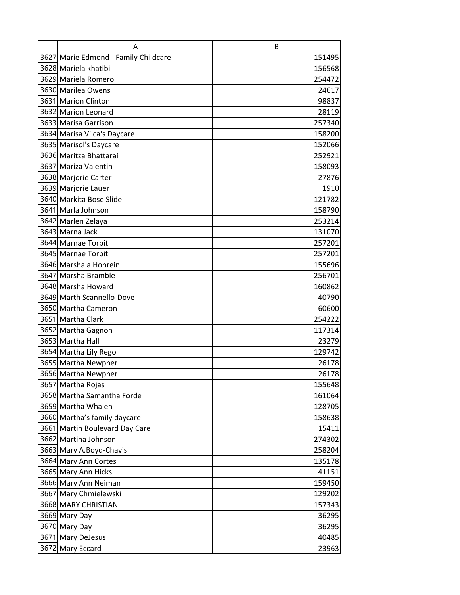| Α                                    | B      |
|--------------------------------------|--------|
| 3627 Marie Edmond - Family Childcare | 151495 |
| 3628 Mariela khatibi                 | 156568 |
| 3629 Mariela Romero                  | 254472 |
| 3630 Marilea Owens                   | 24617  |
| 3631 Marion Clinton                  | 98837  |
| 3632 Marion Leonard                  | 28119  |
| 3633 Marisa Garrison                 | 257340 |
| 3634 Marisa Vilca's Daycare          | 158200 |
| 3635 Marisol's Daycare               | 152066 |
| 3636 Maritza Bhattarai               | 252921 |
| 3637 Mariza Valentin                 | 158093 |
| 3638 Marjorie Carter                 | 27876  |
| 3639 Marjorie Lauer                  | 1910   |
| 3640 Markita Bose Slide              | 121782 |
| 3641 Marla Johnson                   | 158790 |
| 3642 Marlen Zelaya                   | 253214 |
| 3643 Marna Jack                      | 131070 |
| 3644 Marnae Torbit                   | 257201 |
| 3645 Marnae Torbit                   | 257201 |
| 3646 Marsha a Hohrein                | 155696 |
| 3647 Marsha Bramble                  | 256701 |
| 3648 Marsha Howard                   | 160862 |
| 3649 Marth Scannello-Dove            | 40790  |
| 3650 Martha Cameron                  | 60600  |
| 3651 Martha Clark                    | 254222 |
| 3652 Martha Gagnon                   | 117314 |
| 3653 Martha Hall                     | 23279  |
| 3654 Martha Lily Rego                | 129742 |
| 3655 Martha Newpher                  | 26178  |
| 3656 Martha Newpher                  | 26178  |
| 3657 Martha Rojas                    | 155648 |
| 3658 Martha Samantha Forde           | 161064 |
| 3659 Martha Whalen                   | 128705 |
| 3660 Martha's family daycare         | 158638 |
| 3661 Martin Boulevard Day Care       | 15411  |
| 3662 Martina Johnson                 | 274302 |
| 3663 Mary A.Boyd-Chavis              | 258204 |
| 3664 Mary Ann Cortes                 | 135178 |
| 3665 Mary Ann Hicks                  | 41151  |
| 3666 Mary Ann Neiman                 | 159450 |
| 3667 Mary Chmielewski                | 129202 |
| 3668 MARY CHRISTIAN                  | 157343 |
| 3669 Mary Day                        | 36295  |
| 3670 Mary Day                        | 36295  |
| 3671 Mary DeJesus                    | 40485  |
| 3672 Mary Eccard                     | 23963  |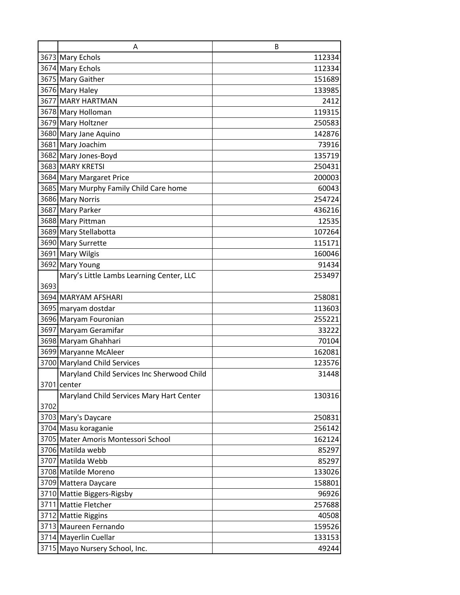|      | A                                          | B      |
|------|--------------------------------------------|--------|
|      | 3673 Mary Echols                           | 112334 |
|      | 3674 Mary Echols                           | 112334 |
|      | 3675 Mary Gaither                          | 151689 |
|      | 3676 Mary Haley                            | 133985 |
|      | 3677 MARY HARTMAN                          | 2412   |
|      | 3678 Mary Holloman                         | 119315 |
|      | 3679 Mary Holtzner                         | 250583 |
|      | 3680 Mary Jane Aquino                      | 142876 |
|      | 3681 Mary Joachim                          | 73916  |
|      | 3682 Mary Jones-Boyd                       | 135719 |
|      | 3683 MARY KRETSI                           | 250431 |
|      | 3684 Mary Margaret Price                   | 200003 |
|      | 3685 Mary Murphy Family Child Care home    | 60043  |
|      | 3686 Mary Norris                           | 254724 |
|      | 3687 Mary Parker                           | 436216 |
|      | 3688 Mary Pittman                          | 12535  |
|      | 3689 Mary Stellabotta                      | 107264 |
|      | 3690 Mary Surrette                         | 115171 |
|      | 3691 Mary Wilgis                           | 160046 |
|      | 3692 Mary Young                            | 91434  |
|      | Mary's Little Lambs Learning Center, LLC   | 253497 |
| 3693 |                                            |        |
|      | 3694 MARYAM AFSHARI                        | 258081 |
|      | 3695 maryam dostdar                        | 113603 |
|      | 3696 Maryam Fouronian                      | 255221 |
|      | 3697 Maryam Geramifar                      | 33222  |
|      | 3698 Maryam Ghahhari                       | 70104  |
|      | 3699 Maryanne McAleer                      | 162081 |
|      | 3700 Maryland Child Services               | 123576 |
|      | Maryland Child Services Inc Sherwood Child | 31448  |
|      | 3701 center                                |        |
|      | Maryland Child Services Mary Hart Center   | 130316 |
| 3702 |                                            |        |
|      | 3703 Mary's Daycare                        | 250831 |
|      | 3704 Masu koraganie                        | 256142 |
|      | 3705 Mater Amoris Montessori School        | 162124 |
|      | 3706 Matilda webb                          | 85297  |
|      | 3707 Matilda Webb                          | 85297  |
|      | 3708 Matilde Moreno                        | 133026 |
|      | 3709 Mattera Daycare                       | 158801 |
|      | 3710 Mattie Biggers-Rigsby                 | 96926  |
|      | 3711 Mattie Fletcher                       | 257688 |
|      | 3712 Mattie Riggins                        | 40508  |
|      | 3713 Maureen Fernando                      | 159526 |
|      | 3714 Mayerlin Cuellar                      | 133153 |
|      | 3715 Mayo Nursery School, Inc.             | 49244  |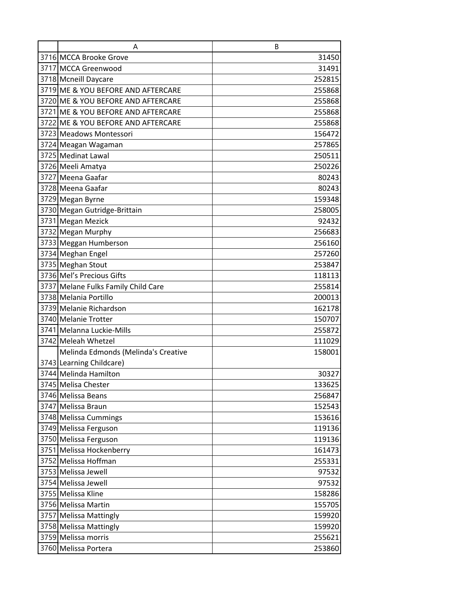| A                                   | B      |
|-------------------------------------|--------|
| 3716 MCCA Brooke Grove              | 31450  |
| 3717 MCCA Greenwood                 | 31491  |
| 3718 Mcneill Daycare                | 252815 |
| 3719 ME & YOU BEFORE AND AFTERCARE  | 255868 |
| 3720 ME & YOU BEFORE AND AFTERCARE  | 255868 |
| 3721 ME & YOU BEFORE AND AFTERCARE  | 255868 |
| 3722 ME & YOU BEFORE AND AFTERCARE  | 255868 |
| 3723 Meadows Montessori             | 156472 |
| 3724 Meagan Wagaman                 | 257865 |
| 3725 Medinat Lawal                  | 250511 |
| 3726 Meeli Amatya                   | 250226 |
| 3727 Meena Gaafar                   | 80243  |
| 3728 Meena Gaafar                   | 80243  |
| 3729 Megan Byrne                    | 159348 |
| 3730 Megan Gutridge-Brittain        | 258005 |
| 3731 Megan Mezick                   | 92432  |
| 3732 Megan Murphy                   | 256683 |
| 3733 Meggan Humberson               | 256160 |
| 3734 Meghan Engel                   | 257260 |
| 3735 Meghan Stout                   | 253847 |
| 3736 Mel's Precious Gifts           | 118113 |
| 3737 Melane Fulks Family Child Care | 255814 |
| 3738 Melania Portillo               | 200013 |
| 3739 Melanie Richardson             | 162178 |
| 3740 Melanie Trotter                | 150707 |
| 3741 Melanna Luckie-Mills           | 255872 |
| 3742 Meleah Whetzel                 | 111029 |
| Melinda Edmonds (Melinda's Creative | 158001 |
| 3743 Learning Childcare)            |        |
| 3744 Melinda Hamilton               | 30327  |
| 3745 Melisa Chester                 | 133625 |
| 3746 Melissa Beans                  | 256847 |
| 3747 Melissa Braun                  | 152543 |
| 3748 Melissa Cummings               | 153616 |
| 3749 Melissa Ferguson               | 119136 |
| 3750 Melissa Ferguson               | 119136 |
| 3751 Melissa Hockenberry            | 161473 |
| 3752 Melissa Hoffman                | 255331 |
| 3753 Melissa Jewell                 | 97532  |
| 3754 Melissa Jewell                 | 97532  |
| 3755 Melissa Kline                  | 158286 |
| 3756 Melissa Martin                 | 155705 |
| 3757 Melissa Mattingly              | 159920 |
| 3758 Melissa Mattingly              | 159920 |
| 3759 Melissa morris                 | 255621 |
| 3760 Melissa Portera                | 253860 |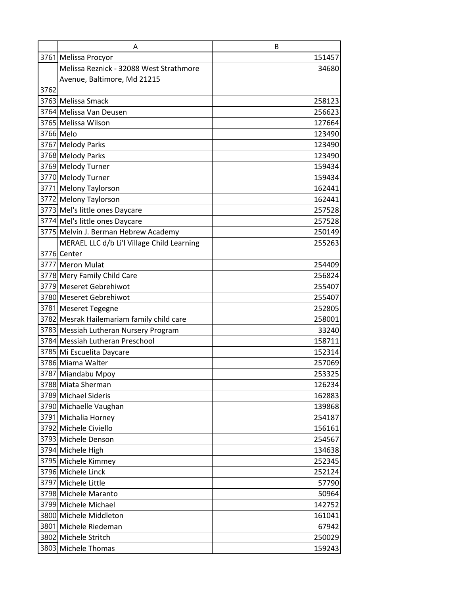|      | A                                          | B      |
|------|--------------------------------------------|--------|
|      | 3761 Melissa Procyor                       | 151457 |
|      | Melissa Reznick - 32088 West Strathmore    | 34680  |
|      | Avenue, Baltimore, Md 21215                |        |
| 3762 |                                            |        |
|      | 3763 Melissa Smack                         | 258123 |
|      | 3764 Melissa Van Deusen                    | 256623 |
|      | 3765 Melissa Wilson                        | 127664 |
|      | 3766 Melo                                  | 123490 |
|      | 3767 Melody Parks                          | 123490 |
|      | 3768 Melody Parks                          | 123490 |
|      | 3769 Melody Turner                         | 159434 |
|      | 3770 Melody Turner                         | 159434 |
|      | 3771 Melony Taylorson                      | 162441 |
|      | 3772 Melony Taylorson                      | 162441 |
|      | 3773 Mel's little ones Daycare             | 257528 |
|      | 3774 Mel's little ones Daycare             | 257528 |
|      | 3775 Melvin J. Berman Hebrew Academy       | 250149 |
|      | MERAEL LLC d/b Li'l Village Child Learning | 255263 |
|      | 3776 Center                                |        |
|      | 3777 Meron Mulat                           | 254409 |
|      | 3778 Mery Family Child Care                | 256824 |
|      | 3779 Meseret Gebrehiwot                    | 255407 |
|      | 3780 Meseret Gebrehiwot                    | 255407 |
|      | 3781 Meseret Tegegne                       | 252805 |
|      | 3782 Mesrak Hailemariam family child care  | 258001 |
|      | 3783 Messiah Lutheran Nursery Program      | 33240  |
|      | 3784 Messiah Lutheran Preschool            | 158711 |
|      | 3785 Mi Escuelita Daycare                  | 152314 |
|      | 3786 Miama Walter                          | 257069 |
|      | 3787 Miandabu Mpoy                         | 253325 |
|      | 3788 Miata Sherman                         | 126234 |
|      | 3789 Michael Sideris                       | 162883 |
|      | 3790 Michaelle Vaughan                     | 139868 |
|      | 3791 Michalia Horney                       | 254187 |
|      | 3792 Michele Civiello                      | 156161 |
|      | 3793 Michele Denson                        | 254567 |
|      | 3794 Michele High                          | 134638 |
|      | 3795 Michele Kimmey                        | 252345 |
|      | 3796 Michele Linck                         | 252124 |
|      | 3797 Michele Little                        | 57790  |
|      | 3798 Michele Maranto                       | 50964  |
|      | 3799 Michele Michael                       | 142752 |
|      | 3800 Michele Middleton                     | 161041 |
|      | 3801 Michele Riedeman                      | 67942  |
|      | 3802 Michele Stritch                       | 250029 |
|      | 3803 Michele Thomas                        | 159243 |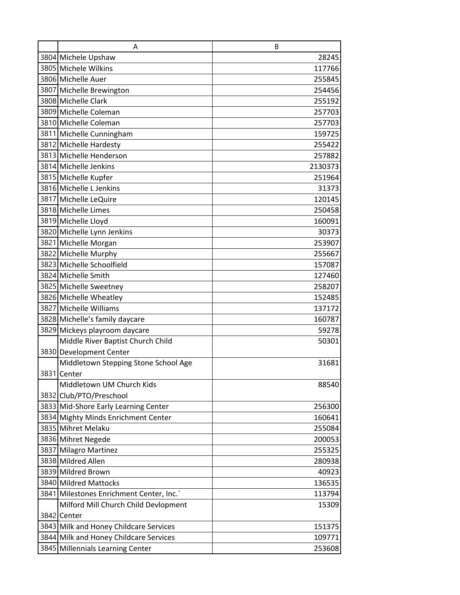| A                                       | B       |
|-----------------------------------------|---------|
| 3804 Michele Upshaw                     | 28245   |
| 3805 Michele Wilkins                    | 117766  |
| 3806 Michelle Auer                      | 255845  |
| 3807 Michelle Brewington                | 254456  |
| 3808 Michelle Clark                     | 255192  |
| 3809 Michelle Coleman                   | 257703  |
| 3810 Michelle Coleman                   | 257703  |
| 3811 Michelle Cunningham                | 159725  |
| 3812 Michelle Hardesty                  | 255422  |
| 3813 Michelle Henderson                 | 257882  |
| 3814 Michelle Jenkins                   | 2130373 |
| 3815 Michelle Kupfer                    | 251964  |
| 3816 Michelle L Jenkins                 | 31373   |
| 3817 Michelle LeQuire                   | 120145  |
| 3818 Michelle Limes                     | 250458  |
| 3819 Michelle Lloyd                     | 160091  |
| 3820 Michelle Lynn Jenkins              | 30373   |
| 3821 Michelle Morgan                    | 253907  |
| 3822 Michelle Murphy                    | 255667  |
| 3823 Michelle Schoolfield               | 157087  |
| 3824 Michelle Smith                     | 127460  |
| 3825 Michelle Sweetney                  | 258207  |
| 3826 Michelle Wheatley                  | 152485  |
| 3827 Michelle Williams                  | 137172  |
| 3828 Michelle's family daycare          | 160787  |
| 3829 Mickeys playroom daycare           | 59278   |
| Middle River Baptist Church Child       | 50301   |
| 3830 Development Center                 |         |
| Middletown Stepping Stone School Age    | 31681   |
| 3831 Center                             |         |
| Middletown UM Church Kids               | 88540   |
| 3832 Club/PTO/Preschool                 |         |
| 3833 Mid-Shore Early Learning Center    | 256300  |
| 3834 Mighty Minds Enrichment Center     | 160641  |
| 3835 Mihret Melaku                      | 255084  |
| 3836 Mihret Negede                      | 200053  |
| 3837 Milagro Martinez                   | 255325  |
| 3838 Mildred Allen                      | 280938  |
| 3839 Mildred Brown                      | 40923   |
| 3840 Mildred Mattocks                   | 136535  |
| 3841 Milestones Enrichment Center, Inc. | 113794  |
| Milford Mill Church Child Devlopment    | 15309   |
| 3842 Center                             |         |
| 3843 Milk and Honey Childcare Services  | 151375  |
| 3844 Milk and Honey Childcare Services  | 109771  |
| 3845 Millennials Learning Center        | 253608  |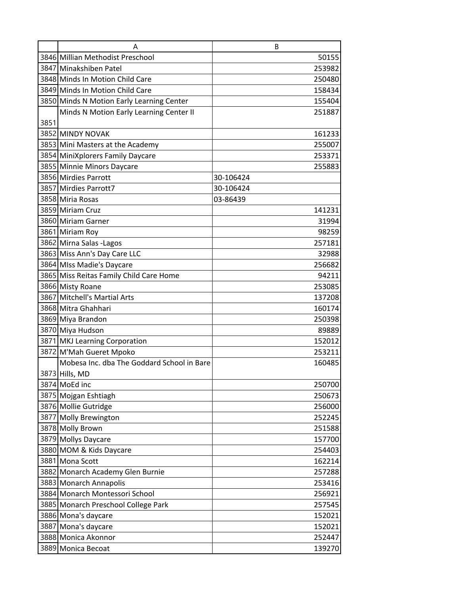|      | Α                                          | B         |
|------|--------------------------------------------|-----------|
|      | 3846 Millian Methodist Preschool           | 50155     |
|      | 3847 Minakshiben Patel                     | 253982    |
|      | 3848 Minds In Motion Child Care            | 250480    |
|      | 3849 Minds In Motion Child Care            | 158434    |
|      | 3850 Minds N Motion Early Learning Center  | 155404    |
|      | Minds N Motion Early Learning Center II    | 251887    |
| 3851 |                                            |           |
|      | 3852 MINDY NOVAK                           | 161233    |
|      | 3853 Mini Masters at the Academy           | 255007    |
|      | 3854 MiniXplorers Family Daycare           | 253371    |
|      | 3855 Minnie Minors Daycare                 | 255883    |
|      | 3856 Mirdies Parrott                       | 30-106424 |
|      | 3857 Mirdies Parrott7                      | 30-106424 |
|      | 3858 Miria Rosas                           | 03-86439  |
|      | 3859 Miriam Cruz                           | 141231    |
|      | 3860 Miriam Garner                         | 31994     |
|      | 3861 Miriam Roy                            | 98259     |
|      | 3862 Mirna Salas - Lagos                   | 257181    |
|      | 3863 Miss Ann's Day Care LLC               | 32988     |
|      | 3864 MIss Madie's Daycare                  | 256682    |
|      | 3865 Miss Reitas Family Child Care Home    | 94211     |
|      | 3866 Misty Roane                           | 253085    |
|      | 3867 Mitchell's Martial Arts               | 137208    |
|      | 3868 Mitra Ghahhari                        | 160174    |
|      | 3869 Miya Brandon                          | 250398    |
|      | 3870 Miya Hudson                           | 89889     |
|      | 3871 MKJ Learning Corporation              | 152012    |
|      | 3872 M'Mah Gueret Mpoko                    | 253211    |
|      | Mobesa Inc. dba The Goddard School in Bare | 160485    |
|      | 3873 Hills, MD                             |           |
|      | 3874 MoEd inc                              | 250700    |
|      | 3875 Mojgan Eshtiagh                       | 250673    |
|      | 3876 Mollie Gutridge                       | 256000    |
|      | 3877 Molly Brewington                      | 252245    |
|      | 3878 Molly Brown                           | 251588    |
|      | 3879 Mollys Daycare                        | 157700    |
|      | 3880 MOM & Kids Daycare                    | 254403    |
|      | 3881 Mona Scott                            | 162214    |
|      | 3882 Monarch Academy Glen Burnie           | 257288    |
|      | 3883 Monarch Annapolis                     | 253416    |
|      | 3884 Monarch Montessori School             | 256921    |
|      | 3885 Monarch Preschool College Park        | 257545    |
|      | 3886 Mona's daycare                        | 152021    |
|      | 3887 Mona's daycare                        | 152021    |
|      | 3888 Monica Akonnor                        | 252447    |
|      | 3889 Monica Becoat                         | 139270    |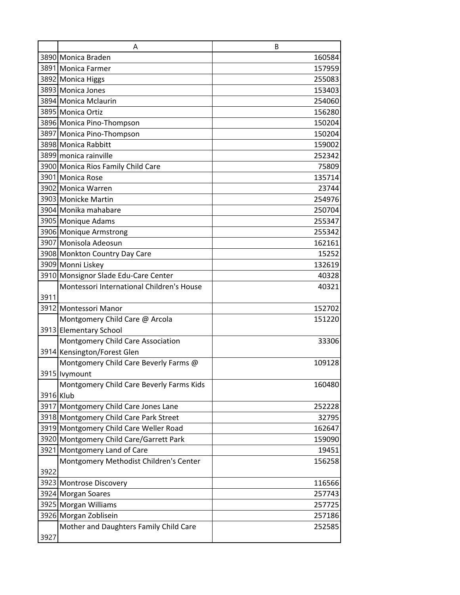|           | A                                         | B      |
|-----------|-------------------------------------------|--------|
|           | 3890 Monica Braden                        | 160584 |
|           | 3891 Monica Farmer                        | 157959 |
|           | 3892 Monica Higgs                         | 255083 |
|           | 3893 Monica Jones                         | 153403 |
|           | 3894 Monica Mclaurin                      | 254060 |
|           | 3895 Monica Ortiz                         | 156280 |
|           | 3896 Monica Pino-Thompson                 | 150204 |
|           | 3897 Monica Pino-Thompson                 | 150204 |
|           | 3898 Monica Rabbitt                       | 159002 |
|           | 3899 monica rainville                     | 252342 |
|           | 3900 Monica Rios Family Child Care        | 75809  |
|           | 3901 Monica Rose                          | 135714 |
|           | 3902 Monica Warren                        | 23744  |
|           | 3903 Monicke Martin                       | 254976 |
|           | 3904 Monika mahabare                      | 250704 |
|           | 3905 Monique Adams                        | 255347 |
|           | 3906 Monique Armstrong                    | 255342 |
|           | 3907 Monisola Adeosun                     | 162161 |
|           | 3908 Monkton Country Day Care             | 15252  |
|           | 3909 Monni Liskey                         | 132619 |
|           | 3910 Monsignor Slade Edu-Care Center      | 40328  |
|           | Montessori International Children's House | 40321  |
| 3911      |                                           |        |
|           | 3912 Montessori Manor                     | 152702 |
|           | Montgomery Child Care @ Arcola            | 151220 |
|           | 3913 Elementary School                    |        |
|           | Montgomery Child Care Association         | 33306  |
|           | 3914 Kensington/Forest Glen               |        |
|           | Montgomery Child Care Beverly Farms @     | 109128 |
|           | 3915 Ivymount                             |        |
|           | Montgomery Child Care Beverly Farms Kids  | 160480 |
| 3916 Klub |                                           |        |
|           | 3917 Montgomery Child Care Jones Lane     | 252228 |
|           | 3918 Montgomery Child Care Park Street    | 32795  |
|           | 3919 Montgomery Child Care Weller Road    | 162647 |
|           | 3920 Montgomery Child Care/Garrett Park   | 159090 |
|           | 3921 Montgomery Land of Care              | 19451  |
|           | Montgomery Methodist Children's Center    | 156258 |
| 3922      |                                           |        |
|           | 3923 Montrose Discovery                   | 116566 |
|           | 3924 Morgan Soares                        | 257743 |
|           | 3925 Morgan Williams                      | 257725 |
|           | 3926 Morgan Zoblisein                     | 257186 |
|           | Mother and Daughters Family Child Care    | 252585 |
| 3927      |                                           |        |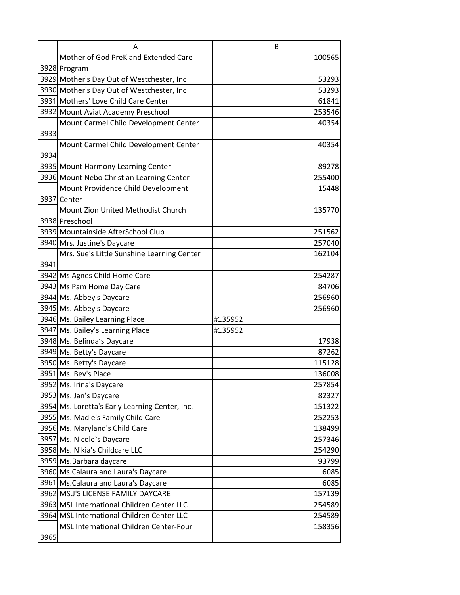|      | Α                                              | B       |
|------|------------------------------------------------|---------|
|      | Mother of God PreK and Extended Care           | 100565  |
|      | 3928 Program                                   |         |
|      | 3929 Mother's Day Out of Westchester, Inc      | 53293   |
|      | 3930 Mother's Day Out of Westchester, Inc      | 53293   |
|      | 3931 Mothers' Love Child Care Center           | 61841   |
|      | 3932 Mount Aviat Academy Preschool             | 253546  |
|      | Mount Carmel Child Development Center          | 40354   |
| 3933 |                                                |         |
|      | Mount Carmel Child Development Center          | 40354   |
| 3934 |                                                |         |
|      | 3935 Mount Harmony Learning Center             | 89278   |
|      | 3936 Mount Nebo Christian Learning Center      | 255400  |
|      | Mount Providence Child Development             | 15448   |
|      | 3937 Center                                    |         |
|      | Mount Zion United Methodist Church             | 135770  |
|      | 3938 Preschool                                 |         |
|      | 3939 Mountainside AfterSchool Club             | 251562  |
|      | 3940 Mrs. Justine's Daycare                    | 257040  |
|      | Mrs. Sue's Little Sunshine Learning Center     | 162104  |
| 3941 |                                                |         |
|      | 3942 Ms Agnes Child Home Care                  | 254287  |
|      | 3943 Ms Pam Home Day Care                      | 84706   |
|      | 3944 Ms. Abbey's Daycare                       | 256960  |
|      | 3945 Ms. Abbey's Daycare                       | 256960  |
|      | 3946 Ms. Bailey Learning Place                 | #135952 |
|      | 3947 Ms. Bailey's Learning Place               | #135952 |
|      | 3948 Ms. Belinda's Daycare                     | 17938   |
|      | 3949 Ms. Betty's Daycare                       | 87262   |
|      | 3950 Ms. Betty's Daycare                       | 115128  |
|      | 3951 Ms. Bev's Place                           | 136008  |
|      | 3952 Ms. Irina's Daycare                       | 257854  |
|      | 3953 Ms. Jan's Daycare                         | 82327   |
|      | 3954 Ms. Loretta's Early Learning Center, Inc. | 151322  |
|      | 3955 Ms. Madie's Family Child Care             | 252253  |
|      | 3956 Ms. Maryland's Child Care                 | 138499  |
|      | 3957 Ms. Nicole's Daycare                      | 257346  |
|      | 3958 Ms. Nikia's Childcare LLC                 | 254290  |
|      | 3959 Ms. Barbara daycare                       | 93799   |
|      | 3960 Ms. Calaura and Laura's Daycare           | 6085    |
|      | 3961 Ms. Calaura and Laura's Daycare           | 6085    |
|      | 3962 MS.J'S LICENSE FAMILY DAYCARE             | 157139  |
|      | 3963 MSL International Children Center LLC     | 254589  |
|      | 3964 MSL International Children Center LLC     | 254589  |
|      | MSL International Children Center-Four         | 158356  |
| 3965 |                                                |         |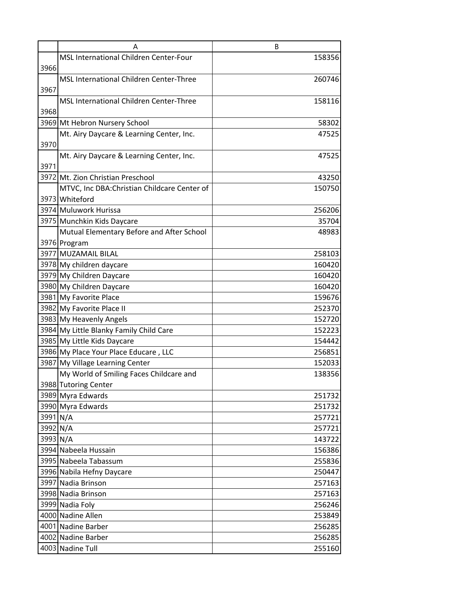|          | Α                                              | B      |
|----------|------------------------------------------------|--------|
|          | MSL International Children Center-Four         | 158356 |
| 3966     |                                                |        |
|          | <b>MSL International Children Center-Three</b> | 260746 |
| 3967     |                                                |        |
|          | <b>MSL International Children Center-Three</b> | 158116 |
| 3968     |                                                |        |
|          | 3969 Mt Hebron Nursery School                  | 58302  |
|          | Mt. Airy Daycare & Learning Center, Inc.       | 47525  |
| 3970     |                                                |        |
|          | Mt. Airy Daycare & Learning Center, Inc.       | 47525  |
| 3971     |                                                |        |
|          | 3972 Mt. Zion Christian Preschool              | 43250  |
|          | MTVC, Inc DBA: Christian Childcare Center of   | 150750 |
|          | 3973 Whiteford                                 |        |
|          | 3974 Muluwork Hurissa                          | 256206 |
|          | 3975 Munchkin Kids Daycare                     | 35704  |
|          | Mutual Elementary Before and After School      | 48983  |
|          | 3976 Program                                   |        |
|          | 3977 MUZAMAIL BILAL                            | 258103 |
|          | 3978 My children daycare                       | 160420 |
|          | 3979 My Children Daycare                       | 160420 |
|          | 3980 My Children Daycare                       | 160420 |
|          | 3981 My Favorite Place                         | 159676 |
|          | 3982 My Favorite Place II                      | 252370 |
|          | 3983 My Heavenly Angels                        | 152720 |
|          | 3984 My Little Blanky Family Child Care        | 152223 |
|          | 3985 My Little Kids Daycare                    | 154442 |
|          | 3986 My Place Your Place Educare, LLC          | 256851 |
|          | 3987 My Village Learning Center                | 152033 |
|          | My World of Smiling Faces Childcare and        | 138356 |
|          | 3988 Tutoring Center                           |        |
|          | 3989 Myra Edwards                              | 251732 |
|          | 3990 Myra Edwards                              | 251732 |
| 3991 N/A |                                                | 257721 |
| 3992 N/A |                                                | 257721 |
| 3993 N/A |                                                | 143722 |
|          | 3994 Nabeela Hussain                           | 156386 |
|          | 3995 Nabeela Tabassum                          | 255836 |
|          | 3996 Nabila Hefny Daycare                      | 250447 |
|          | 3997 Nadia Brinson                             | 257163 |
|          | 3998 Nadia Brinson                             | 257163 |
|          | 3999 Nadia Foly                                | 256246 |
|          | 4000 Nadine Allen                              | 253849 |
|          | 4001 Nadine Barber                             | 256285 |
|          | 4002 Nadine Barber                             | 256285 |
|          | 4003 Nadine Tull                               | 255160 |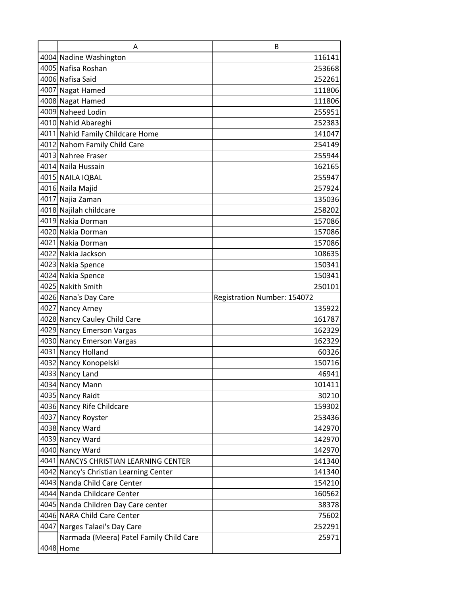| A                                       | B                           |
|-----------------------------------------|-----------------------------|
| 4004 Nadine Washington                  | 116141                      |
| 4005 Nafisa Roshan                      | 253668                      |
| 4006 Nafisa Said                        | 252261                      |
| 4007 Nagat Hamed                        | 111806                      |
| 4008 Nagat Hamed                        | 111806                      |
| 4009 Naheed Lodin                       | 255951                      |
| 4010 Nahid Abareghi                     | 252383                      |
| 4011 Nahid Family Childcare Home        | 141047                      |
| 4012 Nahom Family Child Care            | 254149                      |
| 4013 Nahree Fraser                      | 255944                      |
| 4014 Naila Hussain                      | 162165                      |
| 4015 NAILA IQBAL                        | 255947                      |
| 4016 Naila Majid                        | 257924                      |
| 4017 Najia Zaman                        | 135036                      |
| 4018 Najilah childcare                  | 258202                      |
| 4019 Nakia Dorman                       | 157086                      |
| 4020 Nakia Dorman                       | 157086                      |
| 4021 Nakia Dorman                       | 157086                      |
| 4022 Nakia Jackson                      | 108635                      |
| 4023 Nakia Spence                       | 150341                      |
| 4024 Nakia Spence                       | 150341                      |
| 4025 Nakith Smith                       | 250101                      |
| 4026 Nana's Day Care                    | Registration Number: 154072 |
| 4027 Nancy Arney                        | 135922                      |
| 4028 Nancy Cauley Child Care            | 161787                      |
| 4029 Nancy Emerson Vargas               | 162329                      |
| 4030 Nancy Emerson Vargas               | 162329                      |
| 4031 Nancy Holland                      | 60326                       |
| 4032 Nancy Konopelski                   | 150716                      |
| 4033 Nancy Land                         | 46941                       |
| 4034 Nancy Mann                         | 101411                      |
| 4035 Nancy Raidt                        | 30210                       |
| 4036 Nancy Rife Childcare               | 159302                      |
| 4037 Nancy Royster                      | 253436                      |
| 4038 Nancy Ward                         | 142970                      |
| 4039 Nancy Ward                         | 142970                      |
| 4040 Nancy Ward                         | 142970                      |
| 4041 NANCYS CHRISTIAN LEARNING CENTER   | 141340                      |
| 4042 Nancy's Christian Learning Center  | 141340                      |
| 4043 Nanda Child Care Center            | 154210                      |
| 4044 Nanda Childcare Center             | 160562                      |
| 4045 Nanda Children Day Care center     | 38378                       |
| 4046 NARA Child Care Center             | 75602                       |
| 4047 Narges Talaei's Day Care           | 252291                      |
| Narmada (Meera) Patel Family Child Care | 25971                       |
| 4048 Home                               |                             |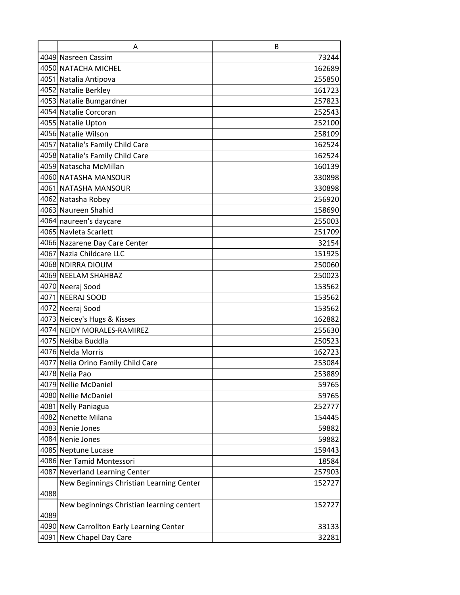|      | A                                         | В      |
|------|-------------------------------------------|--------|
|      | 4049 Nasreen Cassim                       | 73244  |
|      | 4050 NATACHA MICHEL                       | 162689 |
|      | 4051 Natalia Antipova                     | 255850 |
|      | 4052 Natalie Berkley                      | 161723 |
|      | 4053 Natalie Bumgardner                   | 257823 |
|      | 4054 Natalie Corcoran                     | 252543 |
|      | 4055 Natalie Upton                        | 252100 |
|      | 4056 Natalie Wilson                       | 258109 |
|      | 4057 Natalie's Family Child Care          | 162524 |
|      | 4058 Natalie's Family Child Care          | 162524 |
|      | 4059 Natascha McMillan                    | 160139 |
|      | 4060 NATASHA MANSOUR                      | 330898 |
|      | 4061 NATASHA MANSOUR                      | 330898 |
|      | 4062 Natasha Robey                        | 256920 |
|      | 4063 Naureen Shahid                       | 158690 |
|      | 4064 naureen's daycare                    | 255003 |
|      | 4065 Navieta Scarlett                     | 251709 |
|      | 4066 Nazarene Day Care Center             | 32154  |
|      | 4067 Nazia Childcare LLC                  | 151925 |
|      | 4068 NDIRRA DIOUM                         | 250060 |
|      | 4069 NEELAM SHAHBAZ                       | 250023 |
|      | 4070 Neeraj Sood                          | 153562 |
|      | 4071 NEERAJ SOOD                          | 153562 |
|      | 4072 Neeraj Sood                          | 153562 |
|      | 4073 Neicey's Hugs & Kisses               | 162882 |
|      | 4074 NEIDY MORALES-RAMIREZ                | 255630 |
|      | 4075 Nekiba Buddla                        | 250523 |
|      | 4076 Nelda Morris                         | 162723 |
|      | 4077 Nelia Orino Family Child Care        | 253084 |
|      | 4078 Nelia Pao                            | 253889 |
|      | 4079 Nellie McDaniel                      | 59765  |
|      | 4080 Nellie McDaniel                      | 59765  |
|      | 4081 Nelly Paniagua                       | 252777 |
|      | 4082 Nenette Milana                       | 154445 |
|      | 4083 Nenie Jones                          | 59882  |
|      | 4084 Nenie Jones                          | 59882  |
|      | 4085 Neptune Lucase                       | 159443 |
|      | 4086 Ner Tamid Montessori                 | 18584  |
|      | 4087 Neverland Learning Center            | 257903 |
|      | New Beginnings Christian Learning Center  | 152727 |
| 4088 |                                           |        |
|      | New beginnings Christian learning centert | 152727 |
| 4089 |                                           |        |
|      | 4090 New Carrollton Early Learning Center | 33133  |
|      | 4091 New Chapel Day Care                  | 32281  |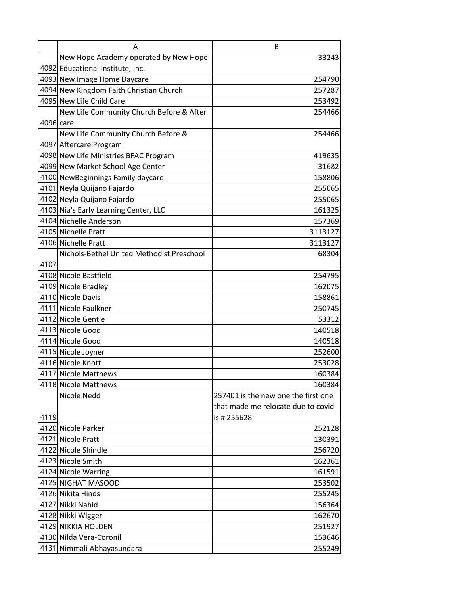|           | А                                         | B                                   |
|-----------|-------------------------------------------|-------------------------------------|
|           | New Hope Academy operated by New Hope     | 33243                               |
|           | 4092 Educational institute, Inc.          |                                     |
|           | 4093 New Image Home Daycare               | 254790                              |
|           | 4094 New Kingdom Faith Christian Church   | 257287                              |
|           | 4095 New Life Child Care                  | 253492                              |
|           | New Life Community Church Before & After  | 254466                              |
| 4096 care |                                           |                                     |
|           | New Life Community Church Before &        | 254466                              |
|           | 4097 Aftercare Program                    |                                     |
|           | 4098 New Life Ministries BFAC Program     | 419635                              |
|           | 4099 New Market School Age Center         | 31682                               |
|           | 4100 NewBeginnings Family daycare         | 158806                              |
|           | 4101 Neyla Quijano Fajardo                | 255065                              |
|           | 4102 Neyla Quijano Fajardo                | 255065                              |
|           | 4103 Nia's Early Learning Center, LLC     | 161325                              |
|           | 4104 Nichelle Anderson                    | 157369                              |
|           | 4105 Nichelle Pratt                       | 3113127                             |
|           | 4106 Nichelle Pratt                       | 3113127                             |
|           | Nichols-Bethel United Methodist Preschool | 68304                               |
| 4107      |                                           |                                     |
|           | 4108 Nicole Bastfield                     | 254795                              |
|           | 4109 Nicole Bradley                       | 162075                              |
|           | 4110 Nicole Davis                         | 158861                              |
|           | 4111 Nicole Faulkner                      | 250745                              |
|           | 4112 Nicole Gentle                        | 53312                               |
|           | 4113 Nicole Good                          | 140518                              |
|           | 4114 Nicole Good                          | 140518                              |
|           | 4115 Nicole Joyner                        | 252600                              |
|           | 4116 Nicole Knott                         | 253028                              |
|           | 4117 Nicole Matthews                      | 160384                              |
|           | 4118 Nicole Matthews                      | 160384                              |
|           | Nicole Nedd                               | 257401 is the new one the first one |
|           |                                           | that made me relocate due to covid  |
| 4119      |                                           | is # 255628                         |
|           | 4120 Nicole Parker                        | 252128                              |
|           | 4121 Nicole Pratt                         | 130391                              |
|           | 4122 Nicole Shindle                       | 256720                              |
|           | 4123 Nicole Smith                         | 162361                              |
|           | 4124 Nicole Warring                       | 161591                              |
|           | 4125 NIGHAT MASOOD                        | 253502                              |
|           | 4126 Nikita Hinds                         | 255245                              |
|           | 4127 Nikki Nahid                          | 156364                              |
|           | 4128 Nikki Wigger                         | 162670                              |
|           | 4129 NIKKIA HOLDEN                        | 251927                              |
|           | 4130 Nilda Vera-Coronil                   | 153646                              |
|           | 4131 Nimmali Abhayasundara                | 255249                              |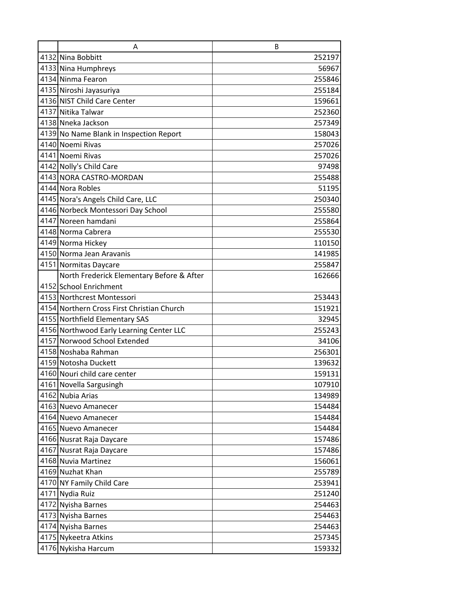| A                                          | B      |
|--------------------------------------------|--------|
| 4132 Nina Bobbitt                          | 252197 |
| 4133 Nina Humphreys                        | 56967  |
| 4134 Ninma Fearon                          | 255846 |
| 4135 Niroshi Jayasuriya                    | 255184 |
| 4136 NIST Child Care Center                | 159661 |
| 4137 Nitika Talwar                         | 252360 |
| 4138 Nneka Jackson                         | 257349 |
| 4139 No Name Blank in Inspection Report    | 158043 |
| 4140 Noemi Rivas                           | 257026 |
| 4141 Noemi Rivas                           | 257026 |
| 4142 Nolly's Child Care                    | 97498  |
| 4143 NORA CASTRO-MORDAN                    | 255488 |
| 4144 Nora Robles                           | 51195  |
| 4145 Nora's Angels Child Care, LLC         | 250340 |
| 4146 Norbeck Montessori Day School         | 255580 |
| 4147 Noreen hamdani                        | 255864 |
| 4148 Norma Cabrera                         | 255530 |
| 4149 Norma Hickey                          | 110150 |
| 4150 Norma Jean Aravanis                   | 141985 |
| 4151 Normitas Daycare                      | 255847 |
| North Frederick Elementary Before & After  | 162666 |
| 4152 School Enrichment                     |        |
| 4153 Northcrest Montessori                 | 253443 |
| 4154 Northern Cross First Christian Church | 151921 |
| 4155 Northfield Elementary SAS             | 32945  |
| 4156 Northwood Early Learning Center LLC   | 255243 |
| 4157 Norwood School Extended               | 34106  |
| 4158 Noshaba Rahman                        | 256301 |
| 4159 Notosha Duckett                       | 139632 |
| 4160 Nouri child care center               | 159131 |
| 4161 Novella Sargusingh                    | 107910 |
| 4162 Nubia Arias                           | 134989 |
| 4163 Nuevo Amanecer                        | 154484 |
| 4164 Nuevo Amanecer                        | 154484 |
| 4165 Nuevo Amanecer                        | 154484 |
| 4166 Nusrat Raja Daycare                   | 157486 |
| 4167 Nusrat Raja Daycare                   | 157486 |
| 4168 Nuvia Martinez                        | 156061 |
| 4169 Nuzhat Khan                           | 255789 |
| 4170 NY Family Child Care                  | 253941 |
| 4171 Nydia Ruiz                            | 251240 |
| 4172 Nyisha Barnes                         | 254463 |
| 4173 Nyisha Barnes                         | 254463 |
| 4174 Nyisha Barnes                         | 254463 |
| 4175 Nykeetra Atkins                       | 257345 |
| 4176 Nykisha Harcum                        | 159332 |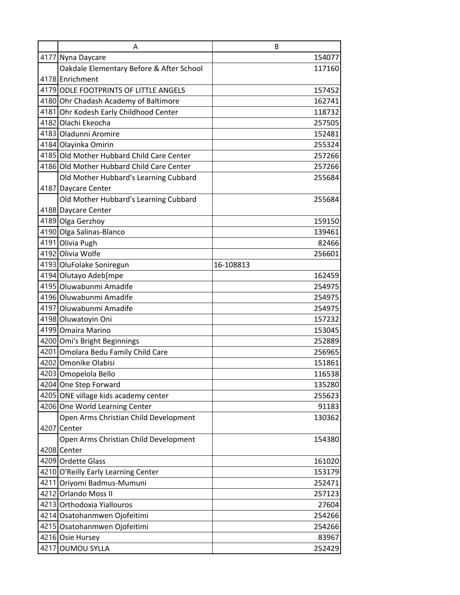|      | A                                         | B         |
|------|-------------------------------------------|-----------|
|      | 4177 Nyna Daycare                         | 154077    |
|      | Oakdale Elementary Before & After School  | 117160    |
|      | 4178 Enrichment                           |           |
|      | 4179 ODLE FOOTPRINTS OF LITTLE ANGELS     | 157452    |
|      | 4180 Ohr Chadash Academy of Baltimore     | 162741    |
|      | 4181 Ohr Kodesh Early Childhood Center    | 118732    |
|      | 4182 Olachi Ekeocha                       | 257505    |
|      | 4183 Oladunni Aromire                     | 152481    |
|      | 4184 Olayinka Omirin                      | 255324    |
|      | 4185 Old Mother Hubbard Child Care Center | 257266    |
|      | 4186 Old Mother Hubbard Child Care Center | 257266    |
|      | Old Mother Hubbard's Learning Cubbard     | 255684    |
|      | 4187 Daycare Center                       |           |
|      | Old Mother Hubbard's Learning Cubbard     | 255684    |
|      | 4188 Daycare Center                       |           |
|      | 4189 Olga Gerzhoy                         | 159150    |
|      | 4190 Olga Salinas-Blanco                  | 139461    |
|      | 4191 Olivia Pugh                          | 82466     |
|      | 4192 Olivia Wolfe                         | 256601    |
|      | 4193 OluFolake Soniregun                  | 16-108813 |
|      | 4194 Olutayo Adeb[mpe                     | 162459    |
|      | 4195 Oluwabunmi Amadife                   | 254975    |
|      | 4196 Oluwabunmi Amadife                   | 254975    |
|      | 4197 Oluwabunmi Amadife                   | 254975    |
|      | 4198 Oluwatoyin Oni                       | 157232    |
|      | 4199 Omaira Marino                        | 153045    |
|      | 4200 Omi's Bright Beginnings              | 252889    |
|      | 4201 Omolara Bedu Family Child Care       | 256965    |
|      | 4202 Omonike Olabisi                      | 151861    |
|      | 4203 Omopelola Bello                      | 116538    |
|      | 4204 One Step Forward                     | 135280    |
|      | 4205 ONE village kids academy center      | 255623    |
|      | 4206 One World Learning Center            | 91183     |
|      | Open Arms Christian Child Development     | 130362    |
|      | 4207 Center                               |           |
|      | Open Arms Christian Child Development     | 154380    |
|      | 4208 Center                               |           |
|      | 4209 Ordette Glass                        | 161020    |
|      | 4210 O'Reilly Early Learning Center       | 153179    |
|      | 4211 Oriyomi Badmus-Mumuni                | 252471    |
|      | 4212 Orlando Moss II                      | 257123    |
|      | 4213 Orthodoxia Yiallouros                | 27604     |
|      | 4214 Osatohanmwen Ojofeitimi              | 254266    |
|      | 4215 Osatohanmwen Ojofeitimi              | 254266    |
|      | 4216 Osie Hursey                          | 83967     |
| 4217 | <b>OUMOU SYLLA</b>                        | 252429    |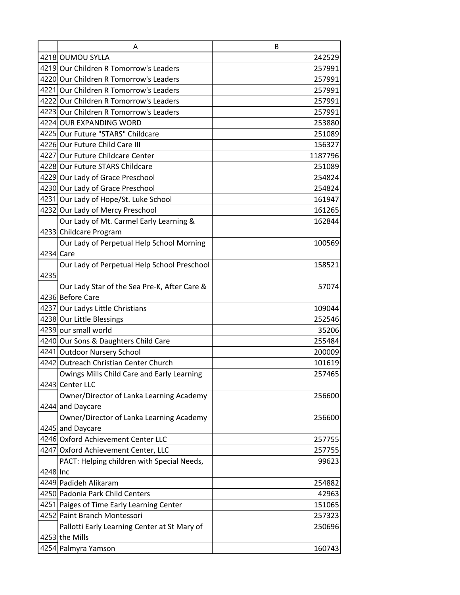|           | A                                            | B       |
|-----------|----------------------------------------------|---------|
|           | 4218 OUMOU SYLLA                             | 242529  |
|           | 4219 Our Children R Tomorrow's Leaders       | 257991  |
|           | 4220 Our Children R Tomorrow's Leaders       | 257991  |
|           | 4221 Our Children R Tomorrow's Leaders       | 257991  |
|           | 4222 Our Children R Tomorrow's Leaders       | 257991  |
|           | 4223 Our Children R Tomorrow's Leaders       | 257991  |
|           | 4224 OUR EXPANDING WORD                      | 253880  |
|           | 4225 Our Future "STARS" Childcare            | 251089  |
|           | 4226 Our Future Child Care III               | 156327  |
|           | 4227 Our Future Childcare Center             | 1187796 |
|           | 4228 Our Future STARS Childcare              | 251089  |
|           | 4229 Our Lady of Grace Preschool             | 254824  |
|           | 4230 Our Lady of Grace Preschool             | 254824  |
|           | 4231 Our Lady of Hope/St. Luke School        | 161947  |
|           | 4232 Our Lady of Mercy Preschool             | 161265  |
|           | Our Lady of Mt. Carmel Early Learning &      | 162844  |
|           | 4233 Childcare Program                       |         |
|           | Our Lady of Perpetual Help School Morning    | 100569  |
| 4234 Care |                                              |         |
|           | Our Lady of Perpetual Help School Preschool  | 158521  |
| 4235      |                                              |         |
|           | Our Lady Star of the Sea Pre-K, After Care & | 57074   |
|           | 4236 Before Care                             |         |
|           | 4237 Our Ladys Little Christians             | 109044  |
|           | 4238 Our Little Blessings                    | 252546  |
|           | 4239 our small world                         | 35206   |
|           | 4240 Our Sons & Daughters Child Care         | 255484  |
|           | 4241 Outdoor Nursery School                  | 200009  |
|           | 4242 Outreach Christian Center Church        | 101619  |
|           | Owings Mills Child Care and Early Learning   | 257465  |
|           | 4243 Center LLC                              |         |
|           | Owner/Director of Lanka Learning Academy     | 256600  |
|           | 4244 and Daycare                             |         |
|           | Owner/Director of Lanka Learning Academy     | 256600  |
|           | 4245 and Daycare                             |         |
|           | 4246 Oxford Achievement Center LLC           | 257755  |
|           | 4247 Oxford Achievement Center, LLC          | 257755  |
|           | PACT: Helping children with Special Needs,   | 99623   |
| 4248 Inc  |                                              |         |
|           | 4249 Padideh Alikaram                        | 254882  |
|           | 4250 Padonia Park Child Centers              | 42963   |
|           | 4251 Paiges of Time Early Learning Center    | 151065  |
|           | 4252 Paint Branch Montessori                 | 257323  |
|           | Pallotti Early Learning Center at St Mary of | 250696  |
|           | 4253 the Mills                               |         |
|           | 4254 Palmyra Yamson                          | 160743  |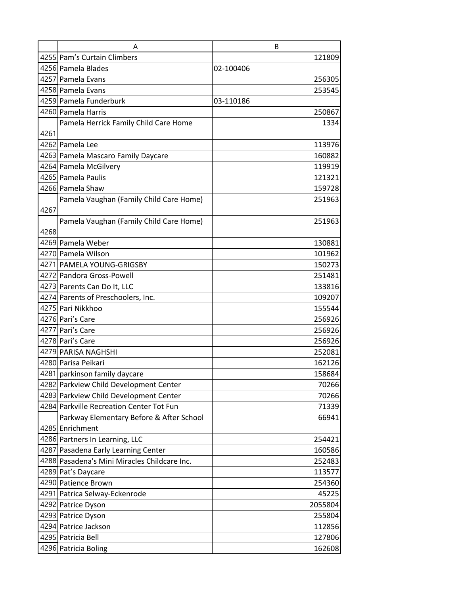|      | Α                                            | B         |
|------|----------------------------------------------|-----------|
|      | 4255 Pam's Curtain Climbers                  | 121809    |
|      | 4256 Pamela Blades                           | 02-100406 |
|      | 4257 Pamela Evans                            | 256305    |
|      | 4258 Pamela Evans                            | 253545    |
|      | 4259 Pamela Funderburk                       | 03-110186 |
|      | 4260 Pamela Harris                           | 250867    |
|      | Pamela Herrick Family Child Care Home        | 1334      |
| 4261 |                                              |           |
|      | 4262 Pamela Lee                              | 113976    |
|      | 4263 Pamela Mascaro Family Daycare           | 160882    |
|      | 4264 Pamela McGilvery                        | 119919    |
|      | 4265 Pamela Paulis                           | 121321    |
|      | 4266 Pamela Shaw                             | 159728    |
|      | Pamela Vaughan (Family Child Care Home)      | 251963    |
| 4267 |                                              |           |
|      | Pamela Vaughan (Family Child Care Home)      | 251963    |
| 4268 |                                              |           |
|      | 4269 Pamela Weber                            | 130881    |
|      | 4270 Pamela Wilson                           | 101962    |
|      | 4271 PAMELA YOUNG-GRIGSBY                    | 150273    |
|      | 4272 Pandora Gross-Powell                    | 251481    |
|      | 4273 Parents Can Do It, LLC                  | 133816    |
|      | 4274 Parents of Preschoolers, Inc.           | 109207    |
|      | 4275 Pari Nikkhoo                            | 155544    |
|      | 4276 Pari's Care                             | 256926    |
|      | 4277 Pari's Care                             | 256926    |
|      | 4278 Pari's Care                             | 256926    |
|      | 4279 PARISA NAGHSHI                          | 252081    |
|      | 4280 Parisa Peikari                          | 162126    |
|      | 4281 parkinson family daycare                | 158684    |
|      | 4282 Parkview Child Development Center       | 70266     |
|      | 4283 Parkview Child Development Center       | 70266     |
|      | 4284 Parkville Recreation Center Tot Fun     | 71339     |
|      | Parkway Elementary Before & After School     | 66941     |
|      | 4285 Enrichment                              |           |
|      | 4286 Partners In Learning, LLC               | 254421    |
|      | 4287 Pasadena Early Learning Center          | 160586    |
|      | 4288 Pasadena's Mini Miracles Childcare Inc. | 252483    |
|      | 4289 Pat's Daycare                           | 113577    |
|      | 4290 Patience Brown                          | 254360    |
|      | 4291 Patrica Selway-Eckenrode                | 45225     |
|      | 4292 Patrice Dyson                           | 2055804   |
|      | 4293 Patrice Dyson                           | 255804    |
|      | 4294 Patrice Jackson                         | 112856    |
|      | 4295 Patricia Bell                           | 127806    |
|      | 4296 Patricia Boling                         | 162608    |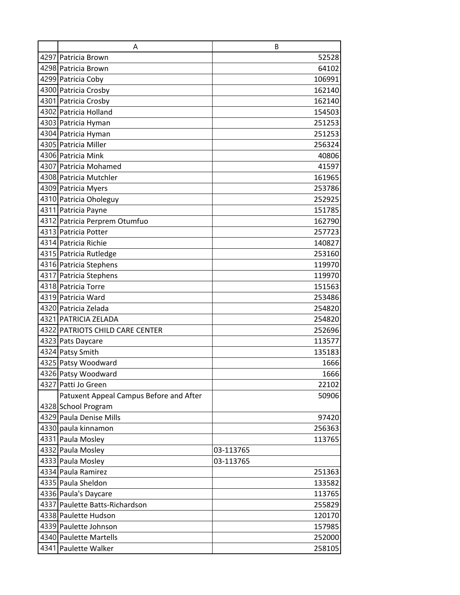| A                                       | B         |
|-----------------------------------------|-----------|
| 4297 Patricia Brown                     | 52528     |
| 4298 Patricia Brown                     | 64102     |
| 4299 Patricia Coby                      | 106991    |
| 4300 Patricia Crosby                    | 162140    |
| 4301 Patricia Crosby                    | 162140    |
| 4302 Patricia Holland                   | 154503    |
| 4303 Patricia Hyman                     | 251253    |
| 4304 Patricia Hyman                     | 251253    |
| 4305 Patricia Miller                    | 256324    |
| 4306 Patricia Mink                      | 40806     |
| 4307 Patricia Mohamed                   | 41597     |
| 4308 Patricia Mutchler                  | 161965    |
| 4309 Patricia Myers                     | 253786    |
| 4310 Patricia Oholeguy                  | 252925    |
| 4311 Patricia Payne                     | 151785    |
| 4312 Patricia Perprem Otumfuo           | 162790    |
| 4313 Patricia Potter                    | 257723    |
| 4314 Patricia Richie                    | 140827    |
| 4315 Patricia Rutledge                  | 253160    |
| 4316 Patricia Stephens                  | 119970    |
| 4317 Patricia Stephens                  | 119970    |
| 4318 Patricia Torre                     | 151563    |
| 4319 Patricia Ward                      | 253486    |
| 4320 Patricia Zelada                    | 254820    |
| 4321 PATRICIA ZELADA                    | 254820    |
| 4322 PATRIOTS CHILD CARE CENTER         | 252696    |
| 4323 Pats Daycare                       | 113577    |
| 4324 Patsy Smith                        | 135183    |
| 4325 Patsy Woodward                     | 1666      |
| 4326 Patsy Woodward                     | 1666      |
| 4327 Patti Jo Green                     | 22102     |
| Patuxent Appeal Campus Before and After | 50906     |
| 4328 School Program                     |           |
| 4329 Paula Denise Mills                 | 97420     |
| 4330 paula kinnamon                     | 256363    |
| 4331 Paula Mosley                       | 113765    |
| 4332 Paula Mosley                       | 03-113765 |
| 4333 Paula Mosley                       | 03-113765 |
| 4334 Paula Ramirez                      | 251363    |
| 4335 Paula Sheldon                      | 133582    |
| 4336 Paula's Daycare                    | 113765    |
| 4337 Paulette Batts-Richardson          | 255829    |
| 4338 Paulette Hudson                    | 120170    |
| 4339 Paulette Johnson                   | 157985    |
| 4340 Paulette Martells                  | 252000    |
| 4341 Paulette Walker                    | 258105    |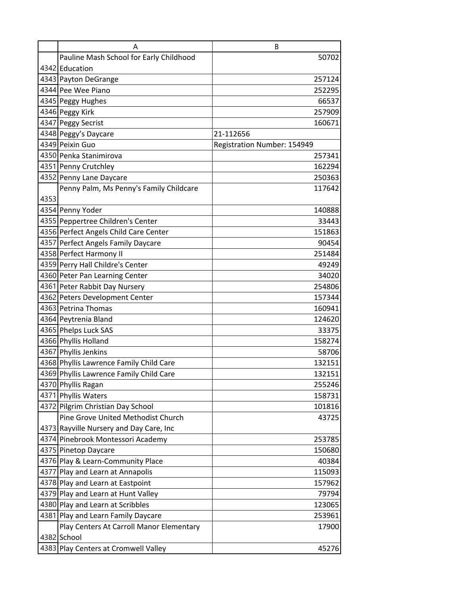|      | A                                                                      | B                           |
|------|------------------------------------------------------------------------|-----------------------------|
|      | Pauline Mash School for Early Childhood                                | 50702                       |
|      | 4342 Education                                                         |                             |
|      | 4343 Payton DeGrange                                                   | 257124                      |
|      | 4344 Pee Wee Piano                                                     | 252295                      |
|      | 4345 Peggy Hughes                                                      | 66537                       |
|      | 4346 Peggy Kirk                                                        | 257909                      |
|      | 4347 Peggy Secrist                                                     | 160671                      |
|      | 4348 Peggy's Daycare                                                   | 21-112656                   |
|      | 4349 Peixin Guo                                                        | Registration Number: 154949 |
|      | 4350 Penka Stanimirova                                                 | 257341                      |
|      | 4351 Penny Crutchley                                                   | 162294                      |
|      | 4352 Penny Lane Daycare                                                | 250363                      |
|      | Penny Palm, Ms Penny's Family Childcare                                | 117642                      |
| 4353 |                                                                        |                             |
|      | 4354 Penny Yoder                                                       | 140888                      |
|      | 4355 Peppertree Children's Center                                      | 33443                       |
|      | 4356 Perfect Angels Child Care Center                                  | 151863                      |
|      | 4357 Perfect Angels Family Daycare                                     | 90454                       |
|      | 4358 Perfect Harmony II                                                | 251484                      |
|      | 4359 Perry Hall Childre's Center                                       | 49249                       |
|      | 4360 Peter Pan Learning Center                                         | 34020                       |
|      | 4361 Peter Rabbit Day Nursery                                          | 254806                      |
|      | 4362 Peters Development Center                                         | 157344                      |
|      | 4363 Petrina Thomas                                                    | 160941                      |
|      | 4364 Peytrenia Bland                                                   | 124620                      |
|      | 4365 Phelps Luck SAS                                                   | 33375                       |
|      | 4366 Phyllis Holland                                                   | 158274                      |
|      | 4367 Phyllis Jenkins                                                   | 58706                       |
|      | 4368 Phyllis Lawrence Family Child Care                                | 132151                      |
|      | 4369 Phyllis Lawrence Family Child Care                                | 132151                      |
|      | 4370 Phyllis Ragan                                                     | 255246                      |
|      | 4371 Phyllis Waters                                                    | 158731                      |
|      | 4372 Pilgrim Christian Day School                                      | 101816                      |
|      | Pine Grove United Methodist Church                                     | 43725                       |
|      | 4373 Rayville Nursery and Day Care, Inc                                |                             |
|      | 4374 Pinebrook Montessori Academy                                      | 253785                      |
|      | 4375 Pinetop Daycare<br>4376 Play & Learn-Community Place              | 150680<br>40384             |
|      | 4377 Play and Learn at Annapolis                                       | 115093                      |
|      |                                                                        |                             |
|      | 4378 Play and Learn at Eastpoint<br>4379 Play and Learn at Hunt Valley | 157962<br>79794             |
|      | 4380 Play and Learn at Scribbles                                       | 123065                      |
|      | 4381 Play and Learn Family Daycare                                     | 253961                      |
|      | Play Centers At Carroll Manor Elementary                               | 17900                       |
|      | 4382 School                                                            |                             |
|      | 4383 Play Centers at Cromwell Valley                                   | 45276                       |
|      |                                                                        |                             |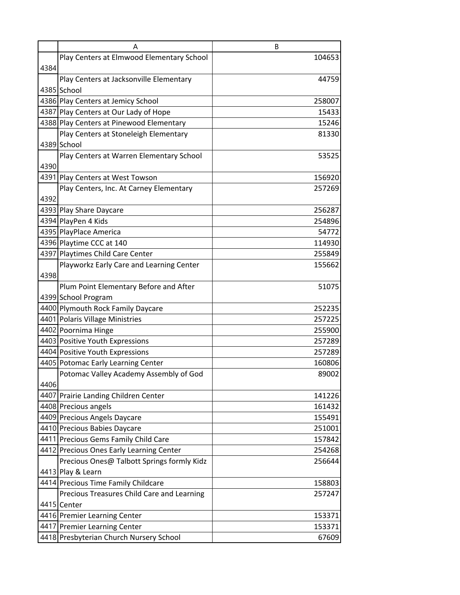|      | Α                                                                                                       | B                         |
|------|---------------------------------------------------------------------------------------------------------|---------------------------|
|      | Play Centers at Elmwood Elementary School                                                               | 104653                    |
| 4384 |                                                                                                         |                           |
|      | Play Centers at Jacksonville Elementary                                                                 | 44759                     |
|      | 4385 School                                                                                             |                           |
|      | 4386 Play Centers at Jemicy School                                                                      | 258007                    |
|      | 4387 Play Centers at Our Lady of Hope                                                                   | 15433                     |
|      | 4388 Play Centers at Pinewood Elementary                                                                | 15246                     |
|      | Play Centers at Stoneleigh Elementary                                                                   | 81330                     |
|      | 4389 School                                                                                             |                           |
|      | Play Centers at Warren Elementary School                                                                | 53525                     |
| 4390 |                                                                                                         |                           |
|      | 4391 Play Centers at West Towson                                                                        | 156920                    |
|      | Play Centers, Inc. At Carney Elementary                                                                 | 257269                    |
| 4392 |                                                                                                         |                           |
|      | 4393 Play Share Daycare                                                                                 | 256287                    |
|      | 4394 PlayPen 4 Kids                                                                                     | 254896                    |
|      | 4395 PlayPlace America                                                                                  | 54772                     |
|      | 4396 Playtime CCC at 140                                                                                | 114930                    |
|      | 4397 Playtimes Child Care Center                                                                        | 255849                    |
|      | Playworkz Early Care and Learning Center                                                                | 155662                    |
| 4398 |                                                                                                         |                           |
|      | Plum Point Elementary Before and After                                                                  | 51075                     |
|      | 4399 School Program                                                                                     |                           |
|      | 4400 Plymouth Rock Family Daycare                                                                       | 252235                    |
|      | 4401 Polaris Village Ministries                                                                         | 257225                    |
|      | 4402 Poornima Hinge                                                                                     | 255900                    |
|      | 4403 Positive Youth Expressions                                                                         | 257289                    |
|      | 4404 Positive Youth Expressions                                                                         | 257289                    |
|      | 4405 Potomac Early Learning Center                                                                      | 160806                    |
|      | Potomac Valley Academy Assembly of God                                                                  | 89002                     |
| 4406 |                                                                                                         |                           |
|      | 4407 Prairie Landing Children Center                                                                    | 141226                    |
|      | 4408 Precious angels                                                                                    | 161432                    |
|      | 4409 Precious Angels Daycare                                                                            | 155491                    |
|      | 4410 Precious Babies Daycare                                                                            | 251001                    |
|      | 4411 Precious Gems Family Child Care                                                                    | 157842                    |
|      | 4412 Precious Ones Early Learning Center                                                                | 254268                    |
|      | Precious Ones@ Talbott Springs formly Kidz                                                              | 256644                    |
|      | 4413 Play & Learn                                                                                       |                           |
|      | 4414 Precious Time Family Childcare                                                                     | 158803                    |
|      | Precious Treasures Child Care and Learning                                                              | 257247                    |
|      | 4415 Center                                                                                             |                           |
|      |                                                                                                         |                           |
|      |                                                                                                         |                           |
|      |                                                                                                         |                           |
|      | 4416 Premier Learning Center<br>4417 Premier Learning Center<br>4418 Presbyterian Church Nursery School | 153371<br>153371<br>67609 |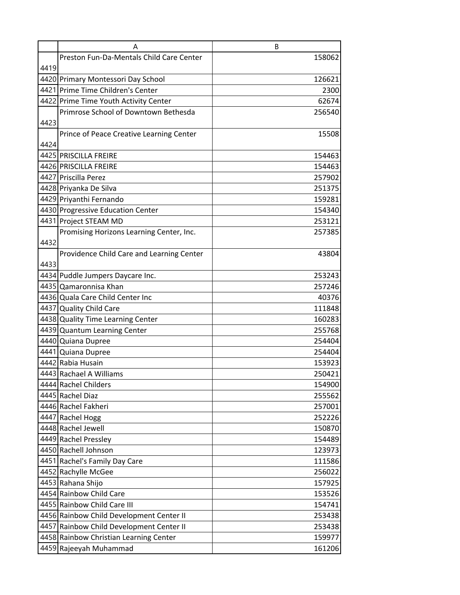|      | Α                                         | B      |
|------|-------------------------------------------|--------|
|      | Preston Fun-Da-Mentals Child Care Center  | 158062 |
| 4419 |                                           |        |
|      | 4420 Primary Montessori Day School        | 126621 |
|      | 4421 Prime Time Children's Center         | 2300   |
|      | 4422 Prime Time Youth Activity Center     | 62674  |
|      | Primrose School of Downtown Bethesda      | 256540 |
| 4423 |                                           |        |
|      | Prince of Peace Creative Learning Center  | 15508  |
| 4424 |                                           |        |
|      | 4425 PRISCILLA FREIRE                     | 154463 |
|      | 4426 PRISCILLA FREIRE                     | 154463 |
|      | 4427 Priscilla Perez                      | 257902 |
|      | 4428 Priyanka De Silva                    | 251375 |
|      | 4429 Priyanthi Fernando                   | 159281 |
|      | 4430 Progressive Education Center         | 154340 |
|      | 4431 Project STEAM MD                     | 253121 |
|      | Promising Horizons Learning Center, Inc.  | 257385 |
| 4432 |                                           |        |
|      | Providence Child Care and Learning Center | 43804  |
| 4433 |                                           |        |
|      | 4434 Puddle Jumpers Daycare Inc.          | 253243 |
|      | 4435 Qamaronnisa Khan                     | 257246 |
|      | 4436 Quala Care Child Center Inc          | 40376  |
|      | 4437 Quality Child Care                   | 111848 |
|      | 4438 Quality Time Learning Center         | 160283 |
|      | 4439 Quantum Learning Center              | 255768 |
|      | 4440 Quiana Dupree                        | 254404 |
|      | 4441 Quiana Dupree                        | 254404 |
|      | 4442 Rabia Husain                         | 153923 |
|      | 4443 Rachael A Williams                   | 250421 |
|      | 4444 Rachel Childers                      | 154900 |
|      | 4445 Rachel Diaz                          | 255562 |
|      | 4446 Rachel Fakheri                       | 257001 |
|      | 4447 Rachel Hogg                          | 252226 |
|      | 4448 Rachel Jewell                        | 150870 |
|      | 4449 Rachel Pressley                      | 154489 |
|      | 4450 Rachell Johnson                      | 123973 |
|      | 4451 Rachel's Family Day Care             | 111586 |
|      | 4452 Rachylle McGee                       | 256022 |
|      | 4453 Rahana Shijo                         | 157925 |
|      | 4454 Rainbow Child Care                   | 153526 |
|      | 4455 Rainbow Child Care III               | 154741 |
|      | 4456 Rainbow Child Development Center II  | 253438 |
|      | 4457 Rainbow Child Development Center II  | 253438 |
|      | 4458 Rainbow Christian Learning Center    | 159977 |
|      | 4459 Rajeeyah Muhammad                    | 161206 |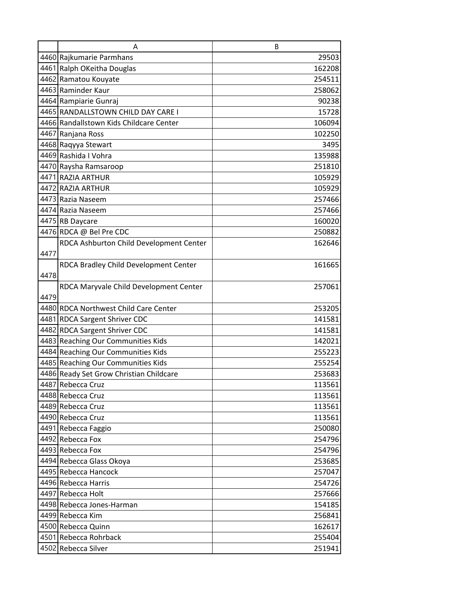|      | A                                       | B      |
|------|-----------------------------------------|--------|
|      | 4460 Rajkumarie Parmhans                | 29503  |
|      | 4461 Ralph OKeitha Douglas              | 162208 |
|      | 4462 Ramatou Kouyate                    | 254511 |
|      | 4463 Raminder Kaur                      | 258062 |
|      | 4464 Rampiarie Gunraj                   | 90238  |
|      | 4465 RANDALLSTOWN CHILD DAY CARE I      | 15728  |
|      | 4466 Randallstown Kids Childcare Center | 106094 |
|      | 4467 Ranjana Ross                       | 102250 |
|      | 4468 Raqyya Stewart                     | 3495   |
|      | 4469 Rashida I Vohra                    | 135988 |
|      | 4470 Raysha Ramsaroop                   | 251810 |
|      | 4471 RAZIA ARTHUR                       | 105929 |
|      | 4472 RAZIA ARTHUR                       | 105929 |
|      | 4473 Razia Naseem                       | 257466 |
|      | 4474 Razia Naseem                       | 257466 |
|      | 4475 RB Daycare                         | 160020 |
|      | 4476 RDCA @ Bel Pre CDC                 | 250882 |
|      | RDCA Ashburton Child Development Center | 162646 |
| 4477 |                                         |        |
|      | RDCA Bradley Child Development Center   | 161665 |
| 4478 |                                         |        |
|      | RDCA Maryvale Child Development Center  | 257061 |
| 4479 |                                         |        |
|      | 4480 RDCA Northwest Child Care Center   | 253205 |
|      | 4481 RDCA Sargent Shriver CDC           | 141581 |
|      | 4482 RDCA Sargent Shriver CDC           | 141581 |
|      | 4483 Reaching Our Communities Kids      | 142021 |
|      | 4484 Reaching Our Communities Kids      | 255223 |
|      | 4485 Reaching Our Communities Kids      | 255254 |
|      | 4486 Ready Set Grow Christian Childcare | 253683 |
|      | 4487 Rebecca Cruz                       | 113561 |
|      | 4488 Rebecca Cruz                       | 113561 |
|      | 4489 Rebecca Cruz                       | 113561 |
|      | 4490 Rebecca Cruz                       | 113561 |
|      | 4491 Rebecca Faggio                     | 250080 |
|      | 4492 Rebecca Fox                        | 254796 |
|      | 4493 Rebecca Fox                        | 254796 |
|      | 4494 Rebecca Glass Okoya                | 253685 |
|      | 4495 Rebecca Hancock                    | 257047 |
|      | 4496 Rebecca Harris                     | 254726 |
|      | 4497 Rebecca Holt                       | 257666 |
|      | 4498 Rebecca Jones-Harman               | 154185 |
|      | 4499 Rebecca Kim                        | 256841 |
|      | 4500 Rebecca Quinn                      | 162617 |
|      | 4501 Rebecca Rohrback                   | 255404 |
|      | 4502 Rebecca Silver                     | 251941 |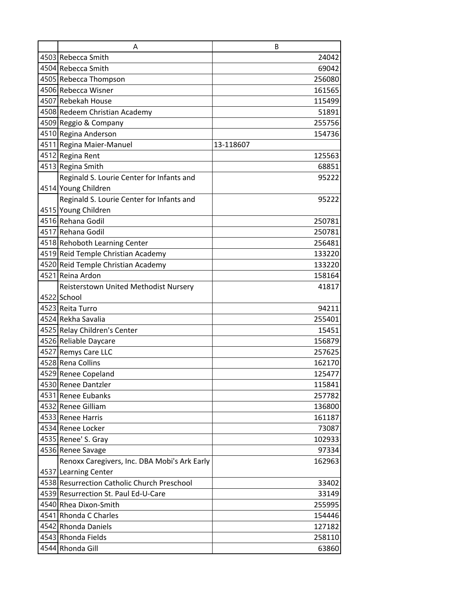| A                                            | B         |
|----------------------------------------------|-----------|
| 4503 Rebecca Smith                           | 24042     |
| 4504 Rebecca Smith                           | 69042     |
| 4505 Rebecca Thompson                        | 256080    |
| 4506 Rebecca Wisner                          | 161565    |
| 4507 Rebekah House                           | 115499    |
| 4508 Redeem Christian Academy                | 51891     |
| 4509 Reggio & Company                        | 255756    |
| 4510 Regina Anderson                         | 154736    |
| 4511 Regina Maier-Manuel                     | 13-118607 |
| 4512 Regina Rent                             | 125563    |
| 4513 Regina Smith                            | 68851     |
| Reginald S. Lourie Center for Infants and    | 95222     |
| 4514 Young Children                          |           |
| Reginald S. Lourie Center for Infants and    | 95222     |
| 4515 Young Children                          |           |
| 4516 Rehana Godil                            | 250781    |
| 4517 Rehana Godil                            | 250781    |
| 4518 Rehoboth Learning Center                | 256481    |
| 4519 Reid Temple Christian Academy           | 133220    |
| 4520 Reid Temple Christian Academy           | 133220    |
| 4521 Reina Ardon                             | 158164    |
| Reisterstown United Methodist Nursery        | 41817     |
| 4522 School                                  |           |
| 4523 Reita Turro                             | 94211     |
| 4524 Rekha Savalia                           | 255401    |
| 4525 Relay Children's Center                 | 15451     |
| 4526 Reliable Daycare                        | 156879    |
| 4527 Remys Care LLC                          | 257625    |
| 4528 Rena Collins                            | 162170    |
| 4529 Renee Copeland                          | 125477    |
| 4530 Renee Dantzler                          | 115841    |
| 4531 Renee Eubanks                           | 257782    |
| 4532 Renee Gilliam                           | 136800    |
| 4533 Renee Harris                            | 161187    |
| 4534 Renee Locker                            | 73087     |
| 4535 Renee' S. Gray                          | 102933    |
| 4536 Renee Savage                            | 97334     |
| Renoxx Caregivers, Inc. DBA Mobi's Ark Early | 162963    |
| 4537 Learning Center                         |           |
| 4538 Resurrection Catholic Church Preschool  | 33402     |
| 4539 Resurrection St. Paul Ed-U-Care         | 33149     |
| 4540 Rhea Dixon-Smith                        | 255995    |
| 4541 Rhonda C Charles                        | 154446    |
| 4542 Rhonda Daniels                          | 127182    |
| 4543 Rhonda Fields                           | 258110    |
| 4544 Rhonda Gill                             | 63860     |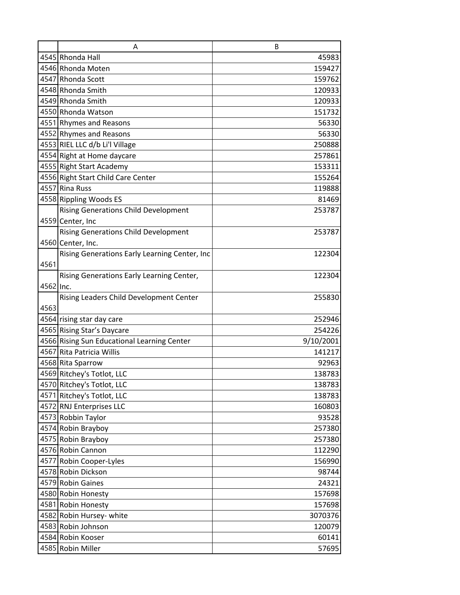|           | A                                             | B         |
|-----------|-----------------------------------------------|-----------|
|           | 4545 Rhonda Hall                              | 45983     |
|           | 4546 Rhonda Moten                             | 159427    |
|           | 4547 Rhonda Scott                             | 159762    |
|           | 4548 Rhonda Smith                             | 120933    |
|           | 4549 Rhonda Smith                             | 120933    |
|           | 4550 Rhonda Watson                            | 151732    |
|           | 4551 Rhymes and Reasons                       | 56330     |
|           | 4552 Rhymes and Reasons                       | 56330     |
|           | 4553 RIEL LLC d/b Li'l Village                | 250888    |
|           | 4554 Right at Home daycare                    | 257861    |
|           | 4555 Right Start Academy                      | 153311    |
|           | 4556 Right Start Child Care Center            | 155264    |
|           | 4557 Rina Russ                                | 119888    |
|           | 4558 Rippling Woods ES                        | 81469     |
|           | <b>Rising Generations Child Development</b>   | 253787    |
|           | 4559 Center, Inc                              |           |
|           | <b>Rising Generations Child Development</b>   | 253787    |
|           | 4560 Center, Inc.                             |           |
|           | Rising Generations Early Learning Center, Inc | 122304    |
| 4561      |                                               |           |
|           | Rising Generations Early Learning Center,     | 122304    |
| 4562 Inc. |                                               |           |
|           | Rising Leaders Child Development Center       | 255830    |
| 4563      |                                               |           |
|           | 4564 rising star day care                     | 252946    |
|           | 4565 Rising Star's Daycare                    | 254226    |
|           | 4566 Rising Sun Educational Learning Center   | 9/10/2001 |
|           | 4567 Rita Patricia Willis                     | 141217    |
|           | 4568 Rita Sparrow                             | 92963     |
|           | 4569 Ritchey's Totlot, LLC                    | 138783    |
|           | 4570 Ritchey's Totlot, LLC                    | 138783    |
|           | 4571 Ritchey's Totlot, LLC                    | 138783    |
|           | 4572 RNJ Enterprises LLC                      | 160803    |
|           | 4573 Robbin Taylor                            | 93528     |
|           | 4574 Robin Brayboy                            | 257380    |
|           | 4575 Robin Brayboy                            | 257380    |
|           | 4576 Robin Cannon                             | 112290    |
|           | 4577 Robin Cooper-Lyles                       | 156990    |
|           | 4578 Robin Dickson                            | 98744     |
|           | 4579 Robin Gaines                             | 24321     |
|           | 4580 Robin Honesty                            | 157698    |
|           | 4581 Robin Honesty                            | 157698    |
|           | 4582 Robin Hursey- white                      | 3070376   |
|           | 4583 Robin Johnson                            | 120079    |
|           | 4584 Robin Kooser                             | 60141     |
|           | 4585 Robin Miller                             | 57695     |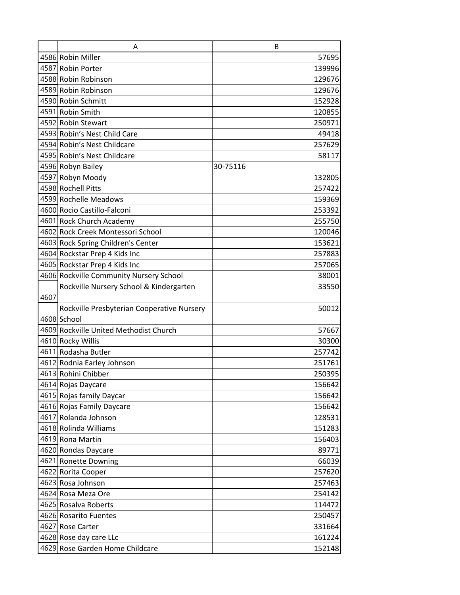|      | A                                          | B        |
|------|--------------------------------------------|----------|
|      | 4586 Robin Miller                          | 57695    |
|      | 4587 Robin Porter                          | 139996   |
|      | 4588 Robin Robinson                        | 129676   |
|      | 4589 Robin Robinson                        | 129676   |
|      | 4590 Robin Schmitt                         | 152928   |
|      | 4591 Robin Smith                           | 120855   |
|      | 4592 Robin Stewart                         | 250971   |
|      | 4593 Robin's Nest Child Care               | 49418    |
|      | 4594 Robin's Nest Childcare                | 257629   |
|      | 4595 Robin's Nest Childcare                | 58117    |
|      | 4596 Robyn Bailey                          | 30-75116 |
|      | 4597 Robyn Moody                           | 132805   |
|      | 4598 Rochell Pitts                         | 257422   |
|      | 4599 Rochelle Meadows                      | 159369   |
|      | 4600 Rocio Castillo-Falconi                | 253392   |
|      | 4601 Rock Church Academy                   | 255750   |
|      | 4602 Rock Creek Montessori School          | 120046   |
|      | 4603 Rock Spring Children's Center         | 153621   |
|      | 4604 Rockstar Prep 4 Kids Inc              | 257883   |
|      | 4605 Rockstar Prep 4 Kids Inc              | 257065   |
|      | 4606 Rockville Community Nursery School    | 38001    |
|      | Rockville Nursery School & Kindergarten    | 33550    |
| 4607 |                                            |          |
|      | Rockville Presbyterian Cooperative Nursery | 50012    |
|      | 4608 School                                |          |
|      | 4609 Rockville United Methodist Church     | 57667    |
|      | 4610 Rocky Willis                          | 30300    |
|      | 4611 Rodasha Butler                        | 257742   |
|      | 4612 Rodnia Earley Johnson                 | 251761   |
|      | 4613 Rohini Chibber                        | 250395   |
|      | 4614 Rojas Daycare                         | 156642   |
|      | 4615 Rojas family Daycar                   | 156642   |
|      | 4616 Rojas Family Daycare                  | 156642   |
|      | 4617 Rolanda Johnson                       | 128531   |
|      | 4618 Rolinda Williams                      | 151283   |
|      | 4619 Rona Martin                           | 156403   |
|      | 4620 Rondas Daycare                        | 89771    |
|      | 4621 Ronette Downing                       | 66039    |
|      | 4622 Rorita Cooper                         | 257620   |
|      | 4623 Rosa Johnson                          | 257463   |
|      | 4624 Rosa Meza Ore                         | 254142   |
|      | 4625 Rosalva Roberts                       | 114472   |
|      | 4626 Rosarito Fuentes                      | 250457   |
|      | 4627 Rose Carter                           | 331664   |
|      | 4628 Rose day care LLc                     | 161224   |
|      | 4629 Rose Garden Home Childcare            | 152148   |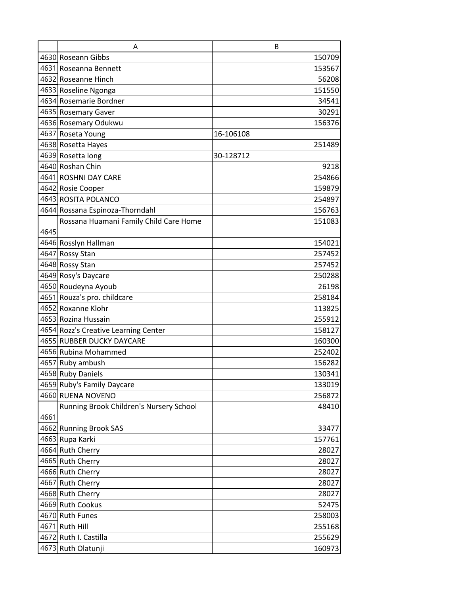|      | A                                       | B         |
|------|-----------------------------------------|-----------|
|      | 4630 Roseann Gibbs                      | 150709    |
|      | 4631 Roseanna Bennett                   | 153567    |
|      | 4632 Roseanne Hinch                     | 56208     |
|      | 4633 Roseline Ngonga                    | 151550    |
|      | 4634 Rosemarie Bordner                  | 34541     |
|      | 4635 Rosemary Gaver                     | 30291     |
|      | 4636 Rosemary Odukwu                    | 156376    |
|      | 4637 Roseta Young                       | 16-106108 |
|      | 4638 Rosetta Hayes                      | 251489    |
|      | 4639 Rosetta long                       | 30-128712 |
|      | 4640 Roshan Chin                        | 9218      |
|      | 4641 ROSHNI DAY CARE                    | 254866    |
|      | 4642 Rosie Cooper                       | 159879    |
|      | 4643 ROSITA POLANCO                     | 254897    |
|      | 4644 Rossana Espinoza-Thorndahl         | 156763    |
|      | Rossana Huamani Family Child Care Home  | 151083    |
| 4645 |                                         |           |
|      | 4646 Rosslyn Hallman                    | 154021    |
|      | 4647 Rossy Stan                         | 257452    |
|      | 4648 Rossy Stan                         | 257452    |
|      | 4649 Rosy's Daycare                     | 250288    |
|      | 4650 Roudeyna Ayoub                     | 26198     |
|      | 4651 Rouza's pro. childcare             | 258184    |
|      | 4652 Roxanne Klohr                      | 113825    |
|      | 4653 Rozina Hussain                     | 255912    |
|      | 4654 Rozz's Creative Learning Center    | 158127    |
|      | 4655 RUBBER DUCKY DAYCARE               | 160300    |
|      | 4656 Rubina Mohammed                    | 252402    |
|      | 4657 Ruby ambush                        | 156282    |
|      | 4658 Ruby Daniels                       | 130341    |
|      | 4659 Ruby's Family Daycare              | 133019    |
|      | 4660 RUENA NOVENO                       | 256872    |
|      | Running Brook Children's Nursery School | 48410     |
| 4661 |                                         |           |
|      | 4662 Running Brook SAS                  | 33477     |
|      | 4663 Rupa Karki                         | 157761    |
|      | 4664 Ruth Cherry                        | 28027     |
|      | 4665 Ruth Cherry                        | 28027     |
|      | 4666 Ruth Cherry                        | 28027     |
|      | 4667 Ruth Cherry                        | 28027     |
|      | 4668 Ruth Cherry                        | 28027     |
|      | 4669 Ruth Cookus                        | 52475     |
|      | 4670 Ruth Funes                         | 258003    |
|      | 4671 Ruth Hill                          | 255168    |
|      | 4672 Ruth I. Castilla                   | 255629    |
|      | 4673 Ruth Olatunji                      | 160973    |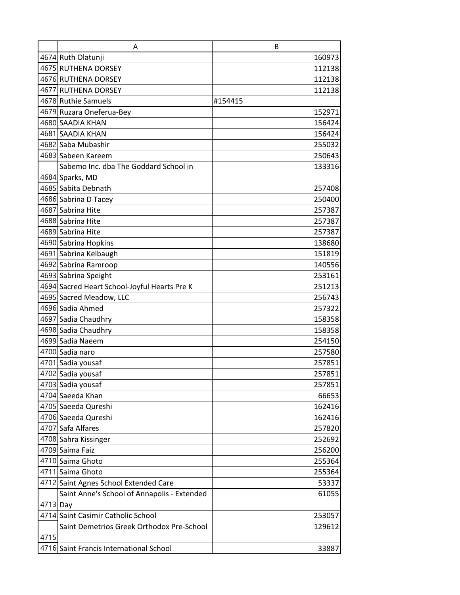|          | A                                            | B       |
|----------|----------------------------------------------|---------|
|          | 4674 Ruth Olatunji                           | 160973  |
|          | 4675 RUTHENA DORSEY                          | 112138  |
|          | 4676 RUTHENA DORSEY                          | 112138  |
|          | 4677 RUTHENA DORSEY                          | 112138  |
|          | 4678 Ruthie Samuels                          | #154415 |
|          | 4679 Ruzara Oneferua-Bey                     | 152971  |
|          | 4680 SAADIA KHAN                             | 156424  |
|          | 4681 SAADIA KHAN                             | 156424  |
|          | 4682 Saba Mubashir                           | 255032  |
|          | 4683 Sabeen Kareem                           | 250643  |
|          | Sabemo Inc. dba The Goddard School in        | 133316  |
|          | 4684 Sparks, MD                              |         |
|          | 4685 Sabita Debnath                          | 257408  |
|          | 4686 Sabrina D Tacey                         | 250400  |
|          | 4687 Sabrina Hite                            | 257387  |
|          | 4688 Sabrina Hite                            | 257387  |
|          | 4689 Sabrina Hite                            | 257387  |
|          | 4690 Sabrina Hopkins                         | 138680  |
|          | 4691 Sabrina Kelbaugh                        | 151819  |
|          | 4692 Sabrina Ramroop                         | 140556  |
|          | 4693 Sabrina Speight                         | 253161  |
|          | 4694 Sacred Heart School-Joyful Hearts Pre K | 251213  |
|          | 4695 Sacred Meadow, LLC                      | 256743  |
|          | 4696 Sadia Ahmed                             | 257322  |
|          | 4697 Sadia Chaudhry                          | 158358  |
|          | 4698 Sadia Chaudhry                          | 158358  |
|          | 4699 Sadia Naeem                             | 254150  |
|          | 4700 Sadia naro                              | 257580  |
|          | 4701 Sadia yousaf                            | 257851  |
|          | 4702 Sadia yousaf                            | 257851  |
|          | 4703 Sadia yousaf                            | 257851  |
|          | 4704 Saeeda Khan                             | 66653   |
|          | 4705 Saeeda Qureshi                          | 162416  |
|          | 4706 Saeeda Qureshi                          | 162416  |
|          | 4707 Safa Alfares                            | 257820  |
|          | 4708 Sahra Kissinger                         | 252692  |
|          | 4709 Saima Faiz                              | 256200  |
|          | 4710 Saima Ghoto                             | 255364  |
|          | 4711 Saima Ghoto                             | 255364  |
|          | 4712 Saint Agnes School Extended Care        | 53337   |
|          | Saint Anne's School of Annapolis - Extended  | 61055   |
| 4713 Day |                                              |         |
|          | 4714 Saint Casimir Catholic School           | 253057  |
|          | Saint Demetrios Greek Orthodox Pre-School    | 129612  |
| 4715     |                                              |         |
|          | 4716 Saint Francis International School      | 33887   |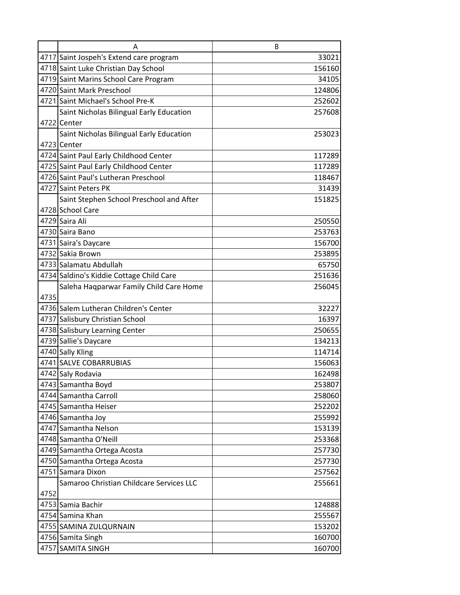|      | А                                        | B      |
|------|------------------------------------------|--------|
|      | 4717 Saint Jospeh's Extend care program  | 33021  |
|      | 4718 Saint Luke Christian Day School     | 156160 |
|      | 4719 Saint Marins School Care Program    | 34105  |
|      | 4720 Saint Mark Preschool                | 124806 |
|      | 4721 Saint Michael's School Pre-K        | 252602 |
|      | Saint Nicholas Bilingual Early Education | 257608 |
|      | 4722 Center                              |        |
|      | Saint Nicholas Bilingual Early Education | 253023 |
|      | 4723 Center                              |        |
|      | 4724 Saint Paul Early Childhood Center   | 117289 |
|      | 4725 Saint Paul Early Childhood Center   | 117289 |
|      | 4726 Saint Paul's Lutheran Preschool     | 118467 |
|      | 4727 Saint Peters PK                     | 31439  |
|      | Saint Stephen School Preschool and After | 151825 |
|      | 4728 School Care                         |        |
|      | 4729 Saira Ali                           | 250550 |
|      | 4730 Saira Bano                          | 253763 |
|      | 4731 Saira's Daycare                     | 156700 |
|      | 4732 Sakia Brown                         | 253895 |
|      | 4733 Salamatu Abdullah                   | 65750  |
|      | 4734 Saldino's Kiddie Cottage Child Care | 251636 |
|      | Saleha Haqparwar Family Child Care Home  | 256045 |
| 4735 |                                          |        |
|      | 4736 Salem Lutheran Children's Center    | 32227  |
|      | 4737 Salisbury Christian School          | 16397  |
|      | 4738 Salisbury Learning Center           | 250655 |
|      | 4739 Sallie's Daycare                    | 134213 |
|      | 4740 Sally Kling                         | 114714 |
|      | 4741 SALVE COBARRUBIAS                   | 156063 |
|      | 4742 Saly Rodavia                        | 162498 |
|      | 4743 Samantha Boyd                       | 253807 |
|      | 4744 Samantha Carroll                    | 258060 |
|      | 4745 Samantha Heiser                     | 252202 |
|      | 4746 Samantha Joy                        | 255992 |
|      | 4747 Samantha Nelson                     | 153139 |
|      | 4748 Samantha O'Neill                    | 253368 |
|      | 4749 Samantha Ortega Acosta              | 257730 |
|      | 4750 Samantha Ortega Acosta              | 257730 |
|      | 4751 Samara Dixon                        | 257562 |
|      | Samaroo Christian Childcare Services LLC | 255661 |
| 4752 |                                          |        |
|      | 4753 Samia Bachir                        | 124888 |
|      | 4754 Samina Khan                         | 255567 |
|      | 4755 SAMINA ZULQURNAIN                   | 153202 |
|      | 4756 Samita Singh                        | 160700 |
|      | 4757 SAMITA SINGH                        | 160700 |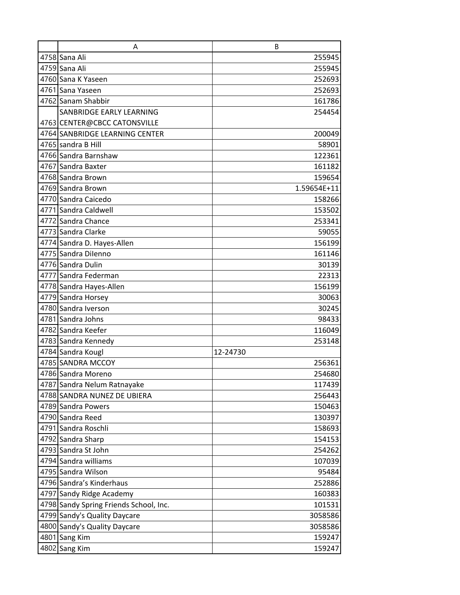| A                                      | B           |
|----------------------------------------|-------------|
| 4758 Sana Ali                          | 255945      |
| 4759 Sana Ali                          | 255945      |
| 4760 Sana K Yaseen                     | 252693      |
| 4761 Sana Yaseen                       | 252693      |
| 4762 Sanam Shabbir                     | 161786      |
| SANBRIDGE EARLY LEARNING               | 254454      |
| 4763 CENTER@CBCC CATONSVILLE           |             |
| 4764 SANBRIDGE LEARNING CENTER         | 200049      |
| 4765 sandra B Hill                     | 58901       |
| 4766 Sandra Barnshaw                   | 122361      |
| 4767 Sandra Baxter                     | 161182      |
| 4768 Sandra Brown                      | 159654      |
| 4769 Sandra Brown                      | 1.59654E+11 |
| 4770 Sandra Caicedo                    | 158266      |
| 4771 Sandra Caldwell                   | 153502      |
| 4772 Sandra Chance                     | 253341      |
| 4773 Sandra Clarke                     | 59055       |
| 4774 Sandra D. Hayes-Allen             | 156199      |
| 4775 Sandra Dilenno                    | 161146      |
| 4776 Sandra Dulin                      | 30139       |
| 4777 Sandra Federman                   | 22313       |
| 4778 Sandra Hayes-Allen                | 156199      |
| 4779 Sandra Horsey                     | 30063       |
| 4780 Sandra Iverson                    | 30245       |
| 4781 Sandra Johns                      | 98433       |
| 4782 Sandra Keefer                     | 116049      |
| 4783 Sandra Kennedy                    | 253148      |
| 4784 Sandra Kougl                      | 12-24730    |
| 4785 SANDRA MCCOY                      | 256361      |
| 4786 Sandra Moreno                     | 254680      |
| 4787 Sandra Nelum Ratnayake            | 117439      |
| 4788 SANDRA NUNEZ DE UBIERA            | 256443      |
| 4789 Sandra Powers                     | 150463      |
| 4790 Sandra Reed                       | 130397      |
| 4791 Sandra Roschli                    | 158693      |
| 4792 Sandra Sharp                      | 154153      |
| 4793 Sandra St John                    | 254262      |
| 4794 Sandra williams                   | 107039      |
| 4795 Sandra Wilson                     | 95484       |
| 4796 Sandra's Kinderhaus               | 252886      |
| 4797 Sandy Ridge Academy               | 160383      |
| 4798 Sandy Spring Friends School, Inc. | 101531      |
| 4799 Sandy's Quality Daycare           | 3058586     |
| 4800 Sandy's Quality Daycare           | 3058586     |
| 4801 Sang Kim                          | 159247      |
| 4802 Sang Kim                          | 159247      |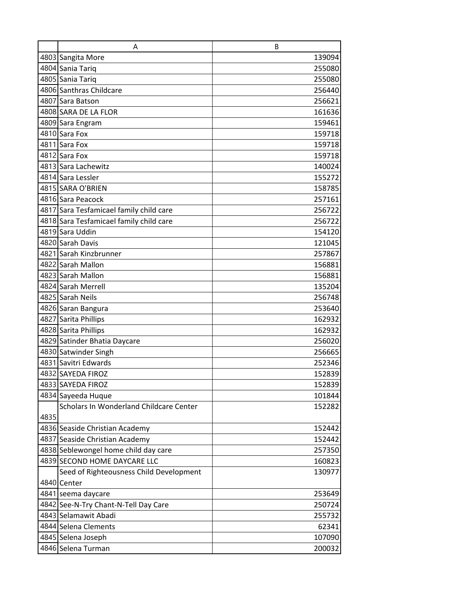|      | A                                       | B      |
|------|-----------------------------------------|--------|
|      | 4803 Sangita More                       | 139094 |
|      | 4804 Sania Tariq                        | 255080 |
|      | 4805 Sania Tariq                        | 255080 |
|      | 4806 Santhras Childcare                 | 256440 |
|      | 4807 Sara Batson                        | 256621 |
|      | 4808 SARA DE LA FLOR                    | 161636 |
|      | 4809 Sara Engram                        | 159461 |
|      | 4810 Sara Fox                           | 159718 |
|      | 4811 Sara Fox                           | 159718 |
|      | 4812 Sara Fox                           | 159718 |
|      | 4813 Sara Lachewitz                     | 140024 |
|      | 4814 Sara Lessler                       | 155272 |
|      | 4815 SARA O'BRIEN                       | 158785 |
|      | 4816 Sara Peacock                       | 257161 |
|      | 4817 Sara Tesfamicael family child care | 256722 |
|      | 4818 Sara Tesfamicael family child care | 256722 |
|      | 4819 Sara Uddin                         | 154120 |
|      | 4820 Sarah Davis                        | 121045 |
|      | 4821 Sarah Kinzbrunner                  | 257867 |
|      | 4822 Sarah Mallon                       | 156881 |
|      | 4823 Sarah Mallon                       | 156881 |
|      | 4824 Sarah Merrell                      | 135204 |
|      | 4825 Sarah Neils                        | 256748 |
|      | 4826 Saran Bangura                      | 253640 |
|      | 4827 Sarita Phillips                    | 162932 |
|      | 4828 Sarita Phillips                    | 162932 |
|      | 4829 Satinder Bhatia Daycare            | 256020 |
|      | 4830 Satwinder Singh                    | 256665 |
|      | 4831 Savitri Edwards                    | 252346 |
|      | 4832 SAYEDA FIROZ                       | 152839 |
|      | 4833 SAYEDA FIROZ                       | 152839 |
|      | 4834 Sayeeda Huque                      | 101844 |
|      | Scholars In Wonderland Childcare Center | 152282 |
| 4835 |                                         |        |
|      | 4836 Seaside Christian Academy          | 152442 |
|      | 4837 Seaside Christian Academy          | 152442 |
|      | 4838 Seblewongel home child day care    | 257350 |
|      | 4839 SECOND HOME DAYCARE LLC            | 160823 |
|      | Seed of Righteousness Child Development | 130977 |
|      | 4840 Center                             |        |
|      | 4841 seema daycare                      | 253649 |
|      | 4842 See-N-Try Chant-N-Tell Day Care    | 250724 |
|      | 4843 Selamawit Abadi                    | 255732 |
|      | 4844 Selena Clements                    | 62341  |
|      | 4845 Selena Joseph                      | 107090 |
|      | 4846 Selena Turman                      | 200032 |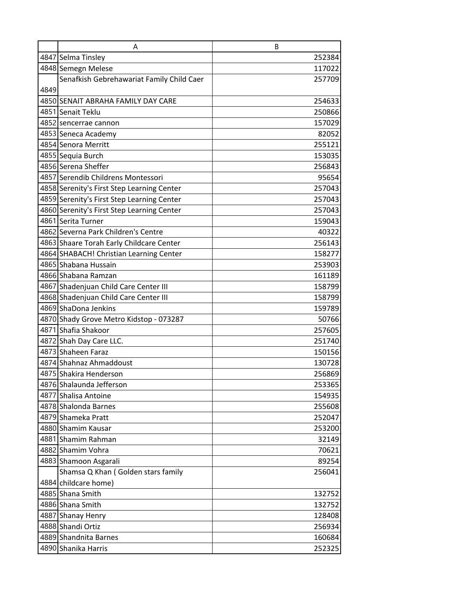|      | A                                          | B      |
|------|--------------------------------------------|--------|
|      | 4847 Selma Tinsley                         | 252384 |
|      | 4848 Semegn Melese                         | 117022 |
|      | Senafkish Gebrehawariat Family Child Caer  | 257709 |
| 4849 |                                            |        |
|      | 4850 SENAIT ABRAHA FAMILY DAY CARE         | 254633 |
|      | 4851 Senait Teklu                          | 250866 |
|      | 4852 sencerrae cannon                      | 157029 |
|      | 4853 Seneca Academy                        | 82052  |
|      | 4854 Senora Merritt                        | 255121 |
|      | 4855 Sequia Burch                          | 153035 |
|      | 4856 Serena Sheffer                        | 256843 |
|      | 4857 Serendib Childrens Montessori         | 95654  |
|      | 4858 Serenity's First Step Learning Center | 257043 |
|      | 4859 Serenity's First Step Learning Center | 257043 |
|      | 4860 Serenity's First Step Learning Center | 257043 |
|      | 4861 Serita Turner                         | 159043 |
|      | 4862 Severna Park Children's Centre        | 40322  |
|      | 4863 Shaare Torah Early Childcare Center   | 256143 |
|      | 4864 SHABACH! Christian Learning Center    | 158277 |
|      | 4865 Shabana Hussain                       | 253903 |
|      | 4866 Shabana Ramzan                        | 161189 |
|      | 4867 Shadenjuan Child Care Center III      | 158799 |
|      | 4868 Shadenjuan Child Care Center III      | 158799 |
|      | 4869 ShaDona Jenkins                       | 159789 |
|      | 4870 Shady Grove Metro Kidstop - 073287    | 50766  |
|      | 4871 Shafia Shakoor                        | 257605 |
|      | 4872 Shah Day Care LLC.                    | 251740 |
|      | 4873 Shaheen Faraz                         | 150156 |
|      | 4874 Shahnaz Ahmaddoust                    | 130728 |
|      | 4875 Shakira Henderson                     | 256869 |
|      | 4876 Shalaunda Jefferson                   | 253365 |
|      | 4877 Shalisa Antoine                       | 154935 |
|      | 4878 Shalonda Barnes                       | 255608 |
|      | 4879 Shameka Pratt                         | 252047 |
|      | 4880 Shamim Kausar                         | 253200 |
|      | 4881 Shamim Rahman                         | 32149  |
|      | 4882 Shamim Vohra                          | 70621  |
|      | 4883 Shamoon Asgarali                      | 89254  |
|      | Shamsa Q Khan (Golden stars family         | 256041 |
|      | 4884 childcare home)                       |        |
|      | 4885 Shana Smith                           | 132752 |
|      | 4886 Shana Smith                           | 132752 |
|      | 4887 Shanay Henry                          | 128408 |
|      | 4888 Shandi Ortiz                          | 256934 |
|      | 4889 Shandnita Barnes                      | 160684 |
|      | 4890 Shanika Harris                        | 252325 |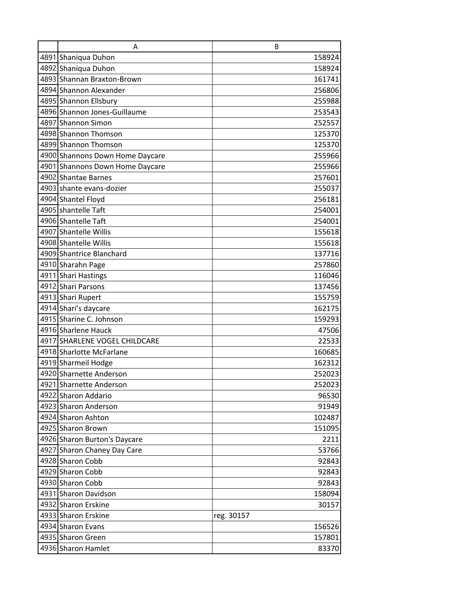| Α                               | B          |
|---------------------------------|------------|
| 4891 Shaniqua Duhon             | 158924     |
| 4892 Shaniqua Duhon             | 158924     |
| 4893 Shannan Braxton-Brown      | 161741     |
| 4894 Shannon Alexander          | 256806     |
| 4895 Shannon Ellsbury           | 255988     |
| 4896 Shannon Jones-Guillaume    | 253543     |
| 4897 Shannon Simon              | 252557     |
| 4898 Shannon Thomson            | 125370     |
| 4899 Shannon Thomson            | 125370     |
| 4900 Shannons Down Home Daycare | 255966     |
| 4901 Shannons Down Home Daycare | 255966     |
| 4902 Shantae Barnes             | 257601     |
| 4903 shante evans-dozier        | 255037     |
| 4904 Shantel Floyd              | 256181     |
| 4905 shantelle Taft             | 254001     |
| 4906 Shantelle Taft             | 254001     |
| 4907 Shantelle Willis           | 155618     |
| 4908 Shantelle Willis           | 155618     |
| 4909 Shantrice Blanchard        | 137716     |
| 4910 Sharahn Page               | 257860     |
| 4911 Shari Hastings             | 116046     |
| 4912 Shari Parsons              | 137456     |
| 4913 Shari Rupert               | 155759     |
| 4914 Shari's daycare            | 162175     |
| 4915 Sharine C. Johnson         | 159293     |
| 4916 Sharlene Hauck             | 47506      |
| 4917 SHARLENE VOGEL CHILDCARE   | 22533      |
| 4918 Sharlotte McFarlane        | 160685     |
| 4919 Sharmeil Hodge             | 162312     |
| 4920 Sharnette Anderson         | 252023     |
| 4921 Sharnette Anderson         | 252023     |
| 4922 Sharon Addario             | 96530      |
| 4923 Sharon Anderson            | 91949      |
| 4924 Sharon Ashton              | 102487     |
| 4925 Sharon Brown               | 151095     |
| 4926 Sharon Burton's Daycare    | 2211       |
| 4927 Sharon Chaney Day Care     | 53766      |
| 4928 Sharon Cobb                | 92843      |
| 4929 Sharon Cobb                | 92843      |
| 4930 Sharon Cobb                | 92843      |
| 4931 Sharon Davidson            | 158094     |
| 4932 Sharon Erskine             | 30157      |
| 4933 Sharon Erskine             | reg. 30157 |
| 4934 Sharon Evans               | 156526     |
| 4935 Sharon Green               | 157801     |
| 4936 Sharon Hamlet              | 83370      |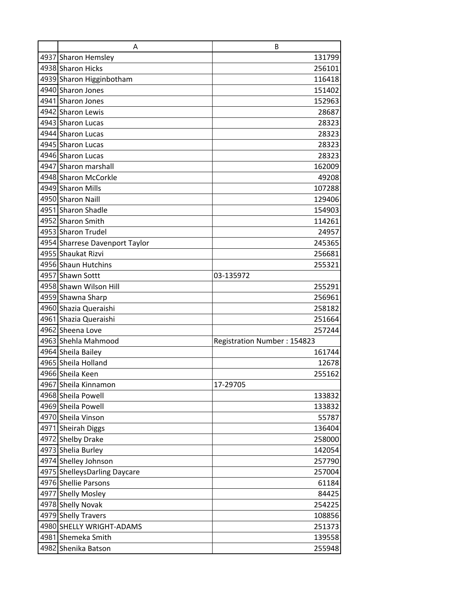| A                              | B                           |
|--------------------------------|-----------------------------|
| 4937 Sharon Hemsley            | 131799                      |
| 4938 Sharon Hicks              | 256101                      |
| 4939 Sharon Higginbotham       | 116418                      |
| 4940 Sharon Jones              | 151402                      |
| 4941 Sharon Jones              | 152963                      |
| 4942 Sharon Lewis              | 28687                       |
| 4943 Sharon Lucas              | 28323                       |
| 4944 Sharon Lucas              | 28323                       |
| 4945 Sharon Lucas              | 28323                       |
| 4946 Sharon Lucas              | 28323                       |
| 4947 Sharon marshall           | 162009                      |
| 4948 Sharon McCorkle           | 49208                       |
| 4949 Sharon Mills              | 107288                      |
| 4950 Sharon Naill              | 129406                      |
| 4951 Sharon Shadle             | 154903                      |
| 4952 Sharon Smith              | 114261                      |
| 4953 Sharon Trudel             | 24957                       |
| 4954 Sharrese Davenport Taylor | 245365                      |
| 4955 Shaukat Rizvi             | 256681                      |
| 4956 Shaun Hutchins            | 255321                      |
| 4957 Shawn Sottt               | 03-135972                   |
| 4958 Shawn Wilson Hill         | 255291                      |
| 4959 Shawna Sharp              | 256961                      |
| 4960 Shazia Queraishi          | 258182                      |
| 4961 Shazia Queraishi          | 251664                      |
| 4962 Sheena Love               | 257244                      |
| 4963 Shehla Mahmood            | Registration Number: 154823 |
| 4964 Sheila Bailey             | 161744                      |
| 4965 Sheila Holland            | 12678                       |
| 4966 Sheila Keen               | 255162                      |
| 4967 Sheila Kinnamon           | 17-29705                    |
| 4968 Sheila Powell             | 133832                      |
| 4969 Sheila Powell             | 133832                      |
| 4970 Sheila Vinson             | 55787                       |
| 4971 Sheirah Diggs             | 136404                      |
| 4972 Shelby Drake              | 258000                      |
| 4973 Shelia Burley             | 142054                      |
| 4974 Shelley Johnson           | 257790                      |
| 4975 ShelleysDarling Daycare   | 257004                      |
| 4976 Shellie Parsons           | 61184                       |
| 4977 Shelly Mosley             | 84425                       |
| 4978 Shelly Novak              | 254225                      |
| 4979 Shelly Travers            | 108856                      |
| 4980 SHELLY WRIGHT-ADAMS       | 251373                      |
| 4981 Shemeka Smith             | 139558                      |
| 4982 Shenika Batson            | 255948                      |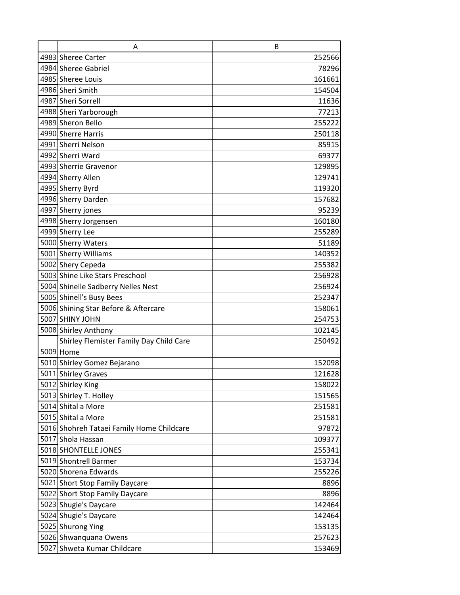| A                                         | B      |
|-------------------------------------------|--------|
| 4983 Sheree Carter                        | 252566 |
| 4984 Sheree Gabriel                       | 78296  |
| 4985 Sheree Louis                         | 161661 |
| 4986 Sheri Smith                          | 154504 |
| 4987 Sheri Sorrell                        | 11636  |
| 4988 Sheri Yarborough                     | 77213  |
| 4989 Sheron Bello                         | 255222 |
| 4990 Sherre Harris                        | 250118 |
| 4991 Sherri Nelson                        | 85915  |
| 4992 Sherri Ward                          | 69377  |
| 4993 Sherrie Gravenor                     | 129895 |
| 4994 Sherry Allen                         | 129741 |
| 4995 Sherry Byrd                          | 119320 |
| 4996 Sherry Darden                        | 157682 |
| 4997 Sherry jones                         | 95239  |
| 4998 Sherry Jorgensen                     | 160180 |
| 4999 Sherry Lee                           | 255289 |
| 5000 Sherry Waters                        | 51189  |
| 5001 Sherry Williams                      | 140352 |
| 5002 Shery Cepeda                         | 255382 |
| 5003 Shine Like Stars Preschool           | 256928 |
| 5004 Shinelle Sadberry Nelles Nest        | 256924 |
| 5005 Shinell's Busy Bees                  | 252347 |
| 5006 Shining Star Before & Aftercare      | 158061 |
| 5007 SHINY JOHN                           | 254753 |
| 5008 Shirley Anthony                      | 102145 |
| Shirley Flemister Family Day Child Care   | 250492 |
| 5009 Home                                 |        |
| 5010 Shirley Gomez Bejarano               | 152098 |
| 5011 Shirley Graves                       | 121628 |
| 5012 Shirley King                         | 158022 |
| 5013 Shirley T. Holley                    | 151565 |
| 5014 Shital a More                        | 251581 |
| 5015 Shital a More                        | 251581 |
| 5016 Shohreh Tataei Family Home Childcare | 97872  |
| 5017 Shola Hassan                         | 109377 |
| 5018 SHONTELLE JONES                      | 255341 |
| 5019 Shontrell Barmer                     | 153734 |
| 5020 Shorena Edwards                      | 255226 |
| 5021 Short Stop Family Daycare            | 8896   |
| 5022 Short Stop Family Daycare            | 8896   |
| 5023 Shugie's Daycare                     | 142464 |
| 5024 Shugie's Daycare                     | 142464 |
| 5025 Shurong Ying                         | 153135 |
| 5026 Shwanquana Owens                     | 257623 |
| 5027 Shweta Kumar Childcare               | 153469 |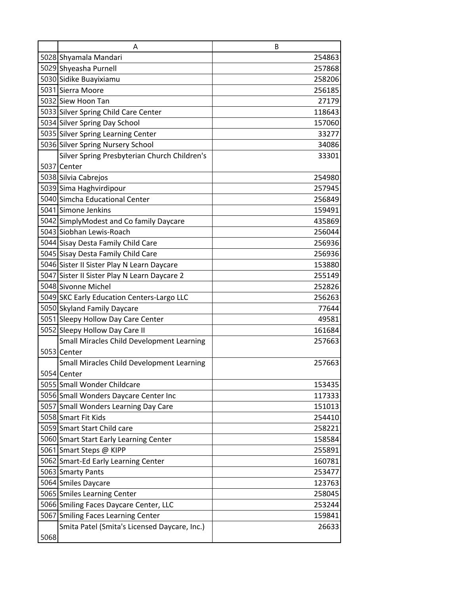|      | A                                            | B      |
|------|----------------------------------------------|--------|
|      | 5028 Shyamala Mandari                        | 254863 |
|      | 5029 Shyeasha Purnell                        | 257868 |
|      | 5030 Sidike Buayixiamu                       | 258206 |
|      | 5031 Sierra Moore                            | 256185 |
|      | 5032 Siew Hoon Tan                           | 27179  |
|      | 5033 Silver Spring Child Care Center         | 118643 |
|      | 5034 Silver Spring Day School                | 157060 |
|      | 5035 Silver Spring Learning Center           | 33277  |
|      | 5036 Silver Spring Nursery School            | 34086  |
|      | Silver Spring Presbyterian Church Children's | 33301  |
|      | 5037 Center                                  |        |
|      | 5038 Silvia Cabrejos                         | 254980 |
|      | 5039 Sima Haghvirdipour                      | 257945 |
|      | 5040 Simcha Educational Center               | 256849 |
|      | 5041 Simone Jenkins                          | 159491 |
|      | 5042 SimplyModest and Co family Daycare      | 435869 |
|      | 5043 Siobhan Lewis-Roach                     | 256044 |
|      | 5044 Sisay Desta Family Child Care           | 256936 |
|      | 5045 Sisay Desta Family Child Care           | 256936 |
|      | 5046 Sister II Sister Play N Learn Daycare   | 153880 |
|      | 5047 Sister II Sister Play N Learn Daycare 2 | 255149 |
|      | 5048 Sivonne Michel                          | 252826 |
|      | 5049 SKC Early Education Centers-Largo LLC   | 256263 |
|      | 5050 Skyland Family Daycare                  | 77644  |
|      | 5051 Sleepy Hollow Day Care Center           | 49581  |
|      | 5052 Sleepy Hollow Day Care II               | 161684 |
|      | Small Miracles Child Development Learning    | 257663 |
|      | 5053 Center                                  |        |
|      | Small Miracles Child Development Learning    | 257663 |
|      | 5054 Center                                  |        |
|      | 5055 Small Wonder Childcare                  | 153435 |
|      | 5056 Small Wonders Daycare Center Inc        | 117333 |
|      | 5057 Small Wonders Learning Day Care         | 151013 |
|      | 5058 Smart Fit Kids                          | 254410 |
|      | 5059 Smart Start Child care                  | 258221 |
|      | 5060 Smart Start Early Learning Center       | 158584 |
|      | 5061 Smart Steps @ KIPP                      | 255891 |
|      | 5062 Smart-Ed Early Learning Center          | 160781 |
|      | 5063 Smarty Pants                            | 253477 |
|      | 5064 Smiles Daycare                          | 123763 |
|      | 5065 Smiles Learning Center                  | 258045 |
|      | 5066 Smiling Faces Daycare Center, LLC       | 253244 |
|      | 5067 Smiling Faces Learning Center           | 159841 |
|      | Smita Patel (Smita's Licensed Daycare, Inc.) | 26633  |
| 5068 |                                              |        |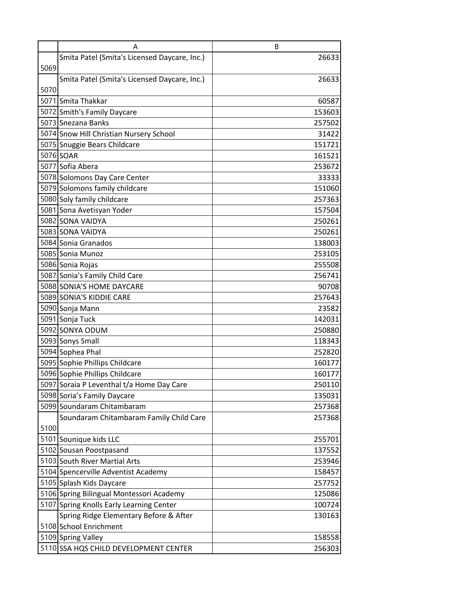|      | A                                            | B      |
|------|----------------------------------------------|--------|
|      | Smita Patel (Smita's Licensed Daycare, Inc.) | 26633  |
| 5069 |                                              |        |
|      | Smita Patel (Smita's Licensed Daycare, Inc.) | 26633  |
| 5070 |                                              |        |
|      | 5071 Smita Thakkar                           | 60587  |
|      | 5072 Smith's Family Daycare                  | 153603 |
|      | 5073 Snezana Banks                           | 257502 |
|      | 5074 Snow Hill Christian Nursery School      | 31422  |
|      | 5075 Snuggie Bears Childcare                 | 151721 |
|      | 5076 SOAR                                    | 161521 |
|      | 5077 Sofia Abera                             | 253672 |
|      | 5078 Solomons Day Care Center                | 33333  |
|      | 5079 Solomons family childcare               | 151060 |
|      | 5080 Soly family childcare                   | 257363 |
|      | 5081 Sona Avetisyan Yoder                    | 157504 |
|      | 5082 SONA VAIDYA                             | 250261 |
|      | 5083 SONA VAIDYA                             | 250261 |
|      | 5084 Sonia Granados                          | 138003 |
|      | 5085 Sonia Munoz                             | 253105 |
|      | 5086 Sonia Rojas                             | 255508 |
|      | 5087 Sonia's Family Child Care               | 256741 |
|      | 5088 SONIA'S HOME DAYCARE                    | 90708  |
|      | 5089 SONIA'S KIDDIE CARE                     | 257643 |
|      | 5090 Sonja Mann                              | 23582  |
|      | 5091 Sonja Tuck                              | 142031 |
|      | 5092 SONYA ODUM                              | 250880 |
|      | 5093 Sonys Small                             | 118343 |
|      | 5094 Sophea Phal                             | 252820 |
|      | 5095 Sophie Phillips Childcare               | 160177 |
|      | 5096 Sophie Phillips Childcare               | 160177 |
|      | 5097 Soraia P Leventhal t/a Home Day Care    | 250110 |
|      | 5098 Soria's Family Daycare                  | 135031 |
|      | 5099 Soundaram Chitambaram                   | 257368 |
|      | Soundaram Chitambaram Family Child Care      | 257368 |
| 5100 |                                              |        |
|      | 5101 Sounique kids LLC                       | 255701 |
|      | 5102 Sousan Poostpasand                      | 137552 |
|      | 5103 South River Martial Arts                | 253946 |
|      | 5104 Spencerville Adventist Academy          | 158457 |
|      | 5105 Splash Kids Daycare                     | 257752 |
|      | 5106 Spring Bilingual Montessori Academy     | 125086 |
|      | 5107 Spring Knolls Early Learning Center     | 100724 |
|      | Spring Ridge Elementary Before & After       | 130163 |
|      | 5108 School Enrichment                       |        |
|      | 5109 Spring Valley                           | 158558 |
|      | 5110 SSA HQS CHILD DEVELOPMENT CENTER        | 256303 |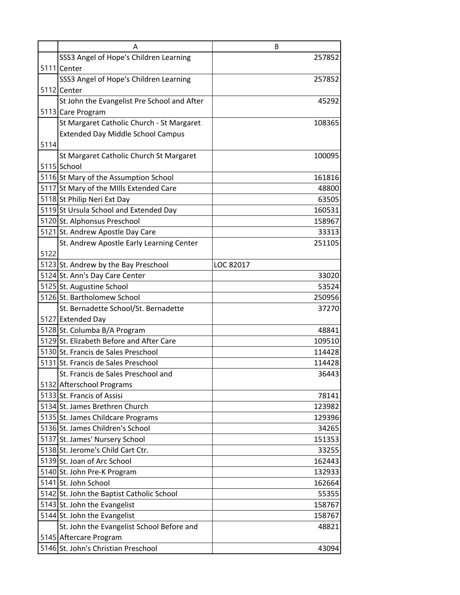|      | Α                                           | B         |
|------|---------------------------------------------|-----------|
|      | SSS3 Angel of Hope's Children Learning      | 257852    |
|      | 5111 Center                                 |           |
|      | SSS3 Angel of Hope's Children Learning      | 257852    |
|      | 5112 Center                                 |           |
|      | St John the Evangelist Pre School and After | 45292     |
|      | 5113 Care Program                           |           |
|      | St Margaret Catholic Church - St Margaret   | 108365    |
|      | <b>Extended Day Middle School Campus</b>    |           |
| 5114 |                                             |           |
|      | St Margaret Catholic Church St Margaret     | 100095    |
|      | 5115 School                                 |           |
|      | 5116 St Mary of the Assumption School       | 161816    |
|      | 5117 St Mary of the Mills Extended Care     | 48800     |
|      | 5118 St Philip Neri Ext Day                 | 63505     |
|      | 5119 St Ursula School and Extended Day      | 160531    |
|      | 5120 St. Alphonsus Preschool                | 158967    |
|      | 5121 St. Andrew Apostle Day Care            | 33313     |
|      | St. Andrew Apostle Early Learning Center    | 251105    |
| 5122 |                                             |           |
|      | 5123 St. Andrew by the Bay Preschool        | LOC 82017 |
|      | 5124 St. Ann's Day Care Center              | 33020     |
|      | 5125 St. Augustine School                   | 53524     |
|      | 5126 St. Bartholomew School                 | 250956    |
|      | St. Bernadette School/St. Bernadette        | 37270     |
|      | 5127 Extended Day                           |           |
|      | 5128 St. Columba B/A Program                | 48841     |
|      | 5129 St. Elizabeth Before and After Care    | 109510    |
|      | 5130 St. Francis de Sales Preschool         | 114428    |
|      | 5131 St. Francis de Sales Preschool         | 114428    |
|      | St. Francis de Sales Preschool and          | 36443     |
|      | 5132 Afterschool Programs                   |           |
|      | 5133 St. Francis of Assisi                  | 78141     |
|      | 5134 St. James Brethren Church              | 123982    |
|      | 5135 St. James Childcare Programs           | 129396    |
|      | 5136 St. James Children's School            | 34265     |
|      | 5137 St. James' Nursery School              | 151353    |
|      | 5138 St. Jerome's Child Cart Ctr.           | 33255     |
|      | 5139 St. Joan of Arc School                 | 162443    |
|      | 5140 St. John Pre-K Program                 | 132933    |
|      | 5141 St. John School                        | 162664    |
|      | 5142 St. John the Baptist Catholic School   | 55355     |
|      | 5143 St. John the Evangelist                | 158767    |
|      | 5144 St. John the Evangelist                | 158767    |
|      | St. John the Evangelist School Before and   | 48821     |
|      | 5145 Aftercare Program                      |           |
|      | 5146 St. John's Christian Preschool         | 43094     |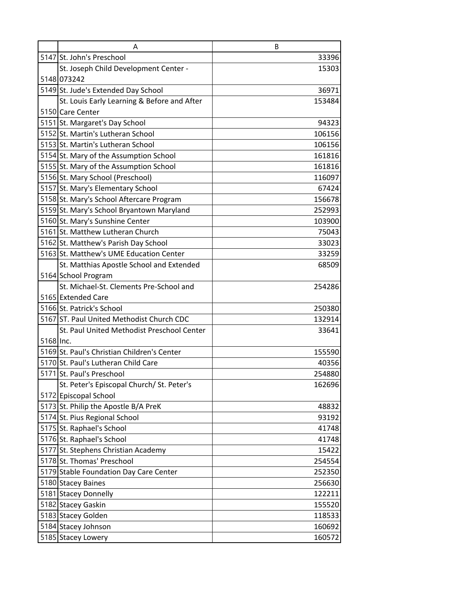|           | A                                           | B      |
|-----------|---------------------------------------------|--------|
|           | 5147 St. John's Preschool                   | 33396  |
|           | St. Joseph Child Development Center -       | 15303  |
|           | 5148 073242                                 |        |
|           | 5149 St. Jude's Extended Day School         | 36971  |
|           | St. Louis Early Learning & Before and After | 153484 |
|           | 5150 Care Center                            |        |
|           | 5151 St. Margaret's Day School              | 94323  |
|           | 5152 St. Martin's Lutheran School           | 106156 |
|           | 5153 St. Martin's Lutheran School           | 106156 |
|           | 5154 St. Mary of the Assumption School      | 161816 |
|           | 5155 St. Mary of the Assumption School      | 161816 |
|           | 5156 St. Mary School (Preschool)            | 116097 |
|           | 5157 St. Mary's Elementary School           | 67424  |
|           | 5158 St. Mary's School Aftercare Program    | 156678 |
|           | 5159 St. Mary's School Bryantown Maryland   | 252993 |
|           | 5160 St. Mary's Sunshine Center             | 103900 |
|           | 5161 St. Matthew Lutheran Church            | 75043  |
|           | 5162 St. Matthew's Parish Day School        | 33023  |
|           | 5163 St. Matthew's UME Education Center     | 33259  |
|           | St. Matthias Apostle School and Extended    | 68509  |
|           | 5164 School Program                         |        |
|           | St. Michael-St. Clements Pre-School and     | 254286 |
|           | 5165 Extended Care                          |        |
|           | 5166 St. Patrick's School                   | 250380 |
|           | 5167 ST. Paul United Methodist Church CDC   | 132914 |
|           | St. Paul United Methodist Preschool Center  | 33641  |
| 5168 Inc. |                                             |        |
|           | 5169 St. Paul's Christian Children's Center | 155590 |
|           | 5170 St. Paul's Lutheran Child Care         | 40356  |
|           | 5171 St. Paul's Preschool                   | 254880 |
|           | St. Peter's Episcopal Church/ St. Peter's   | 162696 |
|           | 5172 Episcopal School                       |        |
|           | 5173 St. Philip the Apostle B/A PreK        | 48832  |
|           | 5174 St. Pius Regional School               | 93192  |
|           | 5175 St. Raphael's School                   | 41748  |
|           | 5176 St. Raphael's School                   | 41748  |
|           | 5177 St. Stephens Christian Academy         | 15422  |
|           | 5178 St. Thomas' Preschool                  | 254554 |
|           | 5179 Stable Foundation Day Care Center      | 252350 |
|           | 5180 Stacey Baines                          | 256630 |
|           | 5181 Stacey Donnelly                        | 122211 |
|           | 5182 Stacey Gaskin                          | 155520 |
|           | 5183 Stacey Golden                          | 118533 |
|           | 5184 Stacey Johnson                         | 160692 |
|           | 5185 Stacey Lowery                          | 160572 |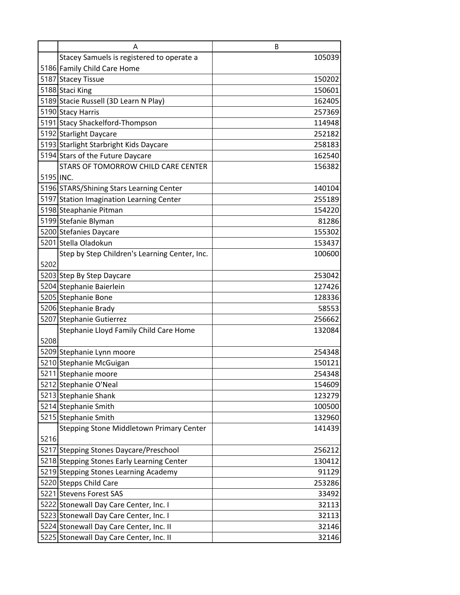|           | A                                             | B      |
|-----------|-----------------------------------------------|--------|
|           | Stacey Samuels is registered to operate a     | 105039 |
|           | 5186 Family Child Care Home                   |        |
|           | 5187 Stacey Tissue                            | 150202 |
|           | 5188 Staci King                               | 150601 |
|           | 5189 Stacie Russell (3D Learn N Play)         | 162405 |
|           | 5190 Stacy Harris                             | 257369 |
|           | 5191 Stacy Shackelford-Thompson               | 114948 |
|           | 5192 Starlight Daycare                        | 252182 |
|           | 5193 Starlight Starbright Kids Daycare        | 258183 |
|           | 5194 Stars of the Future Daycare              | 162540 |
|           | STARS OF TOMORROW CHILD CARE CENTER           | 156382 |
| 5195 INC. |                                               |        |
|           | 5196 STARS/Shining Stars Learning Center      | 140104 |
|           | 5197 Station Imagination Learning Center      | 255189 |
|           | 5198 Steaphanie Pitman                        | 154220 |
|           | 5199 Stefanie Blyman                          | 81286  |
|           | 5200 Stefanies Daycare                        | 155302 |
|           | 5201 Stella Oladokun                          | 153437 |
|           | Step by Step Children's Learning Center, Inc. | 100600 |
| 5202      |                                               |        |
|           | 5203 Step By Step Daycare                     | 253042 |
|           | 5204 Stephanie Baierlein                      | 127426 |
|           | 5205 Stephanie Bone                           | 128336 |
|           | 5206 Stephanie Brady                          | 58553  |
|           | 5207 Stephanie Gutierrez                      | 256662 |
|           | Stephanie Lloyd Family Child Care Home        | 132084 |
| 5208      |                                               |        |
|           | 5209 Stephanie Lynn moore                     | 254348 |
|           | 5210 Stephanie McGuigan                       | 150121 |
|           | 5211 Stephanie moore                          | 254348 |
|           | 5212 Stephanie O'Neal                         | 154609 |
|           | 5213 Stephanie Shank                          | 123279 |
|           | 5214 Stephanie Smith                          | 100500 |
|           | 5215 Stephanie Smith                          | 132960 |
|           | Stepping Stone Middletown Primary Center      | 141439 |
| 5216      |                                               |        |
|           | 5217 Stepping Stones Daycare/Preschool        | 256212 |
|           | 5218 Stepping Stones Early Learning Center    | 130412 |
|           | 5219 Stepping Stones Learning Academy         | 91129  |
|           | 5220 Stepps Child Care                        | 253286 |
|           | 5221 Stevens Forest SAS                       | 33492  |
|           | 5222 Stonewall Day Care Center, Inc. I        | 32113  |
|           | 5223 Stonewall Day Care Center, Inc. I        | 32113  |
|           | 5224 Stonewall Day Care Center, Inc. II       | 32146  |
|           | 5225 Stonewall Day Care Center, Inc. II       | 32146  |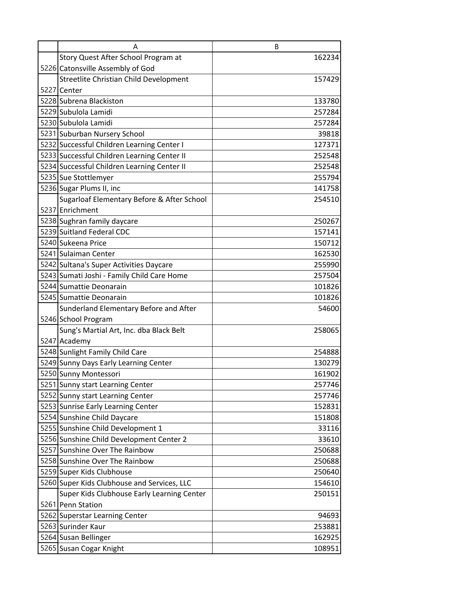| A                                           | B      |
|---------------------------------------------|--------|
| Story Quest After School Program at         | 162234 |
| 5226 Catonsville Assembly of God            |        |
| Streetlite Christian Child Development      | 157429 |
| 5227 Center                                 |        |
| 5228 Subrena Blackiston                     | 133780 |
| 5229 Subulola Lamidi                        | 257284 |
| 5230 Subulola Lamidi                        | 257284 |
| 5231 Suburban Nursery School                | 39818  |
| 5232 Successful Children Learning Center I  | 127371 |
| 5233 Successful Children Learning Center II | 252548 |
| 5234 Successful Children Learning Center II | 252548 |
| 5235 Sue Stottlemyer                        | 255794 |
| 5236 Sugar Plums II, inc                    | 141758 |
| Sugarloaf Elementary Before & After School  | 254510 |
| 5237 Enrichment                             |        |
| 5238 Sughran family daycare                 | 250267 |
| 5239 Suitland Federal CDC                   | 157141 |
| 5240 Sukeena Price                          | 150712 |
| 5241 Sulaiman Center                        | 162530 |
| 5242 Sultana's Super Activities Daycare     | 255990 |
| 5243 Sumati Joshi - Family Child Care Home  | 257504 |
| 5244 Sumattie Deonarain                     | 101826 |
| 5245 Sumattie Deonarain                     | 101826 |
| Sunderland Elementary Before and After      | 54600  |
| 5246 School Program                         |        |
| Sung's Martial Art, Inc. dba Black Belt     | 258065 |
| 5247 Academy                                |        |
| 5248 Sunlight Family Child Care             | 254888 |
| 5249 Sunny Days Early Learning Center       | 130279 |
| 5250 Sunny Montessori                       | 161902 |
| 5251 Sunny start Learning Center            | 257746 |
| 5252 Sunny start Learning Center            | 257746 |
| 5253 Sunrise Early Learning Center          | 152831 |
| 5254 Sunshine Child Daycare                 | 151808 |
| 5255 Sunshine Child Development 1           | 33116  |
| 5256 Sunshine Child Development Center 2    | 33610  |
| 5257 Sunshine Over The Rainbow              | 250688 |
| 5258 Sunshine Over The Rainbow              | 250688 |
| 5259 Super Kids Clubhouse                   | 250640 |
| 5260 Super Kids Clubhouse and Services, LLC | 154610 |
| Super Kids Clubhouse Early Learning Center  | 250151 |
| 5261 Penn Station                           |        |
| 5262 Superstar Learning Center              | 94693  |
| 5263 Surinder Kaur                          | 253881 |
| 5264 Susan Bellinger                        | 162925 |
| 5265 Susan Cogar Knight                     | 108951 |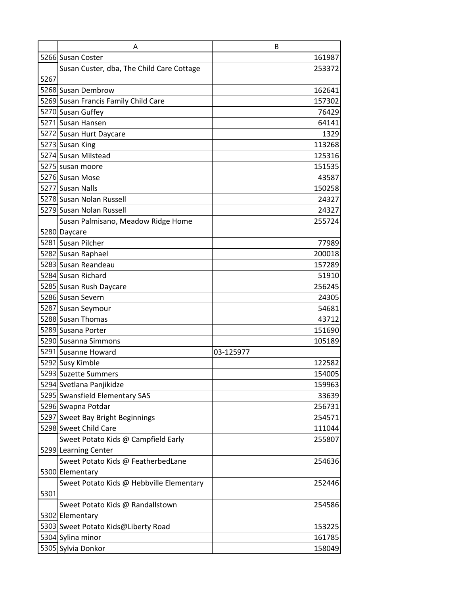|      | A                                         | B         |
|------|-------------------------------------------|-----------|
|      | 5266 Susan Coster                         | 161987    |
|      | Susan Custer, dba, The Child Care Cottage | 253372    |
| 5267 |                                           |           |
|      | 5268 Susan Dembrow                        | 162641    |
|      | 5269 Susan Francis Family Child Care      | 157302    |
|      | 5270 Susan Guffey                         | 76429     |
|      | 5271 Susan Hansen                         | 64141     |
|      | 5272 Susan Hurt Daycare                   | 1329      |
|      | 5273 Susan King                           | 113268    |
|      | 5274 Susan Milstead                       | 125316    |
|      | 5275 susan moore                          | 151535    |
|      | 5276 Susan Mose                           | 43587     |
|      | 5277 Susan Nalls                          | 150258    |
|      | 5278 Susan Nolan Russell                  | 24327     |
|      | 5279 Susan Nolan Russell                  | 24327     |
|      | Susan Palmisano, Meadow Ridge Home        | 255724    |
|      | 5280 Daycare                              |           |
|      | 5281 Susan Pilcher                        | 77989     |
|      | 5282 Susan Raphael                        | 200018    |
|      | 5283 Susan Reandeau                       | 157289    |
|      | 5284 Susan Richard                        | 51910     |
|      | 5285 Susan Rush Daycare                   | 256245    |
|      | 5286 Susan Severn                         | 24305     |
|      | 5287 Susan Seymour                        | 54681     |
|      | 5288 Susan Thomas                         | 43712     |
|      | 5289 Susana Porter                        | 151690    |
|      | 5290 Susanna Simmons                      | 105189    |
|      | 5291 Susanne Howard                       | 03-125977 |
|      | 5292 Susy Kimble                          | 122582    |
|      | 5293 Suzette Summers                      | 154005    |
|      | 5294 Svetlana Panjikidze                  | 159963    |
|      | 5295 Swansfield Elementary SAS            | 33639     |
|      | 5296 Swapna Potdar                        | 256731    |
|      | 5297 Sweet Bay Bright Beginnings          | 254571    |
|      | 5298 Sweet Child Care                     | 111044    |
|      | Sweet Potato Kids @ Campfield Early       | 255807    |
|      | 5299 Learning Center                      |           |
|      | Sweet Potato Kids @ FeatherbedLane        | 254636    |
|      | 5300 Elementary                           |           |
|      | Sweet Potato Kids @ Hebbville Elementary  | 252446    |
| 5301 |                                           |           |
|      | Sweet Potato Kids @ Randallstown          | 254586    |
|      | 5302 Elementary                           |           |
|      | 5303 Sweet Potato Kids@Liberty Road       | 153225    |
|      | 5304 Sylina minor                         | 161785    |
|      | 5305 Sylvia Donkor                        | 158049    |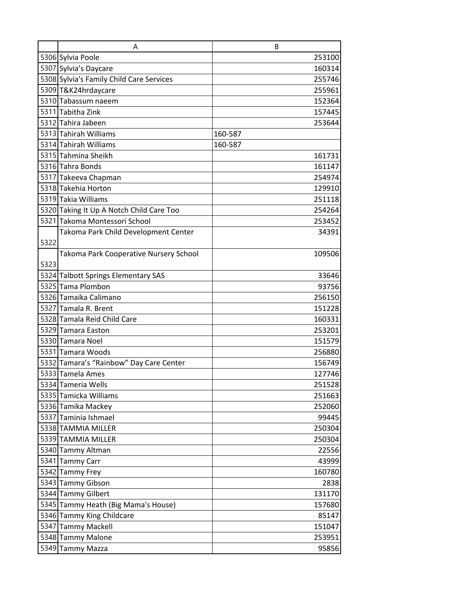|      | A                                               | B               |
|------|-------------------------------------------------|-----------------|
|      | 5306 Sylvia Poole                               | 253100          |
|      | 5307 Sylvia's Daycare                           | 160314          |
|      | 5308 Sylvia's Family Child Care Services        | 255746          |
|      | 5309 T&K24hrdaycare                             | 255961          |
|      | 5310 Tabassum naeem                             | 152364          |
|      | 5311 Tabitha Zink                               | 157445          |
|      | 5312 Tahira Jabeen                              | 253644          |
|      | 5313 Tahirah Williams                           | 160-587         |
|      | 5314 Tahirah Williams                           | 160-587         |
|      | 5315 Tahmina Sheikh                             | 161731          |
|      | 5316 Tahra Bonds                                | 161147          |
|      | 5317 Takeeva Chapman                            | 254974          |
|      | 5318 Takehia Horton                             | 129910          |
|      | 5319 Takia Williams                             | 251118          |
|      | 5320 Taking It Up A Notch Child Care Too        | 254264          |
|      | 5321 Takoma Montessori School                   | 253452          |
|      | Takoma Park Child Development Center            | 34391           |
| 5322 |                                                 |                 |
|      | Takoma Park Cooperative Nursery School          | 109506          |
| 5323 |                                                 |                 |
|      | 5324 Talbott Springs Elementary SAS             | 33646           |
|      | 5325 Tama Plombon                               | 93756           |
|      | 5326 Tamaika Calimano                           | 256150          |
|      | 5327 Tamala R. Brent                            | 151228          |
|      | 5328 Tamala Reid Child Care                     | 160331          |
|      | 5329 Tamara Easton                              | 253201          |
|      | 5330 Tamara Noel                                | 151579          |
|      | 5331 Tamara Woods                               | 256880          |
|      | 5332 Tamara's "Rainbow" Day Care Center         | 156749          |
|      | 5333 Tamela Ames                                | 127746          |
|      | 5334 Tameria Wells                              | 251528          |
|      | 5335 Tamicka Williams                           | 251663          |
|      | 5336 Tamika Mackey                              | 252060          |
|      | 5337 Taminia Ishmael                            | 99445           |
|      | 5338 TAMMIA MILLER                              | 250304          |
|      | 5339 TAMMIA MILLER                              | 250304          |
|      | 5340 Tammy Altman                               | 22556           |
|      | 5341 Tammy Carr<br>5342 Tammy Frey              | 43999<br>160780 |
|      |                                                 |                 |
|      | 5343 Tammy Gibson                               | 2838            |
|      | 5344 Tammy Gilbert                              | 131170          |
|      | 5345 Tammy Heath (Big Mama's House)             | 157680          |
|      | 5346 Tammy King Childcare<br>5347 Tammy Mackell | 85147           |
|      | 5348 Tammy Malone                               | 151047          |
|      |                                                 | 253951          |
|      | 5349 Tammy Mazza                                | 95856           |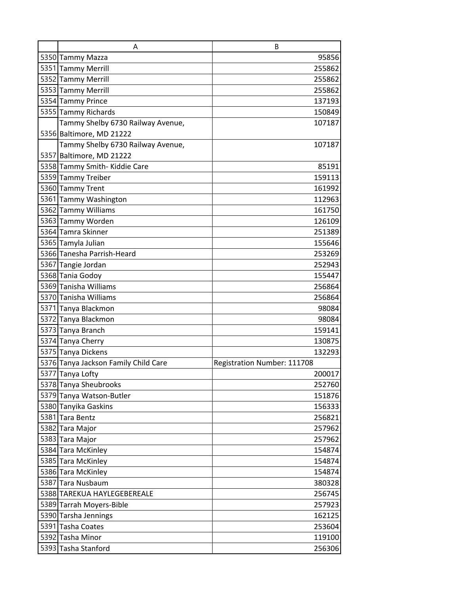| A                                    | B                           |
|--------------------------------------|-----------------------------|
| 5350 Tammy Mazza                     | 95856                       |
| 5351 Tammy Merrill                   | 255862                      |
| 5352 Tammy Merrill                   | 255862                      |
| 5353 Tammy Merrill                   | 255862                      |
| 5354 Tammy Prince                    | 137193                      |
| 5355 Tammy Richards                  | 150849                      |
| Tammy Shelby 6730 Railway Avenue,    | 107187                      |
| 5356 Baltimore, MD 21222             |                             |
| Tammy Shelby 6730 Railway Avenue,    | 107187                      |
| 5357 Baltimore, MD 21222             |                             |
| 5358 Tammy Smith-Kiddie Care         | 85191                       |
| 5359 Tammy Treiber                   | 159113                      |
| 5360 Tammy Trent                     | 161992                      |
| 5361 Tammy Washington                | 112963                      |
| 5362 Tammy Williams                  | 161750                      |
| 5363 Tammy Worden                    | 126109                      |
| 5364 Tamra Skinner                   | 251389                      |
| 5365 Tamyla Julian                   | 155646                      |
| 5366 Tanesha Parrish-Heard           | 253269                      |
| 5367 Tangie Jordan                   | 252943                      |
| 5368 Tania Godoy                     | 155447                      |
| 5369 Tanisha Williams                | 256864                      |
| 5370 Tanisha Williams                | 256864                      |
| 5371 Tanya Blackmon                  | 98084                       |
| 5372 Tanya Blackmon                  | 98084                       |
| 5373 Tanya Branch                    | 159141                      |
| 5374 Tanya Cherry                    | 130875                      |
| 5375 Tanya Dickens                   | 132293                      |
| 5376 Tanya Jackson Family Child Care | Registration Number: 111708 |
| 5377 Tanya Lofty                     | 200017                      |
| 5378 Tanya Sheubrooks                | 252760                      |
| 5379 Tanya Watson-Butler             | 151876                      |
| 5380 Tanyika Gaskins                 | 156333                      |
| 5381 Tara Bentz                      | 256821                      |
| 5382 Tara Major                      | 257962                      |
| 5383 Tara Major                      | 257962                      |
| 5384 Tara McKinley                   | 154874                      |
| 5385 Tara McKinley                   | 154874                      |
| 5386 Tara McKinley                   | 154874                      |
| 5387 Tara Nusbaum                    | 380328                      |
| 5388 TAREKUA HAYLEGEBEREALE          | 256745                      |
| 5389 Tarrah Moyers-Bible             | 257923                      |
| 5390 Tarsha Jennings                 | 162125                      |
| 5391 Tasha Coates                    | 253604                      |
| 5392 Tasha Minor                     | 119100                      |
| 5393 Tasha Stanford                  | 256306                      |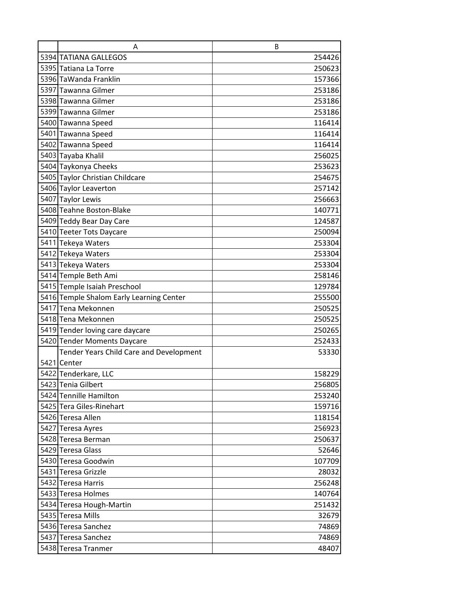| A                                                              | B                |
|----------------------------------------------------------------|------------------|
| 5394 TATIANA GALLEGOS                                          | 254426           |
| 5395 Tatiana La Torre                                          | 250623           |
| 5396 TaWanda Franklin                                          | 157366           |
| 5397 Tawanna Gilmer                                            | 253186           |
| 5398 Tawanna Gilmer                                            | 253186           |
| 5399 Tawanna Gilmer                                            | 253186           |
| 5400 Tawanna Speed                                             | 116414           |
| 5401 Tawanna Speed                                             | 116414           |
| 5402 Tawanna Speed                                             | 116414           |
| 5403 Tayaba Khalil                                             | 256025           |
| 5404 Taykonya Cheeks                                           | 253623           |
| 5405 Taylor Christian Childcare                                | 254675           |
| 5406 Taylor Leaverton                                          | 257142           |
| 5407 Taylor Lewis                                              | 256663           |
| 5408 Teahne Boston-Blake                                       | 140771           |
| 5409 Teddy Bear Day Care                                       | 124587           |
| 5410 Teeter Tots Daycare                                       | 250094           |
| 5411 Tekeya Waters                                             | 253304           |
| 5412 Tekeya Waters                                             | 253304           |
| 5413 Tekeya Waters                                             | 253304           |
| 5414 Temple Beth Ami                                           | 258146           |
| 5415 Temple Isaiah Preschool                                   | 129784           |
| 5416 Temple Shalom Early Learning Center                       | 255500           |
| 5417 Tena Mekonnen                                             | 250525           |
| 5418 Tena Mekonnen                                             | 250525<br>250265 |
| 5419 Tender loving care daycare<br>5420 Tender Moments Daycare | 252433           |
| Tender Years Child Care and Development                        | 53330            |
| 5421 Center                                                    |                  |
| 5422 Tenderkare, LLC                                           | 158229           |
| 5423 Tenia Gilbert                                             | 256805           |
| 5424 Tennille Hamilton                                         | 253240           |
| 5425 Tera Giles-Rinehart                                       | 159716           |
| 5426 Teresa Allen                                              | 118154           |
| 5427 Teresa Ayres                                              | 256923           |
| 5428 Teresa Berman                                             | 250637           |
| 5429 Teresa Glass                                              | 52646            |
| 5430 Teresa Goodwin                                            | 107709           |
| 5431 Teresa Grizzle                                            | 28032            |
| 5432 Teresa Harris                                             | 256248           |
| 5433 Teresa Holmes                                             | 140764           |
| 5434 Teresa Hough-Martin                                       | 251432           |
| 5435 Teresa Mills                                              | 32679            |
| 5436 Teresa Sanchez                                            | 74869            |
| 5437 Teresa Sanchez                                            | 74869            |
| 5438 Teresa Tranmer                                            | 48407            |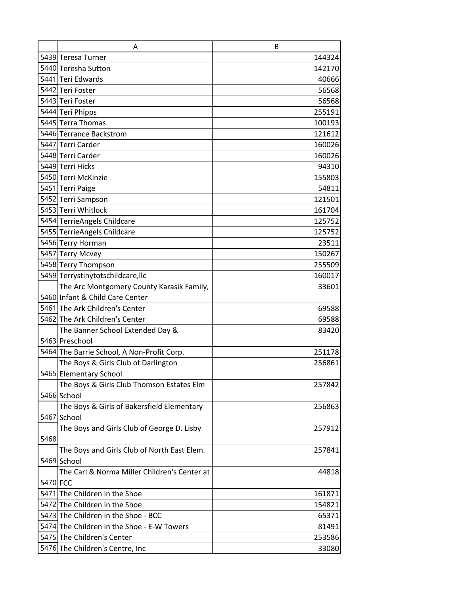|          | A                                            | B      |
|----------|----------------------------------------------|--------|
|          | 5439 Teresa Turner                           | 144324 |
|          | 5440 Teresha Sutton                          | 142170 |
|          | 5441 Teri Edwards                            | 40666  |
| 5442     | Teri Foster                                  | 56568  |
|          | 5443 Teri Foster                             | 56568  |
|          | 5444 Teri Phipps                             | 255191 |
|          | 5445 Terra Thomas                            | 100193 |
|          | 5446 Terrance Backstrom                      | 121612 |
|          | 5447 Terri Carder                            | 160026 |
|          | 5448 Terri Carder                            | 160026 |
|          | 5449 Terri Hicks                             | 94310  |
|          | 5450 Terri McKinzie                          | 155803 |
|          | 5451 Terri Paige                             | 54811  |
|          | 5452 Terri Sampson                           | 121501 |
|          | 5453 Terri Whitlock                          | 161704 |
|          | 5454 TerrieAngels Childcare                  | 125752 |
|          | 5455 TerrieAngels Childcare                  | 125752 |
|          | 5456 Terry Horman                            | 23511  |
|          | 5457 Terry Mcvey                             | 150267 |
|          | 5458 Terry Thompson                          | 255509 |
|          | 5459 Terrystinytotschildcare, Ilc            | 160017 |
|          | The Arc Montgomery County Karasik Family,    | 33601  |
|          | 5460 Infant & Child Care Center              |        |
|          | 5461 The Ark Children's Center               | 69588  |
|          | 5462 The Ark Children's Center               | 69588  |
|          | The Banner School Extended Day &             | 83420  |
|          | 5463 Preschool                               |        |
|          | 5464 The Barrie School, A Non-Profit Corp.   | 251178 |
|          | The Boys & Girls Club of Darlington          | 256861 |
|          | 5465 Elementary School                       |        |
|          | The Boys & Girls Club Thomson Estates Elm    | 257842 |
|          | 5466 School                                  |        |
|          | The Boys & Girls of Bakersfield Elementary   | 256863 |
|          | 5467 School                                  |        |
|          | The Boys and Girls Club of George D. Lisby   | 257912 |
| 5468     |                                              |        |
|          | The Boys and Girls Club of North East Elem.  | 257841 |
|          | 5469 School                                  |        |
|          | The Carl & Norma Miller Children's Center at | 44818  |
| 5470 FCC |                                              |        |
|          | 5471 The Children in the Shoe                | 161871 |
|          | 5472 The Children in the Shoe                | 154821 |
|          | 5473 The Children in the Shoe - BCC          | 65371  |
|          | 5474 The Children in the Shoe - E-W Towers   | 81491  |
|          | 5475 The Children's Center                   | 253586 |
|          | 5476 The Children's Centre, Inc              | 33080  |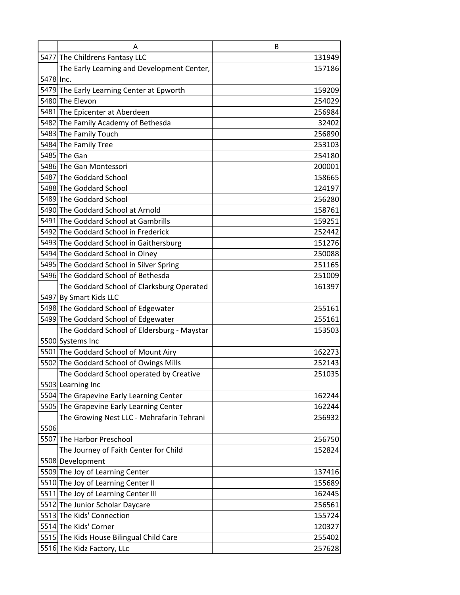|           | A                                          | B      |
|-----------|--------------------------------------------|--------|
|           | 5477 The Childrens Fantasy LLC             | 131949 |
|           | The Early Learning and Development Center, | 157186 |
| 5478 Inc. |                                            |        |
|           | 5479 The Early Learning Center at Epworth  | 159209 |
|           | 5480 The Elevon                            | 254029 |
|           | 5481 The Epicenter at Aberdeen             | 256984 |
|           | 5482 The Family Academy of Bethesda        | 32402  |
|           | 5483 The Family Touch                      | 256890 |
|           | 5484 The Family Tree                       | 253103 |
|           | 5485 The Gan                               | 254180 |
|           | 5486 The Gan Montessori                    | 200001 |
|           | 5487 The Goddard School                    | 158665 |
|           | 5488 The Goddard School                    | 124197 |
|           | 5489 The Goddard School                    | 256280 |
|           | 5490 The Goddard School at Arnold          | 158761 |
|           | 5491 The Goddard School at Gambrills       | 159251 |
|           | 5492 The Goddard School in Frederick       | 252442 |
|           | 5493 The Goddard School in Gaithersburg    | 151276 |
|           | 5494 The Goddard School in Olney           | 250088 |
|           | 5495 The Goddard School in Silver Spring   | 251165 |
|           | 5496 The Goddard School of Bethesda        | 251009 |
|           | The Goddard School of Clarksburg Operated  | 161397 |
|           | 5497 By Smart Kids LLC                     |        |
|           | 5498 The Goddard School of Edgewater       | 255161 |
|           | 5499 The Goddard School of Edgewater       | 255161 |
|           | The Goddard School of Eldersburg - Maystar | 153503 |
|           | 5500 Systems Inc                           |        |
|           | 5501 The Goddard School of Mount Airy      | 162273 |
|           | 5502 The Goddard School of Owings Mills    | 252143 |
|           | The Goddard School operated by Creative    | 251035 |
|           | 5503 Learning Inc                          |        |
|           | 5504 The Grapevine Early Learning Center   | 162244 |
|           | 5505 The Grapevine Early Learning Center   | 162244 |
|           | The Growing Nest LLC - Mehrafarin Tehrani  | 256932 |
| 5506      |                                            |        |
|           | 5507 The Harbor Preschool                  | 256750 |
|           | The Journey of Faith Center for Child      | 152824 |
|           | 5508 Development                           |        |
|           | 5509 The Joy of Learning Center            | 137416 |
|           | 5510 The Joy of Learning Center II         | 155689 |
|           | 5511 The Joy of Learning Center III        | 162445 |
|           | 5512 The Junior Scholar Daycare            | 256561 |
|           | 5513 The Kids' Connection                  | 155724 |
|           | 5514 The Kids' Corner                      | 120327 |
|           | 5515 The Kids House Bilingual Child Care   | 255402 |
|           | 5516 The Kidz Factory, LLc                 | 257628 |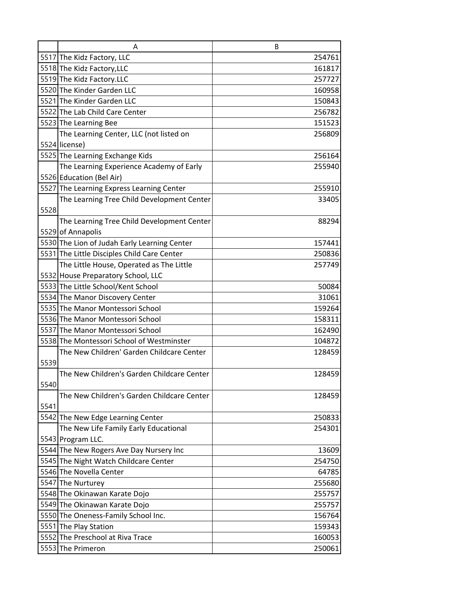|      | A                                            | B      |
|------|----------------------------------------------|--------|
|      | 5517 The Kidz Factory, LLC                   | 254761 |
|      | 5518 The Kidz Factory, LLC                   | 161817 |
|      | 5519 The Kidz Factory.LLC                    | 257727 |
|      | 5520 The Kinder Garden LLC                   | 160958 |
|      | 5521 The Kinder Garden LLC                   | 150843 |
|      | 5522 The Lab Child Care Center               | 256782 |
|      | 5523 The Learning Bee                        | 151523 |
|      | The Learning Center, LLC (not listed on      | 256809 |
|      | 5524 license)                                |        |
|      | 5525 The Learning Exchange Kids              | 256164 |
|      | The Learning Experience Academy of Early     | 255940 |
|      | 5526 Education (Bel Air)                     |        |
|      | 5527 The Learning Express Learning Center    | 255910 |
|      | The Learning Tree Child Development Center   | 33405  |
| 5528 |                                              |        |
|      | The Learning Tree Child Development Center   | 88294  |
|      | 5529 of Annapolis                            |        |
|      | 5530 The Lion of Judah Early Learning Center | 157441 |
|      | 5531 The Little Disciples Child Care Center  | 250836 |
|      | The Little House, Operated as The Little     | 257749 |
|      | 5532 House Preparatory School, LLC           |        |
|      | 5533 The Little School/Kent School           | 50084  |
|      | 5534 The Manor Discovery Center              | 31061  |
|      | 5535 The Manor Montessori School             | 159264 |
|      | 5536 The Manor Montessori School             | 158311 |
|      | 5537 The Manor Montessori School             | 162490 |
|      | 5538 The Montessori School of Westminster    | 104872 |
|      | The New Children' Garden Childcare Center    | 128459 |
| 5539 |                                              |        |
|      | The New Children's Garden Childcare Center   | 128459 |
| 5540 |                                              |        |
|      | The New Children's Garden Childcare Center   | 128459 |
| 5541 |                                              |        |
|      | 5542 The New Edge Learning Center            | 250833 |
|      | The New Life Family Early Educational        | 254301 |
|      | 5543 Program LLC.                            |        |
|      | 5544 The New Rogers Ave Day Nursery Inc      | 13609  |
|      | 5545 The Night Watch Childcare Center        | 254750 |
|      | 5546 The Novella Center                      | 64785  |
|      | 5547 The Nurturey                            | 255680 |
|      | 5548 The Okinawan Karate Dojo                | 255757 |
|      | 5549 The Okinawan Karate Dojo                | 255757 |
|      | 5550 The Oneness-Family School Inc.          | 156764 |
|      | 5551 The Play Station                        | 159343 |
|      | 5552 The Preschool at Riva Trace             | 160053 |
|      | 5553 The Primeron                            | 250061 |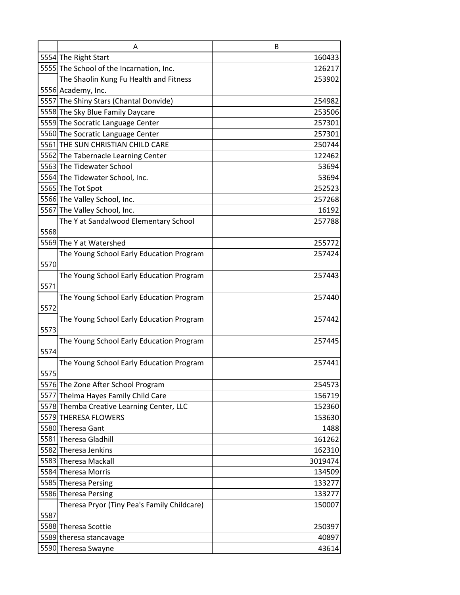|      | A                                           | B       |
|------|---------------------------------------------|---------|
|      | 5554 The Right Start                        | 160433  |
|      | 5555 The School of the Incarnation, Inc.    | 126217  |
|      | The Shaolin Kung Fu Health and Fitness      | 253902  |
|      | 5556 Academy, Inc.                          |         |
|      | 5557 The Shiny Stars (Chantal Donvide)      | 254982  |
|      | 5558 The Sky Blue Family Daycare            | 253506  |
|      | 5559 The Socratic Language Center           | 257301  |
|      | 5560 The Socratic Language Center           | 257301  |
|      | 5561 THE SUN CHRISTIAN CHILD CARE           | 250744  |
|      | 5562 The Tabernacle Learning Center         | 122462  |
|      | 5563 The Tidewater School                   | 53694   |
|      | 5564 The Tidewater School, Inc.             | 53694   |
|      | 5565 The Tot Spot                           | 252523  |
|      | 5566 The Valley School, Inc.                | 257268  |
|      | 5567 The Valley School, Inc.                | 16192   |
|      | The Y at Sandalwood Elementary School       | 257788  |
| 5568 |                                             |         |
|      | 5569 The Y at Watershed                     | 255772  |
|      | The Young School Early Education Program    | 257424  |
| 5570 |                                             |         |
|      | The Young School Early Education Program    | 257443  |
| 5571 |                                             |         |
|      | The Young School Early Education Program    | 257440  |
| 5572 |                                             |         |
|      | The Young School Early Education Program    | 257442  |
| 5573 |                                             |         |
|      | The Young School Early Education Program    | 257445  |
| 5574 |                                             |         |
|      | The Young School Early Education Program    | 257441  |
| 5575 |                                             |         |
|      | 5576 The Zone After School Program          | 254573  |
|      | 5577 Thelma Hayes Family Child Care         | 156719  |
|      | 5578 Themba Creative Learning Center, LLC   | 152360  |
|      | 5579 THERESA FLOWERS                        | 153630  |
|      | 5580 Theresa Gant                           | 1488    |
|      | 5581 Theresa Gladhill                       | 161262  |
|      | 5582 Theresa Jenkins                        | 162310  |
|      | 5583 Theresa Mackall                        | 3019474 |
|      | 5584 Theresa Morris                         | 134509  |
|      | 5585 Theresa Persing                        | 133277  |
|      | 5586 Theresa Persing                        | 133277  |
|      | Theresa Pryor (Tiny Pea's Family Childcare) | 150007  |
| 5587 |                                             |         |
|      | 5588 Theresa Scottie                        | 250397  |
|      | 5589 theresa stancavage                     | 40897   |
|      | 5590 Theresa Swayne                         | 43614   |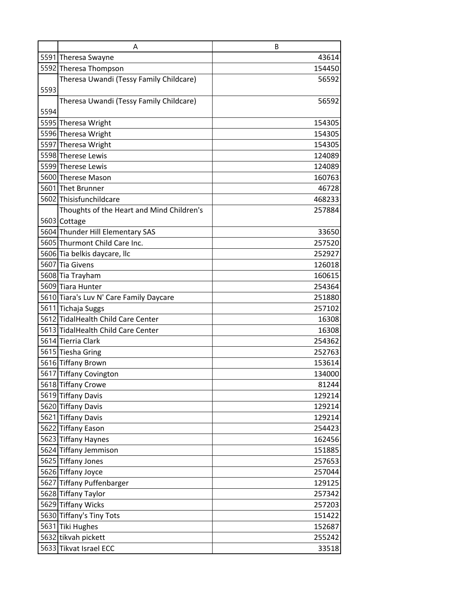|      | A                                         | B      |
|------|-------------------------------------------|--------|
|      | 5591 Theresa Swayne                       | 43614  |
|      | 5592 Theresa Thompson                     | 154450 |
|      | Theresa Uwandi (Tessy Family Childcare)   | 56592  |
| 5593 |                                           |        |
|      | Theresa Uwandi (Tessy Family Childcare)   | 56592  |
| 5594 |                                           |        |
|      | 5595 Theresa Wright                       | 154305 |
|      | 5596 Theresa Wright                       | 154305 |
|      | 5597 Theresa Wright                       | 154305 |
|      | 5598 Therese Lewis                        | 124089 |
|      | 5599 Therese Lewis                        | 124089 |
|      | 5600 Therese Mason                        | 160763 |
|      | 5601 Thet Brunner                         | 46728  |
|      | 5602 Thisisfunchildcare                   | 468233 |
|      | Thoughts of the Heart and Mind Children's | 257884 |
|      | 5603 Cottage                              |        |
|      | 5604 Thunder Hill Elementary SAS          | 33650  |
|      | 5605 Thurmont Child Care Inc.             | 257520 |
|      | 5606 Tia belkis daycare, Ilc              | 252927 |
|      | 5607 Tia Givens                           | 126018 |
|      | 5608 Tia Trayham                          | 160615 |
|      | 5609 Tiara Hunter                         | 254364 |
|      | 5610 Tiara's Luv N' Care Family Daycare   | 251880 |
|      | 5611 Tichaja Suggs                        | 257102 |
|      | 5612 TidalHealth Child Care Center        | 16308  |
|      | 5613 TidalHealth Child Care Center        | 16308  |
|      | 5614 Tierria Clark                        | 254362 |
|      | 5615 Tiesha Gring                         | 252763 |
|      | 5616 Tiffany Brown                        | 153614 |
|      | 5617 Tiffany Covington                    | 134000 |
|      | 5618 Tiffany Crowe                        | 81244  |
|      | 5619 Tiffany Davis                        | 129214 |
|      | 5620 Tiffany Davis                        | 129214 |
|      | 5621 Tiffany Davis                        | 129214 |
|      | 5622 Tiffany Eason                        | 254423 |
|      | 5623 Tiffany Haynes                       | 162456 |
|      | 5624 Tiffany Jemmison                     | 151885 |
|      | 5625 Tiffany Jones                        | 257653 |
|      | 5626 Tiffany Joyce                        | 257044 |
|      | 5627 Tiffany Puffenbarger                 | 129125 |
|      | 5628 Tiffany Taylor                       | 257342 |
|      | 5629 Tiffany Wicks                        | 257203 |
|      | 5630 Tiffany's Tiny Tots                  | 151422 |
|      | 5631 Tiki Hughes                          | 152687 |
|      | 5632 tikvah pickett                       | 255242 |
|      | 5633 Tikvat Israel ECC                    | 33518  |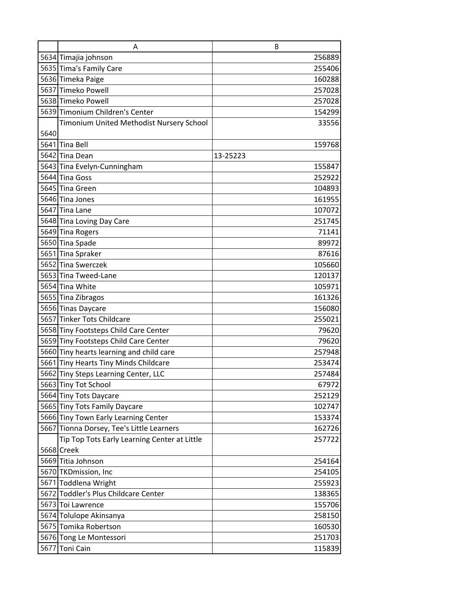|      | A                                            | B        |
|------|----------------------------------------------|----------|
|      | 5634 Timajia johnson                         | 256889   |
|      | 5635 Tima's Family Care                      | 255406   |
|      | 5636 Timeka Paige                            | 160288   |
|      | 5637 Timeko Powell                           | 257028   |
|      | 5638 Timeko Powell                           | 257028   |
|      | 5639 Timonium Children's Center              | 154299   |
|      | Timonium United Methodist Nursery School     | 33556    |
| 5640 |                                              |          |
|      | 5641 Tina Bell                               | 159768   |
|      | 5642 Tina Dean                               | 13-25223 |
|      | 5643 Tina Evelyn-Cunningham                  | 155847   |
|      | 5644 Tina Goss                               | 252922   |
|      | 5645 Tina Green                              | 104893   |
|      | 5646 Tina Jones                              | 161955   |
|      | 5647 Tina Lane                               | 107072   |
|      | 5648 Tina Loving Day Care                    | 251745   |
|      | 5649 Tina Rogers                             | 71141    |
|      | 5650 Tina Spade                              | 89972    |
|      | 5651 Tina Spraker                            | 87616    |
|      | 5652 Tina Swerczek                           | 105660   |
|      | 5653 Tina Tweed-Lane                         | 120137   |
|      | 5654 Tina White                              | 105971   |
|      | 5655 Tina Zibragos                           | 161326   |
|      | 5656 Tinas Daycare                           | 156080   |
|      | 5657 Tinker Tots Childcare                   | 255021   |
|      | 5658 Tiny Footsteps Child Care Center        | 79620    |
|      | 5659 Tiny Footsteps Child Care Center        | 79620    |
|      | 5660 Tiny hearts learning and child care     | 257948   |
|      | 5661 Tiny Hearts Tiny Minds Childcare        | 253474   |
|      | 5662 Tiny Steps Learning Center, LLC         | 257484   |
|      | 5663 Tiny Tot School                         | 67972    |
|      | 5664 Tiny Tots Daycare                       | 252129   |
|      | 5665 Tiny Tots Family Daycare                | 102747   |
|      | 5666 Tiny Town Early Learning Center         | 153374   |
|      | 5667 Tionna Dorsey, Tee's Little Learners    | 162726   |
|      | Tip Top Tots Early Learning Center at Little | 257722   |
|      | 5668 Creek                                   |          |
|      | 5669 Titia Johnson                           | 254164   |
|      | 5670 TKDmission, Inc                         | 254105   |
|      | 5671 Toddlena Wright                         | 255923   |
|      | 5672 Toddler's Plus Childcare Center         | 138365   |
|      | 5673 Toi Lawrence                            | 155706   |
|      | 5674 Tolulope Akinsanya                      | 258150   |
|      | 5675 Tomika Robertson                        | 160530   |
|      | 5676 Tong Le Montessori                      | 251703   |
|      | 5677 Toni Cain                               | 115839   |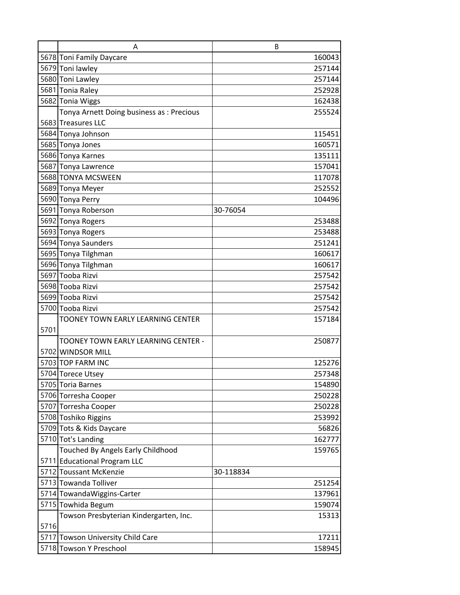|      | A                                        | B         |
|------|------------------------------------------|-----------|
|      | 5678 Toni Family Daycare                 | 160043    |
|      | 5679 Toni lawley                         | 257144    |
|      | 5680 Toni Lawley                         | 257144    |
|      | 5681 Tonia Raley                         | 252928    |
|      | 5682 Tonia Wiggs                         | 162438    |
|      | Tonya Arnett Doing business as: Precious | 255524    |
|      | 5683 Treasures LLC                       |           |
|      | 5684 Tonya Johnson                       | 115451    |
|      | 5685 Tonya Jones                         | 160571    |
|      | 5686 Tonya Karnes                        | 135111    |
|      | 5687 Tonya Lawrence                      | 157041    |
|      | 5688 TONYA MCSWEEN                       | 117078    |
|      | 5689 Tonya Meyer                         | 252552    |
|      | 5690 Tonya Perry                         | 104496    |
|      | 5691 Tonya Roberson                      | 30-76054  |
|      | 5692 Tonya Rogers                        | 253488    |
|      | 5693 Tonya Rogers                        | 253488    |
|      | 5694 Tonya Saunders                      | 251241    |
|      | 5695 Tonya Tilghman                      | 160617    |
|      | 5696 Tonya Tilghman                      | 160617    |
|      | 5697 Tooba Rizvi                         | 257542    |
|      | 5698 Tooba Rizvi                         | 257542    |
|      | 5699 Tooba Rizvi                         | 257542    |
|      | 5700 Tooba Rizvi                         | 257542    |
|      | <b>TOONEY TOWN EARLY LEARNING CENTER</b> | 157184    |
| 5701 |                                          |           |
|      | TOONEY TOWN EARLY LEARNING CENTER -      | 250877    |
|      | 5702 WINDSOR MILL                        |           |
|      | 5703 TOP FARM INC                        | 125276    |
|      | 5704 Torece Utsey                        | 257348    |
|      | 5705 Toria Barnes                        | 154890    |
|      | 5706 Torresha Cooper                     | 250228    |
|      | 5707 Torresha Cooper                     | 250228    |
|      | 5708 Toshiko Riggins                     | 253992    |
|      | 5709 Tots & Kids Daycare                 | 56826     |
|      | 5710 Tot's Landing                       | 162777    |
|      | Touched By Angels Early Childhood        | 159765    |
|      | 5711 Educational Program LLC             |           |
|      | 5712 Toussant McKenzie                   | 30-118834 |
|      | 5713 Towanda Tolliver                    | 251254    |
|      | 5714 TowandaWiggins-Carter               | 137961    |
|      | 5715 Towhida Begum                       | 159074    |
|      | Towson Presbyterian Kindergarten, Inc.   | 15313     |
| 5716 |                                          |           |
|      | 5717 Towson University Child Care        | 17211     |
|      | 5718 Towson Y Preschool                  | 158945    |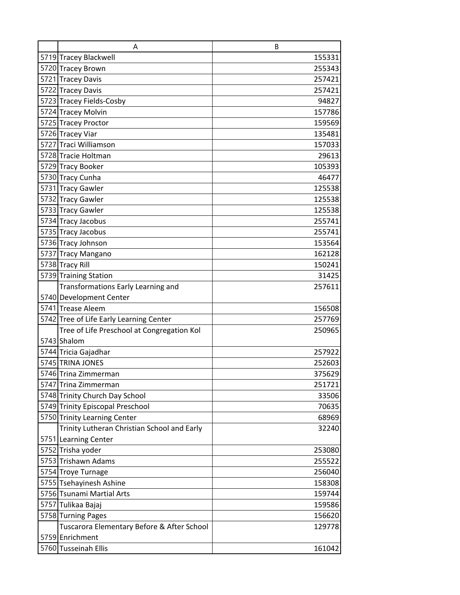| A                                           | B      |
|---------------------------------------------|--------|
| 5719 Tracey Blackwell                       | 155331 |
| 5720 Tracey Brown                           | 255343 |
| 5721 Tracey Davis                           | 257421 |
| 5722 Tracey Davis                           | 257421 |
| 5723 Tracey Fields-Cosby                    | 94827  |
| 5724 Tracey Molvin                          | 157786 |
| 5725 Tracey Proctor                         | 159569 |
| 5726 Tracey Viar                            | 135481 |
| 5727 Traci Williamson                       | 157033 |
| 5728 Tracie Holtman                         | 29613  |
| 5729 Tracy Booker                           | 105393 |
| 5730 Tracy Cunha                            | 46477  |
| 5731 Tracy Gawler                           | 125538 |
| 5732 Tracy Gawler                           | 125538 |
| 5733 Tracy Gawler                           | 125538 |
| 5734 Tracy Jacobus                          | 255741 |
| 5735 Tracy Jacobus                          | 255741 |
| 5736 Tracy Johnson                          | 153564 |
| 5737 Tracy Mangano                          | 162128 |
| 5738 Tracy Rill                             | 150241 |
| 5739 Training Station                       | 31425  |
| Transformations Early Learning and          | 257611 |
| 5740 Development Center                     |        |
| 5741 Trease Aleem                           | 156508 |
| 5742 Tree of Life Early Learning Center     | 257769 |
| Tree of Life Preschool at Congregation Kol  | 250965 |
| 5743 Shalom                                 |        |
| 5744 Tricia Gajadhar                        | 257922 |
| 5745 TRINA JONES                            | 252603 |
| 5746 Trina Zimmerman                        | 375629 |
| 5747 Trina Zimmerman                        | 251721 |
| 5748 Trinity Church Day School              | 33506  |
| 5749 Trinity Episcopal Preschool            | 70635  |
| 5750 Trinity Learning Center                | 68969  |
| Trinity Lutheran Christian School and Early | 32240  |
| 5751 Learning Center                        |        |
| 5752 Trisha yoder                           | 253080 |
| 5753 Trishawn Adams                         | 255522 |
| 5754 Troye Turnage                          | 256040 |
| 5755 Tsehayinesh Ashine                     | 158308 |
| 5756 Tsunami Martial Arts                   | 159744 |
| 5757 Tulikaa Bajaj                          | 159586 |
| 5758 Turning Pages                          | 156620 |
| Tuscarora Elementary Before & After School  | 129778 |
| 5759 Enrichment                             |        |
| 5760 Tusseinah Ellis                        | 161042 |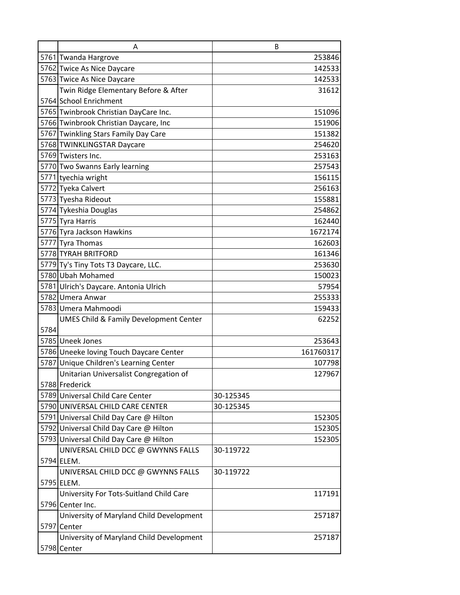|      | A                                                 | B         |
|------|---------------------------------------------------|-----------|
|      | 5761 Twanda Hargrove                              | 253846    |
|      | 5762 Twice As Nice Daycare                        | 142533    |
|      | 5763 Twice As Nice Daycare                        | 142533    |
|      | Twin Ridge Elementary Before & After              | 31612     |
|      | 5764 School Enrichment                            |           |
|      | 5765 Twinbrook Christian DayCare Inc.             | 151096    |
|      | 5766 Twinbrook Christian Daycare, Inc             | 151906    |
|      | 5767 Twinkling Stars Family Day Care              | 151382    |
|      | 5768 TWINKLINGSTAR Daycare                        | 254620    |
|      | 5769 Twisters Inc.                                | 253163    |
|      | 5770 Two Swanns Early learning                    | 257543    |
|      | 5771 tyechia wright                               | 156115    |
|      | 5772 Tyeka Calvert                                | 256163    |
|      | 5773 Tyesha Rideout                               | 155881    |
|      | 5774 Tykeshia Douglas                             | 254862    |
|      | 5775 Tyra Harris                                  | 162440    |
|      | 5776 Tyra Jackson Hawkins                         | 1672174   |
|      | 5777 Tyra Thomas                                  | 162603    |
|      | 5778 TYRAH BRITFORD                               | 161346    |
|      | 5779 Ty's Tiny Tots T3 Daycare, LLC.              | 253630    |
|      | 5780 Ubah Mohamed                                 | 150023    |
|      | 5781 Ulrich's Daycare. Antonia Ulrich             | 57954     |
|      | 5782 Umera Anwar                                  | 255333    |
|      | 5783 Umera Mahmoodi                               | 159433    |
|      | <b>UMES Child &amp; Family Development Center</b> | 62252     |
| 5784 |                                                   |           |
|      | 5785 Uneek Jones                                  | 253643    |
|      | 5786 Uneeke loving Touch Daycare Center           | 161760317 |
|      | 5787 Unique Children's Learning Center            | 107798    |
|      | Unitarian Universalist Congregation of            | 127967    |
|      | 5788 Frederick                                    |           |
|      | 5789 Universal Child Care Center                  | 30-125345 |
|      | 5790 UNIVERSAL CHILD CARE CENTER                  | 30-125345 |
|      | 5791 Universal Child Day Care @ Hilton            | 152305    |
|      | 5792 Universal Child Day Care @ Hilton            | 152305    |
|      | 5793 Universal Child Day Care @ Hilton            | 152305    |
|      | UNIVERSAL CHILD DCC @ GWYNNS FALLS                | 30-119722 |
|      | 5794 ELEM.                                        |           |
|      | UNIVERSAL CHILD DCC @ GWYNNS FALLS                | 30-119722 |
|      | 5795 ELEM.                                        |           |
|      | University For Tots-Suitland Child Care           | 117191    |
|      | 5796 Center Inc.                                  |           |
|      | University of Maryland Child Development          | 257187    |
|      | 5797 Center                                       |           |
|      | University of Maryland Child Development          | 257187    |
|      | 5798 Center                                       |           |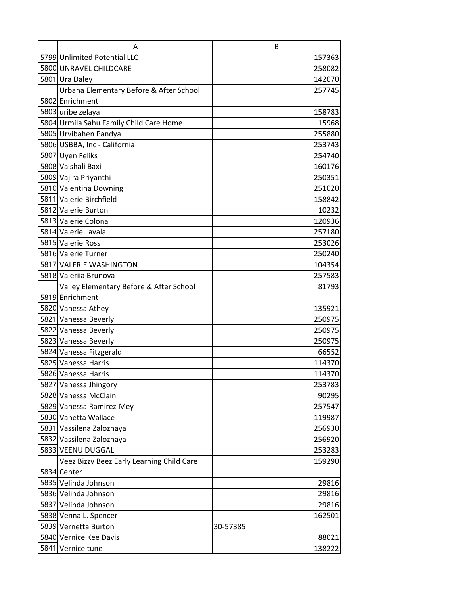| A                                         | B        |
|-------------------------------------------|----------|
| 5799 Unlimited Potential LLC              | 157363   |
| 5800 UNRAVEL CHILDCARE                    | 258082   |
| 5801 Ura Daley                            | 142070   |
| Urbana Elementary Before & After School   | 257745   |
| 5802 Enrichment                           |          |
| 5803 uribe zelaya                         | 158783   |
| 5804 Urmila Sahu Family Child Care Home   | 15968    |
| 5805 Urvibahen Pandya                     | 255880   |
| 5806 USBBA, Inc - California              | 253743   |
| 5807 Uyen Feliks                          | 254740   |
| 5808 Vaishali Baxi                        | 160176   |
| 5809 Vajira Priyanthi                     | 250351   |
| 5810 Valentina Downing                    | 251020   |
| 5811 Valerie Birchfield                   | 158842   |
| 5812 Valerie Burton                       | 10232    |
| 5813 Valerie Colona                       | 120936   |
| 5814 Valerie Lavala                       | 257180   |
| 5815 Valerie Ross                         | 253026   |
| 5816 Valerie Turner                       | 250240   |
| 5817 VALERIE WASHINGTON                   | 104354   |
| 5818 Valeriia Brunova                     | 257583   |
| Valley Elementary Before & After School   | 81793    |
| 5819 Enrichment                           |          |
| 5820 Vanessa Athey                        | 135921   |
| 5821 Vanessa Beverly                      | 250975   |
| 5822 Vanessa Beverly                      | 250975   |
| 5823 Vanessa Beverly                      | 250975   |
| 5824 Vanessa Fitzgerald                   | 66552    |
| 5825 Vanessa Harris                       | 114370   |
| 5826 Vanessa Harris                       | 114370   |
| 5827 Vanessa Jhingory                     | 253783   |
| 5828 Vanessa McClain                      | 90295    |
| 5829 Vanessa Ramirez-Mey                  | 257547   |
| 5830 Vanetta Wallace                      | 119987   |
| 5831 Vassilena Zaloznaya                  | 256930   |
| 5832 Vassilena Zaloznaya                  | 256920   |
| 5833 VEENU DUGGAL                         | 253283   |
| Veez Bizzy Beez Early Learning Child Care | 159290   |
| 5834 Center                               |          |
| 5835 Velinda Johnson                      | 29816    |
| 5836 Velinda Johnson                      | 29816    |
| 5837 Velinda Johnson                      | 29816    |
| 5838 Venna L. Spencer                     | 162501   |
| 5839 Vernetta Burton                      | 30-57385 |
| 5840 Vernice Kee Davis                    | 88021    |
| 5841 Vernice tune                         | 138222   |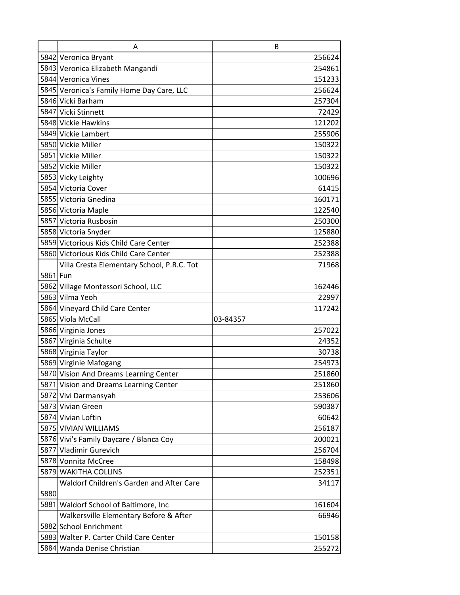|          | A                                          | B        |
|----------|--------------------------------------------|----------|
|          | 5842 Veronica Bryant                       | 256624   |
|          | 5843 Veronica Elizabeth Mangandi           | 254861   |
|          | 5844 Veronica Vines                        | 151233   |
|          | 5845 Veronica's Family Home Day Care, LLC  | 256624   |
|          | 5846 Vicki Barham                          | 257304   |
|          | 5847 Vicki Stinnett                        | 72429    |
|          | 5848 Vickie Hawkins                        | 121202   |
|          | 5849 Vickie Lambert                        | 255906   |
|          | 5850 Vickie Miller                         | 150322   |
|          | 5851 Vickie Miller                         | 150322   |
|          | 5852 Vickie Miller                         | 150322   |
|          | 5853 Vicky Leighty                         | 100696   |
|          | 5854 Victoria Cover                        | 61415    |
|          | 5855 Victoria Gnedina                      | 160171   |
|          | 5856 Victoria Maple                        | 122540   |
|          | 5857 Victoria Rusbosin                     | 250300   |
|          | 5858 Victoria Snyder                       | 125880   |
|          | 5859 Victorious Kids Child Care Center     | 252388   |
|          | 5860 Victorious Kids Child Care Center     | 252388   |
|          | Villa Cresta Elementary School, P.R.C. Tot | 71968    |
| 5861 Fun |                                            |          |
|          | 5862 Village Montessori School, LLC        | 162446   |
|          | 5863 Vilma Yeoh                            | 22997    |
|          | 5864 Vineyard Child Care Center            | 117242   |
|          | 5865 Viola McCall                          | 03-84357 |
|          | 5866 Virginia Jones                        | 257022   |
|          | 5867 Virginia Schulte                      | 24352    |
|          | 5868 Virginia Taylor                       | 30738    |
|          | 5869 Virginie Mafogang                     | 254973   |
|          | 5870 Vision And Dreams Learning Center     | 251860   |
|          | 5871 Vision and Dreams Learning Center     | 251860   |
|          | 5872 Vivi Darmansyah                       | 253606   |
|          | 5873 Vivian Green                          | 590387   |
|          | 5874 Vivian Loftin                         | 60642    |
|          | 5875 VIVIAN WILLIAMS                       | 256187   |
|          | 5876 Vivi's Family Daycare / Blanca Coy    | 200021   |
|          | 5877 Vladimir Gurevich                     | 256704   |
|          | 5878 Vonnita McCree                        | 158498   |
|          | 5879 WAKITHA COLLINS                       | 252351   |
|          | Waldorf Children's Garden and After Care   | 34117    |
| 5880     |                                            |          |
|          | 5881 Waldorf School of Baltimore, Inc      | 161604   |
|          | Walkersville Elementary Before & After     | 66946    |
|          | 5882 School Enrichment                     |          |
|          | 5883 Walter P. Carter Child Care Center    | 150158   |
|          | 5884 Wanda Denise Christian                | 255272   |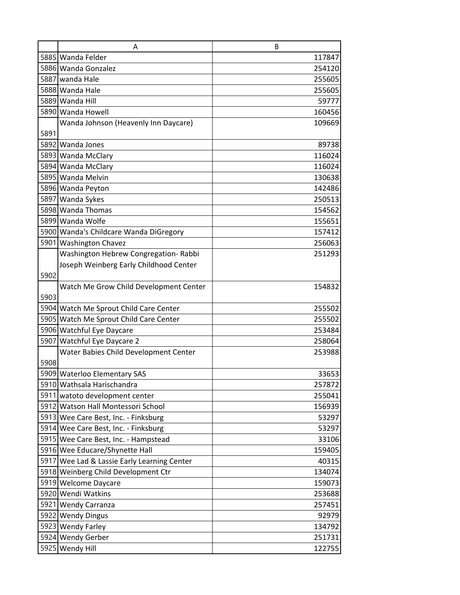|      | A                                           | B      |
|------|---------------------------------------------|--------|
|      | 5885 Wanda Felder                           | 117847 |
|      | 5886 Wanda Gonzalez                         | 254120 |
|      | 5887 wanda Hale                             | 255605 |
|      | 5888 Wanda Hale                             | 255605 |
|      | 5889 Wanda Hill                             | 59777  |
|      | 5890 Wanda Howell                           | 160456 |
|      | Wanda Johnson (Heavenly Inn Daycare)        | 109669 |
| 5891 |                                             |        |
|      | 5892 Wanda Jones                            | 89738  |
|      | 5893 Wanda McClary                          | 116024 |
|      | 5894 Wanda McClary                          | 116024 |
|      | 5895 Wanda Melvin                           | 130638 |
|      | 5896 Wanda Peyton                           | 142486 |
|      | 5897 Wanda Sykes                            | 250513 |
|      | 5898 Wanda Thomas                           | 154562 |
|      | 5899 Wanda Wolfe                            | 155651 |
|      | 5900 Wanda's Childcare Wanda DiGregory      | 157412 |
|      | 5901 Washington Chavez                      | 256063 |
|      | Washington Hebrew Congregation- Rabbi       | 251293 |
|      | Joseph Weinberg Early Childhood Center      |        |
| 5902 |                                             |        |
|      | Watch Me Grow Child Development Center      | 154832 |
| 5903 |                                             |        |
|      | 5904 Watch Me Sprout Child Care Center      | 255502 |
|      | 5905 Watch Me Sprout Child Care Center      | 255502 |
|      | 5906 Watchful Eye Daycare                   | 253484 |
|      | 5907 Watchful Eye Daycare 2                 | 258064 |
|      | Water Babies Child Development Center       | 253988 |
| 5908 |                                             |        |
|      | 5909 Waterloo Elementary SAS                | 33653  |
|      | 5910 Wathsala Harischandra                  | 257872 |
|      | 5911 watoto development center              | 255041 |
|      | 5912 Watson Hall Montessori School          | 156939 |
|      | 5913 Wee Care Best, Inc. - Finksburg        | 53297  |
|      | 5914 Wee Care Best, Inc. - Finksburg        | 53297  |
|      | 5915 Wee Care Best, Inc. - Hampstead        | 33106  |
|      | 5916 Wee Educare/Shynette Hall              | 159405 |
|      | 5917 Wee Lad & Lassie Early Learning Center | 40315  |
|      | 5918 Weinberg Child Development Ctr         | 134074 |
|      | 5919 Welcome Daycare                        | 159073 |
|      | 5920 Wendi Watkins                          | 253688 |
|      | 5921 Wendy Carranza                         | 257451 |
|      | 5922 Wendy Dingus                           | 92979  |
|      | 5923 Wendy Farley                           | 134792 |
|      | 5924 Wendy Gerber                           | 251731 |
|      | 5925 Wendy Hill                             | 122755 |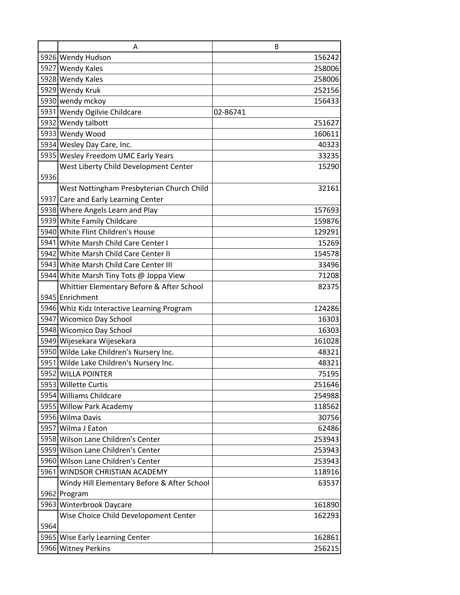|      | A                                                                    | B        |
|------|----------------------------------------------------------------------|----------|
|      | 5926 Wendy Hudson                                                    | 156242   |
|      | 5927 Wendy Kales                                                     | 258006   |
|      | 5928 Wendy Kales                                                     | 258006   |
|      | 5929 Wendy Kruk                                                      | 252156   |
|      | 5930 wendy mckoy                                                     | 156433   |
|      | 5931 Wendy Ogilvie Childcare                                         | 02-86741 |
|      | 5932 Wendy talbott                                                   | 251627   |
|      | 5933 Wendy Wood                                                      | 160611   |
|      | 5934 Wesley Day Care, Inc.                                           | 40323    |
|      | 5935 Wesley Freedom UMC Early Years                                  | 33235    |
|      | West Liberty Child Development Center                                | 15290    |
| 5936 |                                                                      |          |
|      | West Nottingham Presbyterian Church Child                            | 32161    |
|      | 5937 Care and Early Learning Center                                  |          |
|      | 5938 Where Angels Learn and Play                                     | 157693   |
|      | 5939 White Family Childcare                                          | 159876   |
|      | 5940 White Flint Children's House                                    | 129291   |
|      | 5941 White Marsh Child Care Center I                                 | 15269    |
|      | 5942 White Marsh Child Care Center II                                | 154578   |
|      | 5943 White Marsh Child Care Center III                               | 33496    |
|      | 5944 White Marsh Tiny Tots @ Joppa View                              | 71208    |
|      | Whittier Elementary Before & After School                            | 82375    |
|      | 5945 Enrichment                                                      |          |
|      | 5946 Whiz Kidz Interactive Learning Program                          | 124286   |
|      | 5947 Wicomico Day School                                             | 16303    |
|      | 5948 Wicomico Day School                                             | 16303    |
|      | 5949 Wijesekara Wijesekara                                           | 161028   |
|      | 5950 Wilde Lake Children's Nursery Inc.                              | 48321    |
|      | 5951 Wilde Lake Children's Nursery Inc.                              | 48321    |
|      | 5952 WILLA POINTER                                                   | 75195    |
|      | 5953 Willette Curtis                                                 | 251646   |
|      | 5954 Williams Childcare                                              | 254988   |
|      | 5955 Willow Park Academy                                             | 118562   |
|      | 5956 Wilma Davis                                                     | 30756    |
|      | 5957 Wilma J Eaton                                                   | 62486    |
|      | 5958 Wilson Lane Children's Center                                   | 253943   |
|      | 5959 Wilson Lane Children's Center                                   | 253943   |
|      | 5960 Wilson Lane Children's Center<br>5961 WINDSOR CHRISTIAN ACADEMY | 253943   |
|      |                                                                      | 118916   |
|      | Windy Hill Elementary Before & After School<br>5962 Program          | 63537    |
|      | 5963 Winterbrook Daycare                                             | 161890   |
|      | Wise Choice Child Developoment Center                                | 162293   |
| 5964 |                                                                      |          |
|      | 5965 Wise Early Learning Center                                      | 162861   |
|      | 5966 Witney Perkins                                                  | 256215   |
|      |                                                                      |          |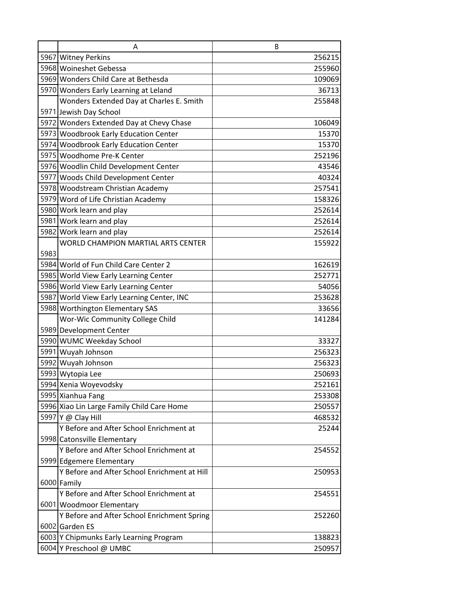|      | A                                            | B      |
|------|----------------------------------------------|--------|
|      | 5967 Witney Perkins                          | 256215 |
|      | 5968 Woineshet Gebessa                       | 255960 |
|      | 5969 Wonders Child Care at Bethesda          | 109069 |
|      | 5970 Wonders Early Learning at Leland        | 36713  |
|      | Wonders Extended Day at Charles E. Smith     | 255848 |
|      | 5971 Jewish Day School                       |        |
|      | 5972 Wonders Extended Day at Chevy Chase     | 106049 |
|      | 5973 Woodbrook Early Education Center        | 15370  |
|      | 5974 Woodbrook Early Education Center        | 15370  |
|      | 5975 Woodhome Pre-K Center                   | 252196 |
|      | 5976 Woodlin Child Development Center        | 43546  |
|      | 5977 Woods Child Development Center          | 40324  |
|      | 5978 Woodstream Christian Academy            | 257541 |
|      | 5979 Word of Life Christian Academy          | 158326 |
|      | 5980 Work learn and play                     | 252614 |
|      | 5981 Work learn and play                     | 252614 |
|      | 5982 Work learn and play                     | 252614 |
|      | <b>WORLD CHAMPION MARTIAL ARTS CENTER</b>    | 155922 |
| 5983 |                                              |        |
|      | 5984 World of Fun Child Care Center 2        | 162619 |
|      | 5985 World View Early Learning Center        | 252771 |
|      | 5986 World View Early Learning Center        | 54056  |
|      | 5987 World View Early Learning Center, INC   | 253628 |
|      | 5988 Worthington Elementary SAS              | 33656  |
|      | Wor-Wic Community College Child              | 141284 |
|      | 5989 Development Center                      |        |
|      | 5990 WUMC Weekday School                     | 33327  |
|      | 5991 Wuyah Johnson                           | 256323 |
|      | 5992 Wuyah Johnson                           | 256323 |
|      | 5993 Wytopia Lee                             | 250693 |
|      | 5994 Xenia Woyevodsky                        | 252161 |
|      | 5995 Xianhua Fang                            | 253308 |
|      | 5996 Xiao Lin Large Family Child Care Home   | 250557 |
|      | 5997 Y @ Clay Hill                           | 468532 |
|      | Y Before and After School Enrichment at      | 25244  |
|      | 5998 Catonsville Elementary                  |        |
|      | Y Before and After School Enrichment at      | 254552 |
|      | 5999 Edgemere Elementary                     |        |
|      | Y Before and After School Enrichment at Hill | 250953 |
|      | 6000 Family                                  |        |
|      | Y Before and After School Enrichment at      | 254551 |
|      | 6001 Woodmoor Elementary                     |        |
|      | Y Before and After School Enrichment Spring  | 252260 |
|      | 6002 Garden ES                               |        |
|      | 6003 Y Chipmunks Early Learning Program      | 138823 |
|      | 6004 Y Preschool @ UMBC                      | 250957 |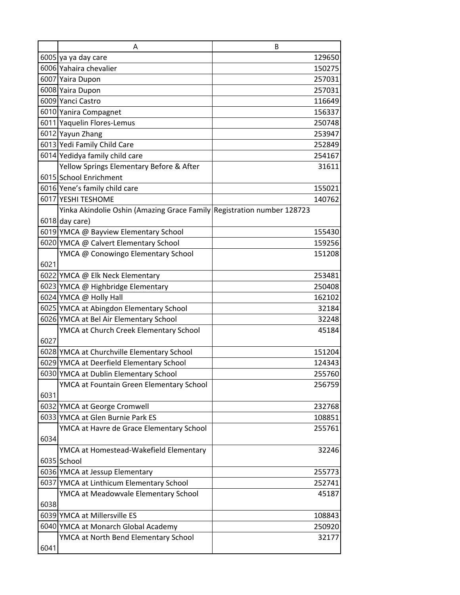|      | A                                                                      | B |        |
|------|------------------------------------------------------------------------|---|--------|
|      | 6005 ya ya day care                                                    |   | 129650 |
|      | 6006 Yahaira chevalier                                                 |   | 150275 |
|      | 6007 Yaira Dupon                                                       |   | 257031 |
|      | 6008 Yaira Dupon                                                       |   | 257031 |
|      | 6009 Yanci Castro                                                      |   | 116649 |
|      | 6010 Yanira Compagnet                                                  |   | 156337 |
|      | 6011 Yaquelin Flores-Lemus                                             |   | 250748 |
|      | 6012 Yayun Zhang                                                       |   | 253947 |
|      | 6013 Yedi Family Child Care                                            |   | 252849 |
|      | 6014 Yedidya family child care                                         |   | 254167 |
|      | Yellow Springs Elementary Before & After                               |   | 31611  |
|      | 6015 School Enrichment                                                 |   |        |
|      | 6016 Yene's family child care                                          |   | 155021 |
|      | 6017 YESHI TESHOME                                                     |   | 140762 |
|      | Yinka Akindolie Oshin (Amazing Grace Family Registration number 128723 |   |        |
|      | 6018 day care)                                                         |   |        |
|      | 6019 YMCA @ Bayview Elementary School                                  |   | 155430 |
|      | 6020 YMCA @ Calvert Elementary School                                  |   | 159256 |
|      | YMCA @ Conowingo Elementary School                                     |   | 151208 |
| 6021 |                                                                        |   |        |
|      | 6022 YMCA @ Elk Neck Elementary                                        |   | 253481 |
|      | 6023 YMCA @ Highbridge Elementary                                      |   | 250408 |
|      | 6024 YMCA @ Holly Hall                                                 |   | 162102 |
|      | 6025 YMCA at Abingdon Elementary School                                |   | 32184  |
|      | 6026 YMCA at Bel Air Elementary School                                 |   | 32248  |
|      | YMCA at Church Creek Elementary School                                 |   | 45184  |
| 6027 |                                                                        |   |        |
|      | 6028 YMCA at Churchville Elementary School                             |   | 151204 |
|      | 6029 YMCA at Deerfield Elementary School                               |   | 124343 |
|      | 6030 YMCA at Dublin Elementary School                                  |   | 255760 |
|      | YMCA at Fountain Green Elementary School                               |   | 256759 |
| 6031 |                                                                        |   |        |
|      | 6032 YMCA at George Cromwell                                           |   | 232768 |
|      | 6033 YMCA at Glen Burnie Park ES                                       |   | 108851 |
|      | YMCA at Havre de Grace Elementary School                               |   | 255761 |
| 6034 |                                                                        |   |        |
|      | YMCA at Homestead-Wakefield Elementary                                 |   | 32246  |
|      | 6035 School                                                            |   |        |
|      | 6036 YMCA at Jessup Elementary                                         |   | 255773 |
|      | 6037 YMCA at Linthicum Elementary School                               |   | 252741 |
|      | YMCA at Meadowvale Elementary School                                   |   | 45187  |
| 6038 |                                                                        |   |        |
|      | 6039 YMCA at Millersville ES                                           |   | 108843 |
|      | 6040 YMCA at Monarch Global Academy                                    |   | 250920 |
|      | YMCA at North Bend Elementary School                                   |   | 32177  |
| 6041 |                                                                        |   |        |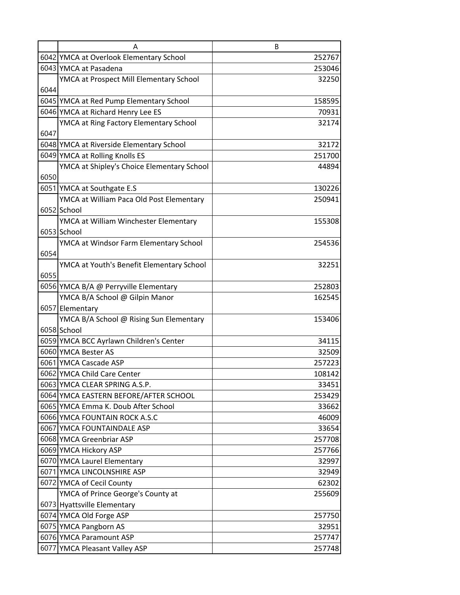|      | А                                          | B      |
|------|--------------------------------------------|--------|
|      | 6042 YMCA at Overlook Elementary School    | 252767 |
|      | 6043 YMCA at Pasadena                      | 253046 |
|      | YMCA at Prospect Mill Elementary School    | 32250  |
| 6044 |                                            |        |
|      | 6045 YMCA at Red Pump Elementary School    | 158595 |
|      | 6046 YMCA at Richard Henry Lee ES          | 70931  |
|      | YMCA at Ring Factory Elementary School     | 32174  |
| 6047 |                                            |        |
|      | 6048 YMCA at Riverside Elementary School   | 32172  |
|      | 6049 YMCA at Rolling Knolls ES             | 251700 |
|      | YMCA at Shipley's Choice Elementary School | 44894  |
| 6050 |                                            |        |
|      | 6051 YMCA at Southgate E.S                 | 130226 |
|      | YMCA at William Paca Old Post Elementary   | 250941 |
|      | 6052 School                                |        |
|      | YMCA at William Winchester Elementary      | 155308 |
|      | 6053 School                                |        |
|      | YMCA at Windsor Farm Elementary School     | 254536 |
| 6054 |                                            |        |
|      | YMCA at Youth's Benefit Elementary School  | 32251  |
| 6055 |                                            |        |
|      | 6056 YMCA B/A @ Perryville Elementary      | 252803 |
|      | YMCA B/A School @ Gilpin Manor             | 162545 |
|      | 6057 Elementary                            |        |
|      | YMCA B/A School @ Rising Sun Elementary    | 153406 |
|      | 6058 School                                |        |
|      | 6059 YMCA BCC Ayrlawn Children's Center    | 34115  |
|      | 6060 YMCA Bester AS                        | 32509  |
|      | 6061 YMCA Cascade ASP                      | 257223 |
|      | 6062 YMCA Child Care Center                | 108142 |
|      | 6063 YMCA CLEAR SPRING A.S.P.              | 33451  |
|      | 6064 YMCA EASTERN BEFORE/AFTER SCHOOL      | 253429 |
|      | 6065 YMCA Emma K. Doub After School        | 33662  |
|      | 6066 YMCA FOUNTAIN ROCK A.S.C              | 46009  |
|      | 6067 YMCA FOUNTAINDALE ASP                 | 33654  |
|      | 6068 YMCA Greenbriar ASP                   | 257708 |
|      | 6069 YMCA Hickory ASP                      | 257766 |
|      | 6070 YMCA Laurel Elementary                | 32997  |
|      | 6071 YMCA LINCOLNSHIRE ASP                 | 32949  |
|      | 6072 YMCA of Cecil County                  | 62302  |
|      | YMCA of Prince George's County at          | 255609 |
|      | 6073 Hyattsville Elementary                |        |
|      | 6074 YMCA Old Forge ASP                    | 257750 |
|      | 6075 YMCA Pangborn AS                      | 32951  |
|      | 6076 YMCA Paramount ASP                    | 257747 |
|      | 6077 YMCA Pleasant Valley ASP              | 257748 |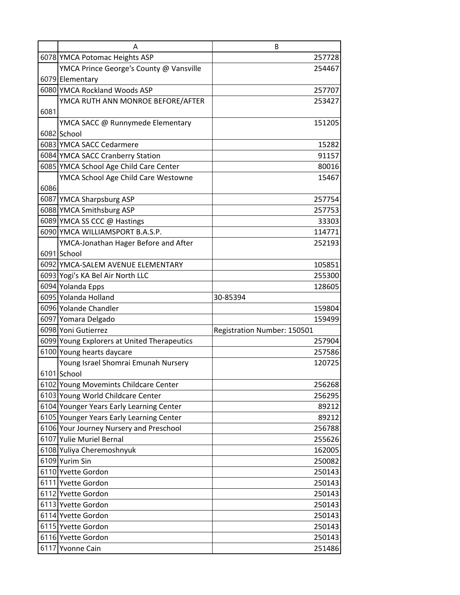|      | А                                           | B                           |
|------|---------------------------------------------|-----------------------------|
|      | 6078 YMCA Potomac Heights ASP               | 257728                      |
|      | YMCA Prince George's County @ Vansville     | 254467                      |
|      | 6079 Elementary                             |                             |
|      | 6080 YMCA Rockland Woods ASP                | 257707                      |
|      | YMCA RUTH ANN MONROE BEFORE/AFTER           | 253427                      |
| 6081 |                                             |                             |
|      | YMCA SACC @ Runnymede Elementary            | 151205                      |
|      | 6082 School                                 |                             |
|      | 6083 YMCA SACC Cedarmere                    | 15282                       |
|      | 6084 YMCA SACC Cranberry Station            | 91157                       |
|      | 6085 YMCA School Age Child Care Center      | 80016                       |
|      | YMCA School Age Child Care Westowne         | 15467                       |
| 6086 |                                             |                             |
|      | 6087 YMCA Sharpsburg ASP                    | 257754                      |
|      | 6088 YMCA Smithsburg ASP                    | 257753                      |
|      | 6089 YMCA SS CCC @ Hastings                 | 33303                       |
|      | 6090 YMCA WILLIAMSPORT B.A.S.P.             | 114771                      |
|      | YMCA-Jonathan Hager Before and After        | 252193                      |
|      | 6091 School                                 |                             |
|      | 6092 YMCA-SALEM AVENUE ELEMENTARY           | 105851                      |
|      | 6093 Yogi's KA Bel Air North LLC            | 255300                      |
|      | 6094 Yolanda Epps                           | 128605                      |
|      | 6095 Yolanda Holland                        | 30-85394                    |
|      | 6096 Yolande Chandler                       | 159804                      |
|      | 6097 Yomara Delgado                         | 159499                      |
|      | 6098 Yoni Gutierrez                         | Registration Number: 150501 |
|      | 6099 Young Explorers at United Therapeutics | 257904                      |
|      | 6100 Young hearts daycare                   | 257586                      |
|      | Young Israel Shomrai Emunah Nursery         | 120725                      |
|      | 6101 School                                 |                             |
|      | 6102 Young Movemints Childcare Center       | 256268                      |
|      | 6103 Young World Childcare Center           | 256295                      |
|      | 6104 Younger Years Early Learning Center    | 89212                       |
|      | 6105 Younger Years Early Learning Center    | 89212                       |
|      | 6106 Your Journey Nursery and Preschool     | 256788                      |
|      | 6107 Yulie Muriel Bernal                    | 255626                      |
|      | 6108 Yuliya Cheremoshnyuk                   | 162005                      |
|      | 6109 Yurim Sin                              | 250082                      |
|      | 6110 Yvette Gordon                          | 250143                      |
|      | 6111 Yvette Gordon                          | 250143                      |
|      | 6112 Yvette Gordon                          | 250143                      |
|      | 6113 Yvette Gordon                          | 250143                      |
|      | 6114 Yvette Gordon                          | 250143                      |
|      | 6115 Yvette Gordon                          | 250143                      |
|      | 6116 Yvette Gordon                          | 250143                      |
|      | 6117 Yvonne Cain                            | 251486                      |